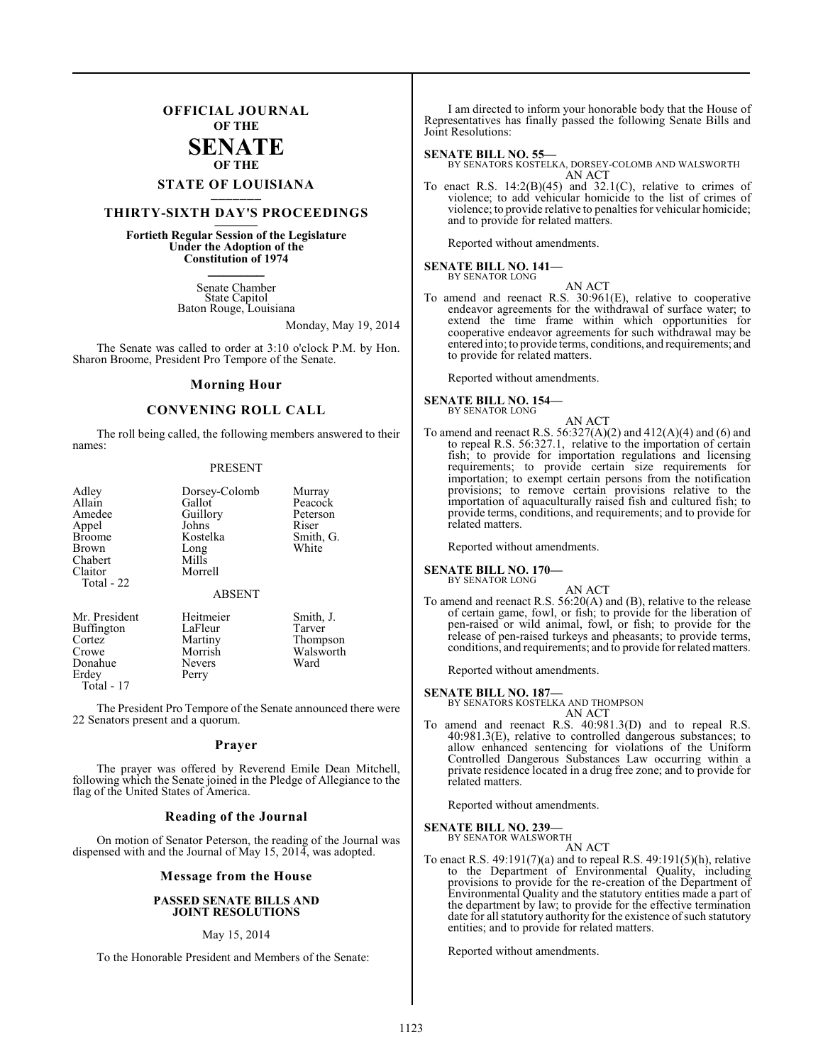### **OFFICIAL JOURNAL OF THE SENATE OF THE**

## **STATE OF LOUISIANA \_\_\_\_\_\_\_**

### **THIRTY-SIXTH DAY'S PROCEEDINGS \_\_\_\_\_\_\_**

### **Fortieth Regular Session of the Legislature Under the Adoption of the Constitution of 1974 \_\_\_\_\_\_\_**

Senate Chamber State Capitol Baton Rouge, Louisiana

### Monday, May 19, 2014

The Senate was called to order at 3:10 o'clock P.M. by Hon. Sharon Broome, President Pro Tempore of the Senate.

#### **Morning Hour**

#### **CONVENING ROLL CALL**

The roll being called, the following members answered to their names:

#### PRESENT

| Adley             | Dorsey-Colomb | Murray    |
|-------------------|---------------|-----------|
| Allain            | Gallot        | Peacock   |
| Amedee            | Guillory      | Peterson  |
| Appel             | Johns         | Riser     |
| <b>Broome</b>     | Kostelka      | Smith, G. |
| Brown             | Long          | White     |
| Chabert           | Mills         |           |
| Claitor           | Morrell       |           |
| Total - 22        |               |           |
|                   | <b>ABSENT</b> |           |
| Mr. President     | Heitmeier     | Smith, J. |
| <b>Buffington</b> | LaFleur       | Tarver    |

Donahue Never<br>
Erdev Perry Erdey Total - 17

Cortez Martiny Thompson<br>Crowe Morrish Walsworth Morrish Walsworth<br>Nevers Ward

The President Pro Tempore of the Senate announced there were 22 Senators present and a quorum.

#### **Prayer**

The prayer was offered by Reverend Emile Dean Mitchell, following which the Senate joined in the Pledge of Allegiance to the flag of the United States of America.

#### **Reading of the Journal**

On motion of Senator Peterson, the reading of the Journal was dispensed with and the Journal of May 15, 2014, was adopted.

#### **Message from the House**

#### **PASSED SENATE BILLS AND JOINT RESOLUTIONS**

#### May 15, 2014

To the Honorable President and Members of the Senate:

I am directed to inform your honorable body that the House of Representatives has finally passed the following Senate Bills and Joint Resolutions:

#### **SENATE BILL NO. 55—**

BY SENATORS KOSTELKA, DORSEY-COLOMB AND WALSWORTH AN ACT

To enact R.S.  $14:2(B)(45)$  and  $32.1(C)$ , relative to crimes of violence; to add vehicular homicide to the list of crimes of violence; to provide relative to penalties for vehicular homicide; and to provide for related matters.

Reported without amendments.

#### **SENATE BILL NO. 141—** BY SENATOR LONG

AN ACT

To amend and reenact R.S. 30:961(E), relative to cooperative endeavor agreements for the withdrawal of surface water; to extend the time frame within which opportunities for cooperative endeavor agreements for such withdrawal may be entered into; to provide terms, conditions, and requirements; and to provide for related matters.

Reported without amendments.

**SENATE BILL NO. 154—** BY SENATOR LONG

AN ACT

To amend and reenact R.S.  $56:327(A)(2)$  and  $412(A)(4)$  and  $(6)$  and to repeal R.S. 56:327.1, relative to the importation of certain fish; to provide for importation regulations and licensing requirements; to provide certain size requirements for importation; to exempt certain persons from the notification provisions; to remove certain provisions relative to the importation of aquaculturally raised fish and cultured fish; to provide terms, conditions, and requirements; and to provide for related matters.

Reported without amendments.

#### **SENATE BILL NO. 170—**

BY SENATOR LONG

AN ACT To amend and reenact R.S. 56:20(A) and (B), relative to the release of certain game, fowl, or fish; to provide for the liberation of pen-raised or wild animal, fowl, or fish; to provide for the release of pen-raised turkeys and pheasants; to provide terms, conditions, and requirements; and to provide for related matters.

Reported without amendments.

#### **SENATE BILL NO. 187—**

BY SENATORS KOSTELKA AND THOMPSON

- AN ACT To amend and reenact R.S. 40:981.3(D) and to repeal R.S. 40:981.3(E), relative to controlled dangerous substances; to
- allow enhanced sentencing for violations of the Uniform Controlled Dangerous Substances Law occurring within a private residence located in a drug free zone; and to provide for related matters.

Reported without amendments.

#### **SENATE BILL NO. 239—**

BY SENATOR WALSWORTH AN ACT

To enact R.S. 49:191(7)(a) and to repeal R.S. 49:191(5)(h), relative to the Department of Environmental Quality, including provisions to provide for the re-creation of the Department of Environmental Quality and the statutory entities made a part of the department by law; to provide for the effective termination date for all statutory authority for the existence of such statutory entities; and to provide for related matters.

Reported without amendments.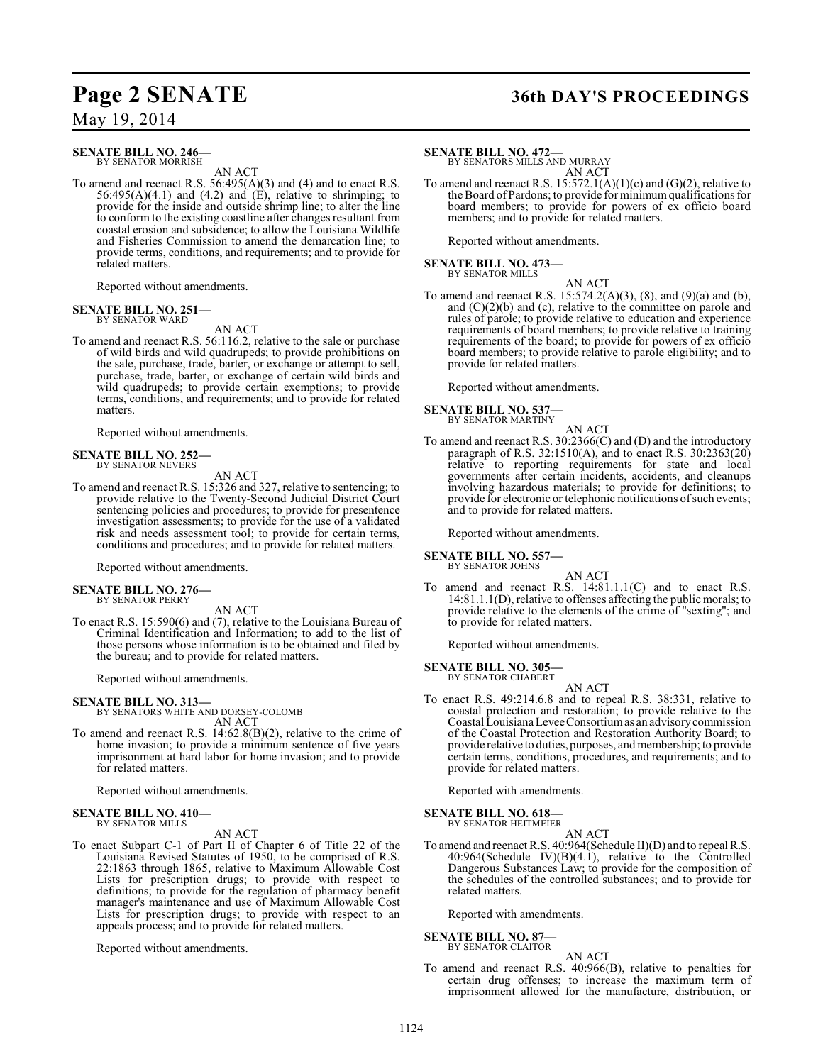#### **SENATE BILL NO. 246—** BY SENATOR MORRISH

AN ACT

To amend and reenact R.S. 56:495(A)(3) and (4) and to enact R.S.  $56:495(A)(4.1)$  and  $(4.2)$  and  $(E)$ , relative to shrimping; to provide for the inside and outside shrimp line; to alter the line to conform to the existing coastline after changes resultant from coastal erosion and subsidence; to allow the Louisiana Wildlife and Fisheries Commission to amend the demarcation line; to provide terms, conditions, and requirements; and to provide for related matters.

Reported without amendments.

#### **SENATE BILL NO. 251—** BY SENATOR WARD

AN ACT

To amend and reenact R.S. 56:116.2, relative to the sale or purchase of wild birds and wild quadrupeds; to provide prohibitions on the sale, purchase, trade, barter, or exchange or attempt to sell, purchase, trade, barter, or exchange of certain wild birds and wild quadrupeds; to provide certain exemptions; to provide terms, conditions, and requirements; and to provide for related matters.

Reported without amendments.

## **SENATE BILL NO. 252—** BY SENATOR NEVERS

AN ACT

To amend and reenact R.S. 15:326 and 327, relative to sentencing; to provide relative to the Twenty-Second Judicial District Court sentencing policies and procedures; to provide for presentence investigation assessments; to provide for the use of a validated risk and needs assessment tool; to provide for certain terms, conditions and procedures; and to provide for related matters.

Reported without amendments.

#### **SENATE BILL NO. 276—** BY SENATOR PERRY

AN ACT

To enact R.S. 15:590(6) and (7), relative to the Louisiana Bureau of Criminal Identification and Information; to add to the list of those persons whose information is to be obtained and filed by the bureau; and to provide for related matters.

Reported without amendments.

#### **SENATE BILL NO. 313—**

BY SENATORS WHITE AND DORSEY-COLOMB AN ACT

To amend and reenact R.S. 14:62.8(B)(2), relative to the crime of home invasion; to provide a minimum sentence of five years imprisonment at hard labor for home invasion; and to provide for related matters.

Reported without amendments.

#### **SENATE BILL NO. 410—** BY SENATOR MILLS

AN ACT

To enact Subpart C-1 of Part II of Chapter 6 of Title 22 of the Louisiana Revised Statutes of 1950, to be comprised of R.S. 22:1863 through 1865, relative to Maximum Allowable Cost Lists for prescription drugs; to provide with respect to definitions; to provide for the regulation of pharmacy benefit manager's maintenance and use of Maximum Allowable Cost Lists for prescription drugs; to provide with respect to an appeals process; and to provide for related matters.

Reported without amendments.

## **Page 2 SENATE 36th DAY'S PROCEEDINGS**

#### **SENATE BILL NO. 472—**

BY SENATORS MILLS AND MURRAY AN ACT

To amend and reenact R.S.  $15:572.1(A)(1)(c)$  and  $(G)(2)$ , relative to the Board of Pardons; to provide for minimum qualifications for board members; to provide for powers of ex officio board members; and to provide for related matters.

Reported without amendments.

**SENATE BILL NO. 473—** BY SENATOR MILLS

AN ACT

To amend and reenact R.S. 15:574.2(A)(3), (8), and (9)(a) and (b), and  $(C)(2)(b)$  and  $(c)$ , relative to the committee on parole and rules of parole; to provide relative to education and experience requirements of board members; to provide relative to training requirements of the board; to provide for powers of ex officio board members; to provide relative to parole eligibility; and to provide for related matters.

Reported without amendments.

#### **SENATE BILL NO. 537—** BY SENATOR MARTINY

AN ACT To amend and reenact R.S. 30:2366(C) and (D) and the introductory paragraph of R.S. 32:1510(A), and to enact R.S. 30:2363(20) relative to reporting requirements for state and local governments after certain incidents, accidents, and cleanups involving hazardous materials; to provide for definitions; to provide for electronic or telephonic notifications of such events; and to provide for related matters.

Reported without amendments.

**SENATE BILL NO. 557—** BY SENATOR JOHNS

AN ACT

To amend and reenact R.S. 14:81.1.1(C) and to enact R.S. 14:81.1.1(D), relative to offenses affecting the public morals; to provide relative to the elements of the crime of "sexting"; and to provide for related matters.

Reported without amendments.

**SENATE BILL NO. 305—** BY SENATOR CHABERT

AN ACT

To enact R.S. 49:214.6.8 and to repeal R.S. 38:331, relative to coastal protection and restoration; to provide relative to the Coastal Louisiana Levee Consortium as an advisory commission of the Coastal Protection and Restoration Authority Board; to provide relative to duties, purposes, and membership; to provide certain terms, conditions, procedures, and requirements; and to provide for related matters.

Reported with amendments.

#### **SENATE BILL NO. 618—** BY SENATOR HEITMEIER

AN ACT

To amend and reenact R.S. 40:964(Schedule II)(D) and to repeal R.S. 40:964(Schedule IV)(B)(4.1), relative to the Controlled Dangerous Substances Law; to provide for the composition of the schedules of the controlled substances; and to provide for related matters.

Reported with amendments.

**SENATE BILL NO. 87—** BY SENATOR CLAITOR

AN ACT

To amend and reenact R.S. 40:966(B), relative to penalties for certain drug offenses; to increase the maximum term of imprisonment allowed for the manufacture, distribution, or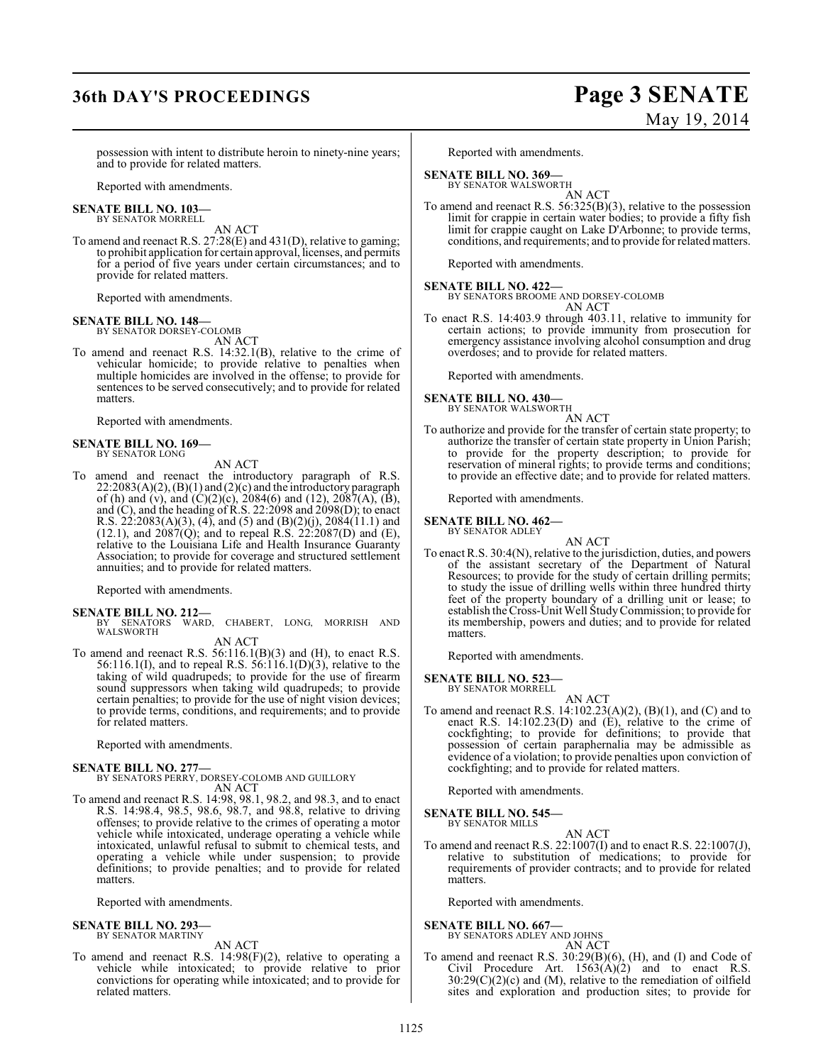### **36th DAY'S PROCEEDINGS Page 3 SENATE**

# May 19, 2014

possession with intent to distribute heroin to ninety-nine years; and to provide for related matters.

Reported with amendments.

#### **SENATE BILL NO. 103—** BY SENATOR MORRELL

AN ACT

To amend and reenact R.S. 27:28(E) and 431(D), relative to gaming; to prohibit application for certain approval, licenses, and permits for a period of five years under certain circumstances; and to provide for related matters.

Reported with amendments.

## **SENATE BILL NO. 148—** BY SENATOR DORSEY-COLOMB

AN ACT

To amend and reenact R.S. 14:32.1(B), relative to the crime of vehicular homicide; to provide relative to penalties when multiple homicides are involved in the offense; to provide for sentences to be served consecutively; and to provide for related matters.

Reported with amendments.

## **SENATE BILL NO. 169—** BY SENATOR LONG

AN ACT

To amend and reenact the introductory paragraph of R.S.  $22:2083(A)(2)$ ,  $(B)(1)$  and  $(2)(c)$  and the introductory paragraph of (h) and (v), and (C)(2)(c), 2084(6) and (12), 2087(A),  $(\dot{B})$ , and (C), and the heading of R.S. 22:2098 and 2098(D); to enact R.S.  $22:2083(A)(3)$ ,  $(4)$ , and  $(5)$  and  $(B)(2)(j)$ ,  $2084(11.1)$  and  $(12.1)$ , and  $2087(Q)$ ; and to repeal R.S.  $22:2087(D)$  and  $(E)$ , relative to the Louisiana Life and Health Insurance Guaranty Association; to provide for coverage and structured settlement annuities; and to provide for related matters.

Reported with amendments.

### **SENATE BILL NO. 212—**

BY SENATORS WARD, CHABERT, LONG, MORRISH AND WALSWORTH

AN ACT

To amend and reenact R.S.  $56:116.1(B)(3)$  and (H), to enact R.S. 56:116.1(I), and to repeal R.S. 56:116.1(D)(3), relative to the taking of wild quadrupeds; to provide for the use of firearm sound suppressors when taking wild quadrupeds; to provide certain penalties; to provide for the use of night vision devices; to provide terms, conditions, and requirements; and to provide for related matters.

Reported with amendments.

**SENATE BILL NO. 277—** BY SENATORS PERRY, DORSEY-COLOMB AND GUILLORY AN ACT

To amend and reenact R.S. 14:98, 98.1, 98.2, and 98.3, and to enact R.S. 14:98.4, 98.5, 98.6, 98.7, and 98.8, relative to driving offenses; to provide relative to the crimes of operating a motor vehicle while intoxicated, underage operating a vehicle while intoxicated, unlawful refusal to submit to chemical tests, and operating a vehicle while under suspension; to provide definitions; to provide penalties; and to provide for related matters.

Reported with amendments.

#### **SENATE BILL NO. 293—** BY SENATOR MARTINY

AN ACT

To amend and reenact R.S. 14:98(F)(2), relative to operating a vehicle while intoxicated; to provide relative to prior convictions for operating while intoxicated; and to provide for related matters.

Reported with amendments.

**SENATE BILL NO. 369—**<br>BY SENATOR WALSWORTH

AN ACT

To amend and reenact R.S. 56:325(B)(3), relative to the possession limit for crappie in certain water bodies; to provide a fifty fish limit for crappie caught on Lake D'Arbonne; to provide terms, conditions, and requirements; and to provide for related matters.

Reported with amendments.

**SENATE BILL NO. 422—**

BY SENATORS BROOME AND DORSEY-COLOMB AN ACT

To enact R.S. 14:403.9 through 403.11, relative to immunity for certain actions; to provide immunity from prosecution for emergency assistance involving alcohol consumption and drug overdoses; and to provide for related matters.

Reported with amendments.

## **SENATE BILL NO. 430—** BY SENATOR WALSWORTH

AN ACT

To authorize and provide for the transfer of certain state property; to authorize the transfer of certain state property in Union Parish; to provide for the property description; to provide for reservation of mineral rights; to provide terms and conditions; to provide an effective date; and to provide for related matters.

Reported with amendments.

#### **SENATE BILL NO. 462—** BY SENATOR ADLEY

AN ACT

To enact R.S. 30:4(N), relative to the jurisdiction, duties, and powers of the assistant secretary of the Department of Natural Resources; to provide for the study of certain drilling permits; to study the issue of drilling wells within three hundred thirty feet of the property boundary of a drilling unit or lease; to establish the Cross-Unit Well Study Commission; to provide for its membership, powers and duties; and to provide for related matters.

Reported with amendments.

#### **SENATE BILL NO. 523—**

BY SENATOR MORRELL

AN ACT To amend and reenact R.S. 14:102.23(A)(2), (B)(1), and (C) and to enact R.S. 14:102.23(D) and (E), relative to the crime of cockfighting; to provide for definitions; to provide that possession of certain paraphernalia may be admissible as evidence of a violation; to provide penalties upon conviction of cockfighting; and to provide for related matters.

Reported with amendments.

#### **SENATE BILL NO. 545—** BY SENATOR MILLS

AN ACT

To amend and reenact R.S. 22:1007(I) and to enact R.S. 22:1007(J), relative to substitution of medications; to provide for requirements of provider contracts; and to provide for related matters.

Reported with amendments.

#### **SENATE BILL NO. 667—**

BY SENATORS ADLEY AND JOHNS AN ACT

To amend and reenact R.S. 30:29(B)(6), (H), and (I) and Code of Civil Procedure Art.  $1563(A)(2)$  and to enact R.S. 30:29(C)(2)(c) and (M), relative to the remediation of oilfield sites and exploration and production sites; to provide for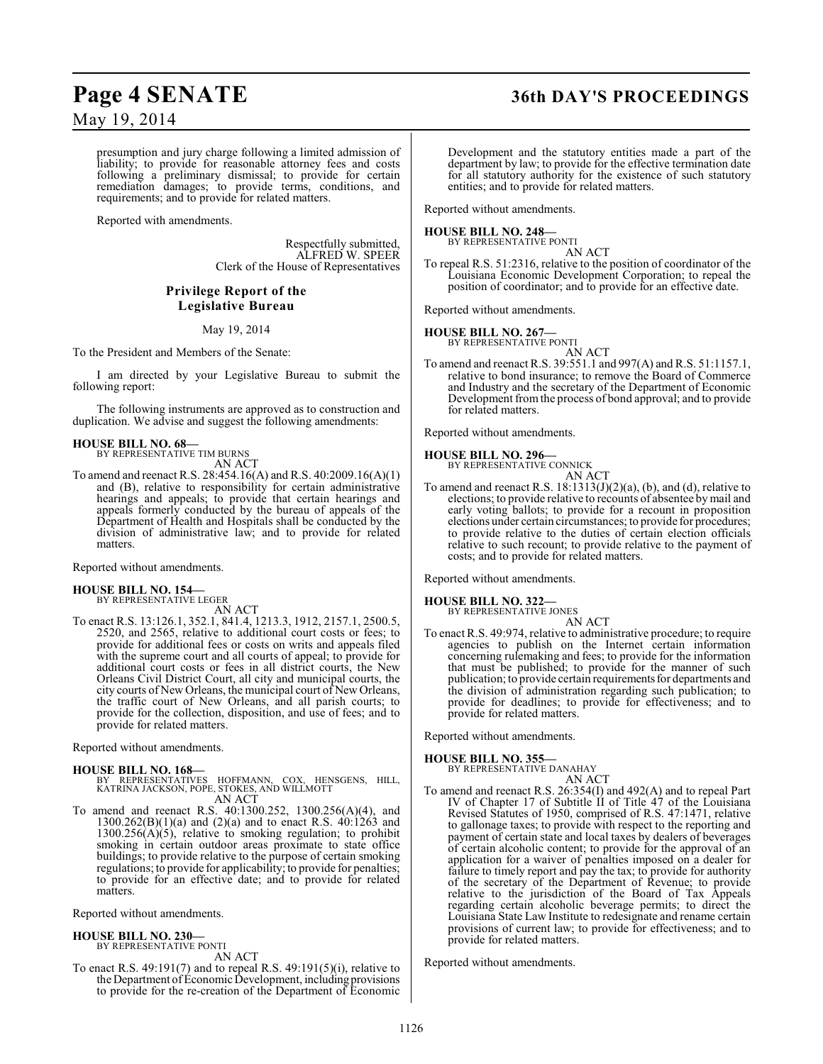## **Page 4 SENATE 36th DAY'S PROCEEDINGS**

May 19, 2014

presumption and jury charge following a limited admission of liability; to provide for reasonable attorney fees and costs following a preliminary dismissal; to provide for certain remediation damages; to provide terms, conditions, and requirements; and to provide for related matters.

Reported with amendments.

Respectfully submitted, ALFRED W. SPEER Clerk of the House of Representatives

### **Privilege Report of the Legislative Bureau**

May 19, 2014

To the President and Members of the Senate:

I am directed by your Legislative Bureau to submit the following report:

The following instruments are approved as to construction and duplication. We advise and suggest the following amendments:

#### **HOUSE BILL NO. 68—**

BY REPRESENTATIVE TIM BURNS AN ACT

To amend and reenact R.S. 28:454.16(A) and R.S. 40:2009.16(A)(1) and (B), relative to responsibility for certain administrative hearings and appeals; to provide that certain hearings and appeals formerly conducted by the bureau of appeals of the Department of Health and Hospitals shall be conducted by the division of administrative law; and to provide for related matters.

Reported without amendments.

#### **HOUSE BILL NO. 154—**

BY REPRESENTATIVE LEGER AN ACT

To enact R.S. 13:126.1, 352.1, 841.4, 1213.3, 1912, 2157.1, 2500.5, 2520, and 2565, relative to additional court costs or fees; to provide for additional fees or costs on writs and appeals filed with the supreme court and all courts of appeal; to provide for additional court costs or fees in all district courts, the New Orleans Civil District Court, all city and municipal courts, the city courts of New Orleans, the municipal court of New Orleans, the traffic court of New Orleans, and all parish courts; to provide for the collection, disposition, and use of fees; and to provide for related matters.

Reported without amendments.

#### **HOUSE BILL NO. 168—**

- BY REPRESENTATIVES HOFFMANN, COX, HENSGENS, HILL, KATRINA JACKSON, POPE, STOKES, AND WILLMOTT AN ACT
- To amend and reenact R.S. 40:1300.252, 1300.256(A)(4), and  $1300.262(B)(1)(a)$  and  $(2)(a)$  and to enact R.S.  $40:1263$  and  $1300.256(A)(5)$ , relative to smoking regulation; to prohibit smoking in certain outdoor areas proximate to state office buildings; to provide relative to the purpose of certain smoking regulations; to provide for applicability; to provide for penalties; to provide for an effective date; and to provide for related matters.

Reported without amendments.

#### **HOUSE BILL NO. 230—**

BY REPRESENTATIVE PONTI AN ACT

To enact R.S. 49:191(7) and to repeal R.S. 49:191(5)(i), relative to the Department of Economic Development, including provisions to provide for the re-creation of the Department of Economic

Development and the statutory entities made a part of the department by law; to provide for the effective termination date for all statutory authority for the existence of such statutory entities; and to provide for related matters.

Reported without amendments.

#### **HOUSE BILL NO. 248—**

BY REPRESENTATIVE PONTI AN ACT

To repeal R.S. 51:2316, relative to the position of coordinator of the Louisiana Economic Development Corporation; to repeal the position of coordinator; and to provide for an effective date.

Reported without amendments.

## **HOUSE BILL NO. 267—** BY REPRESENTATIVE PONTI

AN ACT To amend and reenact R.S. 39:551.1 and 997(A) and R.S. 51:1157.1, relative to bond insurance; to remove the Board of Commerce and Industry and the secretary of the Department of Economic Development from the process of bond approval; and to provide for related matters.

Reported without amendments.

## **HOUSE BILL NO. 296—** BY REPRESENTATIVE CONNICK

To amend and reenact R.S. 18:1313(J)(2)(a), (b), and (d), relative to elections; to provide relative to recounts of absentee by mail and early voting ballots; to provide for a recount in proposition elections under certain circumstances; to provide for procedures; to provide relative to the duties of certain election officials relative to such recount; to provide relative to the payment of costs; and to provide for related matters.

AN ACT

Reported without amendments.

### **HOUSE BILL NO. 322—**

BY REPRESENTATIVE JONES

AN ACT To enact R.S. 49:974, relative to administrative procedure; to require agencies to publish on the Internet certain information concerning rulemaking and fees; to provide for the information that must be published; to provide for the manner of such publication; to provide certain requirements for departments and the division of administration regarding such publication; to provide for deadlines; to provide for effectiveness; and to provide for related matters.

Reported without amendments.

### **HOUSE BILL NO. 355—**

BY REPRESENTATIVE DANAHAY AN ACT

To amend and reenact R.S. 26:354(I) and 492(A) and to repeal Part IV of Chapter 17 of Subtitle II of Title 47 of the Louisiana Revised Statutes of 1950, comprised of R.S. 47:1471, relative to gallonage taxes; to provide with respect to the reporting and payment of certain state and local taxes by dealers of beverages of certain alcoholic content; to provide for the approval of an application for a waiver of penalties imposed on a dealer for failure to timely report and pay the tax; to provide for authority of the secretary of the Department of Revenue; to provide relative to the jurisdiction of the Board of Tax Appeals regarding certain alcoholic beverage permits; to direct the Louisiana State Law Institute to redesignate and rename certain provisions of current law; to provide for effectiveness; and to provide for related matters.

Reported without amendments.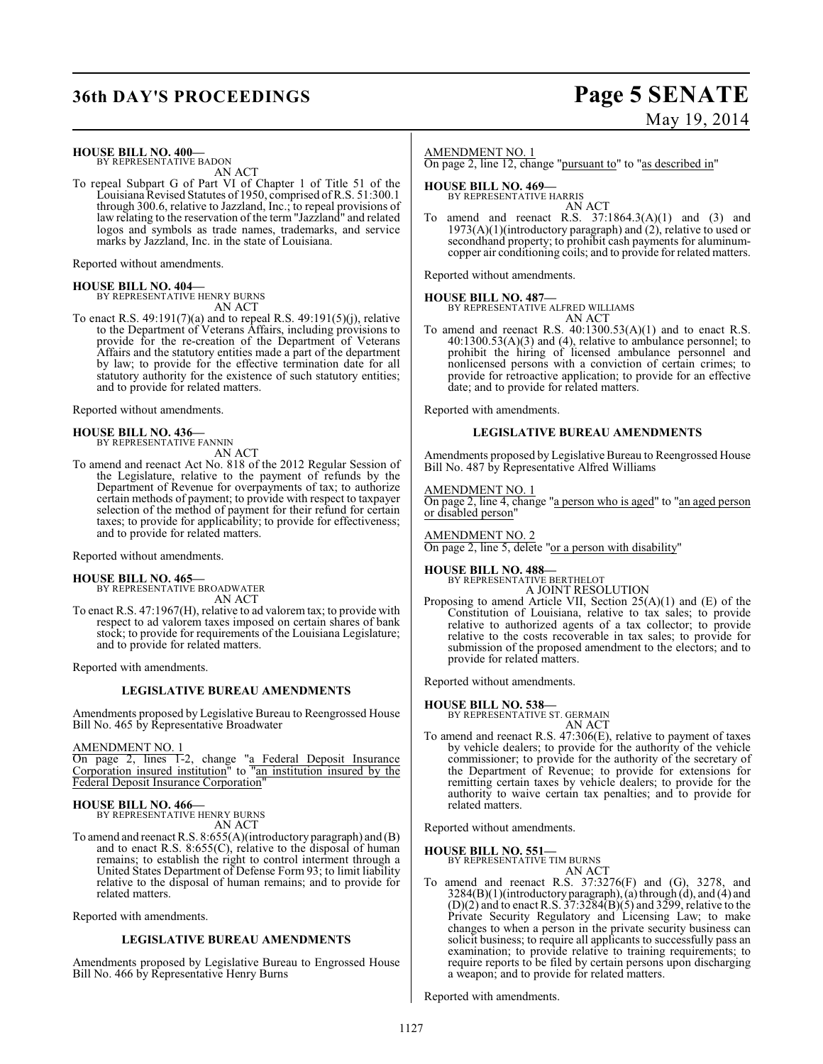## **36th DAY'S PROCEEDINGS Page 5 SENATE**

# May 19, 2014

### **HOUSE BILL NO. 400—**

BY REPRESENTATIVE BADON AN ACT

To repeal Subpart G of Part VI of Chapter 1 of Title 51 of the Louisiana Revised Statutes of 1950, comprised of R.S. 51:300.1 through 300.6, relative to Jazzland, Inc.; to repeal provisions of law relating to the reservation of the term "Jazzland" and related logos and symbols as trade names, trademarks, and service marks by Jazzland, Inc. in the state of Louisiana.

Reported without amendments.

#### **HOUSE BILL NO. 404—**

BY REPRESENTATIVE HENRY BURNS AN ACT

To enact R.S. 49:191(7)(a) and to repeal R.S. 49:191(5)(j), relative to the Department of Veterans Affairs, including provisions to provide for the re-creation of the Department of Veterans Affairs and the statutory entities made a part of the department by law; to provide for the effective termination date for all statutory authority for the existence of such statutory entities; and to provide for related matters.

Reported without amendments.

**HOUSE BILL NO. 436—** BY REPRESENTATIVE FANNIN AN ACT

To amend and reenact Act No. 818 of the 2012 Regular Session of the Legislature, relative to the payment of refunds by the Department of Revenue for overpayments of tax; to authorize certain methods of payment; to provide with respect to taxpayer selection of the method of payment for their refund for certain taxes; to provide for applicability; to provide for effectiveness; and to provide for related matters.

Reported without amendments.

#### **HOUSE BILL NO. 465—**

BY REPRESENTATIVE BROADWATER AN ACT

To enact R.S. 47:1967(H), relative to ad valorem tax; to provide with respect to ad valorem taxes imposed on certain shares of bank stock; to provide for requirements of the Louisiana Legislature; and to provide for related matters.

Reported with amendments.

#### **LEGISLATIVE BUREAU AMENDMENTS**

Amendments proposed by Legislative Bureau to Reengrossed House Bill No. 465 by Representative Broadwater

AMENDMENT NO. 1

On page 2, lines 1-2, change "a Federal Deposit Insurance Corporation insured institution" to "an institution insured by the Federal Deposit Insurance Corporation"

#### **HOUSE BILL NO. 466—**

BY REPRESENTATIVE HENRY BURNS AN ACT

To amend and reenact R.S. 8:655(A)(introductory paragraph) and (B) and to enact R.S. 8:655(C), relative to the disposal of human remains; to establish the right to control interment through a United States Department of Defense Form 93; to limit liability relative to the disposal of human remains; and to provide for related matters.

Reported with amendments.

#### **LEGISLATIVE BUREAU AMENDMENTS**

Amendments proposed by Legislative Bureau to Engrossed House Bill No. 466 by Representative Henry Burns

#### AMENDMENT NO. 1

On page 2, line 12, change "pursuant to" to "as described in"

### **HOUSE BILL NO. 469—** BY REPRESENTATIVE HARRIS

AN ACT To amend and reenact R.S.  $37:1864.3(A)(1)$  and  $(3)$  and  $1973(A)(1)$ (introductory paragraph) and  $(2)$ , relative to used or secondhand property; to prohibit cash payments for aluminumcopper air conditioning coils; and to provide for related matters.

Reported without amendments.

#### **HOUSE BILL NO. 487—**

BY REPRESENTATIVE ALFRED WILLIAMS

AN ACT To amend and reenact R.S. 40:1300.53(A)(1) and to enact R.S. 40:1300.53(A)(3) and (4), relative to ambulance personnel; to prohibit the hiring of licensed ambulance personnel and nonlicensed persons with a conviction of certain crimes; to provide for retroactive application; to provide for an effective date; and to provide for related matters.

Reported with amendments.

#### **LEGISLATIVE BUREAU AMENDMENTS**

Amendments proposed by Legislative Bureau to Reengrossed House Bill No. 487 by Representative Alfred Williams

#### AMENDMENT NO. 1

On page 2, line 4, change "a person who is aged" to "an aged person or disabled person"

#### AMENDMENT NO. 2

On page 2, line 5, delete "or a person with disability"

### **HOUSE BILL NO. 488—** BY REPRESENTATIVE BERTHELOT

A JOINT RESOLUTION

Proposing to amend Article VII, Section 25(A)(1) and (E) of the Constitution of Louisiana, relative to tax sales; to provide relative to authorized agents of a tax collector; to provide relative to the costs recoverable in tax sales; to provide for submission of the proposed amendment to the electors; and to provide for related matters.

Reported without amendments.

#### **HOUSE BILL NO. 538—**

BY REPRESENTATIVE ST. GERMAIN AN ACT

To amend and reenact R.S. 47:306(E), relative to payment of taxes by vehicle dealers; to provide for the authority of the vehicle commissioner; to provide for the authority of the secretary of the Department of Revenue; to provide for extensions for remitting certain taxes by vehicle dealers; to provide for the authority to waive certain tax penalties; and to provide for related matters.

Reported without amendments.

**HOUSE BILL NO. 551—**

BY REPRESENTATIVE TIM BURNS AN ACT

To amend and reenact R.S. 37:3276(F) and (G), 3278, and 3284(B)(1)(introductory paragraph), (a) through (d), and (4) and  $(D)(2)$  and to enact R.S. 37:3284 $(B)(5)$  and 3299, relative to the Private Security Regulatory and Licensing Law; to make changes to when a person in the private security business can solicit business; to require all applicants to successfully pass an examination; to provide relative to training requirements; to require reports to be filed by certain persons upon discharging a weapon; and to provide for related matters.

Reported with amendments.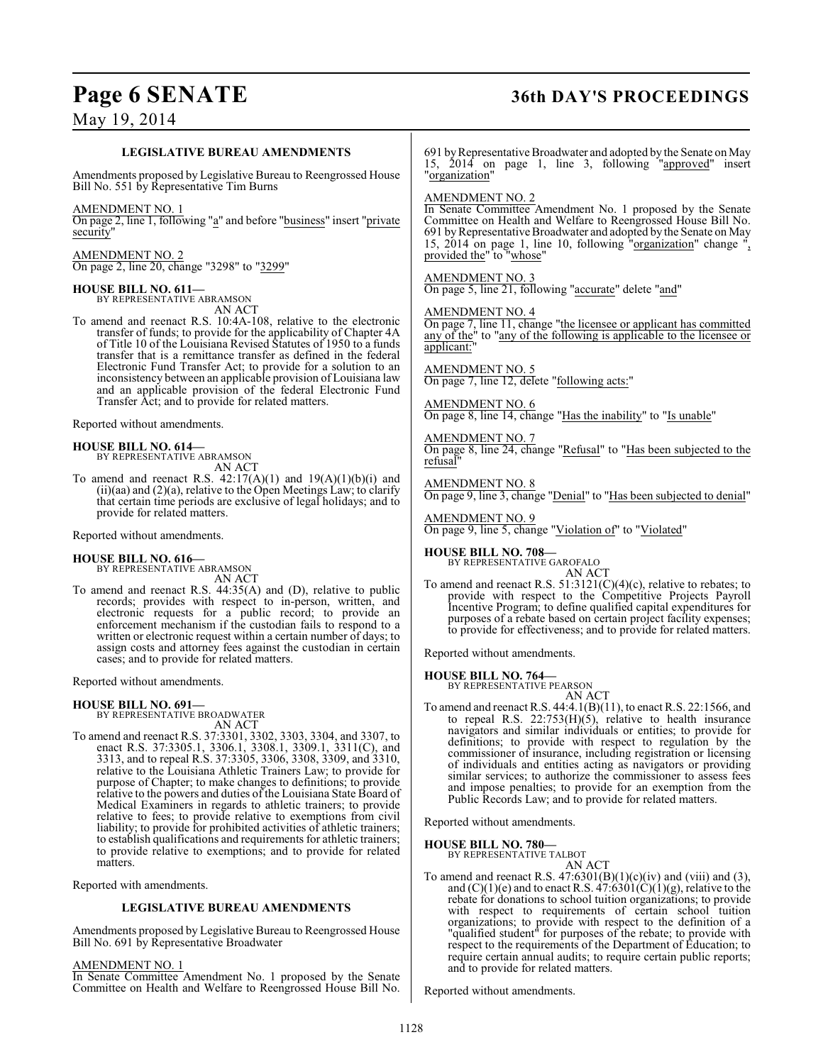Bill No. 691 by Representative Broadwater

In Senate Committee Amendment No. 1 proposed by the Senate Committee on Health and Welfare to Reengrossed House Bill No.

AMENDMENT NO. 1

### May 19, 2014

## **Page 6 SENATE 36th DAY'S PROCEEDINGS**

**LEGISLATIVE BUREAU AMENDMENTS** Amendments proposed by Legislative Bureau to Reengrossed House Bill No. 551 by Representative Tim Burns AMENDMENT NO. 1 On page 2, line 1, following "a" and before "business" insert "private security AMENDMENT NO. 2 On page 2, line 20, change "3298" to "3299" **HOUSE BILL NO. 611—** BY REPRESENTATIVE ABRAMSON AN ACT To amend and reenact R.S. 10:4A-108, relative to the electronic transfer of funds; to provide for the applicability of Chapter 4A of Title 10 of the Louisiana Revised Statutes of 1950 to a funds transfer that is a remittance transfer as defined in the federal Electronic Fund Transfer Act; to provide for a solution to an inconsistency between an applicable provision of Louisiana law and an applicable provision of the federal Electronic Fund Transfer Act; and to provide for related matters. Reported without amendments. **HOUSE BILL NO. 614—** BY REPRESENTATIVE ABRAMSON AN ACT To amend and reenact R.S.  $42:17(A)(1)$  and  $19(A)(1)(b)(i)$  and  $(ii)(aa)$  and  $(2)(a)$ , relative to the Open Meetings Law; to clarify that certain time periods are exclusive of legal holidays; and to provide for related matters. Reported without amendments. **HOUSE BILL NO. 616—** BY REPRESENTATIVE ABRAMSON AN ACT To amend and reenact R.S. 44:35(A) and (D), relative to public records; provides with respect to in-person, written, and electronic requests for a public record; to provide an enforcement mechanism if the custodian fails to respond to a written or electronic request within a certain number of days; to assign costs and attorney fees against the custodian in certain cases; and to provide for related matters. Reported without amendments. **HOUSE BILL NO. 691—** BY REPRESENTATIVE BROADWATER AN ACT To amend and reenact R.S. 37:3301, 3302, 3303, 3304, and 3307, to enact R.S. 37:3305.1, 3306.1, 3308.1, 3309.1, 3311(C), and 3313, and to repeal R.S. 37:3305, 3306, 3308, 3309, and 3310, relative to the Louisiana Athletic Trainers Law; to provide for purpose of Chapter; to make changes to definitions; to provide relative to the powers and duties of the Louisiana State Board of Medical Examiners in regards to athletic trainers; to provide relative to fees; to provide relative to exemptions from civil liability; to provide for prohibited activities of athletic trainers; to establish qualifications and requirements for athletic trainers; to provide relative to exemptions; and to provide for related matters. Reported with amendments. **LEGISLATIVE BUREAU AMENDMENTS** Amendments proposed by Legislative Bureau to Reengrossed House 691 by Representative Broadwater and adopted by the Senate on May 15, 2014 on page 1, line 3, following "approved" insert "organization" AMENDMENT NO. 2 In Senate Committee Amendment No. 1 proposed by the Senate Committee on Health and Welfare to Reengrossed House Bill No. 691 by Representative Broadwater and adopted by the Senate on May 15, 2014 on page 1, line 10, following "organization" change ", provided the" to "whose" AMENDMENT NO. 3 On page 5, line 21, following "accurate" delete "and" AMENDMENT NO. 4 On page 7, line 11, change "the licensee or applicant has committed any of the" to "any of the following is applicable to the licensee or applicant: AMENDMENT NO. 5 On page 7, line 12, delete "following acts:" AMENDMENT NO. 6 On page 8, line 14, change "Has the inability" to "Is unable" AMENDMENT NO. 7 On page 8, line 24, change "Refusal" to "Has been subjected to the refusal AMENDMENT NO. 8 On page 9, line 3, change "Denial" to "Has been subjected to denial" AMENDMENT NO. 9 On page 9, line 5, change "Violation of" to "Violated" **HOUSE BILL NO. 708—** BY REPRESENTATIVE GAROFALO AN ACT To amend and reenact R.S.  $51:3121(C)(4)(c)$ , relative to rebates; to provide with respect to the Competitive Projects Payroll Incentive Program; to define qualified capital expenditures for purposes of a rebate based on certain project facility expenses; to provide for effectiveness; and to provide for related matters. Reported without amendments. **HOUSE BILL NO. 764—** BY REPRESENTATIVE PEARSON AN ACT To amend and reenact R.S. 44:4.1(B)(11), to enact R.S. 22:1566, and to repeal R.S.  $22:753(H)(5)$ , relative to health insurance navigators and similar individuals or entities; to provide for definitions; to provide with respect to regulation by the commissioner of insurance, including registration or licensing of individuals and entities acting as navigators or providing similar services; to authorize the commissioner to assess fees and impose penalties; to provide for an exemption from the Public Records Law; and to provide for related matters. Reported without amendments. **HOUSE BILL NO. 780—** BY REPRESENTATIVE TALBOT AN ACT To amend and reenact R.S.  $47:6301(B)(1)(c)(iv)$  and (viii) and (3), and  $(C)(1)(e)$  and to enact R.S.  $47:6301(\dot{C})(1)(g)$ , relative to the rebate for donations to school tuition organizations; to provide with respect to requirements of certain school tuition organizations; to provide with respect to the definition of a "qualified student" for purposes of the rebate; to provide with

Reported without amendments.

and to provide for related matters.

respect to the requirements of the Department of Education; to require certain annual audits; to require certain public reports;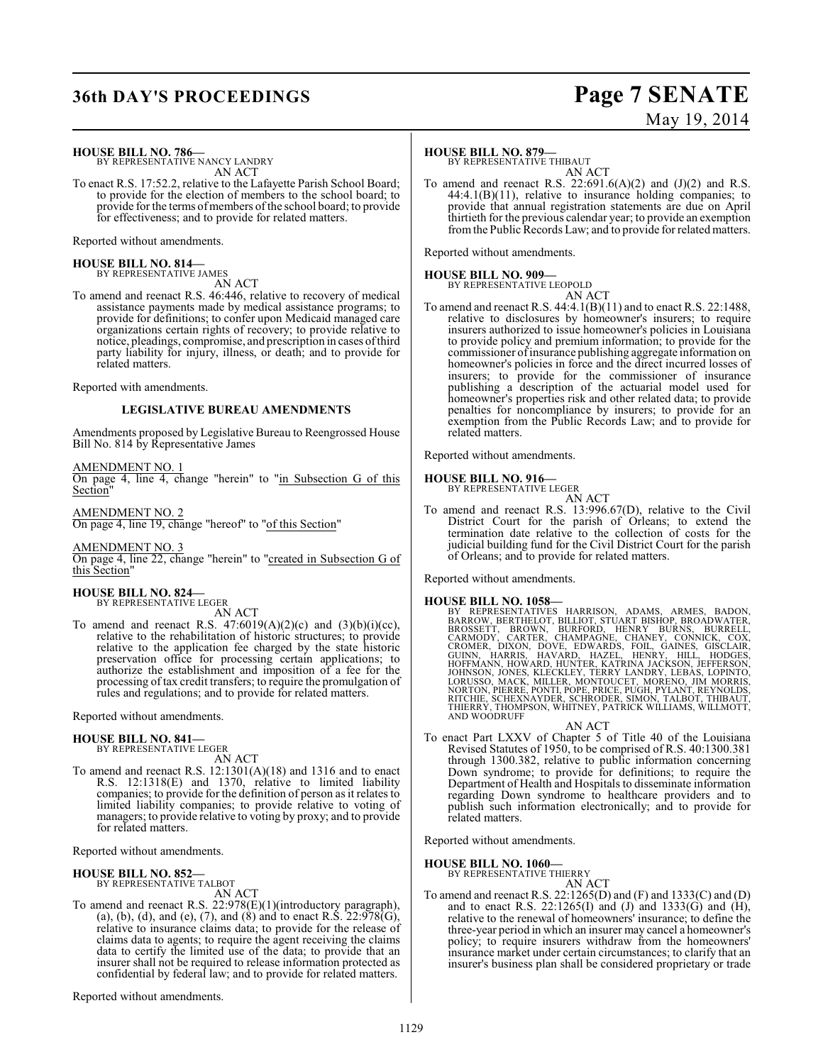### **36th DAY'S PROCEEDINGS Page 7 SENATE**

# May 19, 2014

**HOUSE BILL NO. 786—** BY REPRESENTATIVE NANCY LANDRY

AN ACT

To enact R.S. 17:52.2, relative to the Lafayette Parish School Board; to provide for the election of members to the school board; to provide for the terms of members of the school board; to provide for effectiveness; and to provide for related matters.

Reported without amendments.

## **HOUSE BILL NO. 814—** BY REPRESENTATIVE JAMES

AN ACT

To amend and reenact R.S. 46:446, relative to recovery of medical assistance payments made by medical assistance programs; to provide for definitions; to confer upon Medicaid managed care organizations certain rights of recovery; to provide relative to notice, pleadings, compromise, and prescription in cases of third party liability for injury, illness, or death; and to provide for related matters.

Reported with amendments.

### **LEGISLATIVE BUREAU AMENDMENTS**

Amendments proposed by Legislative Bureau to Reengrossed House Bill No. 814 by Representative James

#### AMENDMENT NO. 1

On page 4, line 4, change "herein" to "in Subsection G of this Section"

#### AMENDMENT NO. 2

On page 4, line 19, change "hereof" to "of this Section"

### AMENDMENT NO. 3

On page 4, line 22, change "herein" to "created in Subsection G of this Section"

#### **HOUSE BILL NO. 824—** BY REPRESENTATIVE LEGER

AN ACT

To amend and reenact R.S.  $47:6019(A)(2)(c)$  and  $(3)(b)(i)(cc)$ , relative to the rehabilitation of historic structures; to provide relative to the application fee charged by the state historic preservation office for processing certain applications; to authorize the establishment and imposition of a fee for the processing of tax credit transfers; to require the promulgation of rules and regulations; and to provide for related matters.

Reported without amendments.

#### **HOUSE BILL NO. 841—**

BY REPRESENTATIVE LEGER AN ACT

To amend and reenact R.S. 12:1301(A)(18) and 1316 and to enact R.S. 12:1318(E) and 1370, relative to limited liability companies; to provide for the definition of person as it relates to limited liability companies; to provide relative to voting of managers; to provide relative to voting by proxy; and to provide for related matters.

Reported without amendments.

#### **HOUSE BILL NO. 852—** BY REPRESENTATIVE TALBOT

AN ACT

To amend and reenact R.S. 22:978(E)(1)(introductory paragraph), (a), (b), (d), and (e), (7), and (8) and to enact R.S.  $22:978(G)$ , relative to insurance claims data; to provide for the release of claims data to agents; to require the agent receiving the claims data to certify the limited use of the data; to provide that an insurer shall not be required to release information protected as confidential by federal law; and to provide for related matters.

Reported without amendments.

#### **HOUSE BILL NO. 879—**

BY REPRESENTATIVE THIBAUT

AN ACT To amend and reenact R.S.  $22:691.6(A)(2)$  and  $(J)(2)$  and R.S. 44:4.1(B)(11), relative to insurance holding companies; to provide that annual registration statements are due on April thirtieth for the previous calendar year; to provide an exemption from the Public Records Law; and to provide for related matters.

Reported without amendments.

#### **HOUSE BILL NO. 909—**

BY REPRESENTATIVE LEOPOLD

AN ACT To amend and reenact R.S. 44:4.1(B)(11) and to enact R.S. 22:1488, relative to disclosures by homeowner's insurers; to require insurers authorized to issue homeowner's policies in Louisiana to provide policy and premium information; to provide for the commissioner of insurance publishing aggregate information on homeowner's policies in force and the direct incurred losses of insurers; to provide for the commissioner of insurance publishing a description of the actuarial model used for homeowner's properties risk and other related data; to provide penalties for noncompliance by insurers; to provide for an exemption from the Public Records Law; and to provide for related matters.

Reported without amendments.

### **HOUSE BILL NO. 916—**

BY REPRESENTATIVE LEGER

AN ACT To amend and reenact R.S. 13:996.67(D), relative to the Civil District Court for the parish of Orleans; to extend the termination date relative to the collection of costs for the judicial building fund for the Civil District Court for the parish of Orleans; and to provide for related matters.

Reported without amendments.

HOUSE BILL NO. 1058—<br>
BY REPRESENTATIVES HARRISON, ADAMS, ARMES, BADON,<br>
BARROW, BERTHELOT, BILLIOT, STUART BISHOP, BROADWATER,<br>
BROSSETT, BROWN, BURFORD, HENRY BURNS, BURRELL,<br>
CROMER, DIXON, DOVE, EDWARDS, FOIL, GAINES,

- AN ACT
- To enact Part LXXV of Chapter 5 of Title 40 of the Louisiana Revised Statutes of 1950, to be comprised of R.S. 40:1300.381 through 1300.382, relative to public information concerning Down syndrome; to provide for definitions; to require the Department of Health and Hospitals to disseminate information regarding Down syndrome to healthcare providers and to publish such information electronically; and to provide for related matters.

Reported without amendments.

### **HOUSE BILL NO. 1060—**

BY REPRESENTATIVE THIERRY AN ACT

To amend and reenact R.S.  $22:1265(D)$  and  $(F)$  and  $1333(C)$  and  $(D)$ and to enact R.S.  $22:1265(I)$  and  $(J)$  and  $1333(G)$  and  $(H)$ , relative to the renewal of homeowners' insurance; to define the three-year period in which an insurer may cancel a homeowner's policy; to require insurers withdraw from the homeowners' insurance market under certain circumstances; to clarify that an insurer's business plan shall be considered proprietary or trade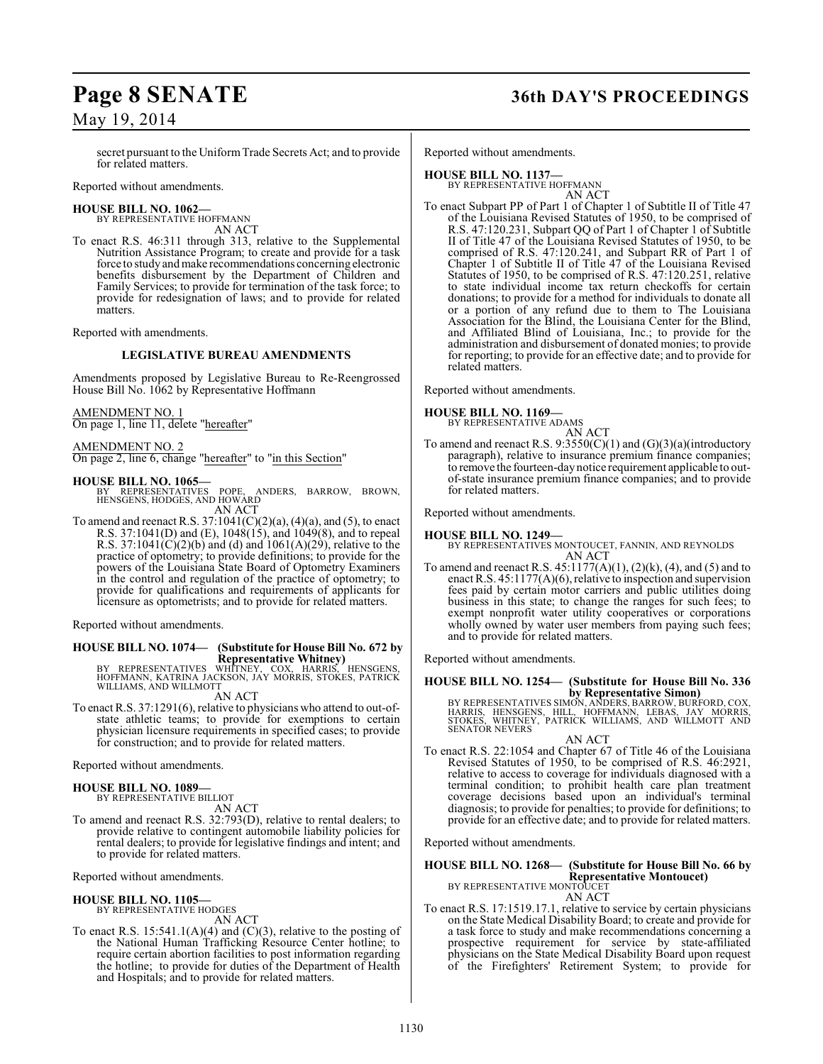secret pursuant to the Uniform Trade Secrets Act; and to provide for related matters.

Reported without amendments.

#### **HOUSE BILL NO. 1062—**

BY REPRESENTATIVE HOFFMANN AN ACT

To enact R.S. 46:311 through 313, relative to the Supplemental Nutrition Assistance Program; to create and provide for a task force to study and make recommendations concerning electronic benefits disbursement by the Department of Children and Family Services; to provide for termination of the task force; to provide for redesignation of laws; and to provide for related matters.

Reported with amendments.

### **LEGISLATIVE BUREAU AMENDMENTS**

Amendments proposed by Legislative Bureau to Re-Reengrossed House Bill No. 1062 by Representative Hoffmann

AMENDMENT NO. 1 On page 1, line 11, delete "hereafter"

AMENDMENT NO. 2

On page 2, line 6, change "hereafter" to "in this Section"

#### **HOUSE BILL NO. 1065—**

BY REPRESENTATIVES POPE, ANDERS, BARROW, BROWN, HENSGENS, HODGES, AND HOWARD AN ACT

To amend and reenact R.S.  $37:1041(C)(2)(a)$ ,  $(4)(a)$ , and  $(5)$ , to enact R.S. 37:1041(D) and (E), 1048(15), and 1049(8), and to repeal R.S. 37:1041(C)(2)(b) and (d) and 1061(A)(29), relative to the practice of optometry; to provide definitions; to provide for the powers of the Louisiana State Board of Optometry Examiners in the control and regulation of the practice of optometry; to provide for qualifications and requirements of applicants for licensure as optometrists; and to provide for related matters.

Reported without amendments.

## **HOUSE BILL NO. 1074— (Substitute for House Bill No. 672 by**

**Representative Whitney)**<br>BY REPRESENTATIVES WHITNEY, COX, HARRIS, HENSGENS,<br>HOFFMANN, KATRINA JACKSON, JAY MORRIS, STOKES, PATRICK<br>WILLIAMS, AND WILLMOTT

### AN ACT

To enact R.S. 37:1291(6), relative to physicians who attend to out-ofstate athletic teams; to provide for exemptions to certain physician licensure requirements in specified cases; to provide for construction; and to provide for related matters.

Reported without amendments.

#### **HOUSE BILL NO. 1089—** BY REPRESENTATIVE BILLIOT

AN ACT

To amend and reenact R.S. 32:793(D), relative to rental dealers; to provide relative to contingent automobile liability policies for rental dealers; to provide for legislative findings and intent; and to provide for related matters.

Reported without amendments.

#### **HOUSE BILL NO. 1105—** BY REPRESENTATIVE HODGES

AN ACT

To enact R.S.  $15:541.1(A)(4)$  and  $(C)(3)$ , relative to the posting of the National Human Trafficking Resource Center hotline; to require certain abortion facilities to post information regarding the hotline; to provide for duties of the Department of Health and Hospitals; and to provide for related matters.

## **Page 8 SENATE 36th DAY'S PROCEEDINGS**

Reported without amendments.

**HOUSE BILL NO. 1137—** BY REPRESENTATIVE HOFFMANN AN ACT

To enact Subpart PP of Part 1 of Chapter 1 of Subtitle II of Title 47 of the Louisiana Revised Statutes of 1950, to be comprised of R.S. 47:120.231, Subpart QQ of Part 1 of Chapter 1 of Subtitle II of Title 47 of the Louisiana Revised Statutes of 1950, to be comprised of R.S. 47:120.241, and Subpart RR of Part 1 of Chapter 1 of Subtitle II of Title 47 of the Louisiana Revised Statutes of 1950, to be comprised of R.S. 47:120.251, relative to state individual income tax return checkoffs for certain donations; to provide for a method for individuals to donate all or a portion of any refund due to them to The Louisiana Association for the Blind, the Louisiana Center for the Blind, and Affiliated Blind of Louisiana, Inc.; to provide for the administration and disbursement of donated monies; to provide for reporting; to provide for an effective date; and to provide for related matters.

Reported without amendments.

#### **HOUSE BILL NO. 1169—**

BY REPRESENTATIVE ADAMS AN ACT

To amend and reenact R.S.  $9:3550(C)(1)$  and  $(G)(3)(a)(introducing$ paragraph), relative to insurance premium finance companies; to remove the fourteen-day notice requirement applicable to outof-state insurance premium finance companies; and to provide for related matters.

Reported without amendments.

#### **HOUSE BILL NO. 1249—**

BY REPRESENTATIVES MONTOUCET, FANNIN, AND REYNOLDS AN ACT

To amend and reenact R.S.  $45:1177(A)(1)$ ,  $(2)(k)$ ,  $(4)$ , and  $(5)$  and to enact R.S. 45:1177(A)(6), relative to inspection and supervision fees paid by certain motor carriers and public utilities doing business in this state; to change the ranges for such fees; to exempt nonprofit water utility cooperatives or corporations wholly owned by water user members from paying such fees; and to provide for related matters.

Reported without amendments.

**HOUSE BILL NO. 1254— (Substitute for House Bill No. 336**

**by Representative Simon)**<br>BY REPRESENTATIVES SIMON, ANDERS, BARROW, BURFORD, COX,<br>HARRIS, HENSGENS, HILL, HOFFMANN, LEBAS, JAY MORRIS,<br>STOKES, WHITNEY, PATRICK WILLIAMS, AND WILLMOTT AND SENATOR NEVERS

AN ACT

To enact R.S. 22:1054 and Chapter 67 of Title 46 of the Louisiana Revised Statutes of 1950, to be comprised of R.S. 46:2921, relative to access to coverage for individuals diagnosed with a terminal condition; to prohibit health care plan treatment coverage decisions based upon an individual's terminal diagnosis; to provide for penalties; to provide for definitions; to provide for an effective date; and to provide for related matters.

Reported without amendments.

### **HOUSE BILL NO. 1268— (Substitute for House Bill No. 66 by Representative Montoucet)** BY REPRESENTATIVE MONTOUCET

AN ACT

To enact R.S. 17:1519.17.1, relative to service by certain physicians on the State Medical Disability Board; to create and provide for a task force to study and make recommendations concerning a prospective requirement for service by state-affiliated physicians on the State Medical Disability Board upon request of the Firefighters' Retirement System; to provide for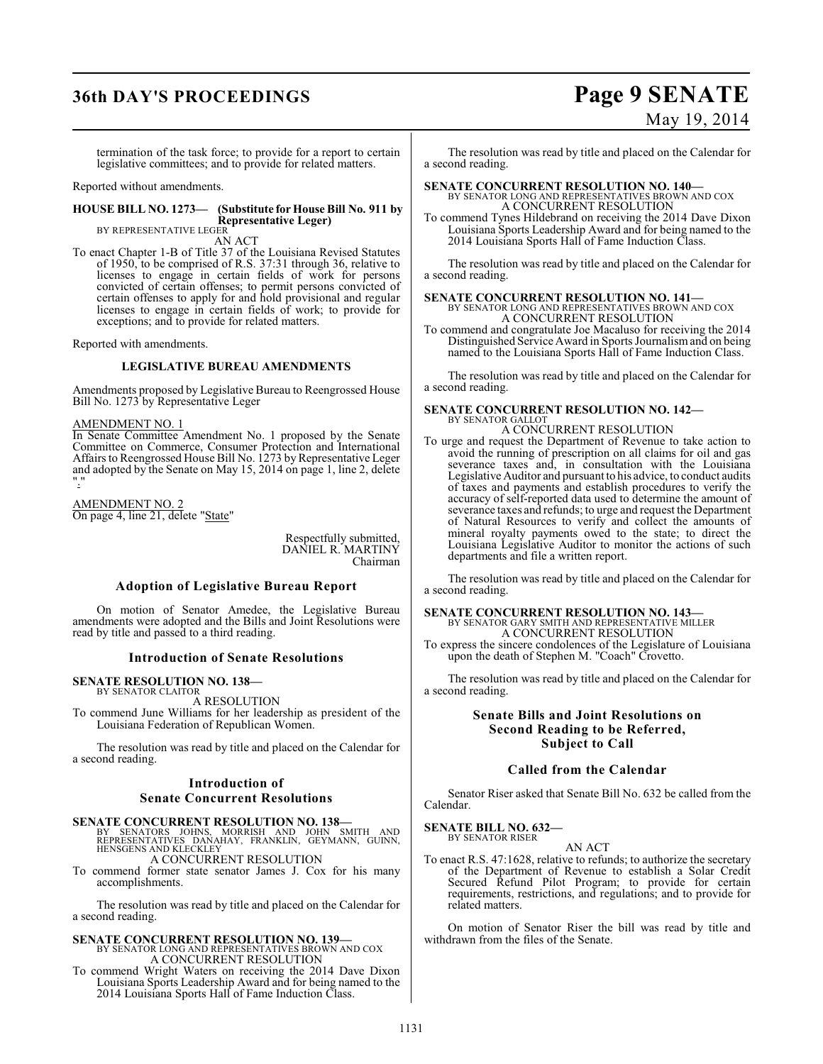## **36th DAY'S PROCEEDINGS Page 9 SENATE**

termination of the task force; to provide for a report to certain legislative committees; and to provide for related matters.

Reported without amendments.

#### **HOUSE BILL NO. 1273— (Substitute for House Bill No. 911 by Representative Leger)** BY REPRESENTATIVE LEGER

AN ACT

To enact Chapter 1-B of Title 37 of the Louisiana Revised Statutes of 1950, to be comprised of R.S. 37:31 through 36, relative to licenses to engage in certain fields of work for persons convicted of certain offenses; to permit persons convicted of certain offenses to apply for and hold provisional and regular licenses to engage in certain fields of work; to provide for exceptions; and to provide for related matters.

Reported with amendments.

#### **LEGISLATIVE BUREAU AMENDMENTS**

Amendments proposed by Legislative Bureau to Reengrossed House Bill No. 1273 by Representative Leger

#### AMENDMENT NO. 1

In Senate Committee Amendment No. 1 proposed by the Senate Committee on Commerce, Consumer Protection and International Affairs to Reengrossed House Bill No. 1273 by Representative Leger and adopted by the Senate on May 15, 2014 on page 1, line 2, delete "."

AMENDMENT NO. 2 On page 4, line 21, delete "State"

> Respectfully submitted, DANIEL R. MARTINY Chairman

#### **Adoption of Legislative Bureau Report**

On motion of Senator Amedee, the Legislative Bureau amendments were adopted and the Bills and Joint Resolutions were read by title and passed to a third reading.

#### **Introduction of Senate Resolutions**

#### **SENATE RESOLUTION NO. 138—** BY SENATOR CLAITOR

A RESOLUTION

To commend June Williams for her leadership as president of the Louisiana Federation of Republican Women.

The resolution was read by title and placed on the Calendar for a second reading.

#### **Introduction of Senate Concurrent Resolutions**

#### **SENATE CONCURRENT RESOLUTION NO. 138—**

BY SENATORS JOHNS, MORRISH AND JOHN SMITH AND<br>REPRESENTATIVES DANAHAY, FRANKLIN, GEYMANN, GUINN,<br>HENSGENSAND|KLECKLEY

A CONCURRENT RESOLUTION To commend former state senator James J. Cox for his many

accomplishments.

The resolution was read by title and placed on the Calendar for a second reading.

#### **SENATE CONCURRENT RESOLUTION NO. 139—** BY SENATOR LONG AND REPRESENTATIVES BROWN AND COX A CONCURRENT RESOLUTION

To commend Wright Waters on receiving the 2014 Dave Dixon Louisiana Sports Leadership Award and for being named to the 2014 Louisiana Sports Hall of Fame Induction Class.

# May 19, 2014

The resolution was read by title and placed on the Calendar for a second reading.

**SENATE CONCURRENT RESOLUTION NO. 140—** BY SENATOR LONG AND REPRESENTATIVES BROWN AND COX A CONCURRENT RESOLUTION

To commend Tynes Hildebrand on receiving the 2014 Dave Dixon Louisiana Sports Leadership Award and for being named to the 2014 Louisiana Sports Hall of Fame Induction Class.

The resolution was read by title and placed on the Calendar for a second reading.

### **SENATE CONCURRENT RESOLUTION NO. 141—** BY SENATOR LONG AND REPRESENTATIVES BROWN AND COX A CONCURRENT RESOLUTION

To commend and congratulate Joe Macaluso for receiving the 2014 Distinguished Service Award in Sports Journalism and on being named to the Louisiana Sports Hall of Fame Induction Class.

The resolution was read by title and placed on the Calendar for a second reading.

### **SENATE CONCURRENT RESOLUTION NO. 142—** BY SENATOR GALLOT A CONCURRENT RESOLUTION

To urge and request the Department of Revenue to take action to avoid the running of prescription on all claims for oil and gas severance taxes and, in consultation with the Louisiana Legislative Auditor and pursuant to his advice, to conduct audits of taxes and payments and establish procedures to verify the accuracy of self-reported data used to determine the amount of severance taxes and refunds; to urge and request the Department of Natural Resources to verify and collect the amounts of mineral royalty payments owed to the state; to direct the Louisiana Legislative Auditor to monitor the actions of such departments and file a written report.

The resolution was read by title and placed on the Calendar for a second reading.

### **SENATE CONCURRENT RESOLUTION NO. 143—**

BY SENATOR GARY SMITH AND REPRESENTATIVE MILLER A CONCURRENT RESOLUTION

To express the sincere condolences of the Legislature of Louisiana upon the death of Stephen M. "Coach" Crovetto.

The resolution was read by title and placed on the Calendar for a second reading.

### **Senate Bills and Joint Resolutions on Second Reading to be Referred, Subject to Call**

#### **Called from the Calendar**

Senator Riser asked that Senate Bill No. 632 be called from the Calendar.

**SENATE BILL NO. 632—** BY SENATOR RISER

AN ACT

To enact R.S. 47:1628, relative to refunds; to authorize the secretary of the Department of Revenue to establish a Solar Credit Secured Refund Pilot Program; to provide for certain requirements, restrictions, and regulations; and to provide for related matters.

On motion of Senator Riser the bill was read by title and withdrawn from the files of the Senate.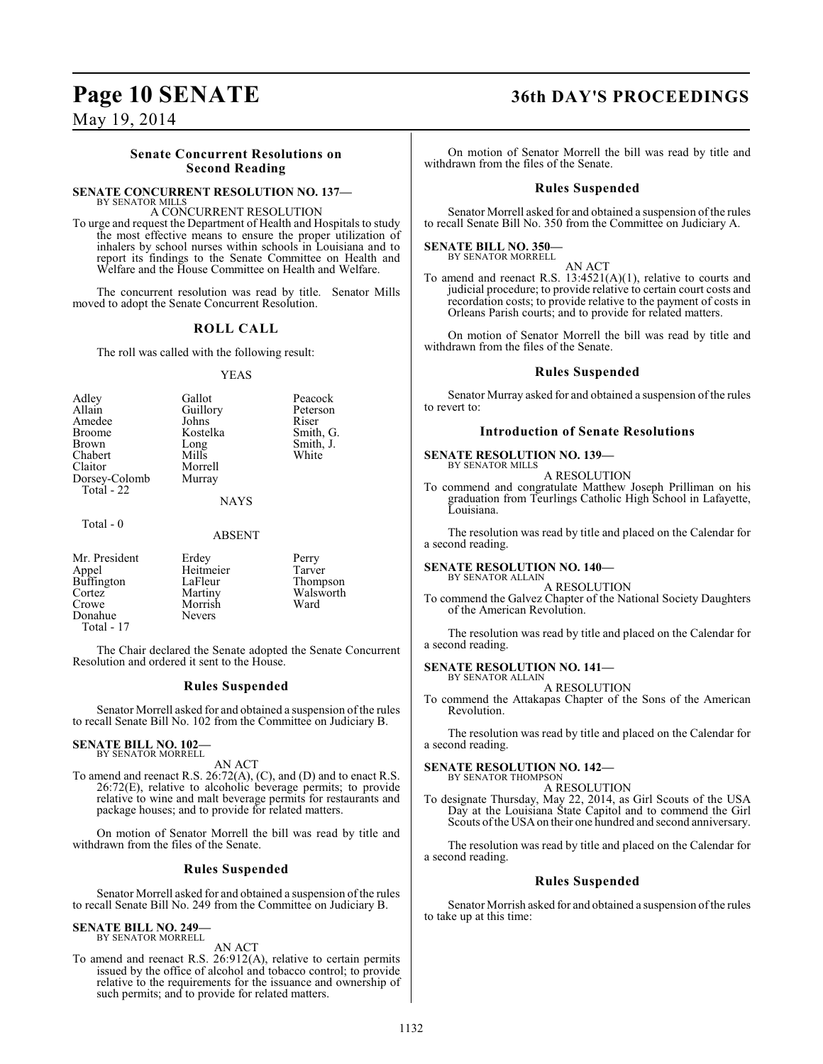### **Page 10 SENATE 36th DAY'S PROCEEDINGS**

May 19, 2014

#### **Senate Concurrent Resolutions on Second Reading**

#### **SENATE CONCURRENT RESOLUTION NO. 137—** BY SENATOR MILLS

A CONCURRENT RESOLUTION

To urge and request the Department of Health and Hospitals to study the most effective means to ensure the proper utilization of inhalers by school nurses within schools in Louisiana and to report its findings to the Senate Committee on Health and Welfare and the House Committee on Health and Welfare.

The concurrent resolution was read by title. Senator Mills moved to adopt the Senate Concurrent Resolution.

#### **ROLL CALL**

The roll was called with the following result:

#### YEAS

|                     | Adley<br>Allain<br>Amedee<br><b>Broome</b><br>Brown<br>Chabert<br>Claitor<br>Dorsey-Colomb<br>Total - 22 | Gallot<br>Guillory<br>Johns<br>Kostelka<br>Long<br>Mills<br>Morrell<br>Murray<br><b>NAYS</b> | Peacock<br>Peterson<br>Riser<br>Smith, G.<br>Smith, J.<br>White |  |
|---------------------|----------------------------------------------------------------------------------------------------------|----------------------------------------------------------------------------------------------|-----------------------------------------------------------------|--|
| Total - 0<br>ABSENT |                                                                                                          |                                                                                              |                                                                 |  |

| Mr. President<br>Appel<br>Buffington<br>Cortez<br>Crowe<br>Donahue<br>Total - $17$ | Erdey<br>Heitmeier<br>LaFleur<br>Martiny<br>Morrish<br><b>Nevers</b> | Perry<br>Tarver<br>Thompson<br>Walsworth<br>Ward |
|------------------------------------------------------------------------------------|----------------------------------------------------------------------|--------------------------------------------------|
|------------------------------------------------------------------------------------|----------------------------------------------------------------------|--------------------------------------------------|

The Chair declared the Senate adopted the Senate Concurrent Resolution and ordered it sent to the House.

### **Rules Suspended**

Senator Morrell asked for and obtained a suspension of the rules to recall Senate Bill No. 102 from the Committee on Judiciary B.

#### **SENATE BILL NO. 102—** BY SENATOR MORRELL

AN ACT

To amend and reenact R.S. 26:72(A), (C), and (D) and to enact R.S. 26:72(E), relative to alcoholic beverage permits; to provide relative to wine and malt beverage permits for restaurants and package houses; and to provide for related matters.

On motion of Senator Morrell the bill was read by title and withdrawn from the files of the Senate.

### **Rules Suspended**

Senator Morrell asked for and obtained a suspension of the rules to recall Senate Bill No. 249 from the Committee on Judiciary B.

#### **SENATE BILL NO. 249—** BY SENATOR MORRELL

AN ACT

To amend and reenact R.S. 26:912(A), relative to certain permits issued by the office of alcohol and tobacco control; to provide relative to the requirements for the issuance and ownership of such permits; and to provide for related matters.

On motion of Senator Morrell the bill was read by title and withdrawn from the files of the Senate.

#### **Rules Suspended**

Senator Morrell asked for and obtained a suspension of the rules to recall Senate Bill No. 350 from the Committee on Judiciary A.

**SENATE BILL NO. 350—** BY SENATOR MORRELL

AN ACT

To amend and reenact R.S.  $13:4521(A)(1)$ , relative to courts and judicial procedure; to provide relative to certain court costs and recordation costs; to provide relative to the payment of costs in Orleans Parish courts; and to provide for related matters.

On motion of Senator Morrell the bill was read by title and withdrawn from the files of the Senate.

#### **Rules Suspended**

Senator Murray asked for and obtained a suspension of the rules to revert to:

#### **Introduction of Senate Resolutions**

#### **SENATE RESOLUTION NO. 139—**

BY SENATOR MILLS A RESOLUTION

To commend and congratulate Matthew Joseph Prilliman on his graduation from Teurlings Catholic High School in Lafayette, Louisiana.

The resolution was read by title and placed on the Calendar for a second reading.

#### **SENATE RESOLUTION NO. 140—**

BY SENATOR ALLAIN A RESOLUTION

To commend the Galvez Chapter of the National Society Daughters of the American Revolution.

The resolution was read by title and placed on the Calendar for a second reading.

#### **SENATE RESOLUTION NO. 141—** BY SENATOR ALLAIN

A RESOLUTION

To commend the Attakapas Chapter of the Sons of the American Revolution.

The resolution was read by title and placed on the Calendar for a second reading.

### **SENATE RESOLUTION NO. 142—**

BY SENATOR THOMPSON A RESOLUTION

To designate Thursday, May 22, 2014, as Girl Scouts of the USA Day at the Louisiana State Capitol and to commend the Girl Scouts of the USA on their one hundred and second anniversary.

The resolution was read by title and placed on the Calendar for a second reading.

#### **Rules Suspended**

Senator Morrish asked for and obtained a suspension of the rules to take up at this time: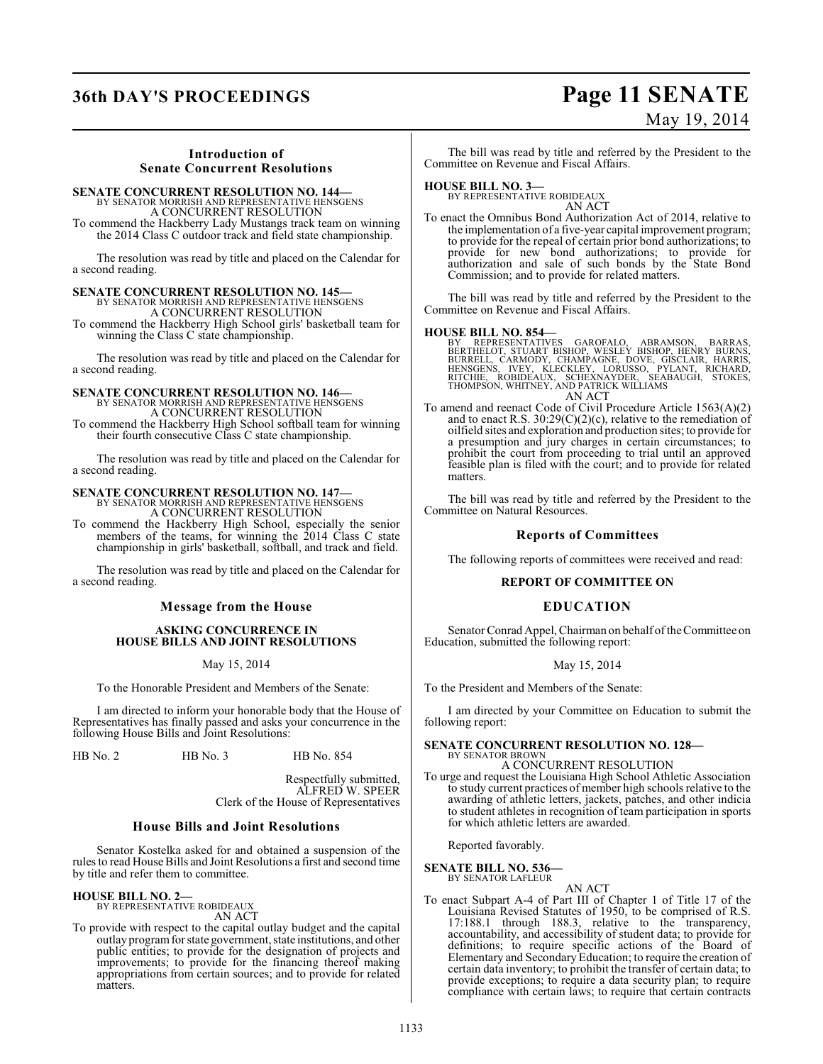## **36th DAY'S PROCEEDINGS Page 11 SENATE**

# May 19, 2014

### **Introduction of Senate Concurrent Resolutions**

### **SENATE CONCURRENT RESOLUTION NO. 144—** BY SENATOR MORRISH AND REPRESENTATIVE HENSGENS

A CONCURRENT RESOLUTION To commend the Hackberry Lady Mustangs track team on winning the 2014 Class C outdoor track and field state championship.

The resolution was read by title and placed on the Calendar for a second reading.

## **SENATE CONCURRENT RESOLUTION NO. 145—** BY SENATOR MORRISH AND REPRESENTATIVE HENSGENS

A CONCURRENT RESOLUTION

To commend the Hackberry High School girls' basketball team for winning the Class C state championship.

The resolution was read by title and placed on the Calendar for a second reading.

### **SENATE CONCURRENT RESOLUTION NO. 146—** BY SENATOR MORRISH AND REPRESENTATIVE HENSGENS A CONCURRENT RESOLUTION

To commend the Hackberry High School softball team for winning their fourth consecutive Class C state championship.

The resolution was read by title and placed on the Calendar for a second reading.

## **SENATE CONCURRENT RESOLUTION NO. 147—**

BY SENATOR MORRISH AND REPRESENTATIVE HENSGENS A CONCURRENT RESOLUTION

To commend the Hackberry High School, especially the senior members of the teams, for winning the 2014 Class C state championship in girls' basketball, softball, and track and field.

The resolution was read by title and placed on the Calendar for a second reading.

### **Message from the House**

#### **ASKING CONCURRENCE IN HOUSE BILLS AND JOINT RESOLUTIONS**

May 15, 2014

To the Honorable President and Members of the Senate:

I am directed to inform your honorable body that the House of Representatives has finally passed and asks your concurrence in the following House Bills and Joint Resolutions:

HB No. 2 HB No. 3 HB No. 854

Respectfully submitted, ALFRED W. SPEER Clerk of the House of Representatives

#### **House Bills and Joint Resolutions**

Senator Kostelka asked for and obtained a suspension of the rules to read House Bills and Joint Resolutions a first and second time by title and refer them to committee.

#### **HOUSE BILL NO. 2—**

BY REPRESENTATIVE ROBIDEAUX AN ACT

To provide with respect to the capital outlay budget and the capital outlay program for state government, state institutions, and other public entities; to provide for the designation of projects and improvements; to provide for the financing thereof making appropriations from certain sources; and to provide for related matters.

The bill was read by title and referred by the President to the Committee on Revenue and Fiscal Affairs.

#### **HOUSE BILL NO. 3—**

BY REPRESENTATIVE ROBIDEAUX AN ACT

To enact the Omnibus Bond Authorization Act of 2014, relative to the implementation of a five-year capital improvement program; to provide for the repeal of certain prior bond authorizations; to provide for new bond authorizations; to provide for authorization and sale of such bonds by the State Bond Commission; and to provide for related matters.

The bill was read by title and referred by the President to the Committee on Revenue and Fiscal Affairs.

**HOUSE BILL NO. 854—**<br>BY REPRESENTATIVES GAROFALO, ABRAMSON, BARRAS,<br>BERTHELOT, STUART BISHOP, WESLEY BISHOP, HENRY BURNS,<br>BURRELL, CARMODY, CHAMPAGNE, DOVE, GISCLAIR, HARRIS,<br>HENSGENS, IVEY, KLECKLEY, LORUSSO, PYLANT, RIC AN ACT

To amend and reenact Code of Civil Procedure Article 1563(A)(2) and to enact R.S.  $30:29(C)(2)(c)$ , relative to the remediation of oilfield sites and exploration and production sites; to provide for a presumption and jury charges in certain circumstances; to prohibit the court from proceeding to trial until an approved feasible plan is filed with the court; and to provide for related matters.

The bill was read by title and referred by the President to the Committee on Natural Resources.

#### **Reports of Committees**

The following reports of committees were received and read:

#### **REPORT OF COMMITTEE ON**

#### **EDUCATION**

Senator Conrad Appel, Chairman on behalf of the Committee on Education, submitted the following report:

#### May 15, 2014

To the President and Members of the Senate:

I am directed by your Committee on Education to submit the following report:

#### **SENATE CONCURRENT RESOLUTION NO. 128—** BY SENATOR BROWN

A CONCURRENT RESOLUTION

To urge and request the Louisiana High School Athletic Association to study current practices of member high schools relative to the awarding of athletic letters, jackets, patches, and other indicia to student athletes in recognition of team participation in sports for which athletic letters are awarded.

Reported favorably.

#### **SENATE BILL NO. 536** BY SENATOR LAFLEUR

AN ACT

To enact Subpart A-4 of Part III of Chapter 1 of Title 17 of the Louisiana Revised Statutes of 1950, to be comprised of R.S. 17:188.1 through 188.3, relative to the transparency, accountability, and accessibility of student data; to provide for definitions; to require specific actions of the Board of Elementary and Secondary Education; to require the creation of certain data inventory; to prohibit the transfer of certain data; to provide exceptions; to require a data security plan; to require compliance with certain laws; to require that certain contracts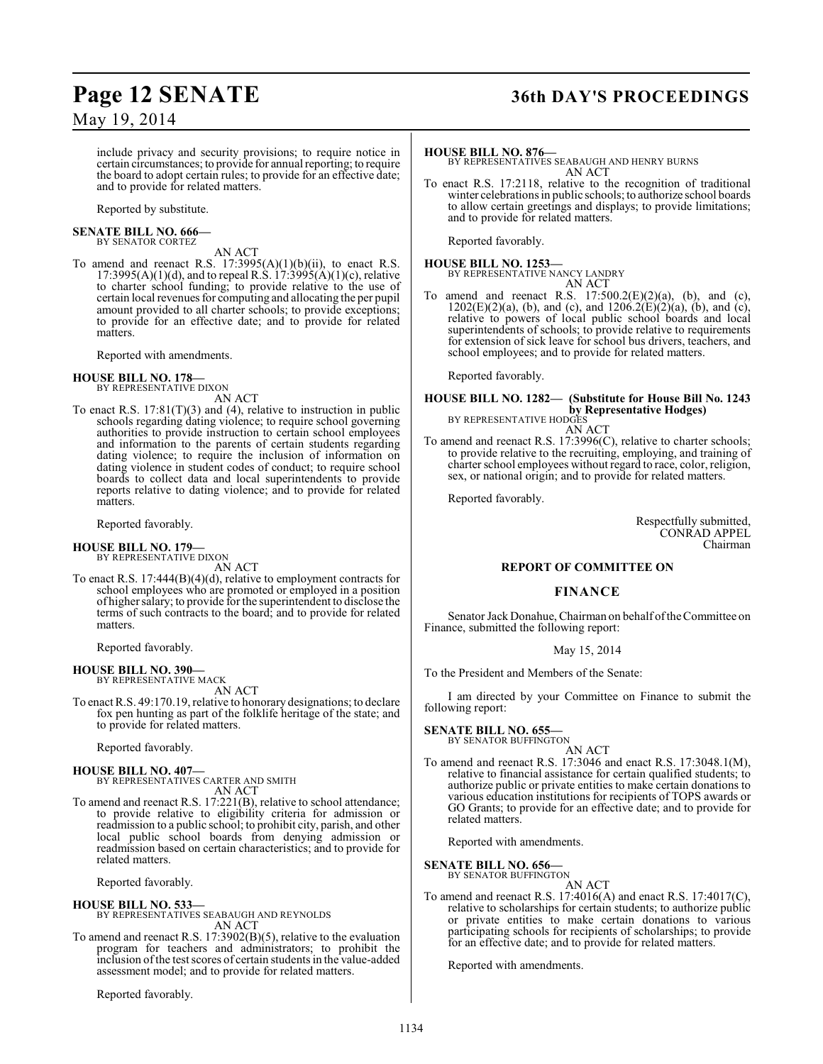### **Page 12 SENATE 36th DAY'S PROCEEDINGS**

May 19, 2014

include privacy and security provisions; to require notice in certain circumstances; to provide for annual reporting; to require the board to adopt certain rules; to provide for an effective date; and to provide for related matters.

Reported by substitute.

#### **SENATE BILL NO. 666—**

BY SENATOR CORTEZ

AN ACT

To amend and reenact R.S.  $17:3995(A)(1)(b)(ii)$ , to enact R.S.  $17:3995(A)(1)(d)$ , and to repeal R.S.  $17:3995(A)(1)(c)$ , relative to charter school funding; to provide relative to the use of certain local revenues for computing and allocating the per pupil amount provided to all charter schools; to provide exceptions; to provide for an effective date; and to provide for related matters.

Reported with amendments.

## **HOUSE BILL NO. 178—** BY REPRESENTATIVE DIXON

AN ACT

To enact R.S.  $17:81(T)(3)$  and (4), relative to instruction in public schools regarding dating violence; to require school governing authorities to provide instruction to certain school employees and information to the parents of certain students regarding dating violence; to require the inclusion of information on dating violence in student codes of conduct; to require school boards to collect data and local superintendents to provide reports relative to dating violence; and to provide for related matters.

Reported favorably.

## **HOUSE BILL NO. 179—** BY REPRESENTATIVE DIXON

AN ACT

To enact R.S. 17:444(B)(4)(d), relative to employment contracts for school employees who are promoted or employed in a position of higher salary; to provide for the superintendent to disclose the terms of such contracts to the board; and to provide for related matters.

Reported favorably.

#### **HOUSE BILL NO. 390—** BY REPRESENTATIVE MACK

AN ACT

To enact R.S. 49:170.19, relative to honorary designations; to declare fox pen hunting as part of the folklife heritage of the state; and to provide for related matters.

Reported favorably.

#### **HOUSE BILL NO. 407—** BY REPRESENTATIVES CARTER AND SMITH

AN ACT To amend and reenact R.S. 17:221(B), relative to school attendance; to provide relative to eligibility criteria for admission or readmission to a public school; to prohibit city, parish, and other local public school boards from denying admission or readmission based on certain characteristics; and to provide for related matters.

Reported favorably.

#### **HOUSE BILL NO. 533—**

BY REPRESENTATIVES SEABAUGH AND REYNOLDS AN ACT

To amend and reenact R.S. 17:3902(B)(5), relative to the evaluation program for teachers and administrators; to prohibit the inclusion of the test scores of certain students in the value-added assessment model; and to provide for related matters.

Reported favorably.

#### **HOUSE BILL NO. 876—**

BY REPRESENTATIVES SEABAUGH AND HENRY BURNS AN ACT

To enact R.S. 17:2118, relative to the recognition of traditional winter celebrations in public schools; to authorize school boards to allow certain greetings and displays; to provide limitations; and to provide for related matters.

Reported favorably.

#### **HOUSE BILL NO. 1253—** BY REPRESENTATIVE NANCY LANDRY AN ACT

To amend and reenact R.S.  $17:500.2(E)(2)(a)$ , (b), and (c), 1202(E)(2)(a), (b), and (c), and 1206.2(E)(2)(a), (b), and (c), relative to powers of local public school boards and local superintendents of schools; to provide relative to requirements for extension of sick leave for school bus drivers, teachers, and school employees; and to provide for related matters.

Reported favorably.

### **HOUSE BILL NO. 1282— (Substitute for House Bill No. 1243 by Representative Hodges)**<br>BY REPRESENTATIVE HODGES

AN ACT

To amend and reenact R.S. 17:3996(C), relative to charter schools; to provide relative to the recruiting, employing, and training of charter school employees without regard to race, color, religion, sex, or national origin; and to provide for related matters.

Reported favorably.

Respectfully submitted, CONRAD APPEL Chairman

#### **REPORT OF COMMITTEE ON**

#### **FINANCE**

Senator Jack Donahue, Chairman on behalf oftheCommittee on Finance, submitted the following report:

May 15, 2014

To the President and Members of the Senate:

I am directed by your Committee on Finance to submit the following report:

#### **SENATE BILL NO. 655—** BY SENATOR BUFFINGTON

AN ACT

To amend and reenact R.S. 17:3046 and enact R.S. 17:3048.1(M), relative to financial assistance for certain qualified students; to authorize public or private entities to make certain donations to various education institutions for recipients of TOPS awards or GO Grants; to provide for an effective date; and to provide for related matters.

Reported with amendments.

#### **SENATE BILL NO. 656—**

BY SENATOR BUFFINGTON AN ACT

To amend and reenact R.S. 17:4016(A) and enact R.S. 17:4017(C), relative to scholarships for certain students; to authorize public or private entities to make certain donations to various participating schools for recipients of scholarships; to provide for an effective date; and to provide for related matters.

Reported with amendments.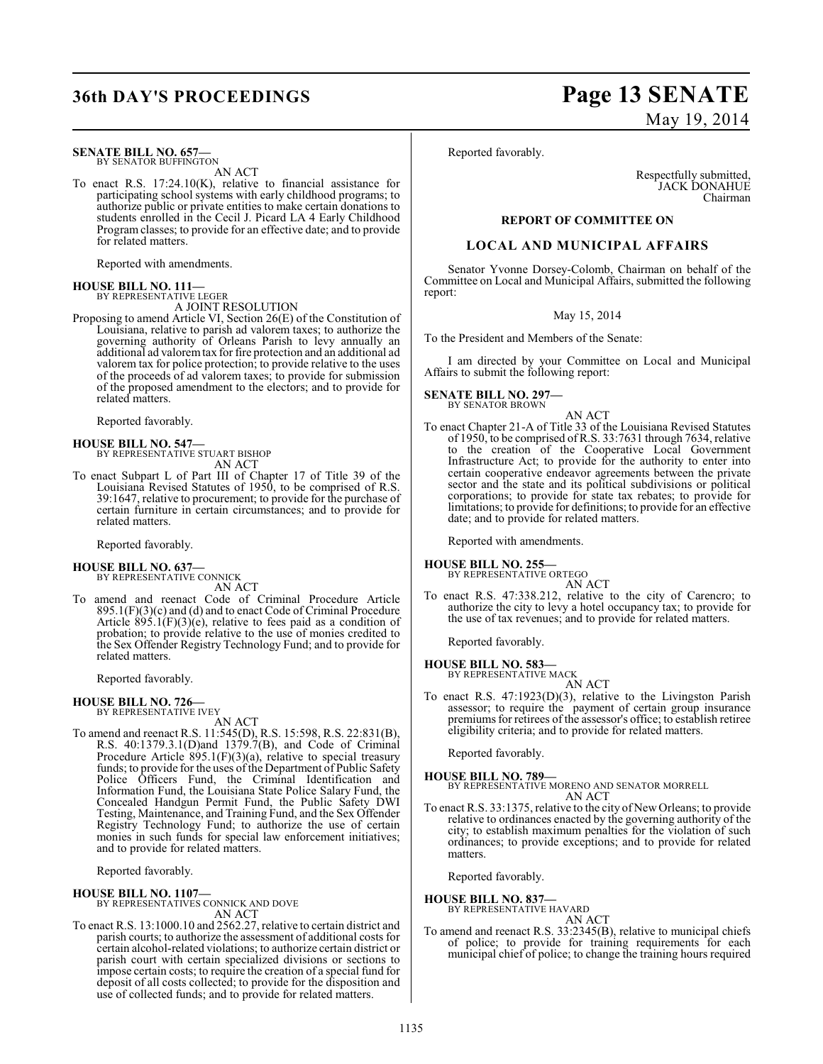## **36th DAY'S PROCEEDINGS Page 13 SENATE**

#### **SENATE BILL NO. 657—** BY SENATOR BUFFINGTON

AN ACT

To enact R.S. 17:24.10(K), relative to financial assistance for participating school systems with early childhood programs; to authorize public or private entities to make certain donations to students enrolled in the Cecil J. Picard LA 4 Early Childhood Program classes; to provide for an effective date; and to provide for related matters.

Reported with amendments.

#### **HOUSE BILL NO. 111—** BY REPRESENTATIVE LEGER

A JOINT RESOLUTION

Proposing to amend Article VI, Section 26(E) of the Constitution of Louisiana, relative to parish ad valorem taxes; to authorize the governing authority of Orleans Parish to levy annually an additional ad valoremtax for fire protection and an additional ad valorem tax for police protection; to provide relative to the uses of the proceeds of ad valorem taxes; to provide for submission of the proposed amendment to the electors; and to provide for related matters.

Reported favorably.

## **HOUSE BILL NO. 547—** BY REPRESENTATIVE STUART BISHOP

AN ACT

To enact Subpart L of Part III of Chapter 17 of Title 39 of the Louisiana Revised Statutes of 1950, to be comprised of R.S. 39:1647, relative to procurement; to provide for the purchase of certain furniture in certain circumstances; and to provide for related matters.

Reported favorably.

#### **HOUSE BILL NO. 637—** BY REPRESENTATIVE CONNICK

AN ACT

To amend and reenact Code of Criminal Procedure Article 895.1(F)(3)(c) and (d) and to enact Code of Criminal Procedure Article  $895.1(F)(3)(e)$ , relative to fees paid as a condition of probation; to provide relative to the use of monies credited to the Sex Offender Registry Technology Fund; and to provide for related matters.

Reported favorably.

**HOUSE BILL NO. 726—** BY REPRESENTATIVE IVEY

AN ACT To amend and reenact R.S. 11:545(D), R.S. 15:598, R.S. 22:831(B), R.S. 40:1379.3.1(D)and 1379.7(B), and Code of Criminal Procedure Article 895.1(F)(3)(a), relative to special treasury funds; to provide for the uses of the Department of Public Safety Police Officers Fund, the Criminal Identification and Information Fund, the Louisiana State Police Salary Fund, the Concealed Handgun Permit Fund, the Public Safety DWI Testing, Maintenance, and Training Fund, and the Sex Offender Registry Technology Fund; to authorize the use of certain monies in such funds for special law enforcement initiatives; and to provide for related matters.

Reported favorably.

#### **HOUSE BILL NO. 1107—**

BY REPRESENTATIVES CONNICK AND DOVE AN ACT

To enact R.S. 13:1000.10 and 2562.27, relative to certain district and parish courts; to authorize the assessment of additional costs for certain alcohol-related violations; to authorize certain district or parish court with certain specialized divisions or sections to impose certain costs; to require the creation of a special fund for deposit of all costs collected; to provide for the disposition and use of collected funds; and to provide for related matters.

# May 19, 2014

Reported favorably.

Respectfully submitted, JACK DONAHUE Chairman

#### **REPORT OF COMMITTEE ON**

#### **LOCAL AND MUNICIPAL AFFAIRS**

Senator Yvonne Dorsey-Colomb, Chairman on behalf of the Committee on Local and Municipal Affairs, submitted the following report:

#### May 15, 2014

To the President and Members of the Senate:

I am directed by your Committee on Local and Municipal Affairs to submit the following report:

#### **SENATE BILL NO. 297—** BY SENATOR BROWN

AN ACT

To enact Chapter 21-A of Title 33 of the Louisiana Revised Statutes of 1950, to be comprised of R.S. 33:7631 through 7634, relative to the creation of the Cooperative Local Government Infrastructure Act; to provide for the authority to enter into certain cooperative endeavor agreements between the private sector and the state and its political subdivisions or political corporations; to provide for state tax rebates; to provide for limitations; to provide for definitions; to provide for an effective date; and to provide for related matters.

Reported with amendments.

#### **HOUSE BILL NO. 255—**

BY REPRESENTATIVE ORTEGO AN ACT

To enact R.S. 47:338.212, relative to the city of Carencro; to authorize the city to levy a hotel occupancy tax; to provide for the use of tax revenues; and to provide for related matters.

Reported favorably.

## **HOUSE BILL NO. 583—** BY REPRESENTATIVE MACK

AN ACT

To enact R.S. 47:1923(D)(3), relative to the Livingston Parish assessor; to require the payment of certain group insurance premiums for retirees of the assessor's office; to establish retiree eligibility criteria; and to provide for related matters.

Reported favorably.

**HOUSE BILL NO. 789—** BY REPRESENTATIVE MORENO AND SENATOR MORRELL AN ACT

To enact R.S. 33:1375, relative to the city of New Orleans; to provide relative to ordinances enacted by the governing authority of the city; to establish maximum penalties for the violation of such ordinances; to provide exceptions; and to provide for related matters.

Reported favorably.

## **HOUSE BILL NO. 837—** BY REPRESENTATIVE HAVARD

AN ACT To amend and reenact R.S. 33:2345(B), relative to municipal chiefs of police; to provide for training requirements for each municipal chief of police; to change the training hours required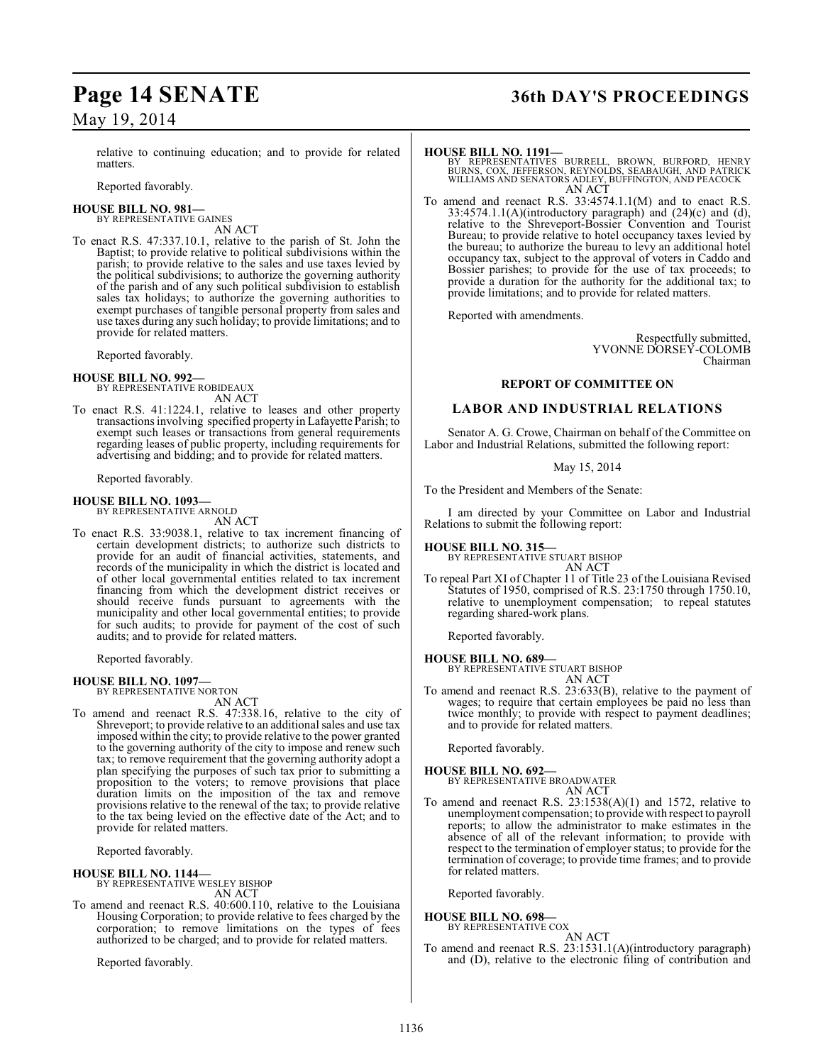relative to continuing education; and to provide for related matters.

Reported favorably.

#### **HOUSE BILL NO. 981—**

BY REPRESENTATIVE GAINES

AN ACT To enact R.S. 47:337.10.1, relative to the parish of St. John the Baptist; to provide relative to political subdivisions within the parish; to provide relative to the sales and use taxes levied by the political subdivisions; to authorize the governing authority of the parish and of any such political subdivision to establish sales tax holidays; to authorize the governing authorities to exempt purchases of tangible personal property from sales and use taxes during any such holiday; to provide limitations; and to provide for related matters.

Reported favorably.

#### **HOUSE BILL NO. 992—**

BY REPRESENTATIVE ROBIDEAUX AN ACT

To enact R.S. 41:1224.1, relative to leases and other property transactions involving specified property in Lafayette Parish; to exempt such leases or transactions from general requirements regarding leases of public property, including requirements for advertising and bidding; and to provide for related matters.

Reported favorably.

#### **HOUSE BILL NO. 1093—** BY REPRESENTATIVE ARNOLD

AN ACT

To enact R.S. 33:9038.1, relative to tax increment financing of certain development districts; to authorize such districts to provide for an audit of financial activities, statements, and records of the municipality in which the district is located and of other local governmental entities related to tax increment financing from which the development district receives or should receive funds pursuant to agreements with the municipality and other local governmental entities; to provide for such audits; to provide for payment of the cost of such audits; and to provide for related matters.

Reported favorably.

## **HOUSE BILL NO. 1097—** BY REPRESENTATIVE NORTON

AN ACT

To amend and reenact R.S. 47:338.16, relative to the city of Shreveport; to provide relative to an additional sales and use tax imposed within the city; to provide relative to the power granted to the governing authority of the city to impose and renew such tax; to remove requirement that the governing authority adopt a plan specifying the purposes of such tax prior to submitting a proposition to the voters; to remove provisions that place duration limits on the imposition of the tax and remove provisions relative to the renewal of the tax; to provide relative to the tax being levied on the effective date of the Act; and to provide for related matters.

Reported favorably.

## **HOUSE BILL NO. 1144—** BY REPRESENTATIVE WESLEY BISHOP

- AN ACT
- To amend and reenact R.S. 40:600.110, relative to the Louisiana Housing Corporation; to provide relative to fees charged by the corporation; to remove limitations on the types of fees authorized to be charged; and to provide for related matters.

Reported favorably.

## **Page 14 SENATE 36th DAY'S PROCEEDINGS**

**HOUSE BILL NO. 1191—**<br>BY REPRESENTATIVES BURRELL, BROWN, BURFORD, HENRY<br>BURNS, COX, JEFFERSON, REYNOLDS, SEABAUGH, AND PATRICK<br>WILLIAMS AND SENATORS ADLEY, BUFFINGTON, AND PEACOCK AN ACT

To amend and reenact R.S. 33:4574.1.1(M) and to enact R.S.  $33:4574.1.1(A)$ (introductory paragraph) and  $(24)$ (c) and  $(d)$ , relative to the Shreveport-Bossier Convention and Tourist Bureau; to provide relative to hotel occupancy taxes levied by the bureau; to authorize the bureau to levy an additional hotel occupancy tax, subject to the approval of voters in Caddo and Bossier parishes; to provide for the use of tax proceeds; to provide a duration for the authority for the additional tax; to provide limitations; and to provide for related matters.

Reported with amendments.

Respectfully submitted, YVONNE DORSEY-COLOMB Chairman

#### **REPORT OF COMMITTEE ON**

#### **LABOR AND INDUSTRIAL RELATIONS**

Senator A. G. Crowe, Chairman on behalf of the Committee on Labor and Industrial Relations, submitted the following report:

#### May 15, 2014

To the President and Members of the Senate:

I am directed by your Committee on Labor and Industrial Relations to submit the following report:

**HOUSE BILL NO. 315—** BY REPRESENTATIVE STUART BISHOP AN ACT

To repeal Part XI of Chapter 11 of Title 23 of the Louisiana Revised Statutes of 1950, comprised of R.S. 23:1750 through 1750.10, relative to unemployment compensation; to repeal statutes regarding shared-work plans.

Reported favorably.

**HOUSE BILL NO. 689—** BY REPRESENTATIVE STUART BISHOP

- AN ACT
- To amend and reenact R.S. 23:633(B), relative to the payment of wages; to require that certain employees be paid no less than twice monthly; to provide with respect to payment deadlines; and to provide for related matters.

Reported favorably.

### **HOUSE BILL NO. 692—**

BY REPRESENTATIVE BROADWATER AN ACT

To amend and reenact R.S.  $23:1538(A)(1)$  and 1572, relative to unemployment compensation; to provide with respect to payroll reports; to allow the administrator to make estimates in the absence of all of the relevant information; to provide with respect to the termination of employer status; to provide for the termination of coverage; to provide time frames; and to provide for related matters.

Reported favorably.

#### **HOUSE BILL NO. 698—** BY REPRESENTATIVE COX

AN ACT

To amend and reenact R.S. 23:1531.1(A)(introductory paragraph) and (D), relative to the electronic filing of contribution and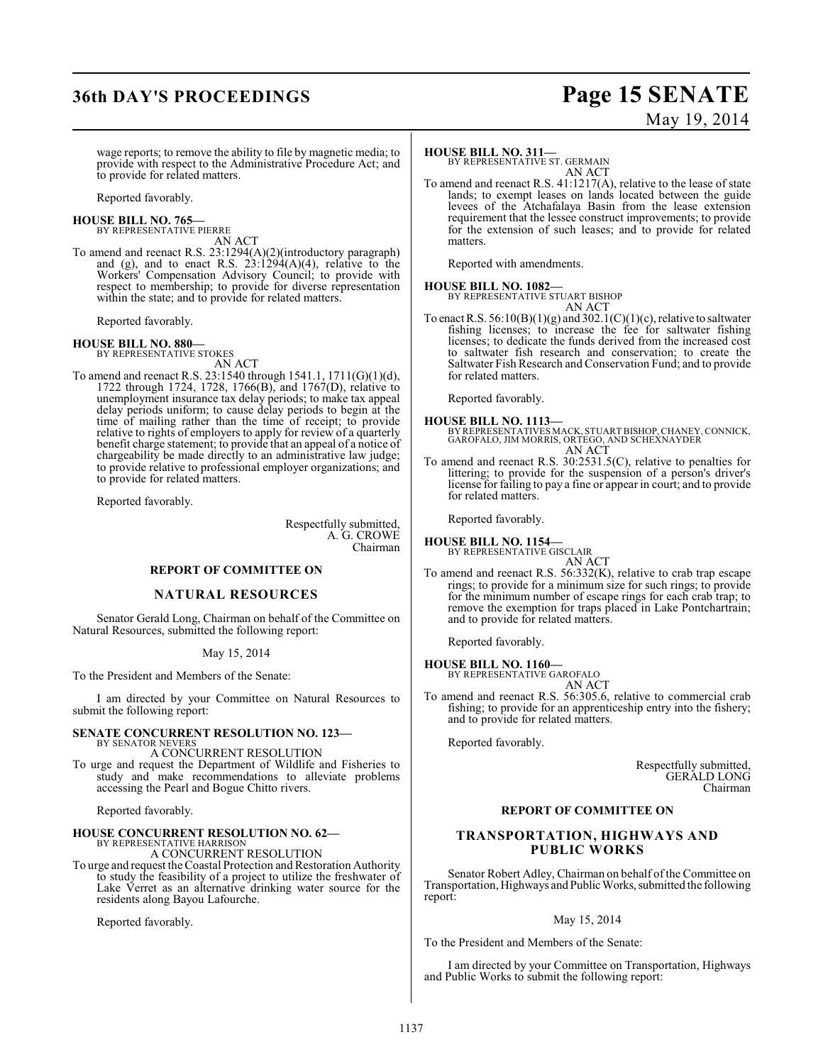## **36th DAY'S PROCEEDINGS Page 15 SENATE**

# May 19, 2014

wage reports; to remove the ability to file by magnetic media; to provide with respect to the Administrative Procedure Act; and to provide for related matters.

Reported favorably.

## **HOUSE BILL NO. 765—** BY REPRESENTATIVE PIERRE

AN ACT

To amend and reenact R.S. 23:1294(A)(2)(introductory paragraph) and (g), and to enact R.S.  $23:1294(A)(4)$ , relative to the Workers' Compensation Advisory Council; to provide with respect to membership; to provide for diverse representation within the state; and to provide for related matters.

Reported favorably.

#### **HOUSE BILL NO. 880—**

BY REPRESENTATIVE STOKES AN ACT

To amend and reenact R.S. 23:1540 through 1541.1, 1711(G)(1)(d), 1722 through 1724, 1728, 1766(B), and 1767(D), relative to unemployment insurance tax delay periods; to make tax appeal delay periods uniform; to cause delay periods to begin at the time of mailing rather than the time of receipt; to provide relative to rights of employers to apply for review of a quarterly benefit charge statement; to provide that an appeal of a notice of chargeability be made directly to an administrative law judge; to provide relative to professional employer organizations; and to provide for related matters.

Reported favorably.

Respectfully submitted, A. G. CROWE Chairman

#### **REPORT OF COMMITTEE ON**

#### **NATURAL RESOURCES**

Senator Gerald Long, Chairman on behalf of the Committee on Natural Resources, submitted the following report:

#### May 15, 2014

To the President and Members of the Senate:

I am directed by your Committee on Natural Resources to submit the following report:

#### **SENATE CONCURRENT RESOLUTION NO. 123—**

BY SENATOR NEVERS A CONCURRENT RESOLUTION To urge and request the Department of Wildlife and Fisheries to study and make recommendations to alleviate problems accessing the Pearl and Bogue Chitto rivers.

Reported favorably.

#### **HOUSE CONCURRENT RESOLUTION NO. 62—** BY REPRESENTATIVE HARRISON

A CONCURRENT RESOLUTION

To urge and request the Coastal Protection and Restoration Authority to study the feasibility of a project to utilize the freshwater of Lake Verret as an alternative drinking water source for the residents along Bayou Lafourche.

Reported favorably.

#### **HOUSE BILL NO. 311—**

BY REPRESENTATIVE ST. GERMAIN AN ACT

To amend and reenact R.S. 41:1217(A), relative to the lease of state lands; to exempt leases on lands located between the guide levees of the Atchafalaya Basin from the lease extension requirement that the lessee construct improvements; to provide for the extension of such leases; and to provide for related matters.

Reported with amendments.

### **HOUSE BILL NO. 1082—**

BY REPRESENTATIVE STUART BISHOP AN ACT

To enact R.S.  $56:10(B)(1)(g)$  and  $302.1(C)(1)(c)$ , relative to saltwater fishing licenses; to increase the fee for saltwater fishing licenses; to dedicate the funds derived from the increased cost to saltwater fish research and conservation; to create the Saltwater Fish Research and Conservation Fund; and to provide for related matters.

Reported favorably.

**HOUSE BILL NO. 1113—** BY REPRESENTATIVES MACK, STUART BISHOP, CHANEY, CONNICK, GAROFALO, JIM MORRIS, ORTEGO, AND SCHEXNAYDER AN ACT

To amend and reenact R.S. 30:2531.5(C), relative to penalties for littering; to provide for the suspension of a person's driver's license for failing to pay a fine or appear in court; and to provide for related matters.

Reported favorably.

### **HOUSE BILL NO. 1154—**

BY REPRESENTATIVE GISCLAIR AN ACT

To amend and reenact R.S. 56:332(K), relative to crab trap escape rings; to provide for a minimum size for such rings; to provide for the minimum number of escape rings for each crab trap; to remove the exemption for traps placed in Lake Pontchartrain; and to provide for related matters.

Reported favorably.

## **HOUSE BILL NO. 1160—** BY REPRESENTATIVE GAROFALO

AN ACT

To amend and reenact R.S. 56:305.6, relative to commercial crab fishing; to provide for an apprenticeship entry into the fishery; and to provide for related matters.

Reported favorably.

Respectfully submitted, GERALD LONG Chairman

#### **REPORT OF COMMITTEE ON**

#### **TRANSPORTATION, HIGHWAYS AND PUBLIC WORKS**

Senator Robert Adley, Chairman on behalf of the Committee on Transportation, Highways and Public Works, submitted the following report:

#### May 15, 2014

To the President and Members of the Senate:

I am directed by your Committee on Transportation, Highways and Public Works to submit the following report: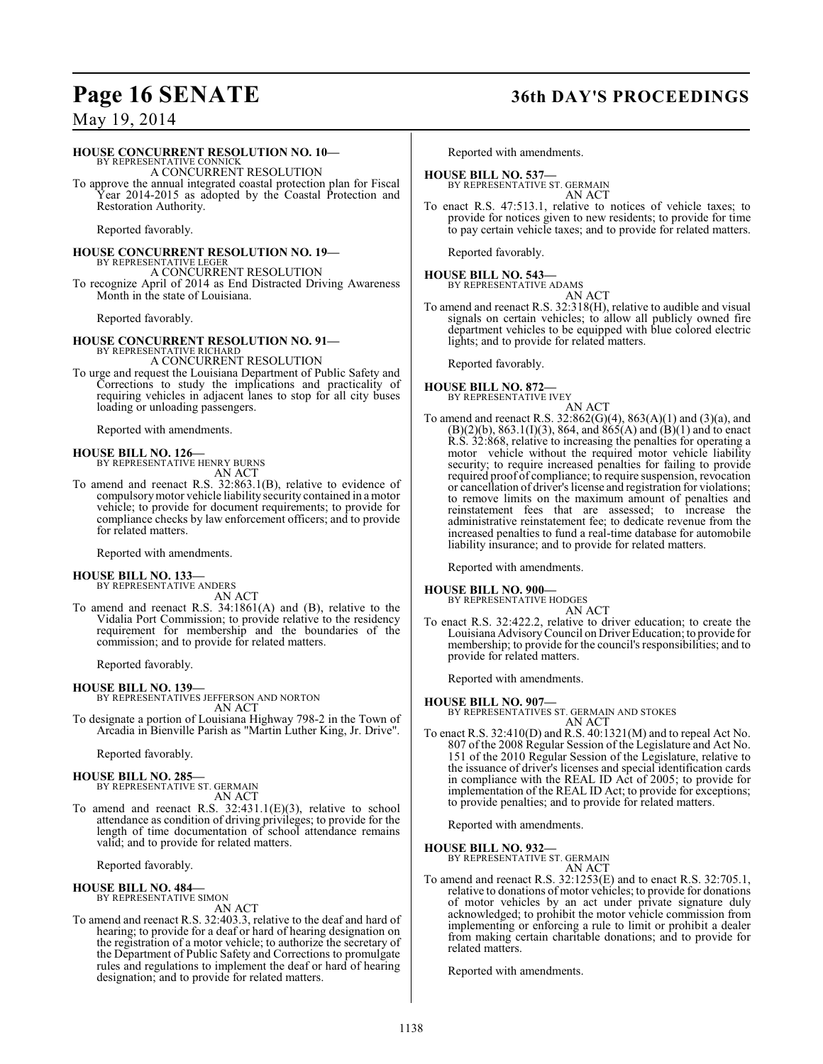### **Page 16 SENATE 36th DAY'S PROCEEDINGS**

### May 19, 2014

#### **HOUSE CONCURRENT RESOLUTION NO. 10—**

BY REPRESENTATIVE CONNICK A CONCURRENT RESOLUTION To approve the annual integrated coastal protection plan for Fiscal

Year 2014-2015 as adopted by the Coastal Protection and Restoration Authority.

Reported favorably.

#### **HOUSE CONCURRENT RESOLUTION NO. 19—** BY REPRESENTATIVE LEGER A CONCURRENT RESOLUTION

To recognize April of 2014 as End Distracted Driving Awareness Month in the state of Louisiana.

Reported favorably.

## **HOUSE CONCURRENT RESOLUTION NO. 91—** BY REPRESENTATIVE RICHARD

A CONCURRENT RESOLUTION

To urge and request the Louisiana Department of Public Safety and Corrections to study the implications and practicality of requiring vehicles in adjacent lanes to stop for all city buses loading or unloading passengers.

Reported with amendments.

#### **HOUSE BILL NO. 126—**

BY REPRESENTATIVE HENRY BURNS AN ACT

To amend and reenact R.S. 32:863.1(B), relative to evidence of compulsory motor vehicle liability security contained in a motor vehicle; to provide for document requirements; to provide for compliance checks by law enforcement officers; and to provide for related matters.

Reported with amendments.

## **HOUSE BILL NO. 133—** BY REPRESENTATIVE ANDERS

AN ACT

To amend and reenact R.S. 34:1861(A) and (B), relative to the Vidalia Port Commission; to provide relative to the residency requirement for membership and the boundaries of the commission; and to provide for related matters.

Reported favorably.

#### **HOUSE BILL NO. 139—**

BY REPRESENTATIVES JEFFERSON AND NORTON AN ACT

To designate a portion of Louisiana Highway 798-2 in the Town of Arcadia in Bienville Parish as "Martin Luther King, Jr. Drive".

Reported favorably.

#### **HOUSE BILL NO. 285—**

BY REPRESENTATIVE ST. GERMAIN AN ACT

To amend and reenact R.S. 32:431.1(E)(3), relative to school attendance as condition of driving privileges; to provide for the length of time documentation of school attendance remains valid; and to provide for related matters.

Reported favorably.

### **HOUSE BILL NO. 484—** BY REPRESENTATIVE SIMON

AN ACT To amend and reenact R.S. 32:403.3, relative to the deaf and hard of hearing; to provide for a deaf or hard of hearing designation on the registration of a motor vehicle; to authorize the secretary of the Department of Public Safety and Corrections to promulgate rules and regulations to implement the deaf or hard of hearing designation; and to provide for related matters.

Reported with amendments.

### **HOUSE BILL NO. 537—**

BY REPRESENTATIVE ST. GERMAIN AN ACT

To enact R.S. 47:513.1, relative to notices of vehicle taxes; to provide for notices given to new residents; to provide for time to pay certain vehicle taxes; and to provide for related matters.

Reported favorably.

#### **HOUSE BILL NO. 543—**

BY REPRESENTATIVE ADAMS AN ACT

To amend and reenact R.S. 32:318(H), relative to audible and visual signals on certain vehicles; to allow all publicly owned fire department vehicles to be equipped with blue colored electric lights; and to provide for related matters.

Reported favorably.

#### **HOUSE BILL NO. 872—** BY REPRESENTATIVE IVEY



To amend and reenact R.S. 32:862(G)(4), 863(A)(1) and (3)(a), and  $(B)(2)(b)$ , 863.1(I)(3), 864, and 865(A) and (B)(1) and to enact R.S. 32:868, relative to increasing the penalties for operating a motor vehicle without the required motor vehicle liability security; to require increased penalties for failing to provide required proof of compliance; to require suspension, revocation or cancellation of driver's license and registration for violations; to remove limits on the maximum amount of penalties and reinstatement fees that are assessed; to increase the administrative reinstatement fee; to dedicate revenue from the increased penalties to fund a real-time database for automobile liability insurance; and to provide for related matters.

Reported with amendments.

#### **HOUSE BILL NO. 900—**

BY REPRESENTATIVE HODGES AN ACT

To enact R.S. 32:422.2, relative to driver education; to create the Louisiana Advisory Council on DriverEducation; to provide for membership; to provide for the council's responsibilities; and to provide for related matters.

Reported with amendments.

#### **HOUSE BILL NO. 907—**

BY REPRESENTATIVES ST. GERMAIN AND STOKES AN ACT

To enact R.S. 32:410(D) and R.S. 40:1321(M) and to repeal Act No. 807 of the 2008 Regular Session of the Legislature and Act No. 151 of the 2010 Regular Session of the Legislature, relative to the issuance of driver's licenses and special identification cards in compliance with the REAL ID Act of 2005; to provide for implementation of the REAL ID Act; to provide for exceptions; to provide penalties; and to provide for related matters.

Reported with amendments.

**HOUSE BILL NO. 932—**

BY REPRESENTATIVE ST. GERMAIN

### AN ACT

To amend and reenact R.S. 32:1253(E) and to enact R.S. 32:705.1, relative to donations of motor vehicles; to provide for donations of motor vehicles by an act under private signature duly acknowledged; to prohibit the motor vehicle commission from implementing or enforcing a rule to limit or prohibit a dealer from making certain charitable donations; and to provide for related matters.

Reported with amendments.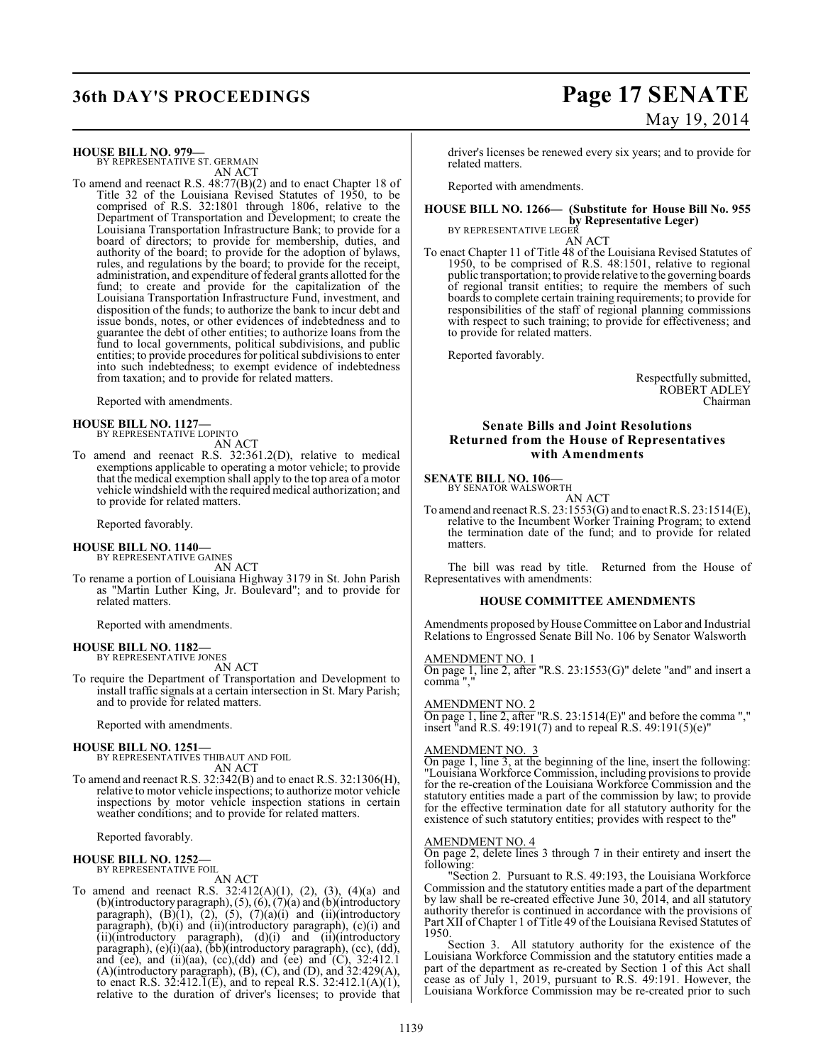## **36th DAY'S PROCEEDINGS Page 17 SENATE**

# May 19, 2014

**HOUSE BILL NO. 979—** BY REPRESENTATIVE ST. GERMAIN

AN ACT To amend and reenact R.S. 48:77(B)(2) and to enact Chapter 18 of Title 32 of the Louisiana Revised Statutes of 1950, to be comprised of R.S. 32:1801 through 1806, relative to the Department of Transportation and Development; to create the Louisiana Transportation Infrastructure Bank; to provide for a board of directors; to provide for membership, duties, and authority of the board; to provide for the adoption of bylaws, rules, and regulations by the board; to provide for the receipt, administration, and expenditure of federal grants allotted for the fund; to create and provide for the capitalization of the Louisiana Transportation Infrastructure Fund, investment, and disposition of the funds; to authorize the bank to incur debt and issue bonds, notes, or other evidences of indebtedness and to guarantee the debt of other entities; to authorize loans from the fund to local governments, political subdivisions, and public entities; to provide procedures for political subdivisions to enter into such indebtedness; to exempt evidence of indebtedness from taxation; and to provide for related matters.

Reported with amendments.

#### **HOUSE BILL NO. 1127—**

BY REPRESENTATIVE LOPINTO

AN ACT

To amend and reenact R.S. 32:361.2(D), relative to medical exemptions applicable to operating a motor vehicle; to provide that the medical exemption shall apply to the top area of a motor vehicle windshield with the required medical authorization; and to provide for related matters.

Reported favorably.

## **HOUSE BILL NO. 1140—** BY REPRESENTATIVE GAINES

AN ACT

To rename a portion of Louisiana Highway 3179 in St. John Parish as "Martin Luther King, Jr. Boulevard"; and to provide for related matters.

Reported with amendments.

#### **HOUSE BILL NO. 1182—** BY REPRESENTATIVE JONES

AN ACT

To require the Department of Transportation and Development to install traffic signals at a certain intersection in St. Mary Parish; and to provide for related matters.

Reported with amendments.

#### **HOUSE BILL NO. 1251—**

BY REPRESENTATIVES THIBAUT AND FOIL AN ACT

To amend and reenact R.S. 32:342(B) and to enact R.S. 32:1306(H), relative to motor vehicle inspections; to authorize motor vehicle inspections by motor vehicle inspection stations in certain weather conditions; and to provide for related matters.

Reported favorably.

## **HOUSE BILL NO. 1252—** BY REPRESENTATIVE FOIL

AN ACT

To amend and reenact R.S.  $32:412(A)(1)$ ,  $(2)$ ,  $(3)$ ,  $(4)(a)$  and (b)(introductory paragraph), (5), (6), (7)(a) and (b)(introductory paragraph),  $(B)(1)$ ,  $(2)$ ,  $(5)$ ,  $(7)(a)(i)$  and  $(ii)(introductory)$ paragraph), (b)(i) and (ii)(introductory paragraph), (c)(i) and (ii)(introductory paragraph), (d)(i) and (ii)(introductory paragraph), (e)(i)(aa), (bb)(introductory paragraph), (cc), (dd), and (ee), and (ii)(aa), (cc),(dd) and (ee) and  $(C)$ ,  $32:412.1$ (A)(introductory paragraph), (B), (C), and (D), and 32:429(A), to enact R.S.  $32:412.1(E)$ , and to repeal R.S.  $32:412.1(A)(1)$ , relative to the duration of driver's licenses; to provide that

driver's licenses be renewed every six years; and to provide for related matters.

Reported with amendments.

#### **HOUSE BILL NO. 1266— (Substitute for House Bill No. 955 by Representative Leger)** BY REPRESENTATIVE LEGER

AN ACT

To enact Chapter 11 of Title 48 of the Louisiana Revised Statutes of 1950, to be comprised of R.S. 48:1501, relative to regional public transportation; to provide relative to the governing boards of regional transit entities; to require the members of such boards to complete certain training requirements; to provide for responsibilities of the staff of regional planning commissions with respect to such training; to provide for effectiveness; and to provide for related matters.

Reported favorably.

Respectfully submitted, ROBERT ADLEY Chairman

#### **Senate Bills and Joint Resolutions Returned from the House of Representatives with Amendments**

#### **SENATE BILL NO. 106—**

BY SENATOR WALSWORTH AN ACT

To amend and reenact R.S. 23:1553(G) and to enact R.S. 23:1514(E), relative to the Incumbent Worker Training Program; to extend the termination date of the fund; and to provide for related matters.

The bill was read by title. Returned from the House of Representatives with amendments:

#### **HOUSE COMMITTEE AMENDMENTS**

Amendments proposed by House Committee on Labor and Industrial Relations to Engrossed Senate Bill No. 106 by Senator Walsworth

#### AMENDMENT NO. 1

On page 1, line 2, after "R.S. 23:1553(G)" delete "and" and insert a comma ","

AMENDMENT NO. 2

On page 1, line 2, after "R.S. 23:1514(E)" and before the comma "," insert "and R.S. 49:191(7) and to repeal R.S. 49:191(5)(e)"

#### AMENDMENT NO. 3

On page 1, line 3, at the beginning of the line, insert the following: "Louisiana Workforce Commission, including provisionsto provide for the re-creation of the Louisiana Workforce Commission and the statutory entities made a part of the commission by law; to provide for the effective termination date for all statutory authority for the existence of such statutory entities; provides with respect to the"

#### AMENDMENT NO. 4

On page 2, delete lines 3 through 7 in their entirety and insert the following:

"Section 2. Pursuant to R.S. 49:193, the Louisiana Workforce Commission and the statutory entities made a part of the department by law shall be re-created effective June 30, 2014, and all statutory authority therefor is continued in accordance with the provisions of Part XII of Chapter 1 of Title 49 of the Louisiana Revised Statutes of 1950.

Section 3. All statutory authority for the existence of the Louisiana Workforce Commission and the statutory entities made a part of the department as re-created by Section 1 of this Act shall cease as of July 1, 2019, pursuant to R.S. 49:191. However, the Louisiana Workforce Commission may be re-created prior to such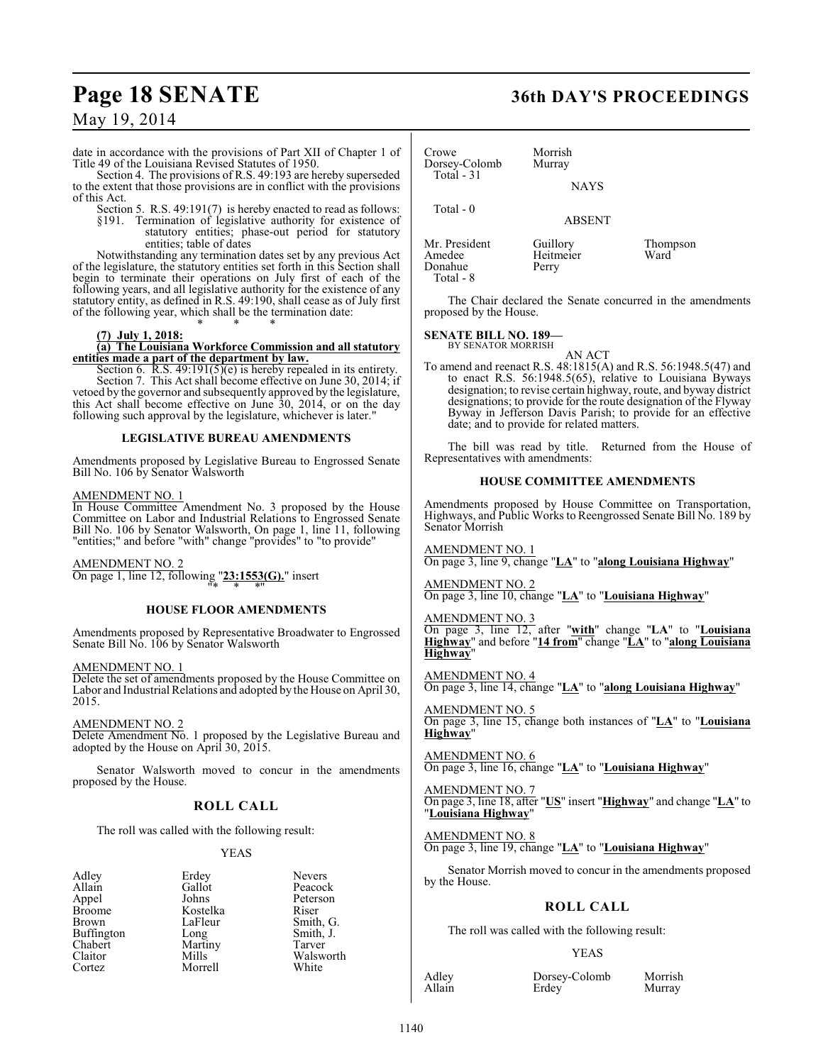date in accordance with the provisions of Part XII of Chapter 1 of Title 49 of the Louisiana Revised Statutes of 1950.

Section 4. The provisions of R.S. 49:193 are hereby superseded to the extent that those provisions are in conflict with the provisions of this Act.

Section 5. R.S. 49:191(7) is hereby enacted to read as follows: §191. Termination of legislative authority for existence of statutory entities; phase-out period for statutory

entities; table of dates Notwithstanding any termination dates set by any previous Act of the legislature, the statutory entities set forth in this Section shall begin to terminate their operations on July first of each of the following years, and all legislative authority for the existence of any statutory entity, as defined in R.S. 49:190, shall cease as of July first of the following year, which shall be the termination date:

#### **(7) July 1, 2018:**

#### **(a) The Louisiana Workforce Commission and all statutory entities made a part of the department by law.**

\* \* \*

Section 6. R.S. 49:191(5)(e) is hereby repealed in its entirety. Section 7. This Act shall become effective on June 30, 2014; if vetoed by the governor and subsequently approved by the legislature, this Act shall become effective on June 30, 2014, or on the day following such approval by the legislature, whichever is later."

#### **LEGISLATIVE BUREAU AMENDMENTS**

Amendments proposed by Legislative Bureau to Engrossed Senate Bill No. 106 by Senator Walsworth

#### AMENDMENT NO. 1

In House Committee Amendment No. 3 proposed by the House Committee on Labor and Industrial Relations to Engrossed Senate Bill No. 106 by Senator Walsworth, On page 1, line 11, following "entities;" and before "with" change "provides" to "to provide"

AMENDMENT NO. 2

On page 1, line 12, following "**23:1553(G).**" insert "\* \* \*"

#### **HOUSE FLOOR AMENDMENTS**

Amendments proposed by Representative Broadwater to Engrossed Senate Bill No. 106 by Senator Walsworth

AMENDMENT NO. 1

Delete the set of amendments proposed by the House Committee on Labor and Industrial Relations and adopted by the House on April 30, 2015.

AMENDMENT NO. 2 Delete Amendment No. 1 proposed by the Legislative Bureau and adopted by the House on April 30, 2015.

Senator Walsworth moved to concur in the amendments proposed by the House.

#### **ROLL CALL**

The roll was called with the following result:

Kostelka<br>LaFleur

Martiny<br>Mills

Morrell

#### YEAS

| Adley      |  |
|------------|--|
| Allain     |  |
| Appel      |  |
| Broome     |  |
| Brown      |  |
| Buffington |  |
| Chabert    |  |
| Claitor    |  |
| Cortez     |  |

Erdey Nevers<br>Gallot Peacoc Gallot Peacock<br>Johns Peterson Peterson<br>Riser LaFleur Smith, G.<br>Long Smith, J. Smith, J.<br>Tarver Walsworth<br>White

### **Page 18 SENATE 36th DAY'S PROCEEDINGS**

Crowe Morrish<br>Dorsey-Colomb Murray Dorsey-Colomb Total - 31 NAYS Total - 0 ABSENT Mr. President Guillory Thompson<br>Amedee Heitmeier Ward Heitmeier<br>Perry Donahue

The Chair declared the Senate concurred in the amendments proposed by the House.

#### **SENATE BILL NO. 189—** BY SENATOR MORRISH

Total - 8

AN ACT

To amend and reenact R.S. 48:1815(A) and R.S. 56:1948.5(47) and to enact R.S. 56:1948.5(65), relative to Louisiana Byways designation; to revise certain highway, route, and byway district designations; to provide for the route designation of the Flyway Byway in Jefferson Davis Parish; to provide for an effective date; and to provide for related matters.

The bill was read by title. Returned from the House of Representatives with amendments:

#### **HOUSE COMMITTEE AMENDMENTS**

Amendments proposed by House Committee on Transportation, Highways, and Public Works to Reengrossed Senate Bill No. 189 by Senator Morrish

AMENDMENT NO. 1 On page 3, line 9, change "**LA**" to "**along Louisiana Highway**"

AMENDMENT NO. 2 On page 3, line 10, change "**LA**" to "**Louisiana Highway**"

AMENDMENT NO. 3 On page 3, line 12, after "**with**" change "**LA**" to "**Louisiana Highway**" and before "**14 from**" change "**LA**" to "**along Louisiana Highway**"

AMENDMENT NO. 4 On page 3, line 14, change "**LA**" to "**along Louisiana Highway**"

AMENDMENT NO. 5 On page 3, line 15, change both instances of "**LA**" to "**Louisiana Highway**"

AMENDMENT NO. 6 On page 3, line 16, change "**LA**" to "**Louisiana Highway**"

AMENDMENT NO. 7 On page 3, line 18, after "**US**" insert "**Highway**" and change "**LA**" to "**Louisiana Highway**"

AMENDMENT NO. 8 On page 3, line 19, change "**LA**" to "**Louisiana Highway**"

Senator Morrish moved to concur in the amendments proposed by the House.

### **ROLL CALL**

The roll was called with the following result:

#### YEAS

Adley Dorsey-Colomb Morrish Erdey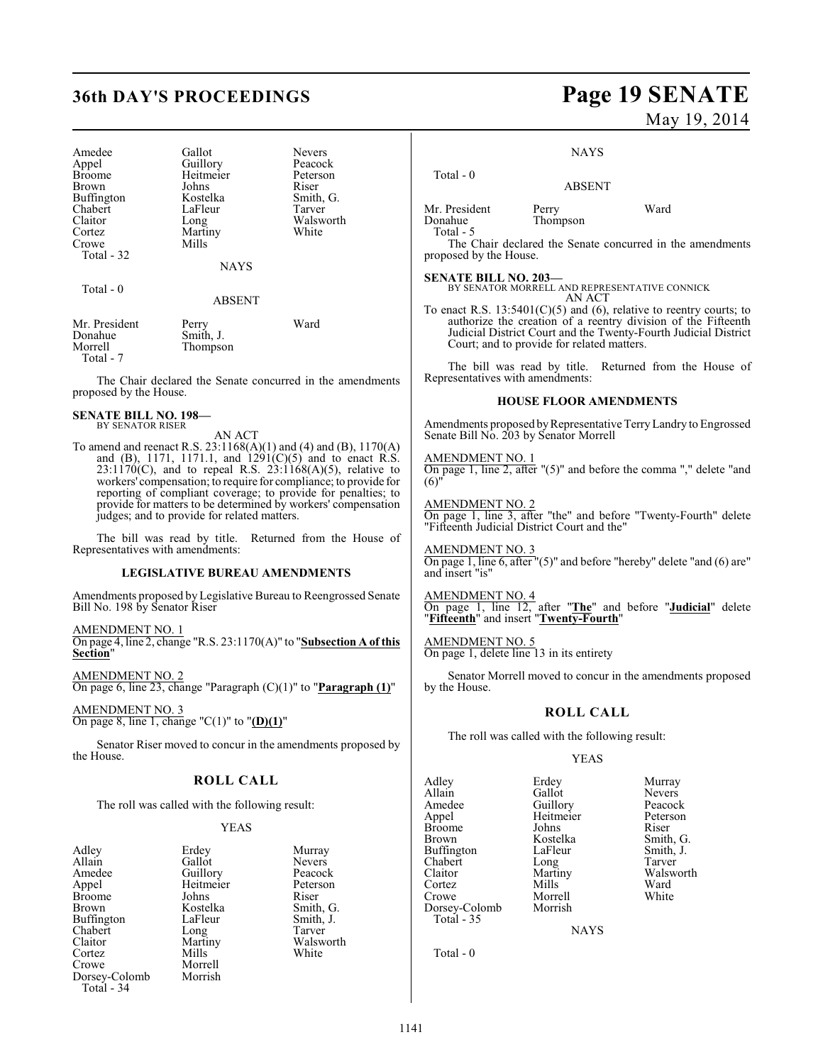| Amedee<br>Appel<br><b>Broome</b><br>Brown<br>Buffington<br>Chabert<br>Claitor<br>Cortez<br>Crowe<br>Total $-32$ | Gallot<br>Guillory<br>Heitmeier<br>Johns<br>Kostelka<br>LaFleur<br>Long<br>Martiny<br>Mills | <b>Nevers</b><br>Peacock<br>Peterson<br>Riser<br>Smith, G.<br>Tarver<br>Walsworth<br>White |
|-----------------------------------------------------------------------------------------------------------------|---------------------------------------------------------------------------------------------|--------------------------------------------------------------------------------------------|
|                                                                                                                 | <b>NAYS</b>                                                                                 |                                                                                            |
| Total $-0$                                                                                                      | <b>ABSENT</b>                                                                               |                                                                                            |
| Mr. President<br>Donahue<br>Morrell<br>Total - 7                                                                | Perry<br>Smith, J.<br>Thompson                                                              | Ward                                                                                       |

The Chair declared the Senate concurred in the amendments proposed by the House.

#### **SENATE BILL NO. 198—** BY SENATOR RISER

AN ACT

To amend and reenact R.S. 23:1168(A)(1) and (4) and (B), 1170(A) and (B), 1171, 1171.1, and 1291(C)(5) and to enact R.S.  $23:1170(C)$ , and to repeal R.S.  $23:1168(A)(5)$ , relative to workers' compensation; to require for compliance; to provide for reporting of compliant coverage; to provide for penalties; to provide for matters to be determined by workers' compensation judges; and to provide for related matters.

The bill was read by title. Returned from the House of Representatives with amendments:

#### **LEGISLATIVE BUREAU AMENDMENTS**

Amendments proposed by Legislative Bureau to Reengrossed Senate Bill No. 198 by Senator Riser

AMENDMENT NO. 1 On page 4, line 2, change "R.S. 23:1170(A)" to "**Subsection A of this Section**"

AMENDMENT NO. 2 On page 6, line 23, change "Paragraph (C)(1)" to "**Paragraph (1)**"

AMENDMENT NO. 3 On page 8, line 1, change "C(1)" to "**(D)(1)**"

Senator Riser moved to concur in the amendments proposed by the House.

#### **ROLL CALL**

The roll was called with the following result:

#### YEAS

|           | Murray                    |
|-----------|---------------------------|
| Gallot    | <b>Nevers</b>             |
|           | Peacocl                   |
| Heitmeier | Peterso                   |
| Johns     | Riser                     |
| Kostelka  | Smith,                    |
| LaFleur   | Smith,                    |
|           | Tarver                    |
| Martiny   | Walswo                    |
| Mills     | White                     |
| Morrell   |                           |
| Morrish   |                           |
|           |                           |
|           | Erdey<br>Guillory<br>Long |

Nevers<br>Peacock **Guillory Peacock<br>Heitmeier Peterson** Heitmeier Peters<br>
Johns Riser Kostelka Smith, G.<br>LaFleur Smith, J. Smith, J.<br>Tarver Martiny Walsworth<br>
Mills White White

# **36th DAY'S PROCEEDINGS Page 19 SENATE**

May 19, 2014

**NAYS** 

ABSENT

Mr. President Perry Ward<br>Donahue Thompson Total - 5

Total - 0

Thompson

The Chair declared the Senate concurred in the amendments proposed by the House.

**SENATE BILL NO. 203—** BY SENATOR MORRELL AND REPRESENTATIVE CONNICK AN ACT

To enact R.S.  $13:5401(C)(5)$  and (6), relative to reentry courts; to authorize the creation of a reentry division of the Fifteenth Judicial District Court and the Twenty-Fourth Judicial District Court; and to provide for related matters.

The bill was read by title. Returned from the House of Representatives with amendments:

#### **HOUSE FLOOR AMENDMENTS**

Amendments proposed by Representative Terry Landry to Engrossed Senate Bill No. 203 by Senator Morrell

AMENDMENT NO. 1 On page 1, line 2, after "(5)" and before the comma "," delete "and  $(6)'$ 

AMENDMENT NO. 2 On page 1, line 3, after "the" and before "Twenty-Fourth" delete "Fifteenth Judicial District Court and the"

AMENDMENT NO. 3 On page 1, line 6, after "(5)" and before "hereby" delete "and (6) are" and insert "is"

AMENDMENT NO. 4 On page 1, line 12, after "**The**" and before "**Judicial**" delete "**Fifteenth**" and insert "**Twenty-Fourth**"

AMENDMENT NO. 5 On page 1, delete line 13 in its entirety

Senator Morrell moved to concur in the amendments proposed by the House.

#### **ROLL CALL**

The roll was called with the following result:

#### YEAS

Adley Erdey Murray Allain Gallot Nevers<br>
Amedee Guillory Peacock Amedee Guillory Peacock<br>Appel Heitmeier Peterson Broome Johns<br>Brown Kostelka Buffington LaFleur Smith,<br>
Chabert Long Tarver Chabert Long<br>Claitor Martiny Claitor Martiny Walsworth<br>
Cortez Mills Ward Cortez Mills Ward Crowe Morrell White Dorsey-Colomb Total - 35

Total - 0

Heitmeier Peters<br>Johns Riser

Kostelka Smith, G.<br>LaFleur Smith, J.

NAYS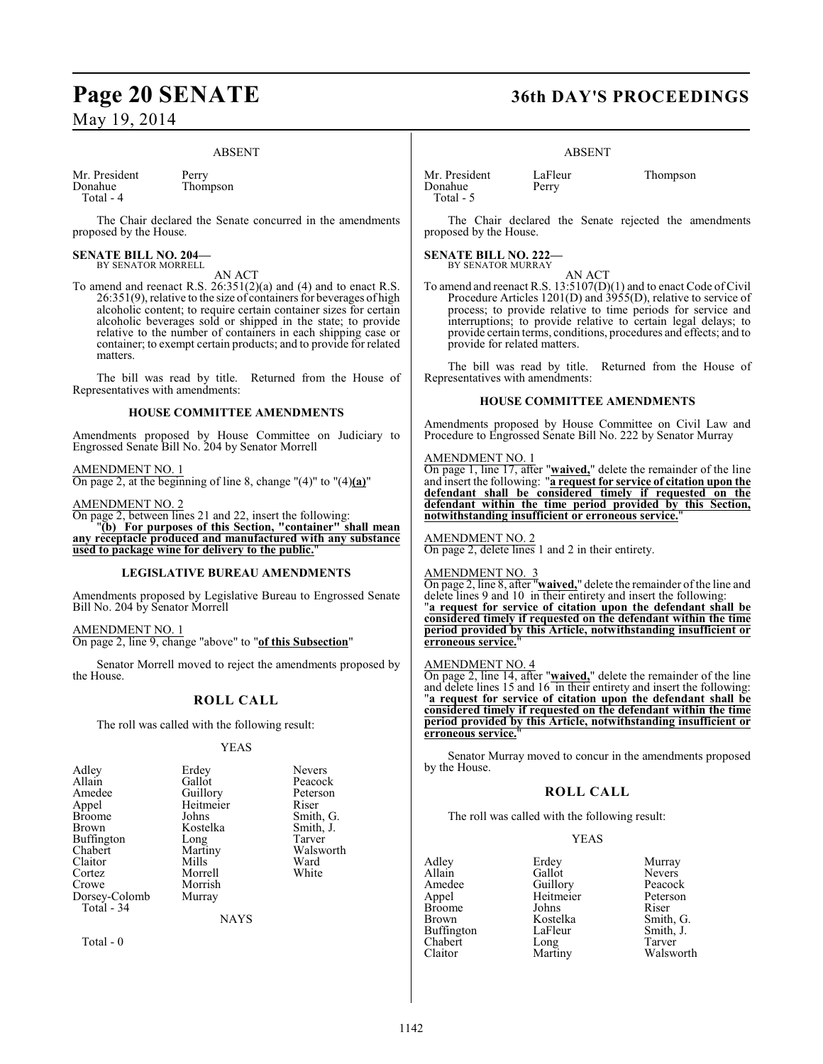#### ABSENT

Mr. President Perry<br>Donahue Thom Total - 4

Thompson

The Chair declared the Senate concurred in the amendments proposed by the House.

#### **SENATE BILL NO. 204—** BY SENATOR MORRELL

AN ACT

To amend and reenact R.S. 26:351(2)(a) and (4) and to enact R.S. 26:351(9), relative to the size of containers for beverages of high alcoholic content; to require certain container sizes for certain alcoholic beverages sold or shipped in the state; to provide relative to the number of containers in each shipping case or container; to exempt certain products; and to provide for related matters.

The bill was read by title. Returned from the House of Representatives with amendments:

#### **HOUSE COMMITTEE AMENDMENTS**

Amendments proposed by House Committee on Judiciary to Engrossed Senate Bill No. 204 by Senator Morrell

#### AMENDMENT NO. 1

On page 2, at the beginning of line 8, change "(4)" to "(4)**(a)**"

#### AMENDMENT NO. 2

On page 2, between lines 21 and 22, insert the following:

"**(b) For purposes of this Section, "container" shall mean any receptacle produced and manufactured with any substance used to package wine for delivery to the public.**"

#### **LEGISLATIVE BUREAU AMENDMENTS**

Amendments proposed by Legislative Bureau to Engrossed Senate Bill No. 204 by Senator Morrell

AMENDMENT NO. 1 On page 2, line 9, change "above" to "**of this Subsection**"

Senator Morrell moved to reject the amendments proposed by the House.

### **ROLL CALL**

The roll was called with the following result:

#### YEAS

| Adley         | Erdey       | <b>Nevers</b> |
|---------------|-------------|---------------|
| Allain        | Gallot      | Peacock       |
| Amedee        | Guillory    | Peterson      |
| Appel         | Heitmeier   | Riser         |
| Broome        | Johns       | Smith, G.     |
| Brown         | Kostelka    | Smith, J.     |
| Buffington    | Long        | Tarver        |
| Chabert       | Martiny     | Walsworth     |
| Claitor       | Mills       | Ward          |
| Cortez        | Morrell     | White         |
| Crowe         | Morrish     |               |
| Dorsey-Colomb | Murray      |               |
| Total - 34    |             |               |
|               | <b>NAYS</b> |               |
|               |             |               |

Total - 0

## **Page 20 SENATE 36th DAY'S PROCEEDINGS**

#### ABSENT

Mr. President LaFleur Thompson<br>Donahue Perry Thompson Donahue Total - 5

The Chair declared the Senate rejected the amendments proposed by the House.

#### **SENATE BILL NO. 222—** BY SENATOR MURRAY

AN ACT To amend and reenact R.S. 13:5107(D)(1) and to enact Code of Civil Procedure Articles 1201(D) and 3955(D), relative to service of process; to provide relative to time periods for service and interruptions; to provide relative to certain legal delays; to provide certain terms, conditions, procedures and effects; and to provide for related matters.

The bill was read by title. Returned from the House of Representatives with amendments:

#### **HOUSE COMMITTEE AMENDMENTS**

Amendments proposed by House Committee on Civil Law and Procedure to Engrossed Senate Bill No. 222 by Senator Murray

#### AMENDMENT NO. 1

On page 1, line 17, after "**waived,**" delete the remainder of the line and insert the following: "**a request for service of citation upon the defendant shall be considered timely if requested on the defendant within the time period provided by this Section, notwithstanding insufficient or erroneous service.**"

#### AMENDMENT NO. 2 On page 2, delete lines 1 and 2 in their entirety.

### AMENDMENT NO. 3

On page 2, line 8, after "**waived,**" delete the remainder of the line and delete lines 9 and 10 in their entirety and insert the following: "**a request for service of citation upon the defendant shall be considered timely if requested on the defendant within the time period provided by this Article, notwithstanding insufficient or erroneous service.**"

#### AMENDMENT NO. 4

On page 2, line 14, after "**waived,**" delete the remainder of the line and delete lines 15 and 16 in their entirety and insert the following: "**a request for service of citation upon the defendant shall be considered timely if requested on the defendant within the time period provided by this Article, notwithstanding insufficient or erroneous service.**"

Senator Murray moved to concur in the amendments proposed by the House.

#### **ROLL CALL**

The roll was called with the following result:

#### YEAS

Adley Erdey Murray<br>Allain Gallot Nevers Allain Callot Nevers<br>Amedee Guillory Peacock Amedee Guillory Peacock<br>
Appel Heitmeier Peterson Broome Johns<br>Brown Kostelka Buffington LaFleur Smith,<br>
Chabert Long Tarver Chabert Long<br>Claitor Martiny

Heitmeier Peters<br>Johns Riser Kostelka Smith, G.<br>LaFleur Smith, J. Walsworth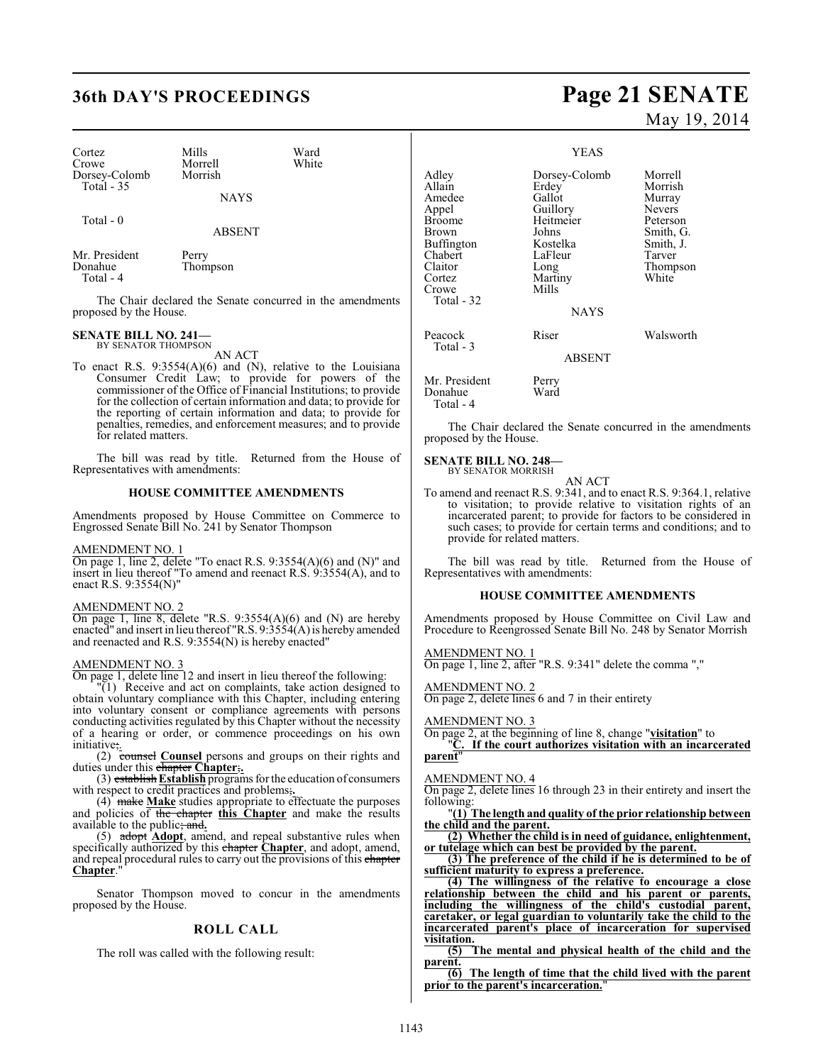### **36th DAY'S PROCEEDINGS Page 21 SENATE**

| Cortez<br>Crowe<br>Dorsey-Colomb<br>Total $-35$ | Mills<br>Morrell<br>Morrish<br><b>NAYS</b> | Ward<br>White |
|-------------------------------------------------|--------------------------------------------|---------------|
| Total $-0$                                      | <b>ABSENT</b>                              |               |
| Mr. President<br>Donahue<br>$Total - 4$         | Perry<br>Thompson                          |               |

The Chair declared the Senate concurred in the amendments proposed by the House.

#### **SENATE BILL NO. 241—** BY SENATOR THOMPSON

AN ACT

To enact R.S. 9:3554(A)(6) and (N), relative to the Louisiana Consumer Credit Law; to provide for powers of the commissioner of the Office of Financial Institutions; to provide for the collection of certain information and data; to provide for the reporting of certain information and data; to provide for penalties, remedies, and enforcement measures; and to provide for related matters.

The bill was read by title. Returned from the House of Representatives with amendments:

#### **HOUSE COMMITTEE AMENDMENTS**

Amendments proposed by House Committee on Commerce to Engrossed Senate Bill No. 241 by Senator Thompson

#### AMENDMENT NO. 1

On page 1, line 2, delete "To enact R.S. 9:3554(A)(6) and (N)" and insert in lieu thereof "To amend and reenact R.S. 9:3554(A), and to enact R.S. 9:3554(N)"

### AMENDMENT NO. 2

On page 1, line 8, delete "R.S. 9:3554(A)(6) and (N) are hereby enacted" and insert in lieu thereof "R.S. 9:3554(A) is hereby amended and reenacted and R.S. 9:3554(N) is hereby enacted"

### AMENDMENT NO. 3

On page 1, delete line 12 and insert in lieu thereof the following:

"(1) Receive and act on complaints, take action designed to obtain voluntary compliance with this Chapter, including entering into voluntary consent or compliance agreements with persons conducting activities regulated by this Chapter without the necessity of a hearing or order, or commence proceedings on his own initiative;.

(2) counsel **Counsel** persons and groups on their rights and duties under this chapter Chapter;

(3) establish **Establish** programs for the education of consumers with respect to credit practices and problems;**.**

(4) make **Make** studies appropriate to effectuate the purposes and policies of the chapter **this Chapter** and make the results available to the public; and**.**

(5) adopt **Adopt**, amend, and repeal substantive rules when specifically authorized by this chapter **Chapter**, and adopt, amend, and repeal procedural rules to carry out the provisions of this chapter **Chapter.** 

Senator Thompson moved to concur in the amendments proposed by the House.

#### **ROLL CALL**

The roll was called with the following result:

# May 19, 2014

#### YEAS

| Adley<br>Allain<br>Amedee<br>Appel<br><b>Broome</b><br>Brown<br>Buffington<br>Chabert<br>Claitor<br>Cortez<br>Crowe<br>Total - 32 | Dorsey-Colomb<br>Erdey<br>Gallot<br>Guillory<br>Heitmeier<br>Johns<br>Kostelka<br>LaFleur<br>Long<br>Martiny<br>Mills<br><b>NAYS</b> | Morrell<br>Morrish<br>Murray<br><b>Nevers</b><br>Peterson<br>Smith, G.<br>Smith, J.<br>Tarver<br>Thompson<br>White |
|-----------------------------------------------------------------------------------------------------------------------------------|--------------------------------------------------------------------------------------------------------------------------------------|--------------------------------------------------------------------------------------------------------------------|
| Peacock<br>Total - 3                                                                                                              | Riser<br><b>ABSENT</b>                                                                                                               | Walsworth                                                                                                          |
| Mr. President<br>Donahue<br>Total - 4                                                                                             | Perry<br>Ward                                                                                                                        |                                                                                                                    |

The Chair declared the Senate concurred in the amendments proposed by the House.

#### **SENATE BILL NO. 248—** BY SENATOR MORRISH

AN ACT

To amend and reenact R.S. 9:341, and to enact R.S. 9:364.1, relative to visitation; to provide relative to visitation rights of an incarcerated parent; to provide for factors to be considered in such cases; to provide for certain terms and conditions; and to provide for related matters.

The bill was read by title. Returned from the House of Representatives with amendments:

#### **HOUSE COMMITTEE AMENDMENTS**

Amendments proposed by House Committee on Civil Law and Procedure to Reengrossed Senate Bill No. 248 by Senator Morrish

AMENDMENT NO. 1  $\overline{On}$  page 1, line 2, after "R.S. 9:341" delete the comma ","

AMENDMENT NO. 2

On page 2, delete lines 6 and 7 in their entirety

AMENDMENT NO. 3

On page 2, at the beginning of line 8, change "**visitation**" to If the court authorizes visitation with an incarcerated **parent**"

#### AMENDMENT NO. 4

On page 2, delete lines 16 through 23 in their entirety and insert the following:

"**(1) The length and quality of the prior relationship between the child and the parent.**

**(2) Whether the child isin need of guidance, enlightenment, or tutelage which can best be provided by the parent.**

**(3) The preference of the child if he is determined to be of sufficient maturity to express a preference.**

**(4) The willingness of the relative to encourage a close relationship between the child and his parent or parents, including the willingness of the child's custodial parent, caretaker, or legal guardian to voluntarily take the child to the incarcerated parent's place of incarceration for supervised visitation.**

**(5) The mental and physical health of the child and the parent.**

**(6) The length of time that the child lived with the parent prior to the parent's incarceration.**"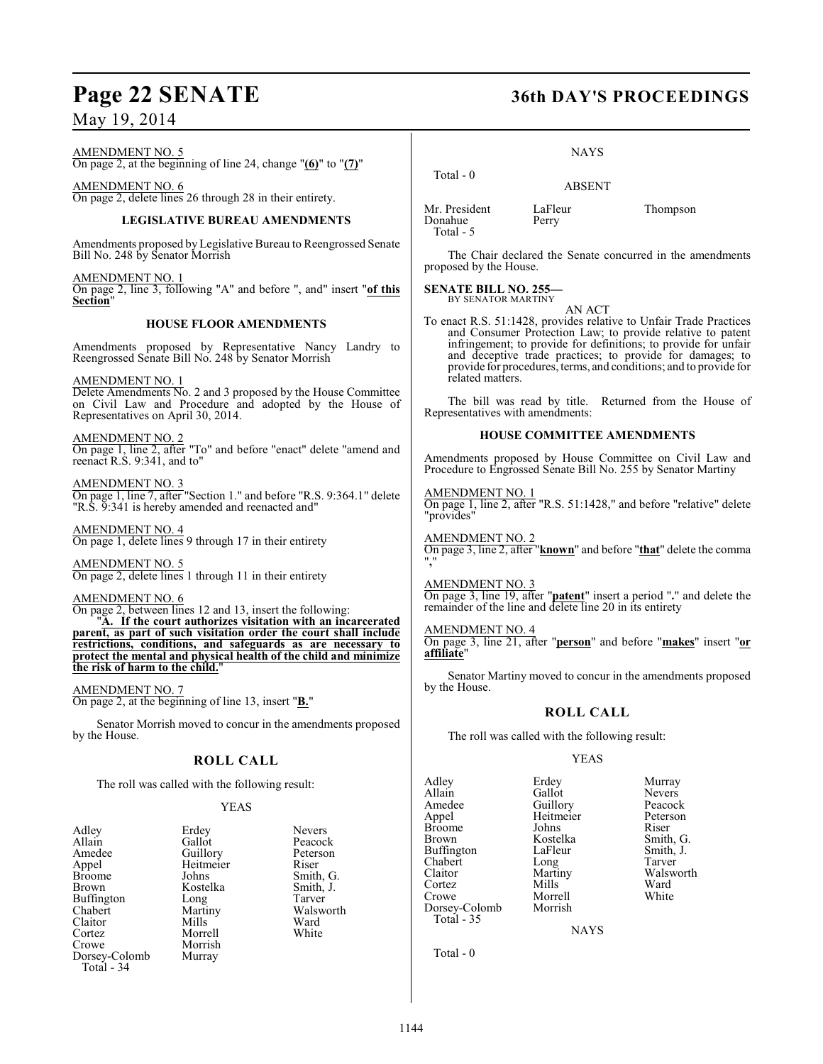AMENDMENT NO. 5 On page 2, at the beginning of line 24, change "**(6)**" to "**(7)**"

AMENDMENT NO. 6 On page 2, delete lines 26 through 28 in their entirety.

#### **LEGISLATIVE BUREAU AMENDMENTS**

Amendments proposed by Legislative Bureau to Reengrossed Senate Bill No. 248 by Senator Morrish

AMENDMENT NO. 1 On page 2, line 3, following "A" and before ", and" insert "**of this Section**"

#### **HOUSE FLOOR AMENDMENTS**

Amendments proposed by Representative Nancy Landry to Reengrossed Senate Bill No. 248 by Senator Morrish

#### AMENDMENT NO. 1

Delete Amendments No. 2 and 3 proposed by the House Committee on Civil Law and Procedure and adopted by the House of Representatives on April 30, 2014.

AMENDMENT NO. 2 On page 1, line 2, after "To" and before "enact" delete "amend and reenact R.S. 9:341, and to"

AMENDMENT NO. 3 On page 1, line 7, after "Section 1." and before "R.S. 9:364.1" delete "R.S. 9:341 is hereby amended and reenacted and"

AMENDMENT NO. 4 On page 1, delete lines 9 through 17 in their entirety

AMENDMENT NO. 5 On page 2, delete lines 1 through 11 in their entirety

AMENDMENT NO. 6

On page 2, between lines 12 and 13, insert the following:

"**A. If the court authorizes visitation with an incarcerated parent, as part of such visitation order the court shall include restrictions, conditions, and safeguards as are necessary to protect the mental and physical health of the child and minimize the risk of harm to the child.**"

AMENDMENT NO. 7 On page 2, at the beginning of line 13, insert "**B.**"

Senator Morrish moved to concur in the amendments proposed by the House.

### **ROLL CALL**

The roll was called with the following result:

#### YEAS

| Adlev         | Erdey     | <b>Nevers</b> |
|---------------|-----------|---------------|
| Allain        | Gallot    | Peacocl       |
| Amedee        | Guillory  | Peterso       |
| Appel         | Heitmeier | Riser         |
| Broome        | Johns     | Smith,        |
| Brown         | Kostelka  | Smith, .      |
| Buffington    | Long      | Tarver        |
| Chabert       | Martiny   | Walswo        |
| Claitor       | Mills     | Ward          |
| Cortez        | Morrell   | White         |
| Crowe         | Morrish   |               |
| Dorsey-Colomb | Murray    |               |
| Total - 34    |           |               |
|               |           |               |

Peacock Peterson<br>Riser Smith, G. Smith, J.<br>Tarver Walsworth<br>Ward

## **Page 22 SENATE 36th DAY'S PROCEEDINGS**

NAYS

ABSENT

Mr. President LaFleur Thompson<br>Donahue Perry Donahue Total - 5

Total - 0

The Chair declared the Senate concurred in the amendments proposed by the House.

**SENATE BILL NO. 255—** BY SENATOR MARTINY

AN ACT

To enact R.S. 51:1428, provides relative to Unfair Trade Practices and Consumer Protection Law; to provide relative to patent infringement; to provide for definitions; to provide for unfair and deceptive trade practices; to provide for damages; to provide for procedures, terms, and conditions; and to provide for related matters.

The bill was read by title. Returned from the House of Representatives with amendments:

#### **HOUSE COMMITTEE AMENDMENTS**

Amendments proposed by House Committee on Civil Law and Procedure to Engrossed Senate Bill No. 255 by Senator Martiny

AMENDMENT NO. 1 On page 1, line 2, after "R.S. 51:1428," and before "relative" delete "provides"

AMENDMENT NO. 2 On page 3, line 2, after "**known**" and before "**that**" delete the comma "**,**"

AMENDMENT NO. 3 On page 3, line 19, after "**patent**" insert a period "**.**" and delete the remainder of the line and delete line 20 in its entirety

#### AMENDMENT NO. 4

On page 3, line 21, after "**person**" and before "**makes**" insert "**or affiliate**"

Senator Martiny moved to concur in the amendments proposed by the House.

#### **ROLL CALL**

The roll was called with the following result:

#### YEAS

example and the Murray Murray<br>Allain Callot Nevers Allain Gallot Nevers<br>
Amedee Guillory Peacock Amedee Guillory Peacock<br>Appel Heitmeier Peterson Broome Johns<br>Brown Kostelka Buffington LaFleur Smith,<br>
Chabert Long Tarver Chabert Long<br>Claitor Martiny Claitor Martiny Walsworth<br>
Cortez Mills Ward Cortez Mills Ward Crowe Morrell White Dorsey-Colomb Total - 35

Heitmeier Peters<br>
Iohns Riser

Kostelka Smith, G.<br>LaFleur Smith, J.

NAYS

Total - 0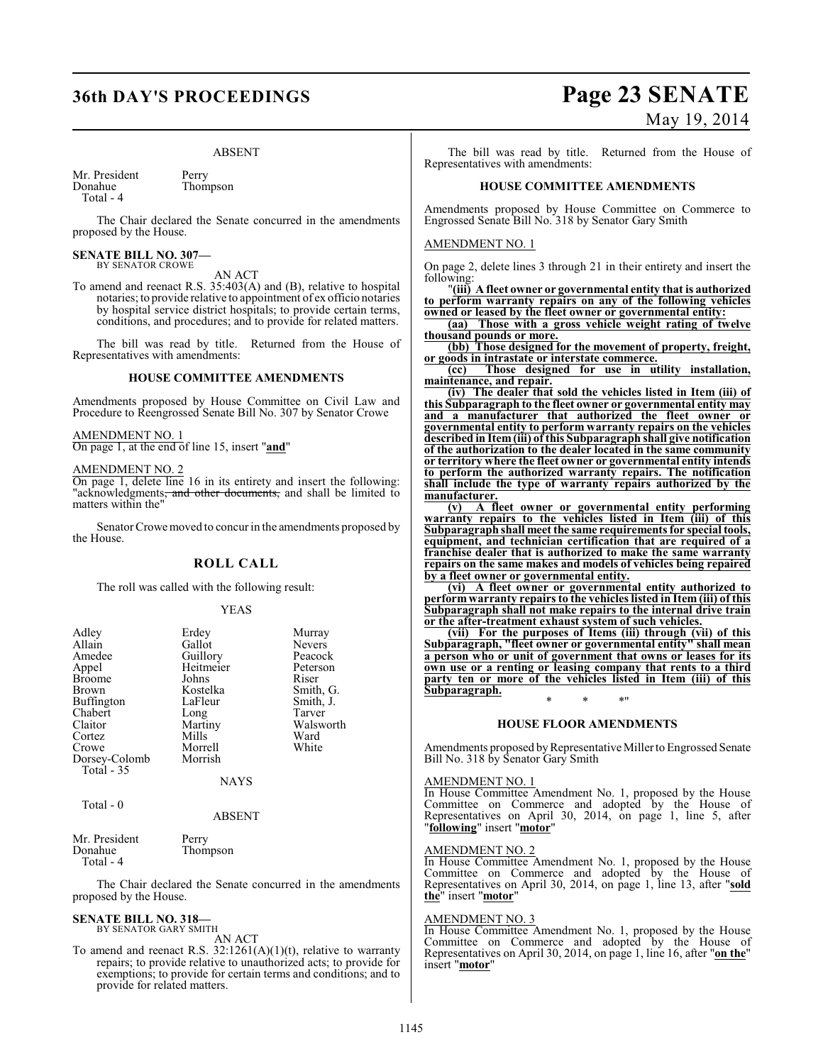#### ABSENT

Mr. President Perry<br>Donahue Thom Thompson Total - 4

The Chair declared the Senate concurred in the amendments proposed by the House.

#### **SENATE BILL NO. 307—** BY SENATOR CROWE

AN ACT

To amend and reenact R.S. 35:403(A) and (B), relative to hospital notaries; to provide relative to appointment of ex officio notaries by hospital service district hospitals; to provide certain terms, conditions, and procedures; and to provide for related matters.

The bill was read by title. Returned from the House of Representatives with amendments:

### **HOUSE COMMITTEE AMENDMENTS**

Amendments proposed by House Committee on Civil Law and Procedure to Reengrossed Senate Bill No. 307 by Senator Crowe

#### AMENDMENT NO. 1

On page 1, at the end of line 15, insert "**and**"

#### AMENDMENT NO. 2

On page 1, delete line 16 in its entirety and insert the following: "acknowledgments, and other documents, and shall be limited to matters within the"

Senator Crowe moved to concur in the amendments proposed by the House.

#### **ROLL CALL**

The roll was called with the following result:

#### YEAS

| Adley<br>Allain<br>Amedee<br>Appel<br><b>Broome</b><br>Brown<br><b>Buffington</b> | Erdey<br>Gallot<br>Guillory<br>Heitmeier<br>Johns<br>Kostelka<br>LaFleur | Murray<br><b>Nevers</b><br>Peacock<br>Peterson<br>Riser<br>Smith, G.<br>Smith, J. |
|-----------------------------------------------------------------------------------|--------------------------------------------------------------------------|-----------------------------------------------------------------------------------|
| Chabert<br>Claitor                                                                | Long<br>Martiny                                                          | Tarver<br>Walsworth                                                               |
| Cortez                                                                            | Mills                                                                    | Ward                                                                              |
| Crowe<br>Dorsey-Colomb<br>Total $-35$                                             | Morrell<br>Morrish                                                       | White                                                                             |
|                                                                                   | <b>NAYS</b>                                                              |                                                                                   |
| Total - 0                                                                         |                                                                          |                                                                                   |

#### ABSENT

| Mr. President | Perry    |
|---------------|----------|
| Donahue       | Thompson |
| Total $-4$    |          |

The Chair declared the Senate concurred in the amendments proposed by the House.

#### **SENATE BILL NO. 318—** BY SENATOR GARY SMITH

AN ACT

To amend and reenact R.S.  $32:1261(A)(1)(t)$ , relative to warranty repairs; to provide relative to unauthorized acts; to provide for exemptions; to provide for certain terms and conditions; and to provide for related matters.

## **36th DAY'S PROCEEDINGS Page 23 SENATE** May 19, 2014

The bill was read by title. Returned from the House of Representatives with amendments:

#### **HOUSE COMMITTEE AMENDMENTS**

Amendments proposed by House Committee on Commerce to Engrossed Senate Bill No. 318 by Senator Gary Smith

#### AMENDMENT NO. 1

On page 2, delete lines 3 through 21 in their entirety and insert the following:

"**(iii) A fleet owner or governmental entity that is authorized to perform warranty repairs on any of the following vehicles owned or leased by the fleet owner or governmental entity:**

**(aa) Those with a gross vehicle weight rating of twelve thousand pounds or more.**

**(bb) Those designed for the movement of property, freight, or goods in intrastate or interstate commerce.**

**(cc) Those designed for use in utility installation, maintenance, and repair.**

**(iv) The dealer that sold the vehicles listed in Item (iii) of this Subparagraph to the fleet owner or governmental entity may and a manufacturer that authorized the fleet owner or governmental entity to perform warranty repairs on the vehicles described in Item (iii) of this Subparagraph shall give notification of the authorization to the dealer located in the same community or territory where the fleet owner or governmental entity intends to perform the authorized warranty repairs. The notification shall include the type of warranty repairs authorized by the manufacturer.**

**(v) A fleet owner or governmental entity performing warranty repairs to the vehicles listed in Item (iii) of this Subparagraph shall meet the same requirements for special tools, equipment, and technician certification that are required of a franchise dealer that is authorized to make the same warranty repairs on the same makes and models of vehicles being repaired by a fleet owner or governmental entity.**

**(vi) A fleet owner or governmental entity authorized to perform warranty repairs to the vehicles listed in Item (iii) of this Subparagraph shall not make repairs to the internal drive train or the after-treatment exhaust system of such vehicles.**

**(vii) For the purposes of Items (iii) through (vii) of this Subparagraph, "fleet owner or governmental entity" shall mean a person who or unit of government that owns or leases for its own use or a renting or leasing company that rents to a third party ten or more of the vehicles listed in Item (iii) of this Subparagraph.** \* \* \*"

#### **HOUSE FLOOR AMENDMENTS**

Amendments proposed by Representative Miller to Engrossed Senate Bill No. 318 by Senator Gary Smith

#### AMENDMENT NO. 1

In House Committee Amendment No. 1, proposed by the House Committee on Commerce and adopted by the House of Representatives on April 30, 2014, on page 1, line 5, after "**following**" insert "**motor**"

#### AMENDMENT NO. 2

In House Committee Amendment No. 1, proposed by the House Committee on Commerce and adopted by the House of Representatives on April 30, 2014, on page 1, line 13, after "**sold the**" insert "**motor**"

#### AMENDMENT NO. 3

In House Committee Amendment No. 1, proposed by the House Committee on Commerce and adopted by the House of Representatives on April 30, 2014, on page 1, line 16, after "**on the**" insert "**motor**"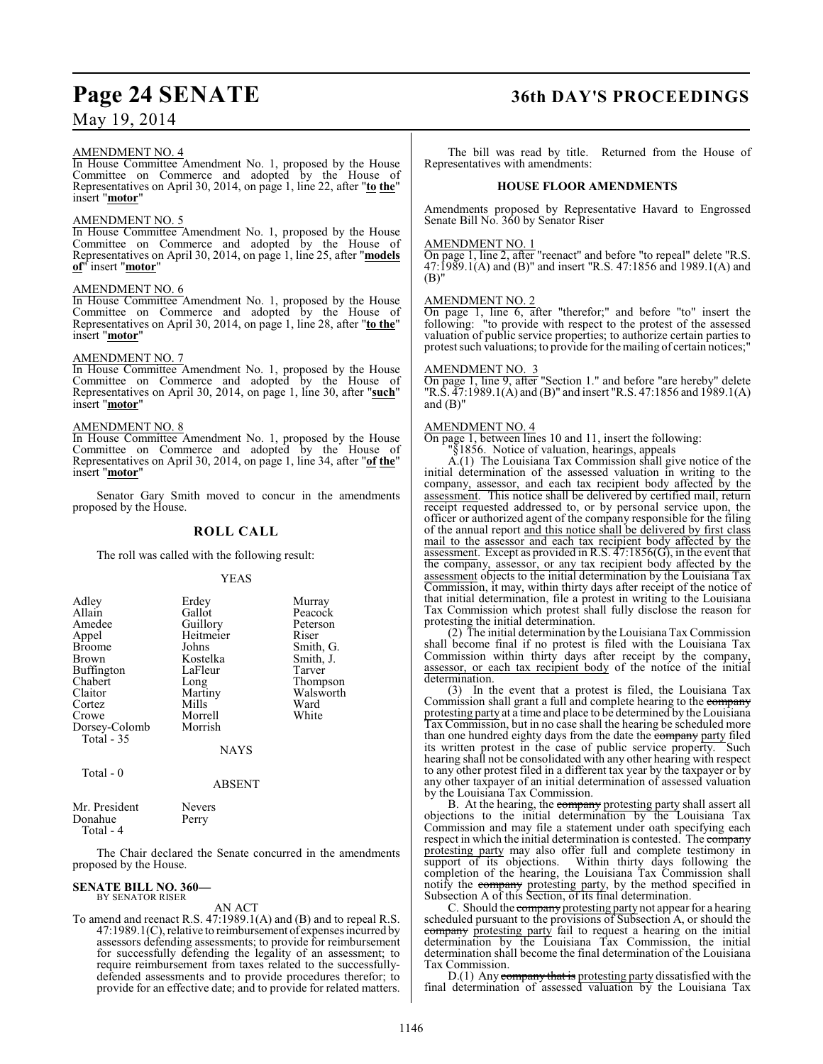#### AMENDMENT NO. 4

In House Committee Amendment No. 1, proposed by the House Committee on Commerce and adopted by the House of Representatives on April 30, 2014, on page 1, line 22, after "**to the**" insert "**motor**"

#### AMENDMENT NO. 5

In House Committee Amendment No. 1, proposed by the House Committee on Commerce and adopted by the House of Representatives on April 30, 2014, on page 1, line 25, after "**models of**" insert "**motor**"

### AMENDMENT NO. 6

In House Committee Amendment No. 1, proposed by the House Committee on Commerce and adopted by the House of Representatives on April 30, 2014, on page 1, line 28, after "**to the**" insert "**motor**"

#### AMENDMENT NO. 7

In House Committee Amendment No. 1, proposed by the House Committee on Commerce and adopted by the House of Representatives on April 30, 2014, on page 1, line 30, after "**such**" insert "**motor**"

#### AMENDMENT NO. 8

In House Committee Amendment No. 1, proposed by the House Committee on Commerce and adopted by the House of Representatives on April 30, 2014, on page 1, line 34, after "**of the**" insert "**motor**"

Senator Gary Smith moved to concur in the amendments proposed by the House.

#### **ROLL CALL**

The roll was called with the following result:

#### YEAS

| Adley         | Erdey     | Murray    |
|---------------|-----------|-----------|
| Allain        | Gallot    | Peacock   |
| Amedee        | Guillory  | Peterson  |
| Appel         | Heitmeier | Riser     |
| <b>Broome</b> | Johns     | Smith, G. |
| <b>Brown</b>  | Kostelka  | Smith, J. |
| Buffington    | LaFleur   | Tarver    |
| Chabert       | Long      | Thompson  |
| Claitor       | Martiny   | Walsworth |
| Cortez        | Mills     | Ward      |
| Crowe         | Morrell   | White     |
| Dorsey-Colomb | Morrish   |           |
| Total - 35    |           |           |
|               | NAYS      |           |

Total - 0

#### ABSENT

| Mr. President | <b>Nevers</b> |  |
|---------------|---------------|--|
| Donahue       | Perry         |  |
| Total - 4     |               |  |

The Chair declared the Senate concurred in the amendments proposed by the House.

## **SENATE BILL NO. 360—** BY SENATOR RISER

### AN ACT

To amend and reenact R.S. 47:1989.1(A) and (B) and to repeal R.S. 47:1989.1(C), relative to reimbursement of expenses incurred by assessors defending assessments; to provide for reimbursement for successfully defending the legality of an assessment; to require reimbursement from taxes related to the successfullydefended assessments and to provide procedures therefor; to provide for an effective date; and to provide for related matters.

### **Page 24 SENATE 36th DAY'S PROCEEDINGS**

The bill was read by title. Returned from the House of Representatives with amendments:

#### **HOUSE FLOOR AMENDMENTS**

Amendments proposed by Representative Havard to Engrossed Senate Bill No. 360 by Senator Riser

#### AMENDMENT NO. 1

On page 1, line 2, after "reenact" and before "to repeal" delete "R.S. 47:1989.1(A) and (B)" and insert "R.S. 47:1856 and 1989.1(A) and (B)"

#### AMENDMENT NO. 2

On page 1, line 6, after "therefor;" and before "to" insert the following: "to provide with respect to the protest of the assessed valuation of public service properties; to authorize certain parties to protest such valuations; to provide for the mailing of certain notices;

#### AMENDMENT NO. 3

On page 1, line 9, after "Section 1." and before "are hereby" delete "R.S. 47:1989.1(A) and (B)" and insert "R.S. 47:1856 and 1989.1(A) and (B)"

#### AMENDMENT NO. 4

On page 1, between lines 10 and 11, insert the following:

"§1856. Notice of valuation, hearings, appeals

A.(1) The Louisiana Tax Commission shall give notice of the initial determination of the assessed valuation in writing to the company, assessor, and each tax recipient body affected by the assessment. This notice shall be delivered by certified mail, return receipt requested addressed to, or by personal service upon, the officer or authorized agent of the company responsible for the filing of the annual report and this notice shall be delivered by first class mail to the assessor and each tax recipient body affected by the assessment. Except as provided in R.S. 47:1856(G), in the event that the company, assessor, or any tax recipient body affected by the assessment objects to the initial determination by the Louisiana Tax Commission, it may, within thirty days after receipt of the notice of that initial determination, file a protest in writing to the Louisiana Tax Commission which protest shall fully disclose the reason for protesting the initial determination.

(2) The initial determination by the Louisiana Tax Commission shall become final if no protest is filed with the Louisiana Tax Commission within thirty days after receipt by the company, assessor, or each tax recipient body of the notice of the initial determination.

(3) In the event that a protest is filed, the Louisiana Tax Commission shall grant a full and complete hearing to the company protesting party at a time and place to be determined by the Louisiana Tax Commission, but in no case shall the hearing be scheduled more than one hundred eighty days from the date the **company** party filed its written protest in the case of public service property. Such hearing shall not be consolidated with any other hearing with respect to any other protest filed in a different tax year by the taxpayer or by any other taxpayer of an initial determination of assessed valuation by the Louisiana Tax Commission.

B. At the hearing, the company protesting party shall assert all objections to the initial determination by the Louisiana Tax Commission and may file a statement under oath specifying each respect in which the initial determination is contested. The company protesting party may also offer full and complete testimony in support of its objections. Within thirty days following the Within thirty days following the completion of the hearing, the Louisiana Tax Commission shall notify the company protesting party, by the method specified in Subsection A of this Section, of its final determination.

C. Should the company protesting party not appear for a hearing scheduled pursuant to the provisions of Subsection A, or should the company protesting party fail to request a hearing on the initial determination by the Louisiana Tax Commission, the initial determination shall become the final determination of the Louisiana Tax Commission.

D.(1) Any company that is protesting party dissatisfied with the final determination of assessed valuation by the Louisiana Tax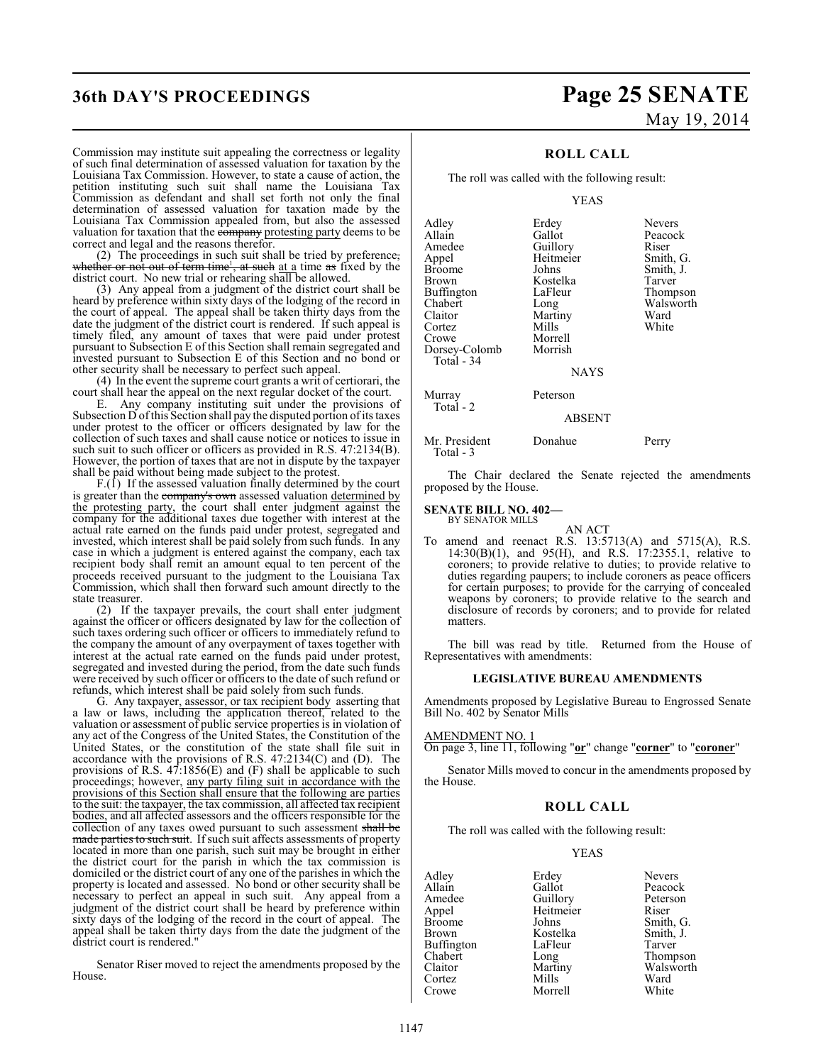#### Commission may institute suit appealing the correctness or legality of such final determination of assessed valuation for taxation by the Louisiana Tax Commission. However, to state a cause of action, the petition instituting such suit shall name the Louisiana Tax Commission as defendant and shall set forth not only the final determination of assessed valuation for taxation made by the Louisiana Tax Commission appealed from, but also the assessed valuation for taxation that the company protesting party deems to be correct and legal and the reasons therefor.

(2) The proceedings in such suit shall be tried by preference, whether or not out of term time<sup>1</sup>, at such at a time  $\pi s$  fixed by the district court. No new trial or rehearing shall be allowed.

(3) Any appeal from a judgment of the district court shall be heard by preference within sixty days of the lodging of the record in the court of appeal. The appeal shall be taken thirty days from the date the judgment of the district court is rendered. If such appeal is timely filed, any amount of taxes that were paid under protest pursuant to Subsection E of this Section shall remain segregated and invested pursuant to Subsection E of this Section and no bond or other security shall be necessary to perfect such appeal.

(4) In the event the supreme court grants a writ of certiorari, the court shall hear the appeal on the next regular docket of the court.

E. Any company instituting suit under the provisions of Subsection D of this Section shall pay the disputed portion of its taxes under protest to the officer or officers designated by law for the collection of such taxes and shall cause notice or notices to issue in such suit to such officer or officers as provided in R.S. 47:2134(B). However, the portion of taxes that are not in dispute by the taxpayer shall be paid without being made subject to the protest.

 $F.(\tilde{1})$  If the assessed valuation finally determined by the court is greater than the company's own assessed valuation determined by the protesting party, the court shall enter judgment against the company for the additional taxes due together with interest at the actual rate earned on the funds paid under protest, segregated and invested, which interest shall be paid solely from such funds. In any case in which a judgment is entered against the company, each tax recipient body shall remit an amount equal to ten percent of the proceeds received pursuant to the judgment to the Louisiana Tax Commission, which shall then forward such amount directly to the state treasurer.

(2) If the taxpayer prevails, the court shall enter judgment against the officer or officers designated by law for the collection of such taxes ordering such officer or officers to immediately refund to the company the amount of any overpayment of taxes together with interest at the actual rate earned on the funds paid under protest, segregated and invested during the period, from the date such funds were received by such officer or officers to the date of such refund or refunds, which interest shall be paid solely from such funds.

G. Any taxpayer, assessor, or tax recipient body asserting that a law or laws, including the application thereof, related to the valuation or assessment of public service properties is in violation of any act of the Congress of the United States, the Constitution of the United States, or the constitution of the state shall file suit in accordance with the provisions of R.S. 47:2134(C) and (D). The provisions of R.S. 47:1856(E) and (F) shall be applicable to such proceedings; however, any party filing suit in accordance with the provisions of this Section shall ensure that the following are parties to the suit: the taxpayer, the tax commission, all affected tax recipient bodies, and all affected assessors and the officers responsible for the collection of any taxes owed pursuant to such assessment shall be made parties to such suit. If such suit affects assessments of property located in more than one parish, such suit may be brought in either the district court for the parish in which the tax commission is domiciled or the district court of any one of the parishes in which the property is located and assessed. No bond or other security shall be necessary to perfect an appeal in such suit. Any appeal from a judgment of the district court shall be heard by preference within sixty days of the lodging of the record in the court of appeal. The appeal shall be taken thirty days from the date the judgment of the district court is rendered."

Senator Riser moved to reject the amendments proposed by the House.

## **36th DAY'S PROCEEDINGS Page 25 SENATE** May 19, 2014

### **ROLL CALL**

The roll was called with the following result:

#### YEAS

| Adley<br>Allain<br>Amedee<br>Appel<br><b>Broome</b><br>Brown<br>Buffington<br>Chabert<br>Claitor<br>Cortez | Erdey<br>Gallot<br>Guillory<br>Heitmeier<br>Johns<br>Kostelka<br>LaFleur<br>Long<br>Martiny<br>Mills | <b>Nevers</b><br>Peacock<br>Riser<br>Smith, G.<br>Smith, J.<br>Tarver<br>Thompson<br>Walsworth<br>Ward<br>White |
|------------------------------------------------------------------------------------------------------------|------------------------------------------------------------------------------------------------------|-----------------------------------------------------------------------------------------------------------------|
| Crowe<br>Dorsey-Colomb<br>Total - 34                                                                       | Morrell<br>Morrish<br><b>NAYS</b>                                                                    |                                                                                                                 |
| Murray<br>Total - 2                                                                                        | Peterson                                                                                             |                                                                                                                 |

#### ABSENT

Mr. President Donahue Perry Total - 3

The Chair declared the Senate rejected the amendments proposed by the House.

### **SENATE BILL NO. 402—**

BY SENATOR MILLS

AN ACT To amend and reenact R.S. 13:5713(A) and 5715(A), R.S.  $14:30(B)(1)$ , and  $95(H)$ , and R.S. 17:2355.1, relative to coroners; to provide relative to duties; to provide relative to duties regarding paupers; to include coroners as peace officers for certain purposes; to provide for the carrying of concealed weapons by coroners; to provide relative to the search and disclosure of records by coroners; and to provide for related matters.

The bill was read by title. Returned from the House of Representatives with amendments:

#### **LEGISLATIVE BUREAU AMENDMENTS**

Amendments proposed by Legislative Bureau to Engrossed Senate Bill No. 402 by Senator Mills

#### AMENDMENT NO. 1

On page 3, line 11, following "**or**" change "**corner**" to "**coroner**"

Senator Mills moved to concur in the amendments proposed by the House.

#### **ROLL CALL**

The roll was called with the following result:

#### YEAS

Adley Erdey Nevers Allain Callot Gallot Gallot Peacock<br>Amedee Guillory Peterson Amedee Guillory Peterson<br>
Appel Heitmeier Riser Appel Heitmeier<br>Broome Johns Broome Johns Smith, G.<br>Brown Kostelka Smith, J. Buffington LaFle<br>Chabert Long Chabert Long Thompson<br>Claitor Martiny Walsworth Cortez Mills Ward<br>Crowe Morrell White Crowe Morrell

Kostelka Smith,<br>LaFleur Tarver Martiny Walsworth<br>
Mills Ward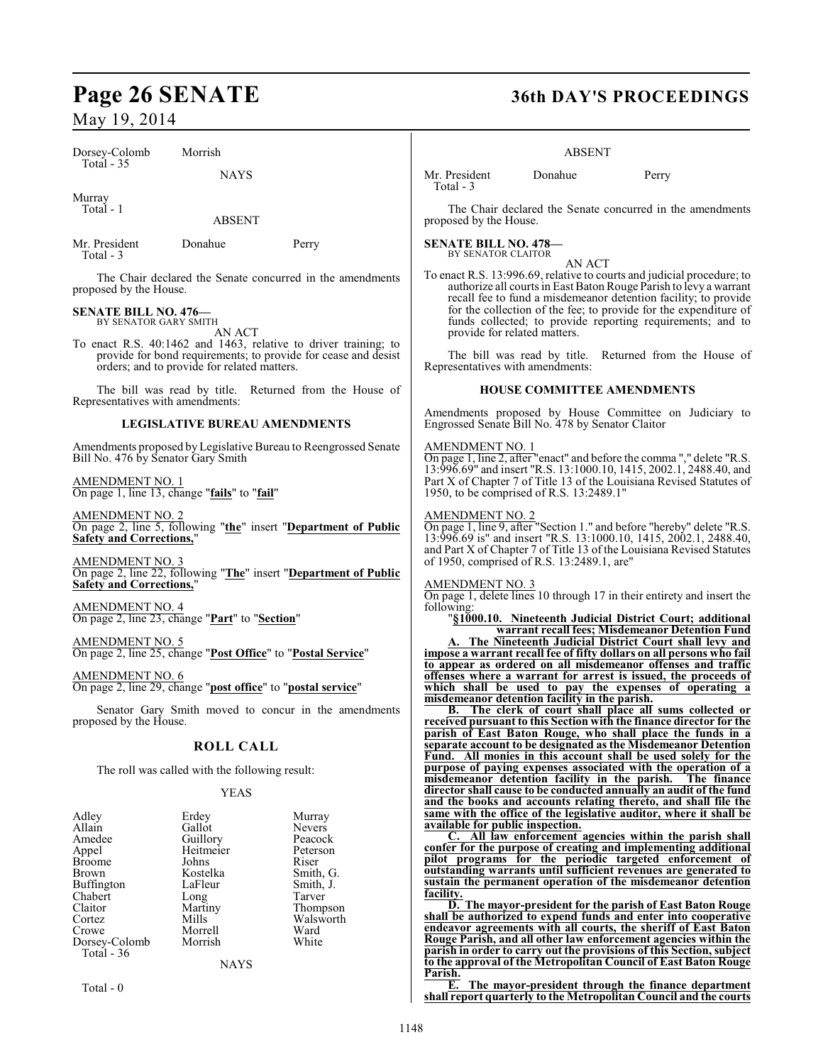Dorsey-Colomb Morrish Total - 35

NAYS

Murray

Total - 1

ABSENT

Mr. President Donahue Perry Total - 3

The Chair declared the Senate concurred in the amendments proposed by the House.

#### **SENATE BILL NO. 476—** BY SENATOR GARY SMITH

AN ACT

To enact R.S. 40:1462 and 1463, relative to driver training; to provide for bond requirements; to provide for cease and desist orders; and to provide for related matters.

The bill was read by title. Returned from the House of Representatives with amendments:

#### **LEGISLATIVE BUREAU AMENDMENTS**

Amendments proposed by Legislative Bureau to Reengrossed Senate Bill No. 476 by Senator Gary Smith

AMENDMENT NO. 1 On page 1, line 13, change "**fails**" to "**fail**"

AMENDMENT NO. 2 On page 2, line 5, following "**the**" insert "**Department of Public Safety and Corrections,**"

AMENDMENT NO. 3 On page 2, line 22, following "**The**" insert "**Department of Public Safety and Corrections,**"

AMENDMENT NO. 4 On page 2, line 23, change "**Part**" to "**Section**"

AMENDMENT NO. 5 On page 2, line 25, change "**Post Office**" to "**Postal Service**"

AMENDMENT NO. 6 On page 2, line 29, change "**post office**" to "**postal service**"

Senator Gary Smith moved to concur in the amendments proposed by the House.

### **ROLL CALL**

The roll was called with the following result:

### YEAS

| Adley             | Erdey     | Murray        |
|-------------------|-----------|---------------|
| Allain            | Gallot    | <b>Nevers</b> |
| Amedee            | Guillory  | Peacock       |
| Appel             | Heitmeier | Peterson      |
| <b>Broome</b>     | Johns     | Riser         |
| Brown             | Kostelka  | Smith, G.     |
| <b>Buffington</b> | LaFleur   | Smith, J.     |
| Chabert           | Long      | Tarver        |
| Claitor           | Martiny   | Thompson      |
| Cortez            | Mills     | Walsworth     |
| Crowe             | Morrell   | Ward          |
| Dorsey-Colomb     | Morrish   | White         |
| Total - 36        |           |               |
|                   | NAYS      |               |

 $Total = 0$ 

## Page 26 SENATE 36th DAY'S PROCEEDINGS

#### ABSENT

Mr. President Donahue Perry Total - 3

The Chair declared the Senate concurred in the amendments proposed by the House.

**SENATE BILL NO. 478—** BY SENATOR CLAITOR

AN ACT

To enact R.S. 13:996.69, relative to courts and judicial procedure; to authorize all courts in East Baton Rouge Parish to levy a warrant recall fee to fund a misdemeanor detention facility; to provide for the collection of the fee; to provide for the expenditure of funds collected; to provide reporting requirements; and to provide for related matters.

The bill was read by title. Returned from the House of Representatives with amendments:

### **HOUSE COMMITTEE AMENDMENTS**

Amendments proposed by House Committee on Judiciary to Engrossed Senate Bill No. 478 by Senator Claitor

#### AMENDMENT NO. 1

On page 1, line 2, after "enact" and before the comma "," delete "R.S. 13:996.69" and insert "R.S. 13:1000.10, 1415, 2002.1, 2488.40, and Part X of Chapter 7 of Title 13 of the Louisiana Revised Statutes of 1950, to be comprised of R.S. 13:2489.1"

#### AMENDMENT NO. 2

On page 1, line 9, after "Section 1." and before "hereby" delete "R.S. 13:996.69 is" and insert "R.S. 13:1000.10, 1415, 2002.1, 2488.40, and Part X of Chapter 7 of Title 13 of the Louisiana Revised Statutes of 1950, comprised of R.S. 13:2489.1, are"

#### AMENDMENT NO. 3

On page 1, delete lines 10 through 17 in their entirety and insert the following:

"**§1000.10. Nineteenth Judicial District Court; additional warrant recall fees; Misdemeanor Detention Fund**

**The Nineteenth Judicial District Court shall levy and impose a warrant recall fee of fifty dollars on all persons who fail to appear as ordered on all misdemeanor offenses and traffic offenses where a warrant for arrest is issued, the proceeds of which shall be used to pay the expenses of operating a misdemeanor detention facility in the parish.**

**B. The clerk of court shall place all sums collected or received pursuant to this Section with the finance director for the parish of East Baton Rouge, who shall place the funds in a separate account to be designated as the Misdemeanor Detention Fund. All monies in this account shall be used solely for the purpose of paying expenses associated with the operation of a misdemeanor detention facility in the parish. The finance director shall cause to be conducted annually an audit of the fund and the books and accounts relating thereto, and shall file the same with the office of the legislative auditor, where it shall be available for public inspection.**

All law enforcement agencies within the parish shall **confer for the purpose of creating and implementing additional pilot programs for the periodic targeted enforcement of outstanding warrants until sufficient revenues are generated to sustain the permanent operation of the misdemeanor detention facility.**

**D. The mayor-president for the parish of East Baton Rouge shall be authorized to expend funds and enter into cooperative endeavor agreements with all courts, the sheriff of East Baton Rouge Parish, and all other law enforcement agencies within the parish in order to carry out the provisions of this Section, subject to the approval of the Metropolitan Council of East Baton Rouge Parish.**

**E. The mayor-president through the finance department shall report quarterly to the Metropolitan Council and the courts**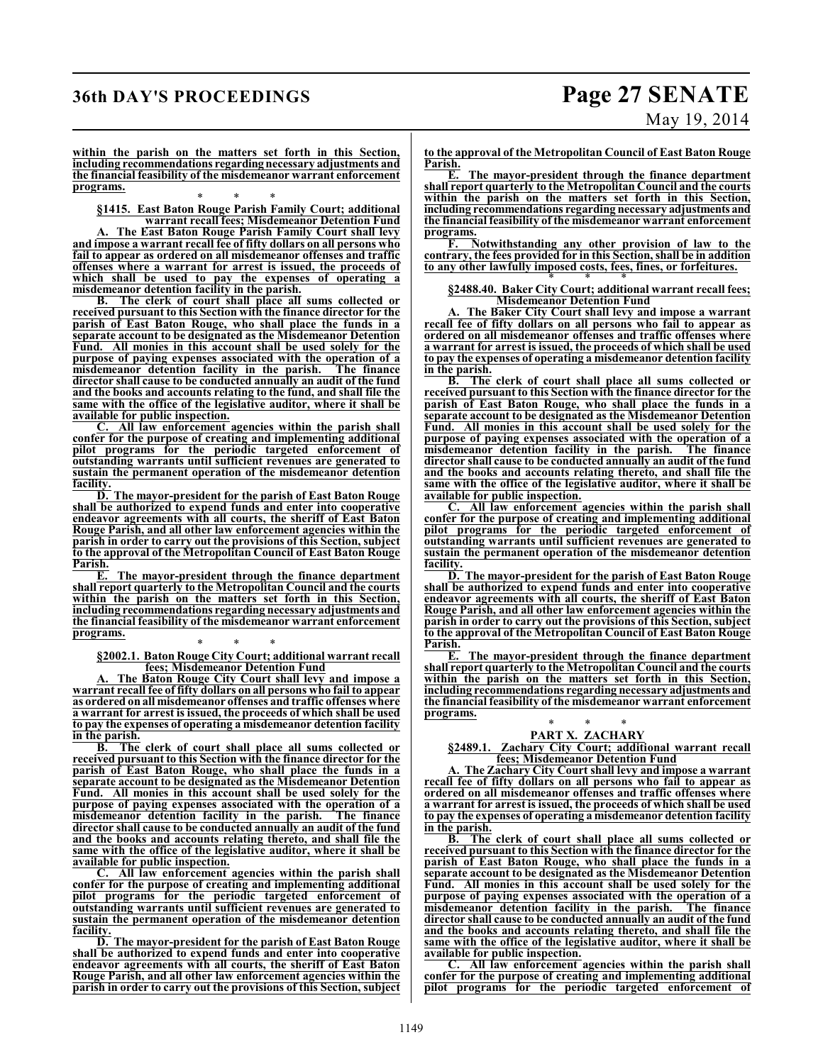### **36th DAY'S PROCEEDINGS Page 27 SENATE**

# May 19, 2014

**within the parish on the matters set forth in this Section, including recommendations regarding necessary adjustments and the financial feasibility of the misdemeanor warrant enforcement programs.**

\* \* \* **§1415. East Baton Rouge Parish Family Court; additional**

**warrant recall fees; Misdemeanor Detention Fund A. The East Baton Rouge Parish Family Court shall levy and impose a warrant recall fee of fifty dollars on all persons who fail to appear as ordered on all misdemeanor offenses and traffic offenses where a warrant for arrest is issued, the proceeds of which shall be used to pay the expenses of operating a misdemeanor detention facility in the parish.**

**B. The clerk of court shall place all sums collected or received pursuant to this Section with the finance director for the parish of East Baton Rouge, who shall place the funds in a separate account to be designated as the Misdemeanor Detention Fund. All monies in this account shall be used solely for the purpose of paying expenses associated with the operation of a misdemeanor detention facility in the parish. The finance director shall cause to be conducted annually an audit of the fund and the books and accounts relating to the fund, and shall file the same with the office of the legislative auditor, where it shall be available for public inspection.**

All law enforcement agencies within the parish shall **confer for the purpose of creating and implementing additional pilot programs for the periodic targeted enforcement of outstanding warrants until sufficient revenues are generated to sustain the permanent operation of the misdemeanor detention facility.**

**D. The mayor-president for the parish of East Baton Rouge shall be authorized to expend funds and enter into cooperative endeavor agreements with all courts, the sheriff of East Baton Rouge Parish, and all other law enforcement agencies within the parish in order to carry out the provisions of this Section, subject to the approval of the Metropolitan Council of East Baton Rouge Parish.**

**E. The mayor-president through the finance department shall report quarterly to the Metropolitan Council and the courts within the parish on the matters set forth in this Section, including recommendations regarding necessary adjustments and the financial feasibility of the misdemeanor warrant enforcement programs.**

\* \* \* **§2002.1. Baton Rouge City Court; additional warrant recall fees; Misdemeanor Detention Fund**

**The Baton Rouge City Court shall levy and impose a warrant recall fee of fifty dollars on all persons who fail to appear as ordered on all misdemeanor offenses and traffic offenses where a warrant for arrest is issued, the proceeds of which shall be used to pay the expenses of operating a misdemeanor detention facility in the parish.**

**B. The clerk of court shall place all sums collected or received pursuant to this Section with the finance director for the parish of East Baton Rouge, who shall place the funds in a separate account to be designated as the Misdemeanor Detention Fund. All monies in this account shall be used solely for the purpose of paying expenses associated with the operation of a misdemeanor detention facility in the parish. The finance director shall cause to be conducted annually an audit of the fund and the books and accounts relating thereto, and shall file the same with the office of the legislative auditor, where it shall be available for public inspection.**

**C. All law enforcement agencies within the parish shall confer for the purpose of creating and implementing additional pilot programs for the periodic targeted enforcement of outstanding warrants until sufficient revenues are generated to sustain the permanent operation of the misdemeanor detention facility.**

**D. The mayor-president for the parish of East Baton Rouge shall be authorized to expend funds and enter into cooperative endeavor agreements with all courts, the sheriff of East Baton Rouge Parish, and all other law enforcement agencies within the parish in order to carry out the provisions of this Section, subject** **to the approval of the Metropolitan Council of East Baton Rouge Parish.**

**E. The mayor-president through the finance department shall report quarterly to the Metropolitan Council and the courts within the parish on the matters set forth in this Section, including recommendations regarding necessary adjustments and the financial feasibility of the misdemeanor warrant enforcement programs.**

**F. Notwithstanding any other provision of law to the contrary, the fees provided for in this Section, shall be in addition to any other lawfully imposed costs, fees, fines, or forfeitures.**

#### \* \* \* **§2488.40. Baker City Court; additional warrant recall fees; Misdemeanor Detention Fund**

**A. The Baker City Court shall levy and impose a warrant recall fee of fifty dollars on all persons who fail to appear as ordered on all misdemeanor offenses and traffic offenses where a warrant for arrest is issued, the proceeds of which shall be used to pay the expenses of operating a misdemeanor detention facility in the parish.**

**B. The clerk of court shall place all sums collected or received pursuant to this Section with the finance director for the parish of East Baton Rouge, who shall place the funds in a separate account to be designated as the Misdemeanor Detention Fund. All monies in this account shall be used solely for the purpose of paying expenses associated with the operation of a misdemeanor detention facility in the parish. The finance director shall cause to be conducted annually an audit of the fund and the books and accounts relating thereto, and shall file the same with the office of the legislative auditor, where it shall be available for public inspection.**

**C. All law enforcement agencies within the parish shall confer for the purpose of creating and implementing additional pilot programs for the periodic targeted enforcement of outstanding warrants until sufficient revenues are generated to sustain the permanent operation of the misdemeanor detention facility.**

**D. The mayor-president for the parish of East Baton Rouge shall be authorized to expend funds and enter into cooperative endeavor agreements with all courts, the sheriff of East Baton Rouge Parish, and all other law enforcement agencies within the parish in order to carry out the provisions of this Section, subject to the approval of the Metropolitan Council of East Baton Rouge Parish.**

**E. The mayor-president through the finance department shall report quarterly to the Metropolitan Council and the courts within the parish on the matters set forth in this Section, including recommendations regarding necessary adjustments and the financial feasibility of the misdemeanor warrant enforcement programs.**

#### \* \* \* **PART X. ZACHARY**

**§2489.1. Zachary City Court; additional warrant recall fees; Misdemeanor Detention Fund**

**A. The Zachary City Court shall levy and impose a warrant recall fee of fifty dollars on all persons who fail to appear as ordered on all misdemeanor offenses and traffic offenses where a warrant for arrest is issued, the proceeds of which shall be used to pay the expenses of operating a misdemeanor detention facility in the parish.**

**B. The clerk of court shall place all sums collected or received pursuant to this Section with the finance director for the parish of East Baton Rouge, who shall place the funds in a separate account to be designated as the Misdemeanor Detention Fund. All monies in this account shall be used solely for the purpose of paying expenses associated with the operation of a misdemeanor detention facility in the parish. The finance director shall cause to be conducted annually an audit of the fund and the books and accounts relating thereto, and shall file the same with the office of the legislative auditor, where it shall be available for public inspection.**

**C. All law enforcement agencies within the parish shall confer for the purpose of creating and implementing additional pilot programs for the periodic targeted enforcement of**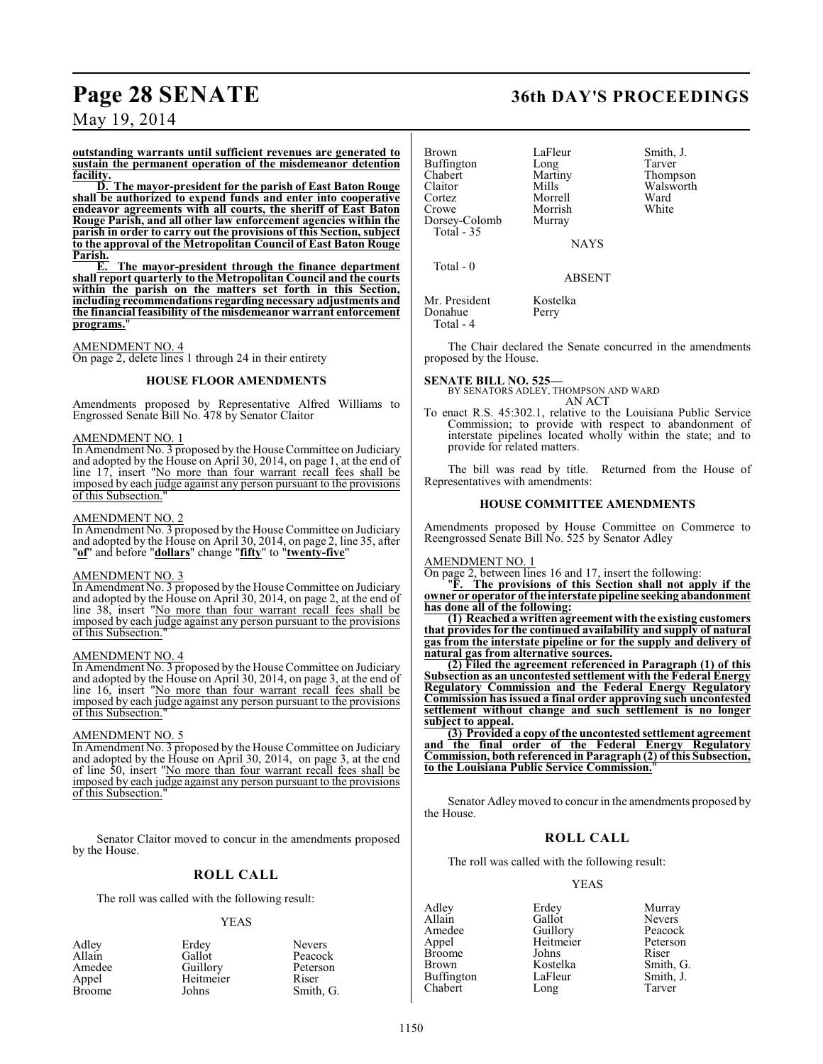### **Page 28 SENATE 36th DAY'S PROCEEDINGS**

May 19, 2014

**outstanding warrants until sufficient revenues are generated to sustain the permanent operation of the misdemeanor detention facility.**

**D. The mayor-president for the parish of East Baton Rouge shall be authorized to expend funds and enter into cooperative endeavor agreements with all courts, the sheriff of East Baton Rouge Parish, and all other law enforcement agencies within the parish in order to carry out the provisions of this Section, subject to the approval of the Metropolitan Council of East Baton Rouge Parish.**

**E. The mayor-president through the finance department shall report quarterly to the Metropolitan Council and the courts within the parish on the matters set forth in this Section, including recommendations regarding necessary adjustments and the financial feasibility of the misdemeanor warrant enforcement** programs.

#### AMENDMENT NO. 4

On page 2, delete lines 1 through 24 in their entirety

#### **HOUSE FLOOR AMENDMENTS**

Amendments proposed by Representative Alfred Williams to Engrossed Senate Bill No. 478 by Senator Claitor

#### AMENDMENT NO. 1

In Amendment No. 3 proposed by the House Committee on Judiciary and adopted by the House on April 30, 2014, on page 1, at the end of line 17, insert "No more than four warrant recall fees shall be imposed by each judge against any person pursuant to the provisions of this Subsection.

#### AMENDMENT NO. 2

In Amendment No. 3 proposed by the House Committee on Judiciary and adopted by the House on April 30, 2014, on page 2, line 35, after "**of**" and before "**dollars**" change "**fifty**" to "**twenty-five**"

#### AMENDMENT NO. 3

In Amendment No. 3 proposed by the House Committee on Judiciary and adopted by the House on April 30, 2014, on page 2, at the end of line 38, insert "No more than four warrant recall fees shall be imposed by each judge against any person pursuant to the provisions of this Subsection.

#### AMENDMENT NO. 4

In Amendment No. 3 proposed by the House Committee on Judiciary and adopted by the House on April 30, 2014, on page 3, at the end of line 16, insert "No more than four warrant recall fees shall be imposed by each judge against any person pursuant to the provisions of this Subsection."

#### AMENDMENT NO. 5

In Amendment No. 3 proposed by the House Committee on Judiciary and adopted by the House on April 30, 2014, on page 3, at the end of line 50, insert "No more than four warrant recall fees shall be imposed by each judge against any person pursuant to the provisions of this Subsection."

Senator Claitor moved to concur in the amendments proposed by the House.

### **ROLL CALL**

The roll was called with the following result:

#### YEAS

| Erdey     | Nevers  |
|-----------|---------|
| Gallot    | Peacoc  |
| Guillory  | Peterso |
| Heitmeier | Riser   |
| Johns     | Smith,  |
|           |         |

ot Peacock<br>
ory Peterson lory Peterson<br>
meier Riser Smith, G. Brown LaFleur Smith, J.<br>Buffington Long Tarver Buffington Long<br>Chabert Martiny Chabert Martiny Thompson<br>Claitor Mills Walsworth Claitor Mills Walsworth Cortez Morrell Ward Morrish<br>Murray Dorsey-Colomb Total - 35 Total - 0

NAYS

ABSENT

Mr. President Kostelka<br>Donahue Perry Donahue Total - 4

The Chair declared the Senate concurred in the amendments proposed by the House.

**SENATE BILL NO. 525—** BY SENATORS ADLEY, THOMPSON AND WARD

AN ACT

To enact R.S. 45:302.1, relative to the Louisiana Public Service Commission; to provide with respect to abandonment of interstate pipelines located wholly within the state; and to provide for related matters.

The bill was read by title. Returned from the House of Representatives with amendments:

### **HOUSE COMMITTEE AMENDMENTS**

Amendments proposed by House Committee on Commerce to Reengrossed Senate Bill No. 525 by Senator Adley

#### AMENDMENT NO. 1

On page 2, between lines 16 and 17, insert the following:

"**F. The provisions of this Section shall not apply if the owner or operator of the interstate pipeline seeking abandonment has done all of the following:**

**(1) Reached a writtenagreement with the existing customers that provides for the continued availability and supply of natural gas from the interstate pipeline or for the supply and delivery of natural gas from alternative sources.**

**(2) Filed the agreement referenced in Paragraph (1) of this Subsection as an uncontested settlement with the Federal Energy Regulatory Commission and the Federal Energy Regulatory Commission has issued a final order approving such uncontested settlement without change and such settlement is no longer subject to appeal.**

**(3) Provided a copy of the uncontested settlement agreement and the final order of the Federal Energy Regulatory Commission, both referenced in Paragraph (2) of this Subsection, to the Louisiana Public Service Commission.**"

Senator Adley moved to concur in the amendments proposed by the House.

### **ROLL CALL**

The roll was called with the following result:

YEAS

Adley Erdey Murray Allain Gallot Nevers<br>
Amedee Guillory Peacock Amedee Guillory Peacock<br>Appel Heitmeier Peterson Heitmeier Peters<br>
Johns Riser Broome Johns Riser<br>Brown Kostelka Smith, G. Kostelka Smith, G.<br>LaFleur Smith, J. Buffington LaFleur Smith,<br>
Chabert Long Tarver

Chabert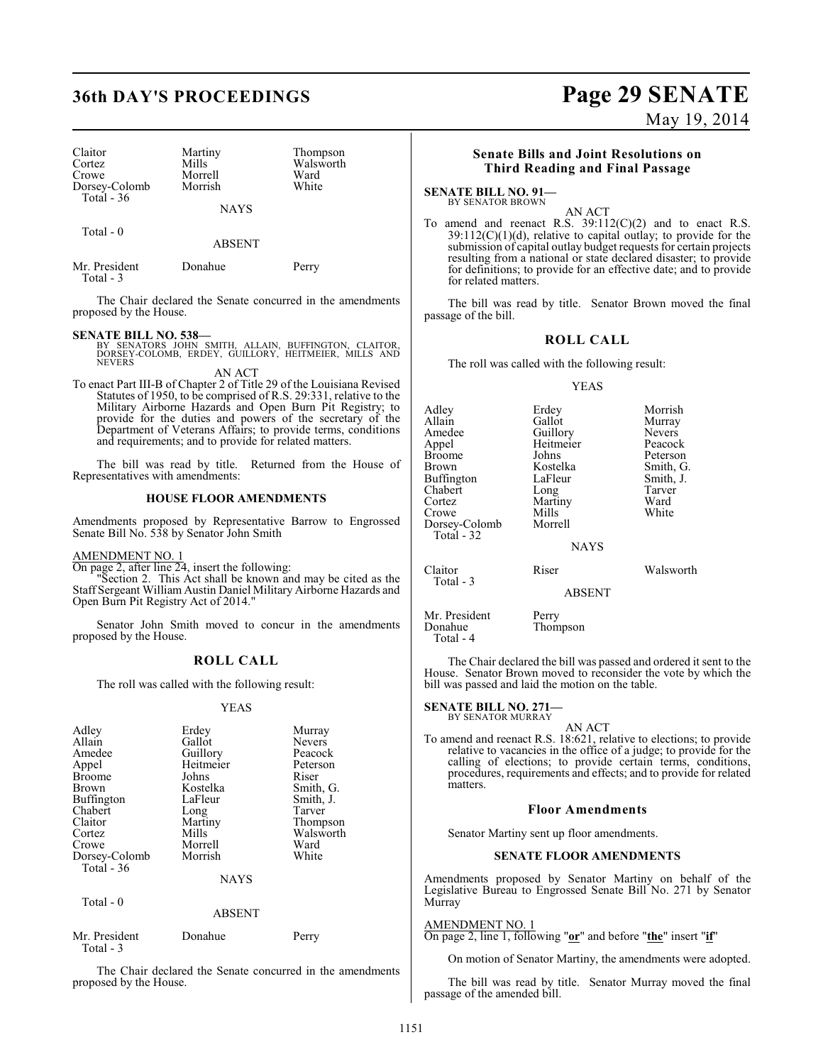## **36th DAY'S PROCEEDINGS Page 29 SENATE**

| Claitor       | Martiny     | Thompson  |
|---------------|-------------|-----------|
| Cortez        | Mills       | Walsworth |
| Crowe         | Morrell     | Ward      |
| Dorsey-Colomb | Morrish     | White     |
| Total $-36$   |             |           |
|               | <b>NAYS</b> |           |

Total - 0

ABSENT

| Mr. President<br>Total - 3 | Donahue | Perry |
|----------------------------|---------|-------|
|                            |         |       |

The Chair declared the Senate concurred in the amendments proposed by the House.

**SENATE BILL NO. 538—** BY SENATORS JOHN SMITH, ALLAIN, BUFFINGTON, CLAITOR, DORSEY-COLOMB, ERDEY, GUILLORY, HEITMEIER, MILLS AND NEVERS

AN ACT

To enact Part III-B of Chapter 2 of Title 29 of the Louisiana Revised Statutes of 1950, to be comprised of R.S. 29:331, relative to the Military Airborne Hazards and Open Burn Pit Registry; to provide for the duties and powers of the secretary of the Department of Veterans Affairs; to provide terms, conditions and requirements; and to provide for related matters.

The bill was read by title. Returned from the House of Representatives with amendments:

#### **HOUSE FLOOR AMENDMENTS**

Amendments proposed by Representative Barrow to Engrossed Senate Bill No. 538 by Senator John Smith

#### AMENDMENT NO. 1

On page 2, after line 24, insert the following:

"Section 2. This Act shall be known and may be cited as the Staff Sergeant William Austin Daniel Military Airborne Hazards and Open Burn Pit Registry Act of 2014."

Senator John Smith moved to concur in the amendments proposed by the House.

#### **ROLL CALL**

The roll was called with the following result:

#### YEAS

| Adley         | Erdey          | Murray        |
|---------------|----------------|---------------|
| Allain        | Gallot         | <b>Nevers</b> |
| Amedee        | Guillory       | Peacock       |
| Appel         | Heitmeier      | Peterson      |
| <b>Broome</b> | Johns          | Riser         |
| Brown         | Kostelka       | Smith, G.     |
| Buffington    | LaFleur        | Smith, J.     |
| Chabert       | Long           | Tarver        |
| Claitor       | Martiny        | Thompson      |
| Cortez        | Mills          | Walsworth     |
| Crowe         | Morrell        | Ward          |
| Dorsey-Colomb | Morrish        | White         |
| Total - 36    |                |               |
|               | <b>ATA SZC</b> |               |

NAYS

Total - 0

ABSENT

| Mr. President | Donahue | Perry |
|---------------|---------|-------|
| Total - 3     |         |       |

The Chair declared the Senate concurred in the amendments proposed by the House.

## May 19, 2014

#### **Senate Bills and Joint Resolutions on Third Reading and Final Passage**

**SENATE BILL NO. 91—** BY SENATOR BROWN

AN ACT To amend and reenact R.S.  $39:112(C)(2)$  and to enact R.S.  $39:112(C)(1)(d)$ , relative to capital outlay; to provide for the submission of capital outlay budget requests for certain projects resulting from a national or state declared disaster; to provide for definitions; to provide for an effective date; and to provide for related matters.

The bill was read by title. Senator Brown moved the final passage of the bill.

#### **ROLL CALL**

The roll was called with the following result:

#### YEAS

| Adley<br>Allain<br>Amedee<br>Appel<br>Broome<br>Brown<br>Buffington<br>Chabert<br>Cortez<br>Crowe<br>Dorsey-Colomb<br>Total - 32 | Erdey<br>Gallot<br>Guillory<br>Heitmeier<br>Johns<br>Kostelka<br>LaFleur<br>Long<br>Martiny<br>Mills<br>Morrell | Morrish<br>Murray<br><b>Nevers</b><br>Peacock<br>Peterson<br>Smith, G.<br>Smith, J.<br>Tarver<br>Ward<br>White |
|----------------------------------------------------------------------------------------------------------------------------------|-----------------------------------------------------------------------------------------------------------------|----------------------------------------------------------------------------------------------------------------|
|                                                                                                                                  | <b>NAYS</b>                                                                                                     |                                                                                                                |
| Claitor<br>Total - 3                                                                                                             | Riser                                                                                                           | Walsworth                                                                                                      |
|                                                                                                                                  | <b>ABSENT</b>                                                                                                   |                                                                                                                |

Mr. President Perry<br>Donahue Thom Thompson Total - 4

The Chair declared the bill was passed and ordered it sent to the House. Senator Brown moved to reconsider the vote by which the bill was passed and laid the motion on the table.

#### **SENATE BILL NO. 271—** BY SENATOR MURRAY

AN ACT

To amend and reenact R.S. 18:621, relative to elections; to provide relative to vacancies in the office of a judge; to provide for the calling of elections; to provide certain terms, conditions, procedures, requirements and effects; and to provide for related matters.

#### **Floor Amendments**

Senator Martiny sent up floor amendments.

#### **SENATE FLOOR AMENDMENTS**

Amendments proposed by Senator Martiny on behalf of the Legislative Bureau to Engrossed Senate Bill No. 271 by Senator Murray

#### AMENDMENT NO. 1

On page 2, line 1, following "**or**" and before "**the**" insert "**if**"

On motion of Senator Martiny, the amendments were adopted.

The bill was read by title. Senator Murray moved the final passage of the amended bill.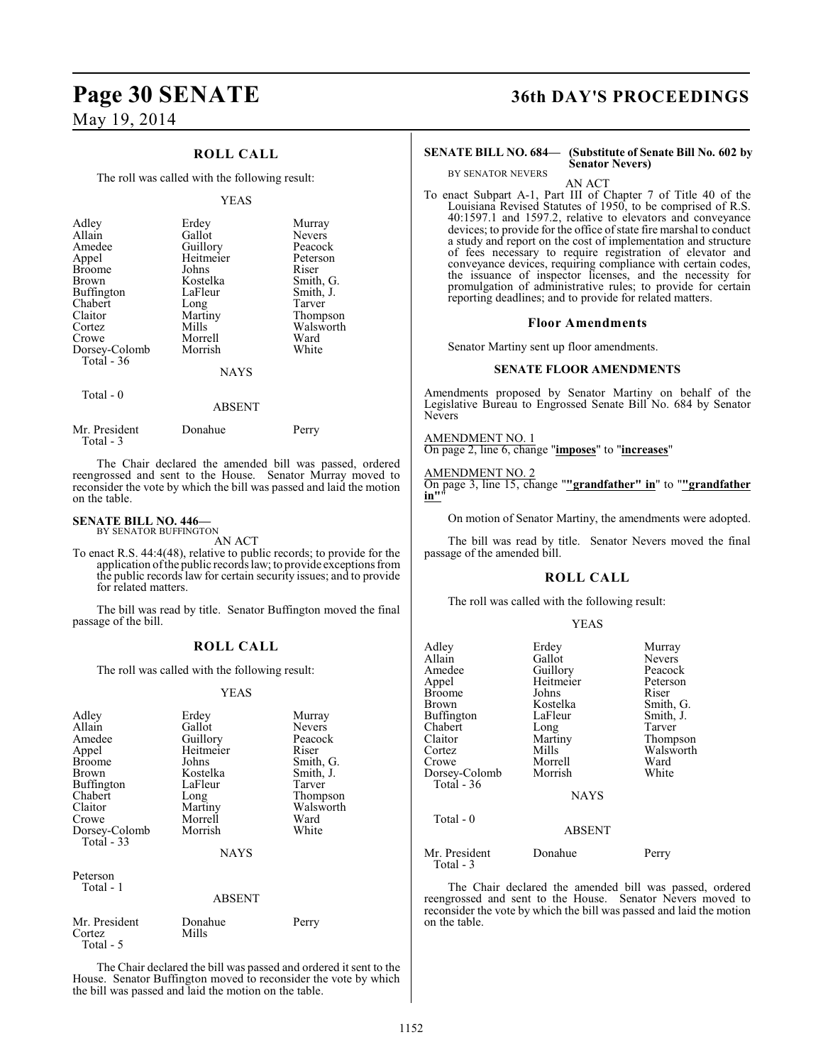### **ROLL CALL**

The roll was called with the following result:

#### YEAS

| Adley             | Erdey     | Murray        |
|-------------------|-----------|---------------|
| Allain            | Gallot    | <b>Nevers</b> |
| Amedee            | Guillory  | Peacock       |
| Appel             | Heitmeier | Peterson      |
| <b>Broome</b>     | Johns     | Riser         |
| <b>Brown</b>      | Kostelka  | Smith, G.     |
| <b>Buffington</b> | LaFleur   | Smith, J.     |
| Chabert           | Long      | Tarver        |
| Claitor           | Martiny   | Thompson      |
| Cortez            | Mills     | Walsworth     |
| Crowe             | Morrell   | Ward          |
| Dorsey-Colomb     | Morrish   | White         |
| Total $-36$       | NAYS      |               |

Total - 0

### ABSENT

| Mr. President<br>Total - 3 | Donahue | Perry |
|----------------------------|---------|-------|
|                            |         |       |

The Chair declared the amended bill was passed, ordered reengrossed and sent to the House. Senator Murray moved to reconsider the vote by which the bill was passed and laid the motion on the table.

#### **SENATE BILL NO. 446—**

BY SENATOR BUFFINGTON AN ACT

To enact R.S. 44:4(48), relative to public records; to provide for the application of the public records law; to provide exceptions from the public records law for certain security issues; and to provide for related matters.

The bill was read by title. Senator Buffington moved the final passage of the bill.

#### **ROLL CALL**

The roll was called with the following result:

#### YEAS

| Adley<br>Allain<br>Amedee<br>Appel<br><b>Broome</b><br>Brown<br>Buffington<br>Chabert<br>Claitor<br>Crowe<br>Dorsey-Colomb<br>Total $-33$ | Erdey<br>Gallot<br>Guillory<br>Heitmeier<br>Johns<br>Kostelka<br>LaFleur<br>Long<br>Martiny<br>Morrell<br>Morrish<br><b>NAYS</b> | Murray<br><b>Nevers</b><br>Peacock<br>Riser<br>Smith, G.<br>Smith, J.<br>Tarver<br>Thompson<br>Walsworth<br>Ward<br>White |
|-------------------------------------------------------------------------------------------------------------------------------------------|----------------------------------------------------------------------------------------------------------------------------------|---------------------------------------------------------------------------------------------------------------------------|
| Peterson<br>Total - 1                                                                                                                     | <b>ABSENT</b>                                                                                                                    |                                                                                                                           |
| Mr. President<br>Cortez<br>Total - 5                                                                                                      | Donahue<br>Mills                                                                                                                 | Perry                                                                                                                     |

The Chair declared the bill was passed and ordered it sent to the House. Senator Buffington moved to reconsider the vote by which the bill was passed and laid the motion on the table.

### **Page 30 SENATE 36th DAY'S PROCEEDINGS**

## BY SENATOR NEVERS

#### **SENATE BILL NO. 684— (Substitute of Senate Bill No. 602 by Senator Nevers)**

AN ACT

To enact Subpart A-1, Part III of Chapter 7 of Title 40 of the Louisiana Revised Statutes of 1950, to be comprised of R.S. 40:1597.1 and 1597.2, relative to elevators and conveyance devices; to provide for the office of state fire marshal to conduct a study and report on the cost of implementation and structure of fees necessary to require registration of elevator and conveyance devices, requiring compliance with certain codes, the issuance of inspector licenses, and the necessity for promulgation of administrative rules; to provide for certain reporting deadlines; and to provide for related matters.

#### **Floor Amendments**

Senator Martiny sent up floor amendments.

#### **SENATE FLOOR AMENDMENTS**

Amendments proposed by Senator Martiny on behalf of the Legislative Bureau to Engrossed Senate Bill No. 684 by Senator Nevers

AMENDMENT NO. 1 On page 2, line 6, change "**imposes**" to "**increases**"

AMENDMENT NO. 2 On page 3, line 15, change "**"grandfather" in**" to "**"grandfather in"**"

On motion of Senator Martiny, the amendments were adopted.

The bill was read by title. Senator Nevers moved the final passage of the amended bill.

#### **ROLL CALL**

The roll was called with the following result:

| Adlev<br>Allain<br>Amedee<br>Appel<br>Broome<br>Brown<br>Buffington<br>Chabert<br>Claitor<br>Cortez<br>Crowe<br>Dorsey-Colomb<br>Total $-36$ | Erdey<br>Gallot<br>Guillory<br>Heitmeier<br>Johns<br>Kostelka<br>LaFleur<br>Long<br>Martiny<br>Mills<br>Morrell<br>Morrish<br><b>NAYS</b> | Murray<br><b>Nevers</b><br>Peacock<br>Peterson<br>Riser<br>Smith, G.<br>Smith, J.<br>Tarver<br>Thompson<br>Walsworth<br>Ward<br>White |
|----------------------------------------------------------------------------------------------------------------------------------------------|-------------------------------------------------------------------------------------------------------------------------------------------|---------------------------------------------------------------------------------------------------------------------------------------|
| Total - 0                                                                                                                                    | <b>ABSENT</b>                                                                                                                             |                                                                                                                                       |
| Mr. President<br>Total - 3                                                                                                                   | Donahue                                                                                                                                   | Perry                                                                                                                                 |

The Chair declared the amended bill was passed, ordered reengrossed and sent to the House. Senator Nevers moved to reconsider the vote by which the bill was passed and laid the motion on the table.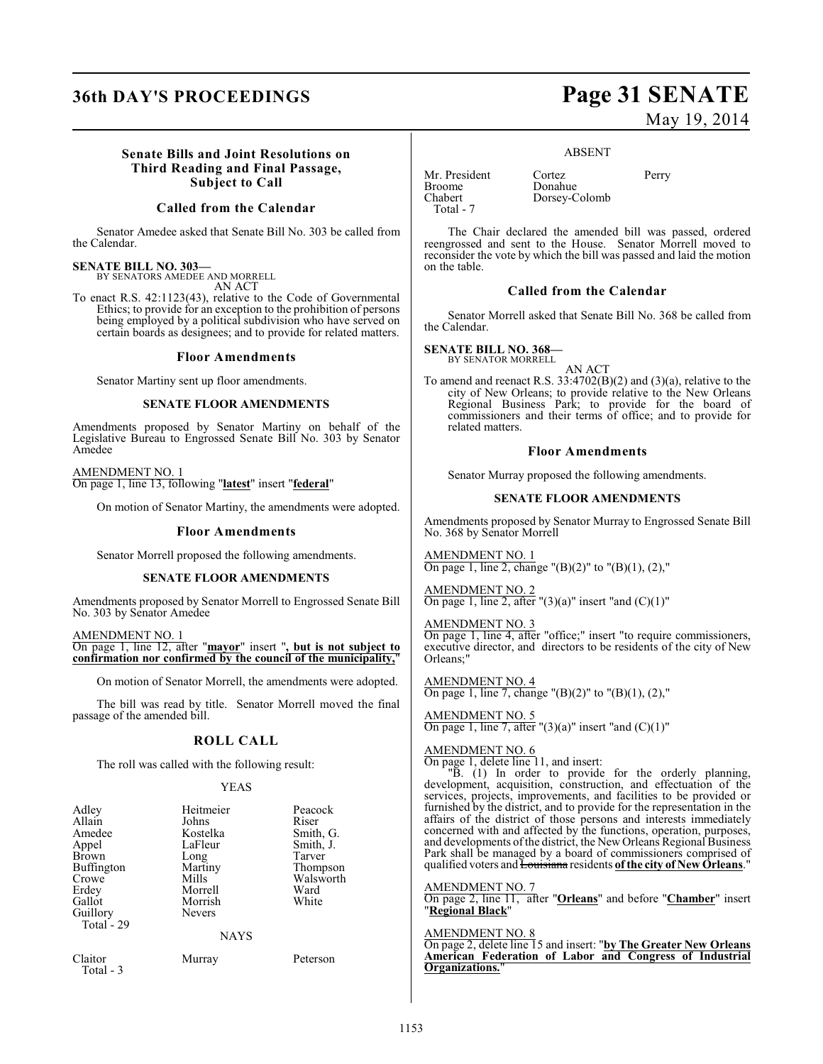## **36th DAY'S PROCEEDINGS Page 31 SENATE**

# May 19, 2014

#### **Senate Bills and Joint Resolutions on Third Reading and Final Passage, Subject to Call**

#### **Called from the Calendar**

Senator Amedee asked that Senate Bill No. 303 be called from the Calendar.

#### **SENATE BILL NO. 303—**

BY SENATORS AMEDEE AND MORRELL

AN ACT

To enact R.S. 42:1123(43), relative to the Code of Governmental Ethics; to provide for an exception to the prohibition of persons being employed by a political subdivision who have served on certain boards as designees; and to provide for related matters.

#### **Floor Amendments**

Senator Martiny sent up floor amendments.

#### **SENATE FLOOR AMENDMENTS**

Amendments proposed by Senator Martiny on behalf of the Legislative Bureau to Engrossed Senate Bill No. 303 by Senator Amedee

AMENDMENT NO. 1 On page 1, line 13, following "**latest**" insert "**federal**"

On motion of Senator Martiny, the amendments were adopted.

#### **Floor Amendments**

Senator Morrell proposed the following amendments.

#### **SENATE FLOOR AMENDMENTS**

Amendments proposed by Senator Morrell to Engrossed Senate Bill No. 303 by Senator Amedee

AMENDMENT NO. 1 On page 1, line 12, after "**mayor**" insert "**, but is not subject to confirmation nor confirmed by the council of the municipality,**"

On motion of Senator Morrell, the amendments were adopted.

The bill was read by title. Senator Morrell moved the final passage of the amended bill.

### **ROLL CALL**

The roll was called with the following result:

#### YEAS

| Adley                | Heitmeier     | Peacock   |
|----------------------|---------------|-----------|
| Allain               | Johns         | Riser     |
| Amedee               | Kostelka      | Smith, G. |
| Appel                | LaFleur       | Smith, J. |
| Brown                | Long          | Tarver    |
| Buffington           | Martiny       | Thompson  |
| Crowe                | Mills         | Walsworth |
| Erdey                | Morrell       | Ward      |
| Gallot               | Morrish       | White     |
| Guillory             | <b>Nevers</b> |           |
| Total - 29           |               |           |
|                      | <b>NAYS</b>   |           |
| Claitor<br>Total - 3 | Murray        | Peterson  |

#### ABSENT

Dorsey-Colomb

Mr. President Cortez Perry<br>Broome Donahue Broome Donahue<br>Chabert Dorsey-C Total - 7

The Chair declared the amended bill was passed, ordered reengrossed and sent to the House. Senator Morrell moved to reconsider the vote by which the bill was passed and laid the motion on the table.

#### **Called from the Calendar**

Senator Morrell asked that Senate Bill No. 368 be called from the Calendar.

#### **SENATE BILL NO. 368—**

BY SENATOR MORRELL

AN ACT To amend and reenact R.S. 33:4702(B)(2) and (3)(a), relative to the city of New Orleans; to provide relative to the New Orleans Regional Business Park; to provide for the board of commissioners and their terms of office; and to provide for related matters.

#### **Floor Amendments**

Senator Murray proposed the following amendments.

#### **SENATE FLOOR AMENDMENTS**

Amendments proposed by Senator Murray to Engrossed Senate Bill No. 368 by Senator Morrell

AMENDMENT NO. 1 On page 1, line 2, change " $(B)(2)$ " to " $(B)(1)$ ,  $(2)$ ,"

AMENDMENT NO. 2 On page 1, line 2, after " $(3)(a)$ " insert "and  $(C)(1)$ "

AMENDMENT NO. On page 1, line 4, after "office;" insert "to require commissioners, executive director, and directors to be residents of the city of New Orleans;"

AMENDMENT NO. 4 On page 1, line 7, change " $(B)(2)$ " to " $(B)(1)$ ,  $(2)$ ,"

AMENDMENT NO. 5 On page 1, line 7, after " $(3)(a)$ " insert "and  $(C)(1)$ "

### AMENDMENT NO. 6

On page 1, delete line 11, and insert:

"B. (1) In order to provide for the orderly planning, development, acquisition, construction, and effectuation of the services, projects, improvements, and facilities to be provided or furnished by the district, and to provide for the representation in the affairs of the district of those persons and interests immediately concerned with and affected by the functions, operation, purposes, and developments of the district, the New Orleans Regional Business Park shall be managed by a board of commissioners comprised of qualified voters and **Louisiana** residents of the city of New Orleans.

#### AMENDMENT NO. 7

On page 2, line 11, after "**Orleans**" and before "**Chamber**" insert "**Regional Black**"

#### AMENDMENT NO. 8

On page 2, delete line 15 and insert: "**by The Greater New Orleans American Federation of Labor and Congress of Industrial Organizations.**"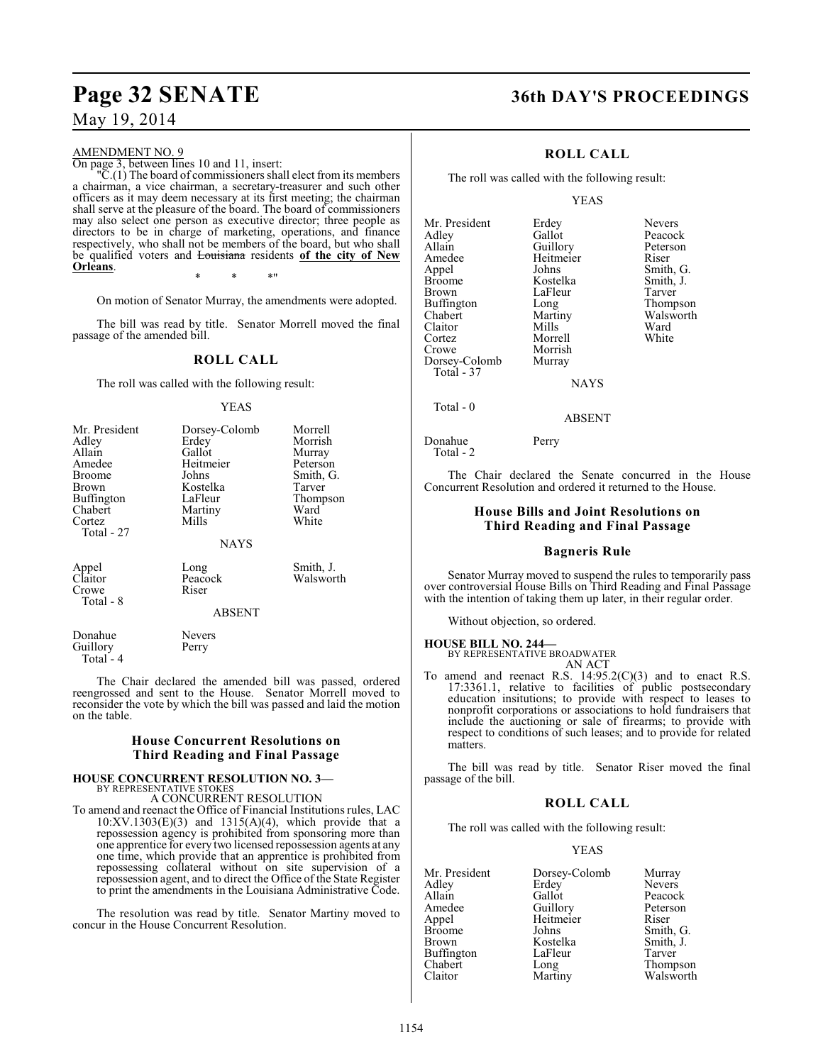#### AMENDMENT NO. 9

On page 3, between lines 10 and 11, insert:

"C.(1) The board of commissioners shall elect from its members a chairman, a vice chairman, a secretary-treasurer and such other officers as it may deem necessary at its first meeting; the chairman shall serve at the pleasure of the board. The board of commissioners may also select one person as executive director; three people as directors to be in charge of marketing, operations, and finance respectively, who shall not be members of the board, but who shall be qualified voters and Louisiana residents **of the city of New Orleans**.

\* \* \*"

On motion of Senator Murray, the amendments were adopted.

The bill was read by title. Senator Morrell moved the final passage of the amended bill.

#### **ROLL CALL**

The roll was called with the following result:

#### YEAS

| Mr. President<br>Adley<br>Allain<br>Amedee<br><b>Broome</b><br><b>Brown</b><br>Buffington<br>Chabert<br>Cortez<br>Total - 27 | Dorsey-Colomb<br>Erdey<br>Gallot<br>Heitmeier<br>Johns<br>Kostelka<br>LaFleur<br>Martiny<br>Mills<br><b>NAYS</b> | Morrell<br>Morrish<br>Murray<br>Peterson<br>Smith, G.<br>Tarver<br>Thompson<br>Ward<br>White |
|------------------------------------------------------------------------------------------------------------------------------|------------------------------------------------------------------------------------------------------------------|----------------------------------------------------------------------------------------------|
| Appel<br>Claitor<br>Crowe<br>Total - 8                                                                                       | Long<br>Peacock<br>Riser<br><b>ABSENT</b>                                                                        | Smith, J.<br>Walsworth                                                                       |

Donahue Nevers<br>Guillory Perry Guillory Total - 4

The Chair declared the amended bill was passed, ordered reengrossed and sent to the House. Senator Morrell moved to reconsider the vote by which the bill was passed and laid the motion on the table.

#### **House Concurrent Resolutions on Third Reading and Final Passage**

### **HOUSE CONCURRENT RESOLUTION NO. 3—**

BY REPRESENTATIVE STOKES A CONCURRENT RESOLUTION

To amend and reenact the Office of Financial Institutions rules, LAC  $10:XV.1303(E)(3)$  and  $1315(A)(4)$ , which provide that a repossession agency is prohibited from sponsoring more than one apprentice for every two licensed repossession agents at any one time, which provide that an apprentice is prohibited from repossessing collateral without on site supervision of a repossession agent, and to direct the Office of the State Register to print the amendments in the Louisiana Administrative Code.

The resolution was read by title. Senator Martiny moved to concur in the House Concurrent Resolution.

### **Page 32 SENATE 36th DAY'S PROCEEDINGS**

### **ROLL CALL**

The roll was called with the following result:

#### YEAS

Mr. President Erdey Nevers<br>
Adlev Gallot Peacoc Adley Gallot Gallot Peacock<br>Allain Guillory Peterson Allain Guillory Peters<br>Amedee Heitmeier Riser Amedee Heitmeier<br>Appel Johns Appel Johns Smith, G.<br>Broome Kostelka Smith, J. Broome Kostelka Smith, J.<br>Brown LaFleur Tarver Buffington Long<br>Chabert Martiny Claitor Mills Ward<br>Cortez Morrell White Cortez Morrell<br>Crowe Morrish Morrish<br>Murray Dorsey-Colomb Total - 37

LaFleur Tarver<br>
Long Thompson Martiny Walsworth<br>
Mills Ward

NAYS

ABSENT

Total - 0

Donahue Perry Total - 2

The Chair declared the Senate concurred in the House Concurrent Resolution and ordered it returned to the House.

#### **House Bills and Joint Resolutions on Third Reading and Final Passage**

#### **Bagneris Rule**

Senator Murray moved to suspend the rules to temporarily pass over controversial House Bills on Third Reading and Final Passage with the intention of taking them up later, in their regular order.

Without objection, so ordered.

**HOUSE BILL NO. 244—** BY REPRESENTATIVE BROADWATER

AN ACT

To amend and reenact R.S.  $14:95.2(C)(3)$  and to enact R.S. 17:3361.1, relative to facilities of public postsecondary education insitutions; to provide with respect to leases to nonprofit corporations or associations to hold fundraisers that include the auctioning or sale of firearms; to provide with respect to conditions of such leases; and to provide for related matters.

The bill was read by title. Senator Riser moved the final passage of the bill.

#### **ROLL CALL**

The roll was called with the following result:

#### YEAS

| Mr. President | Dorsey-Colomb | Murray        |
|---------------|---------------|---------------|
| Adley         | Erdey         | <b>Nevers</b> |
| Allain        | Gallot        | Peacock       |
| Amedee        | Guillory      | Peterson      |
| Appel         | Heitmeier     | Riser         |
| <b>Broome</b> | Johns         | Smith, G.     |
| Brown         | Kostelka      | Smith, J.     |
| Buffington    | LaFleur       | Tarver        |
| Chabert       | Long          | Thompson      |
| Claitor       | Martiny       | Walsworth     |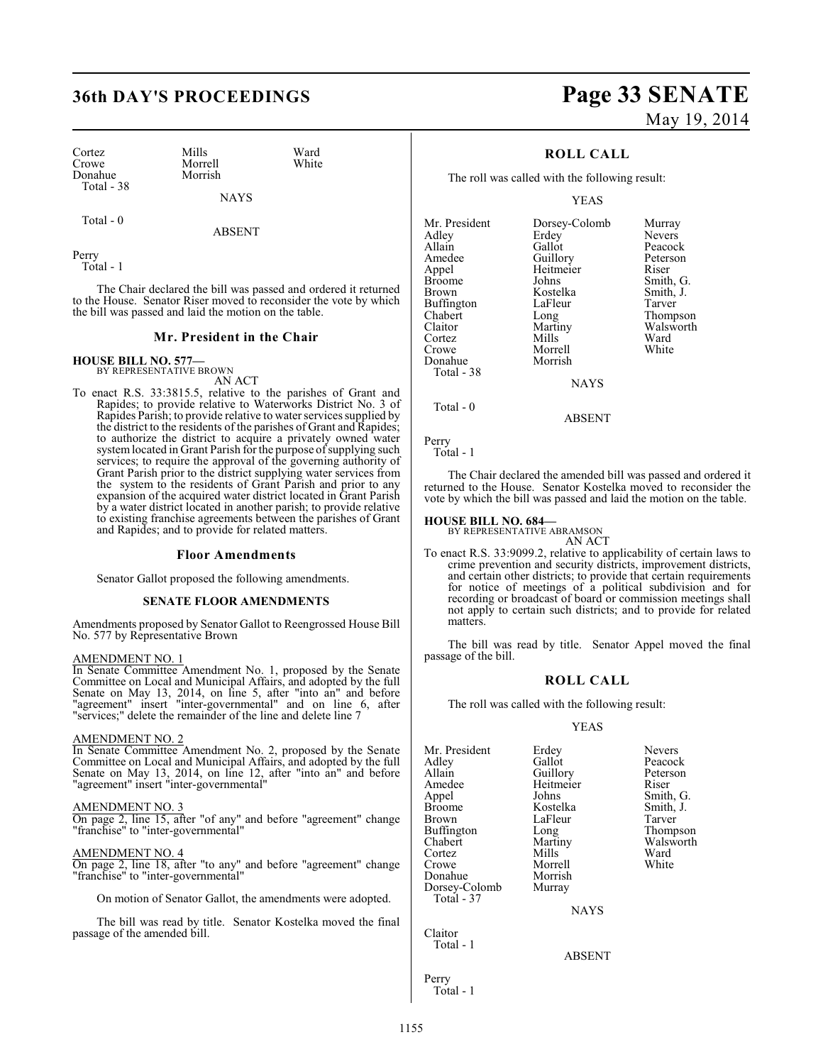Cortez Mills Ward<br>Crowe Morrell White Donahue Total - 38

Morrell<br>Morrish

NAYS

Total - 0

ABSENT

Perry Total - 1

The Chair declared the bill was passed and ordered it returned to the House. Senator Riser moved to reconsider the vote by which the bill was passed and laid the motion on the table.

#### **Mr. President in the Chair**

**HOUSE BILL NO. 577—** BY REPRESENTATIVE BROWN

AN ACT

To enact R.S. 33:3815.5, relative to the parishes of Grant and Rapides; to provide relative to Waterworks District No. 3 of Rapides Parish; to provide relative to water services supplied by the district to the residents of the parishes of Grant and Rapides; to authorize the district to acquire a privately owned water system located in Grant Parish for the purpose of supplying such services; to require the approval of the governing authority of Grant Parish prior to the district supplying water services from the system to the residents of Grant Parish and prior to any expansion of the acquired water district located in Grant Parish by a water district located in another parish; to provide relative to existing franchise agreements between the parishes of Grant and Rapides; and to provide for related matters.

#### **Floor Amendments**

Senator Gallot proposed the following amendments.

#### **SENATE FLOOR AMENDMENTS**

Amendments proposed by Senator Gallot to Reengrossed House Bill No. 577 by Representative Brown

#### AMENDMENT NO. 1

In Senate Committee Amendment No. 1, proposed by the Senate Committee on Local and Municipal Affairs, and adopted by the full Senate on May 13, 2014, on line 5, after "into an" and before "agreement" insert "inter-governmental" and on line 6, after "services;" delete the remainder of the line and delete line 7

#### AMENDMENT NO. 2

In Senate Committee Amendment No. 2, proposed by the Senate Committee on Local and Municipal Affairs, and adopted by the full Senate on May 13, 2014, on line 12, after "into an" and before "agreement" insert "inter-governmental"

#### AMENDMENT NO. 3

On page 2, line 15, after "of any" and before "agreement" change "franchise" to "inter-governmental"

#### AMENDMENT NO. 4

On page 2, line 18, after "to any" and before "agreement" change "franchise" to "inter-governmental"

On motion of Senator Gallot, the amendments were adopted.

The bill was read by title. Senator Kostelka moved the final passage of the amended bill.

## **36th DAY'S PROCEEDINGS Page 33 SENATE** May 19, 2014

### **ROLL CALL**

The roll was called with the following result:

YEAS

| Mr. President | Dorsey-Colomb | Murray        |
|---------------|---------------|---------------|
| Adley         | Erdey         | <b>Nevers</b> |
| Allain        | Gallot        | Peacock       |
| Amedee        | Guillory      | Peterson      |
| Appel         | Heitmeier     | Riser         |
| <b>Broome</b> | Johns         | Smith, G.     |
| Brown         | Kostelka      | Smith, J.     |
| Buffington    | LaFleur       | Tarver        |
| Chabert       | Long          | Thompson      |
| Claitor       | Martiny       | Walsworth     |
| Cortez        | Mills         | Ward          |
| Crowe         | Morrell       | White         |
| Donahue       | Morrish       |               |
| Total - 38    |               |               |
|               | <b>NAYS</b>   |               |
|               |               |               |

Total - 0

Perry

Total - 1

The Chair declared the amended bill was passed and ordered it returned to the House. Senator Kostelka moved to reconsider the vote by which the bill was passed and laid the motion on the table.

ABSENT

#### **HOUSE BILL NO. 684—**

BY REPRESENTATIVE ABRAMSON AN ACT

To enact R.S. 33:9099.2, relative to applicability of certain laws to crime prevention and security districts, improvement districts, and certain other districts; to provide that certain requirements for notice of meetings of a political subdivision and for recording or broadcast of board or commission meetings shall not apply to certain such districts; and to provide for related matters.

The bill was read by title. Senator Appel moved the final passage of the bill.

#### **ROLL CALL**

The roll was called with the following result:

#### YEAS

| Mr. President<br>Adley<br>Allain<br>Amedee<br>Appel<br>Broome<br>Brown<br>Buffington<br>Chabert<br>Cortez<br>Crowe<br>Donahue<br>Dorsey-Colomb | Erdey<br>Gallot<br>Guillory<br>Heitmeier<br>Johns<br>Kostelka<br>LaFleur<br>Long<br>Martiny<br>Mills<br>Morrell<br>Morrish<br>Murray | <b>Nevers</b><br>Peacock<br>Peterson<br>Riser<br>Smith, G.<br>Smith, J.<br>Tarver<br>Thompson<br>Walsworth<br>Ward<br>White |
|------------------------------------------------------------------------------------------------------------------------------------------------|--------------------------------------------------------------------------------------------------------------------------------------|-----------------------------------------------------------------------------------------------------------------------------|
| Total - 37                                                                                                                                     | <b>NAYS</b>                                                                                                                          |                                                                                                                             |
| Claitor<br>Total - 1                                                                                                                           | <b>ABSENT</b>                                                                                                                        |                                                                                                                             |
| Perry                                                                                                                                          |                                                                                                                                      |                                                                                                                             |

Total - 1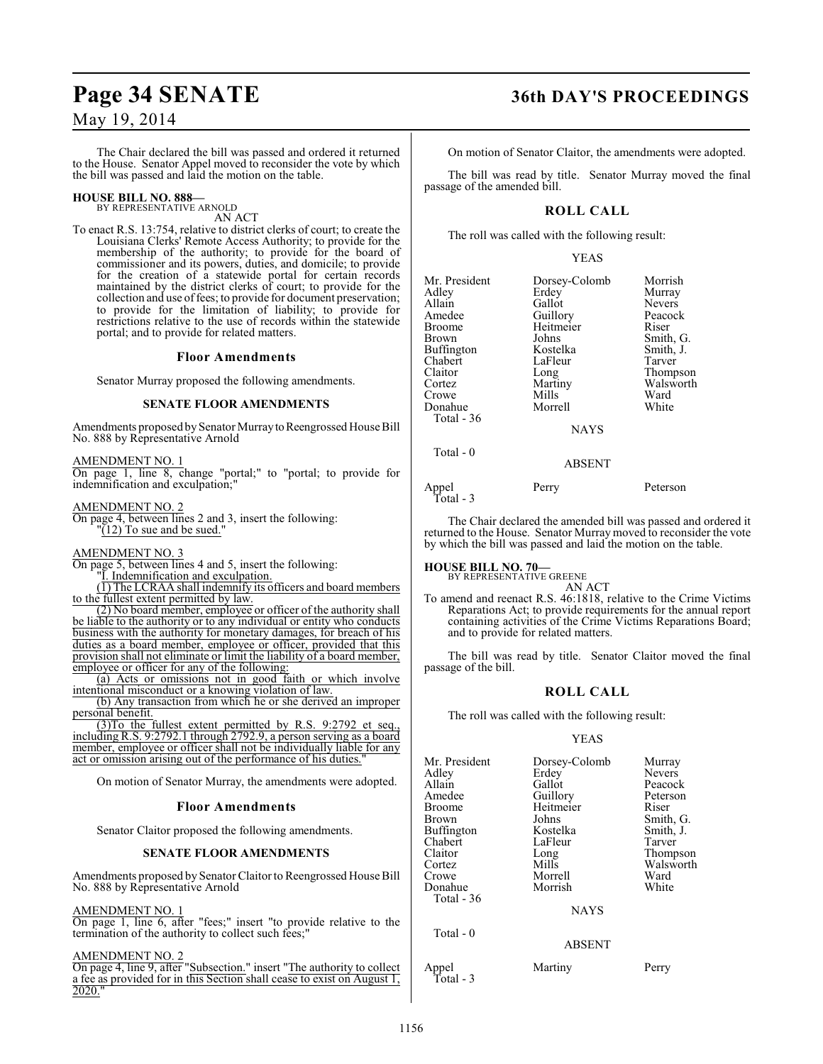The Chair declared the bill was passed and ordered it returned to the House. Senator Appel moved to reconsider the vote by which the bill was passed and laid the motion on the table.

#### **HOUSE BILL NO. 888—** BY REPRESENTATIVE ARNOLD

AN ACT

To enact R.S. 13:754, relative to district clerks of court; to create the Louisiana Clerks' Remote Access Authority; to provide for the membership of the authority; to provide for the board of commissioner and its powers, duties, and domicile; to provide for the creation of a statewide portal for certain records maintained by the district clerks of court; to provide for the collection and use of fees; to provide for document preservation; to provide for the limitation of liability; to provide for restrictions relative to the use of records within the statewide portal; and to provide for related matters.

#### **Floor Amendments**

Senator Murray proposed the following amendments.

#### **SENATE FLOOR AMENDMENTS**

Amendments proposed by Senator Murray to Reengrossed House Bill No. 888 by Representative Arnold

AMENDMENT NO. 1 On page 1, line 8, change "portal;" to "portal; to provide for indemnification and exculpation;"

AMENDMENT NO. 2 On page 4, between lines 2 and 3, insert the following:  $\sqrt{12}$  To sue and be sued."

#### AMENDMENT NO. 3

On page 5, between lines 4 and 5, insert the following:

"I. Indemnification and exculpation.

(1) The LCRAA shall indemnify its officers and board members to the fullest extent permitted by law.

(2) No board member, employee or officer of the authority shall be liable to the authority or to any individual or entity who conducts business with the authority for monetary damages, for breach of his duties as a board member, employee or officer, provided that this provision shall not eliminate or limit the liability of a board member, employee or officer for any of the following:

(a) Acts or omissions not in good faith or which involve intentional misconduct or a knowing violation of law.

(b) Any transaction from which he or she derived an improper personal benefit.

(3)To the fullest extent permitted by R.S. 9:2792 et seq., including R.S. 9:2792.1 through 2792.9, a person serving as a board member, employee or officer shall not be individually liable for any act or omission arising out of the performance of his duties.

On motion of Senator Murray, the amendments were adopted.

#### **Floor Amendments**

Senator Claitor proposed the following amendments.

#### **SENATE FLOOR AMENDMENTS**

Amendments proposed by Senator Claitor to Reengrossed House Bill No. 888 by Representative Arnold

#### AMENDMENT NO. 1

On page 1, line 6, after "fees;" insert "to provide relative to the termination of the authority to collect such fees;"

#### AMENDMENT NO. 2

On page 4, line 9, after "Subsection." insert "The authority to collect a fee as provided for in this Section shall cease to exist on August 1, 2020.

### **Page 34 SENATE 36th DAY'S PROCEEDINGS**

On motion of Senator Claitor, the amendments were adopted.

The bill was read by title. Senator Murray moved the final passage of the amended bill.

### **ROLL CALL**

The roll was called with the following result:

#### YEAS

| Mr. President<br>Adlev<br>Allain<br>Amedee<br>Broome<br>Brown<br>Buffington<br>Chabert<br>Claitor<br>Cortez<br>Crowe<br>Donahue<br>Total - 36 | Dorsey-Colomb<br>Erdey<br>Gallot<br>Guillory<br>Heitmeier<br>Johns<br>Kostelka<br>LaFleur<br>Long<br>Martiny<br>Mills<br>Morrell<br><b>NAYS</b> | Morrish<br>Murray<br><b>Nevers</b><br>Peacock<br>Riser<br>Smith, G.<br>Smith, J.<br>Tarver<br>Thompson<br>Walsworth<br>Ward<br>White |
|-----------------------------------------------------------------------------------------------------------------------------------------------|-------------------------------------------------------------------------------------------------------------------------------------------------|--------------------------------------------------------------------------------------------------------------------------------------|
|                                                                                                                                               |                                                                                                                                                 |                                                                                                                                      |
| Total $-0$                                                                                                                                    | <b>ABSENT</b>                                                                                                                                   |                                                                                                                                      |

Appel Perry Peterson

The Chair declared the amended bill was passed and ordered it returned to the House. Senator Murray moved to reconsider the vote by which the bill was passed and laid the motion on the table.

#### **HOUSE BILL NO. 70—**

Total - 3

BY REPRESENTATIVE GREENE

AN ACT To amend and reenact R.S. 46:1818, relative to the Crime Victims Reparations Act; to provide requirements for the annual report containing activities of the Crime Victims Reparations Board; and to provide for related matters.

The bill was read by title. Senator Claitor moved the final passage of the bill.

#### **ROLL CALL**

The roll was called with the following result:

#### YEAS

| Mr. President<br>Adley<br>Allain<br>Amedee<br><b>Broome</b><br>Brown<br>Buffington<br>Chabert<br>Claitor<br>Cortez<br>Crowe | Dorsey-Colomb<br>Erdey<br>Gallot<br>Guillory<br>Heitmeier<br>Johns<br>Kostelka<br>LaFleur<br>Long<br>Mills<br>Morrell | Murray<br>Nevers<br>Peacock<br>Peterson<br>Riser<br>Smith, G.<br>Smith, J.<br>Tarver<br>Thompson<br>Walsworth<br>Ward |
|-----------------------------------------------------------------------------------------------------------------------------|-----------------------------------------------------------------------------------------------------------------------|-----------------------------------------------------------------------------------------------------------------------|
| Donahue<br>Total - 36<br>Total $-0$                                                                                         | Morrish<br><b>NAYS</b>                                                                                                | White                                                                                                                 |
|                                                                                                                             | <b>ABSENT</b>                                                                                                         |                                                                                                                       |
| Appel                                                                                                                       | Martiny                                                                                                               | Perry                                                                                                                 |

Total - 3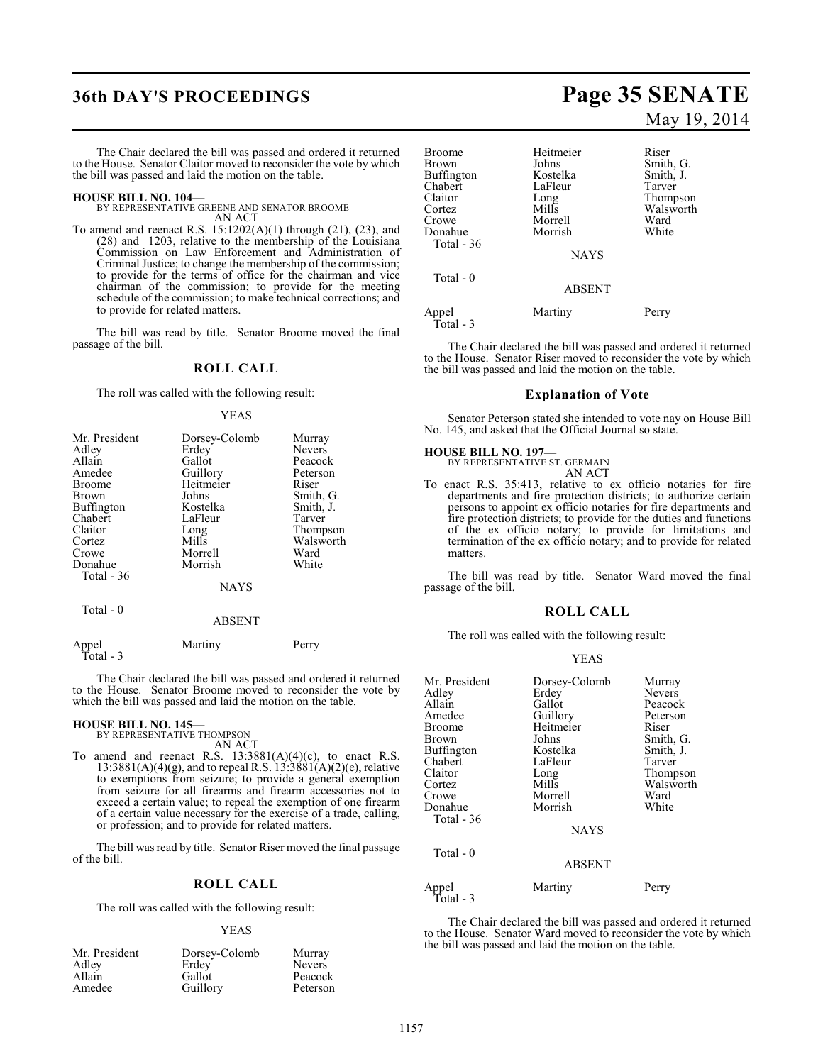## **36th DAY'S PROCEEDINGS Page 35 SENATE**

The Chair declared the bill was passed and ordered it returned to the House. Senator Claitor moved to reconsider the vote by which the bill was passed and laid the motion on the table.

**HOUSE BILL NO. 104—** BY REPRESENTATIVE GREENE AND SENATOR BROOME AN ACT

To amend and reenact R.S. 15:1202(A)(1) through (21), (23), and (28) and 1203, relative to the membership of the Louisiana Commission on Law Enforcement and Administration of Criminal Justice; to change the membership of the commission; to provide for the terms of office for the chairman and vice chairman of the commission; to provide for the meeting schedule of the commission; to make technical corrections; and to provide for related matters.

The bill was read by title. Senator Broome moved the final passage of the bill.

#### **ROLL CALL**

The roll was called with the following result:

#### YEAS

| Mr. President     | Dorsey-Colomb | Murray        |
|-------------------|---------------|---------------|
| Adley             | Erdey         | <b>Nevers</b> |
| Allain            | Gallot        | Peacock       |
| Amedee            | Guillory      | Peterson      |
| <b>Broome</b>     | Heitmeier     | Riser         |
| <b>Brown</b>      | Johns         | Smith, G.     |
| <b>Buffington</b> | Kostelka      | Smith, J.     |
| Chabert           | LaFleur       | Tarver        |
| Claitor           | Long          | Thompson      |
| Cortez            | Mills         | Walsworth     |
| Crowe             | Morrell       | Ward          |
| Donahue           | Morrish       | White         |
| Total - 36        |               |               |
|                   | <b>NAYS</b>   |               |
|                   |               |               |

#### ABSENT

| Appel<br>Total - 3 | Martiny | Perry |
|--------------------|---------|-------|
|                    |         |       |

The Chair declared the bill was passed and ordered it returned to the House. Senator Broome moved to reconsider the vote by which the bill was passed and laid the motion on the table.

### **HOUSE BILL NO. 145—** BY REPRESENTATIVE THOMPSON

Total - 0

AN ACT

To amend and reenact R.S.  $13:3881(A)(4)(c)$ , to enact R.S.  $13:3881(A)(4)(g)$ , and to repeal R.S.  $13:3881(A)(2)(e)$ , relative to exemptions from seizure; to provide a general exemption from seizure for all firearms and firearm accessories not to exceed a certain value; to repeal the exemption of one firearm of a certain value necessary for the exercise of a trade, calling, or profession; and to provide for related matters.

The bill was read by title. Senator Riser moved the final passage of the bill.

#### **ROLL CALL**

The roll was called with the following result:

#### YEAS

| Mr. President | Dorsey-Colomb | Murray        |
|---------------|---------------|---------------|
| Adley         | Erdey         | <b>Nevers</b> |
| Allain        | Gallot        | Peacock       |
| Amedee        | Guillory      | Peterson      |
|               |               |               |

May 19, 2014

| Broome             | Heitmeier     | Riser     |
|--------------------|---------------|-----------|
| Brown              | Johns         | Smith, G. |
| Buffington         | Kostelka      | Smith, J. |
| Chabert            | LaFleur       | Tarver    |
| Claitor            | Long          | Thompson  |
| Cortez             | Mills         | Walsworth |
| Crowe              | Morrell       | Ward      |
| Donahue            | Morrish       | White     |
| Total - 36         |               |           |
|                    | <b>NAYS</b>   |           |
| Total $-0$         |               |           |
|                    | <b>ABSENT</b> |           |
| Appel<br>Total - 3 | Martiny       | Perry     |
|                    |               |           |

The Chair declared the bill was passed and ordered it returned to the House. Senator Riser moved to reconsider the vote by which the bill was passed and laid the motion on the table.

#### **Explanation of Vote**

Senator Peterson stated she intended to vote nay on House Bill No. 145, and asked that the Official Journal so state.

### **HOUSE BILL NO. 197—**

BY REPRESENTATIVE ST. GERMAIN AN ACT

To enact R.S. 35:413, relative to ex officio notaries for fire departments and fire protection districts; to authorize certain persons to appoint ex officio notaries for fire departments and fire protection districts; to provide for the duties and functions of the ex officio notary; to provide for limitations and termination of the ex officio notary; and to provide for related matters.

The bill was read by title. Senator Ward moved the final passage of the bill.

#### **ROLL CALL**

The roll was called with the following result:

#### YEAS

| Mr. President      | Dorsey-Colomb | Murray    |
|--------------------|---------------|-----------|
| Adley              | Erdey         | Nevers    |
| Allain             | Gallot        | Peacock   |
| Amedee             | Guillory      | Peterson  |
| Broome             | Heitmeier     | Riser     |
| <b>Brown</b>       | Johns         | Smith, G. |
| <b>Buffington</b>  | Kostelka      | Smith, J. |
| Chabert            | LaFleur       | Tarver    |
| Claitor            | Long          | Thompson  |
| Cortez             | Mills         | Walsworth |
| Crowe              | Morrell       | Ward      |
| Donahue            | Morrish       | White     |
| Total - 36         |               |           |
|                    | <b>NAYS</b>   |           |
| Total - 0          |               |           |
|                    | <b>ABSENT</b> |           |
| Appel<br>Total - 3 | Martiny       | Perry     |

The Chair declared the bill was passed and ordered it returned to the House. Senator Ward moved to reconsider the vote by which the bill was passed and laid the motion on the table.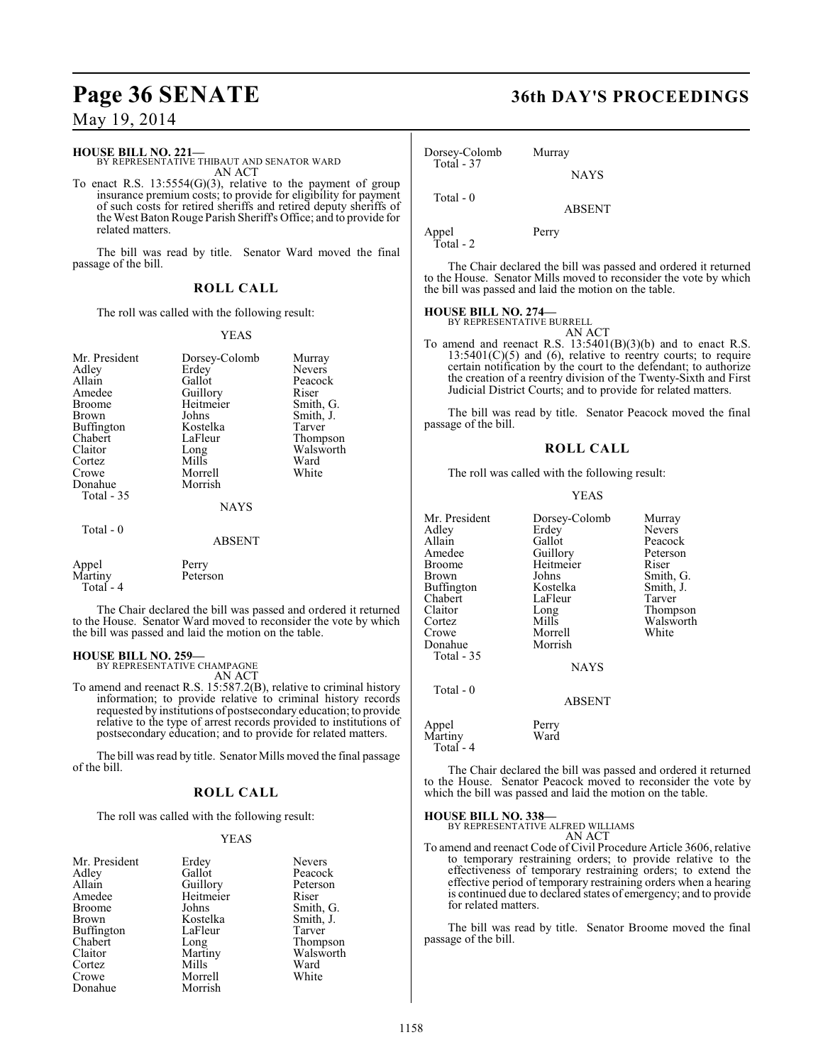## **Page 36 SENATE 36th DAY'S PROCEEDINGS**

### May 19, 2014

#### **HOUSE BILL NO. 221—**

BY REPRESENTATIVE THIBAUT AND SENATOR WARD AN ACT

To enact R.S.  $13:5554(G)(3)$ , relative to the payment of group insurance premium costs; to provide for eligibility for payment of such costs for retired sheriffs and retired deputy sheriffs of the West Baton Rouge Parish Sheriff's Office; and to provide for related matters.

The bill was read by title. Senator Ward moved the final passage of the bill.

### **ROLL CALL**

The roll was called with the following result:

#### YEAS

| Mr. President<br>Adley<br>Allain<br>Amedee<br><b>Broome</b><br>Brown<br>Buffington<br>Chabert<br>Claitor<br>Cortez<br>Crowe<br>Donahue<br>Total - 35 | Dorsey-Colomb<br>Erdey<br>Gallot<br>Guillory<br>Heitmeier<br>Johns<br>Kostelka<br>LaFleur<br>Long<br>Mills<br>Morrell<br>Morrish | Murray<br><b>Nevers</b><br>Peacock<br>Riser<br>Smith, G.<br>Smith, J.<br>Tarver<br>Thompson<br>Walsworth<br>Ward<br>White |
|------------------------------------------------------------------------------------------------------------------------------------------------------|----------------------------------------------------------------------------------------------------------------------------------|---------------------------------------------------------------------------------------------------------------------------|
|                                                                                                                                                      | <b>NAYS</b>                                                                                                                      |                                                                                                                           |
| Total $-0$                                                                                                                                           | <b>ABSENT</b>                                                                                                                    |                                                                                                                           |
| Appel<br>Martiny                                                                                                                                     | Perry<br>Peterson                                                                                                                |                                                                                                                           |

Total - 4

The Chair declared the bill was passed and ordered it returned to the House. Senator Ward moved to reconsider the vote by which the bill was passed and laid the motion on the table.

### **HOUSE BILL NO. 259—**

BY REPRESENTATIVE CHAMPAGNE AN ACT

To amend and reenact R.S. 15:587.2(B), relative to criminal history information; to provide relative to criminal history records requested by institutions of postsecondary education; to provide relative to the type of arrest records provided to institutions of postsecondary education; and to provide for related matters.

The bill was read by title. Senator Mills moved the final passage of the bill.

#### **ROLL CALL**

The roll was called with the following result:

#### YEAS

| Mr. President | Erdey     | <b>Nevers</b> |
|---------------|-----------|---------------|
| Adlev         | Gallot    | Peacod        |
| Allain        | Guillory  | Peters        |
| Amedee        | Heitmeier | Riser         |
| Broome        | Johns     | Smith,        |
| Brown         | Kostelka  | Smith,        |
| Buffington    | LaFleur   | Tarver        |
| Chabert       | Long      | Thomp         |
| Claitor       | Martiny   | Walsw         |
| Cortez        | Mills     | Ward          |
| Crowe         | Morrell   | White         |
| Donahue       | Morrish   |               |

ey Nevers lot Peacock<br>Ilory Peterson llory Peterson<br>tmeier Riser ns Smith, G.<br>stelka Smith, J. telka Smith, J.<br>leur Tarver Chabert Long Thompson Walsworth<br>Ward

Dorsey-Colomb Murray Total - 37

Total - 0

Appel Perry Total - 2

The Chair declared the bill was passed and ordered it returned to the House. Senator Mills moved to reconsider the vote by which the bill was passed and laid the motion on the table.

**NAYS** 

ABSENT

### **HOUSE BILL NO. 274—**

BY REPRESENTATIVE BURRELL AN ACT

To amend and reenact R.S. 13:5401(B)(3)(b) and to enact R.S.  $13:5401(C)(5)$  and  $(6)$ , relative to reentry courts; to require certain notification by the court to the defendant; to authorize the creation of a reentry division of the Twenty-Sixth and First Judicial District Courts; and to provide for related matters.

The bill was read by title. Senator Peacock moved the final passage of the bill.

#### **ROLL CALL**

The roll was called with the following result:

#### YEAS

| Mr. President | Dorsey-Colomb | Murray        |
|---------------|---------------|---------------|
| Adley         | Erdey         | <b>Nevers</b> |
| Allain        | Gallot        | Peacock       |
| Amedee        | Guillory      | Peterson      |
| <b>Broome</b> | Heitmeier     | Riser         |
| Brown         | Johns         | Smith, G.     |
| Buffington    | Kostelka      | Smith, J.     |
| Chabert       | LaFleur       | Tarver        |
| Claitor       | Long          | Thompson      |
| Cortez        | Mills         | Walsworth     |
| Crowe         | Morrell       | White         |
| Donahue       | Morrish       |               |
| Total - 35    |               |               |
|               | <b>NAYS</b>   |               |
| Total - 0     |               |               |
|               | <b>ABSENT</b> |               |
| Appel         | Perry         |               |
| Martiny       | Ward          |               |

The Chair declared the bill was passed and ordered it returned to the House. Senator Peacock moved to reconsider the vote by which the bill was passed and laid the motion on the table.

#### **HOUSE BILL NO. 338—**

Total - 4

BY REPRESENTATIVE ALFRED WILLIAMS AN ACT

To amend and reenact Code of Civil Procedure Article 3606, relative to temporary restraining orders; to provide relative to the effectiveness of temporary restraining orders; to extend the effective period of temporary restraining orders when a hearing is continued due to declared states of emergency; and to provide for related matters.

The bill was read by title. Senator Broome moved the final passage of the bill.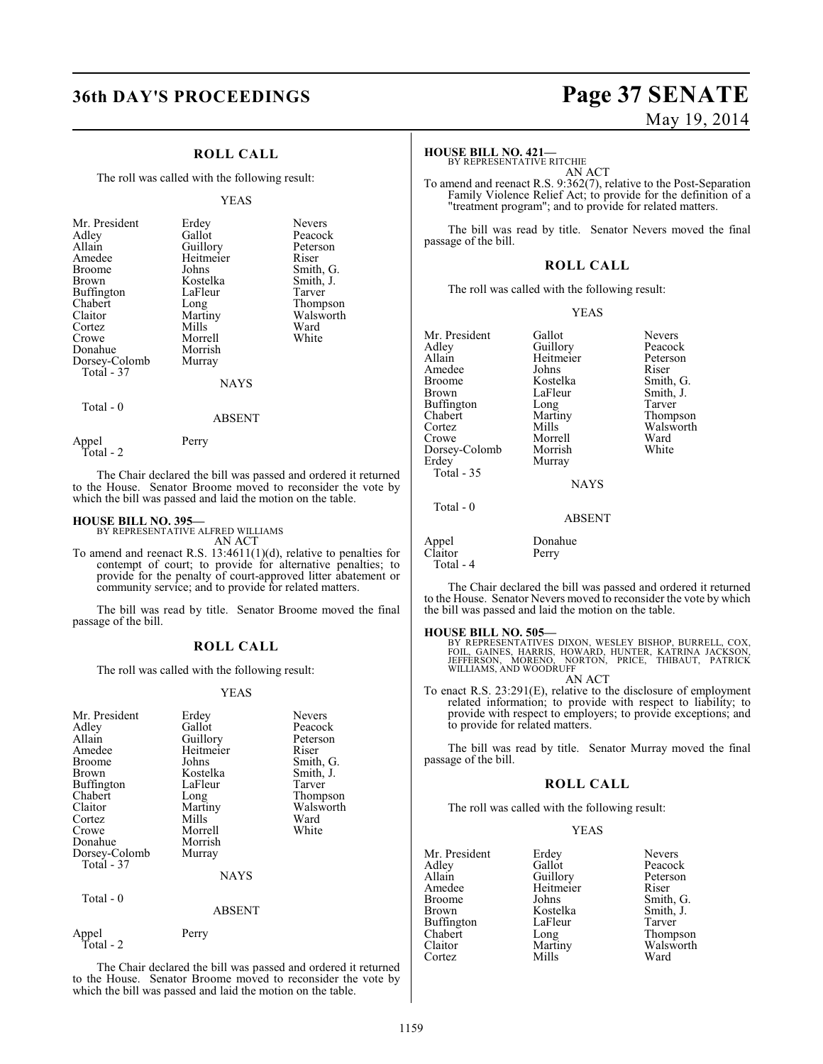### **ROLL CALL**

The roll was called with the following result:

#### YEAS

| Long<br>Martiny<br>Mills<br>Morrell | Tarver<br>Thompson<br>Walsworth<br>Ward<br>White |
|-------------------------------------|--------------------------------------------------|
| Morrish                             |                                                  |
| <b>NAYS</b>                         |                                                  |
|                                     | LaFleur<br>Murray                                |

Total - 0

Total - 2

Appel Perry

The Chair declared the bill was passed and ordered it returned to the House. Senator Broome moved to reconsider the vote by which the bill was passed and laid the motion on the table.

ABSENT

#### **HOUSE BILL NO. 395—**

BY REPRESENTATIVE ALFRED WILLIAMS AN ACT

To amend and reenact R.S. 13:4611(1)(d), relative to penalties for contempt of court; to provide for alternative penalties; to provide for the penalty of court-approved litter abatement or community service; and to provide for related matters.

The bill was read by title. Senator Broome moved the final passage of the bill.

#### **ROLL CALL**

The roll was called with the following result:

#### YEAS

| Mr. President<br>Adley<br>Allain<br>Amedee<br><b>Broome</b><br>Brown<br>Buffington<br>Chabert<br>Claitor<br>Cortez | Erdey<br>Gallot<br>Guillory<br>Heitmeier<br>Johns<br>Kostelka<br>LaFleur<br>Long<br>Martiny<br>Mills | <b>Nevers</b><br>Peacock<br>Peterson<br>Riser<br>Smith, G.<br>Smith, J.<br>Tarver<br>Thompson<br>Walsworth<br>Ward |
|--------------------------------------------------------------------------------------------------------------------|------------------------------------------------------------------------------------------------------|--------------------------------------------------------------------------------------------------------------------|
| Crowe<br>Donahue<br>Dorsey-Colomb                                                                                  | Morrell<br>Morrish<br>Murray                                                                         | White                                                                                                              |
| Total - 37                                                                                                         | <b>NAYS</b>                                                                                          |                                                                                                                    |
| Total - 0                                                                                                          | <b>ABSENT</b>                                                                                        |                                                                                                                    |
| Appel<br>Total - 2                                                                                                 | Perry                                                                                                |                                                                                                                    |

The Chair declared the bill was passed and ordered it returned to the House. Senator Broome moved to reconsider the vote by which the bill was passed and laid the motion on the table.

## **36th DAY'S PROCEEDINGS Page 37 SENATE** May 19, 2014

#### **HOUSE BILL NO. 421—**

BY REPRESENTATIVE RITCHIE AN ACT

To amend and reenact R.S. 9:362(7), relative to the Post-Separation Family Violence Relief Act; to provide for the definition of a "treatment program"; and to provide for related matters.

The bill was read by title. Senator Nevers moved the final passage of the bill.

#### **ROLL CALL**

The roll was called with the following result:

YEAS

Mr. President Gallot Nevers<br>Adley Guillory Peacock Adley Guillory Peacock Amedee Johns<br>Broome Kostelka Broome Kostelka Smith, G.<br>Brown LaFleur Smith, J. Buffington Long<br>Chabert Martiny Chabert Martiny Thompson Cortez Mills Walsworth<br>Crowe Morrell Ward Dorsey-Colomb<br>Erdey  $Total - 35$ 

Total - 0

Murray

Heitmeier Peters<br>Johns Riser LaFleur Smith, J.<br>Long Tarver Morrell Ward<br>
Morrish White

NAYS

#### ABSENT

Appel Donahue<br>Claitor Perry Claitor Total - 4

The Chair declared the bill was passed and ordered it returned to the House. Senator Nevers moved to reconsider the vote by which the bill was passed and laid the motion on the table.

**HOUSE BILL NO. 505—**<br>BY REPRESENTATIVES DIXON, WESLEY BISHOP, BURRELL, COX,<br>FOIL, GAINES, HARRIS, HOWARD, HUNTER, KATRINA JACKSON,<br>JEFFERSON, MORENO, NORTON, PRICE, THIBAUT, PATRICK<br>WILLIAMS, AND WOODRUFF AN ACT

To enact R.S. 23:291(E), relative to the disclosure of employment related information; to provide with respect to liability; to provide with respect to employers; to provide exceptions; and to provide for related matters.

The bill was read by title. Senator Murray moved the final passage of the bill.

#### **ROLL CALL**

The roll was called with the following result:

#### YEAS

| Mr. President | Erdey     | <b>Nevers</b> |
|---------------|-----------|---------------|
| Adley         | Gallot    | Peacock       |
| Allain        | Guillory  | Peterson      |
| Amedee        | Heitmeier | Riser         |
| Broome        | Johns     | Smith, G.     |
| Brown         | Kostelka  | Smith, J.     |
| Buffington    | LaFleur   | Tarver        |
| Chabert       | Long      | Thompson      |
| Claitor       | Martiny   | Walsworth     |
| Cortez        | Mills     | Ward          |
|               |           |               |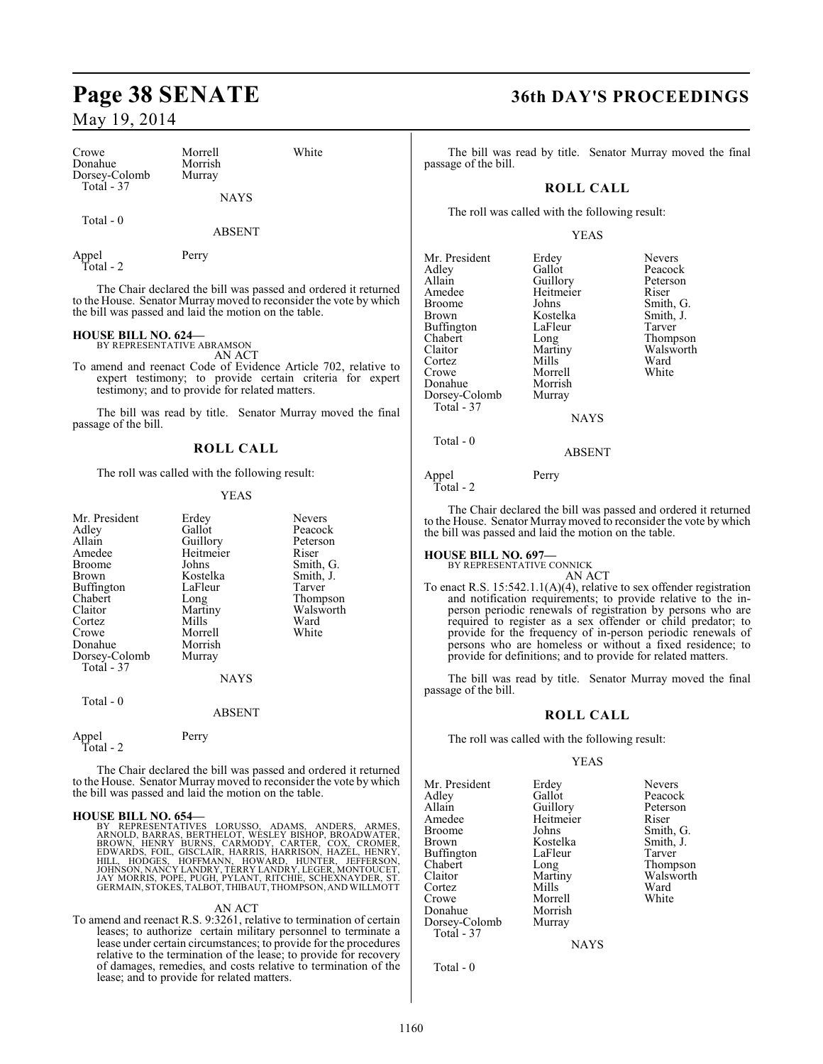| Crowe<br>Donahue             | Morrell<br>Morrish | White |
|------------------------------|--------------------|-------|
| Dorsey-Colomb<br>Total $-37$ | Murray             |       |
|                              | <b>NAYS</b>        |       |
| Total - 0                    |                    |       |

#### ABSENT

Appel Perry Total - 2

The Chair declared the bill was passed and ordered it returned to the House. Senator Murraymoved to reconsider the vote by which the bill was passed and laid the motion on the table.

## **HOUSE BILL NO. 624—** BY REPRESENTATIVE ABRAMSON

AN ACT To amend and reenact Code of Evidence Article 702, relative to expert testimony; to provide certain criteria for expert testimony; and to provide for related matters.

The bill was read by title. Senator Murray moved the final passage of the bill.

#### **ROLL CALL**

The roll was called with the following result:

#### YEAS

| Mr. President<br>Adley<br>Allain<br>Amedee<br>Broome<br>Brown<br>Buffington<br>Chabert<br>Claitor<br>Cortez<br>Crowe<br>Donahue<br>Dorsey-Colomb<br>Total - 37<br>Total - 0 | Erdey<br>Gallot<br>Guillory<br>Heitmeier<br>Johns<br>Kostelka<br>LaFleur<br>Long<br>Martiny<br>Mills<br>Morrell<br>Morrish<br>Murray<br><b>NAYS</b> | Nevers<br>Peacock<br>Peterson<br>Riser<br>Smith, G.<br>Smith, J.<br>Tarver<br>Thompson<br>Walsworth<br>Ward<br>White |
|-----------------------------------------------------------------------------------------------------------------------------------------------------------------------------|-----------------------------------------------------------------------------------------------------------------------------------------------------|----------------------------------------------------------------------------------------------------------------------|
|                                                                                                                                                                             | <b>ABSENT</b>                                                                                                                                       |                                                                                                                      |
| Appel<br>Total - 2                                                                                                                                                          | Perry                                                                                                                                               |                                                                                                                      |

The Chair declared the bill was passed and ordered it returned to the House. Senator Murray moved to reconsider the vote by which the bill was passed and laid the motion on the table.

#### **HOUSE BILL NO. 654—**

BY REPRESENTATIVES LORUSSO, ADAMS, ANDERS, ARMES,<br>ARNOLD, BARRAS, BERTHELOT, WÉSLEY BISHOP, BROADWATER,<br>BROWN, HENRY BURNS, CARMODY, CARTER, COX, CROMER,<br>EDWARDS, FOIL, GISCLAIR, HARRIS, HARRISON, HAZEL, HENRY,<br>HILL, HODGE

#### AN ACT

To amend and reenact R.S. 9:3261, relative to termination of certain leases; to authorize certain military personnel to terminate a lease under certain circumstances; to provide for the procedures relative to the termination of the lease; to provide for recovery of damages, remedies, and costs relative to termination of the lease; and to provide for related matters.

### **Page 38 SENATE 36th DAY'S PROCEEDINGS**

The bill was read by title. Senator Murray moved the final passage of the bill.

### **ROLL CALL**

The roll was called with the following result:

#### YEAS

| Mr. President<br>Adley<br>Allain<br>Amedee<br><b>Broome</b><br><b>Brown</b><br>Buffington<br>Chabert<br>Claitor<br>Cortez | Erdey<br>Gallot<br>Guillory<br>Heitmeier<br>Johns<br>Kostelka<br>LaFleur<br>Long<br>Martiny<br>Mills | <b>Nevers</b><br>Peacock<br>Peterson<br>Riser<br>Smith, G.<br>Smith, J.<br>Tarver<br>Thompson<br>Walsworth<br>Ward |
|---------------------------------------------------------------------------------------------------------------------------|------------------------------------------------------------------------------------------------------|--------------------------------------------------------------------------------------------------------------------|
| Crowe<br>Donahue                                                                                                          | Morrell<br>Morrish                                                                                   | White                                                                                                              |
| Dorsey-Colomb<br>Total - 37                                                                                               | Murray                                                                                               |                                                                                                                    |
|                                                                                                                           | <b>NAYS</b>                                                                                          |                                                                                                                    |
| Total - 0                                                                                                                 | ABSENT                                                                                               |                                                                                                                    |

#### Appel Perry Total - 2

The Chair declared the bill was passed and ordered it returned to the House. Senator Murray moved to reconsider the vote by which the bill was passed and laid the motion on the table.

**HOUSE BILL NO. 697—** BY REPRESENTATIVE CONNICK

AN ACT

To enact R.S. 15:542.1.1(A)(4), relative to sex offender registration and notification requirements; to provide relative to the inperson periodic renewals of registration by persons who are required to register as a sex offender or child predator; to provide for the frequency of in-person periodic renewals of persons who are homeless or without a fixed residence; to provide for definitions; and to provide for related matters.

The bill was read by title. Senator Murray moved the final passage of the bill.

#### **ROLL CALL**

The roll was called with the following result:

#### YEAS

Mr. President Erdey Nevers<br>Adley Gallot Peacock Adley Gallot Peacock Allain Guillory Peters<br>
Amedee Heitmeier Riser Amedee Heitmeier<br>Broome Johns Broome Johns Smith, G.<br>Brown Kostelka Smith, J. Buffington LaFle<br>Chabert Long Chabert Long Thompson Claitor Martiny Walsworth<br>Cortez Mills Ward Cortez Mills Ward Crowe Morrell White<br>
Donahue Morrish White Donahue Morrish<br>Dorsey-Colomb Murray Dorsey-Colomb Total - 37

Kostelka Smith, J.<br>LaFleur Tarver

NAYS

Total - 0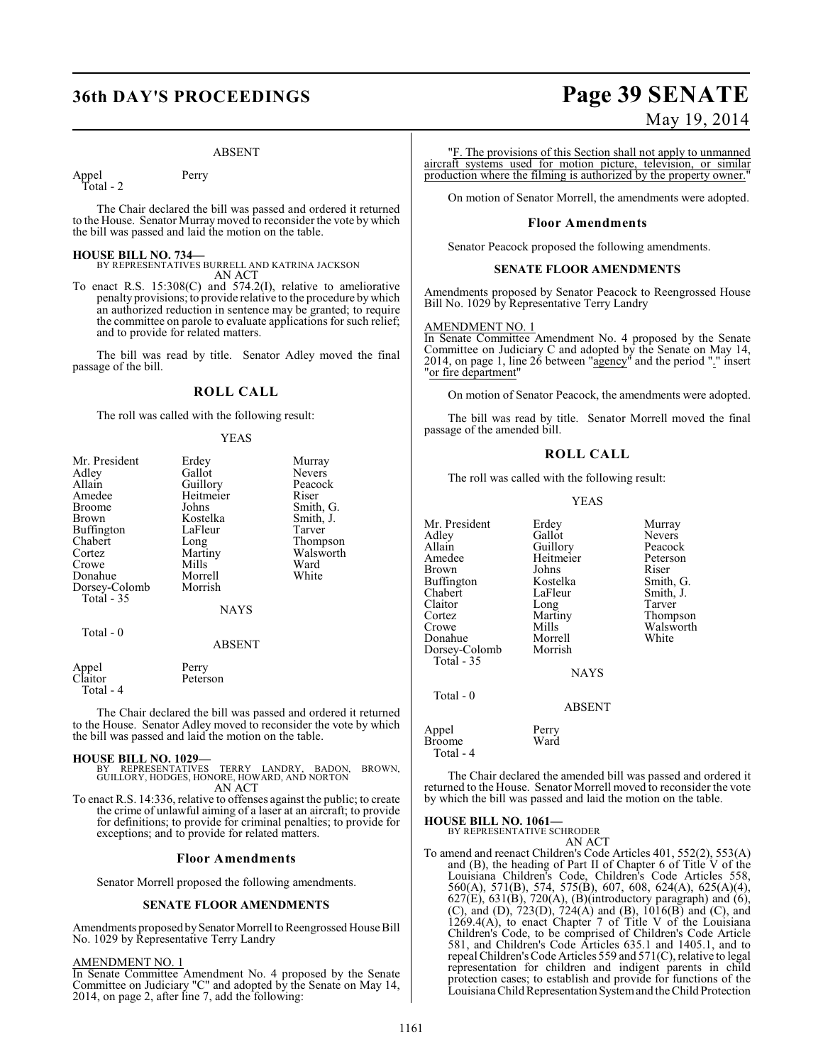## **36th DAY'S PROCEEDINGS Page 39 SENATE**

#### ABSENT

Appel Perry Total - 2

The Chair declared the bill was passed and ordered it returned to the House. Senator Murray moved to reconsider the vote by which the bill was passed and laid the motion on the table.

#### **HOUSE BILL NO. 734—**

BY REPRESENTATIVES BURRELL AND KATRINA JACKSON AN ACT

To enact R.S. 15:308(C) and 574.2(I), relative to ameliorative penalty provisions; to provide relative to the procedure by which an authorized reduction in sentence may be granted; to require the committee on parole to evaluate applications for such relief; and to provide for related matters.

The bill was read by title. Senator Adley moved the final passage of the bill.

### **ROLL CALL**

The roll was called with the following result:

#### YEAS

| Mr. President | Erdey         | Murray        |
|---------------|---------------|---------------|
| Adley         | Gallot        | <b>Nevers</b> |
| Allain        | Guillory      | Peacock       |
| Amedee        | Heitmeier     | Riser         |
| Broome        | Johns         | Smith, G.     |
| Brown         | Kostelka      | Smith, J.     |
| Buffington    | LaFleur       | Tarver        |
| Chabert       | Long          | Thompson      |
| Cortez        | Martiny       | Walsworth     |
| Crowe         | Mills         | Ward          |
| Donahue       | Morrell       | White         |
| Dorsey-Colomb | Morrish       |               |
| Total - 35    |               |               |
|               | <b>NAYS</b>   |               |
| Total - 0     |               |               |
|               | <b>ABSENT</b> |               |
| Appel         | Perry         |               |
| Claitor       | Peterson      |               |
| Total - 4     |               |               |

The Chair declared the bill was passed and ordered it returned to the House. Senator Adley moved to reconsider the vote by which the bill was passed and laid the motion on the table.

#### **HOUSE BILL NO. 1029—**

BY REPRESENTATIVES TERRY LANDRY, BADON, BROWN, GUILLORY, HODGES, HONORE, HOWARD, AND NORTON AN ACT

To enact R.S. 14:336, relative to offenses against the public; to create the crime of unlawful aiming of a laser at an aircraft; to provide for definitions; to provide for criminal penalties; to provide for exceptions; and to provide for related matters.

#### **Floor Amendments**

Senator Morrell proposed the following amendments.

#### **SENATE FLOOR AMENDMENTS**

Amendments proposed by Senator Morrell to Reengrossed House Bill No. 1029 by Representative Terry Landry

#### AMENDMENT NO. 1

In Senate Committee Amendment No. 4 proposed by the Senate Committee on Judiciary "C" and adopted by the Senate on May 14, 2014, on page 2, after line 7, add the following:

## May 19, 2014 "F. The provisions of this Section shall not apply to unmanned

aircraft systems used for motion picture, television, or similar production where the filming is authorized by the property owner."

On motion of Senator Morrell, the amendments were adopted.

#### **Floor Amendments**

Senator Peacock proposed the following amendments.

#### **SENATE FLOOR AMENDMENTS**

Amendments proposed by Senator Peacock to Reengrossed House Bill No. 1029 by Representative Terry Landry

#### AMENDMENT NO. 1

In Senate Committee Amendment No. 4 proposed by the Senate Committee on Judiciary C and adopted by the Senate on May 14, 2014, on page 1, line 26 between "agency" and the period "." insert "or fire department"

On motion of Senator Peacock, the amendments were adopted.

The bill was read by title. Senator Morrell moved the final passage of the amended bill.

#### **ROLL CALL**

The roll was called with the following result:

#### YEAS

| Mr. President<br>Adley<br>Allain<br>Amedee<br>Brown<br>Buffington<br>Chabert<br>Claitor<br>Cortez | Erdey<br>Gallot<br>Guillory<br>Heitmeier<br>Johns<br>Kostelka<br>LaFleur<br>Long<br>Martiny | Murray<br><b>Nevers</b><br>Peacock<br>Peterson<br>Riser<br>Smith, G.<br>Smith, J.<br>Tarver<br>Thompson |
|---------------------------------------------------------------------------------------------------|---------------------------------------------------------------------------------------------|---------------------------------------------------------------------------------------------------------|
| Crowe                                                                                             | Mills                                                                                       | Walsworth                                                                                               |
| Donahue                                                                                           | Morrell                                                                                     | White                                                                                                   |
| Dorsey-Colomb<br>Total $-35$                                                                      | Morrish                                                                                     |                                                                                                         |
|                                                                                                   | <b>NAYS</b>                                                                                 |                                                                                                         |
| Total - 0                                                                                         |                                                                                             |                                                                                                         |
|                                                                                                   | <b>ABSENT</b>                                                                               |                                                                                                         |
| Appel<br><b>Broome</b><br>$T_{\alpha\dagger\alpha}1$<br>$\overline{A}$                            | Perry<br>Ward                                                                               |                                                                                                         |

Total - 4

The Chair declared the amended bill was passed and ordered it returned to the House. Senator Morrell moved to reconsider the vote by which the bill was passed and laid the motion on the table.

**HOUSE BILL NO. 1061—** BY REPRESENTATIVE SCHRODER

AN ACT

To amend and reenact Children's Code Articles 401, 552(2), 553(A) and (B), the heading of Part II of Chapter 6 of Title V of the Louisiana Children's Code, Children's Code Articles 558, 560(A), 571(B), 574, 575(B), 607, 608, 624(A), 625(A)(4),  $627(E)$ ,  $631(B)$ ,  $720(A)$ ,  $(B)$ (introductory paragraph) and  $(6)$ , (C), and (D), 723(D), 724(A) and (B), 1016(B) and (C), and 1269.4(A), to enact Chapter 7 of Title V of the Louisiana Children's Code, to be comprised of Children's Code Article 581, and Children's Code Articles 635.1 and 1405.1, and to repeal Children's Code Articles 559 and 571(C), relative to legal representation for children and indigent parents in child protection cases; to establish and provide for functions of the Louisiana Child Representation System and the Child Protection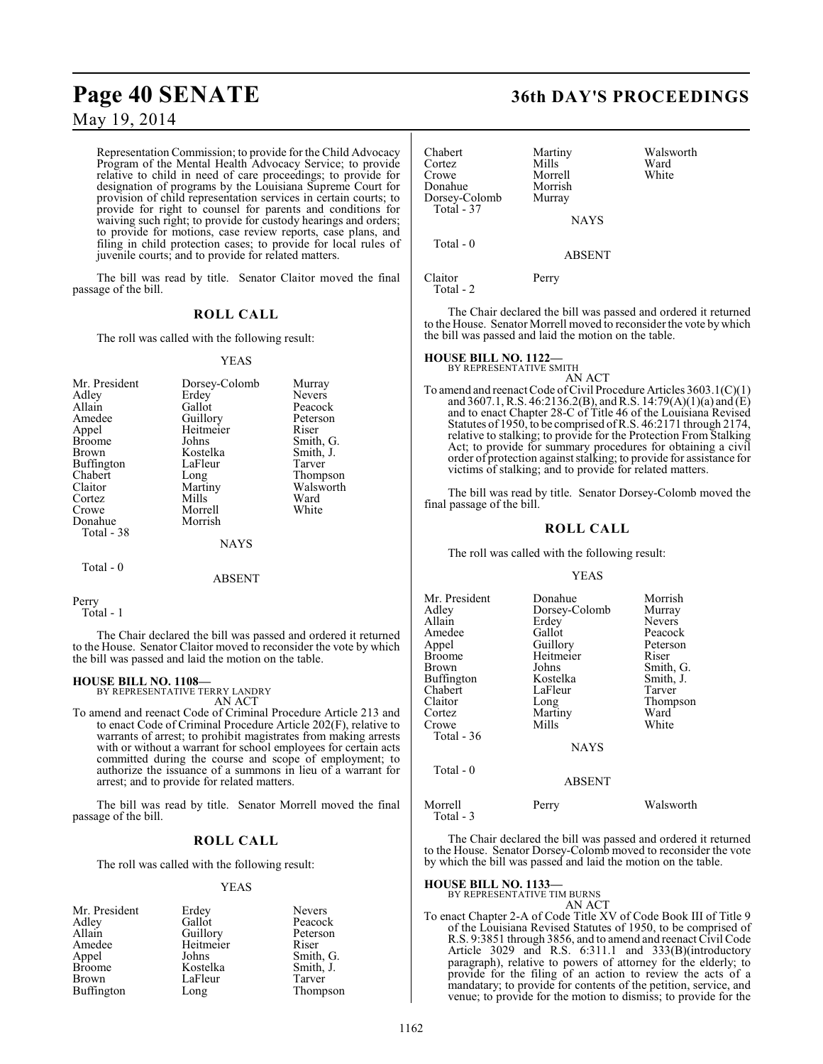## **Page 40 SENATE 36th DAY'S PROCEEDINGS**

### May 19, 2014

Representation Commission; to provide for the Child Advocacy Program of the Mental Health Advocacy Service; to provide relative to child in need of care proceedings; to provide for designation of programs by the Louisiana Supreme Court for provision of child representation services in certain courts; to provide for right to counsel for parents and conditions for waiving such right; to provide for custody hearings and orders; to provide for motions, case review reports, case plans, and filing in child protection cases; to provide for local rules of juvenile courts; and to provide for related matters.

The bill was read by title. Senator Claitor moved the final passage of the bill.

#### **ROLL CALL**

The roll was called with the following result:

#### YEAS

| Mr. President<br>Adley<br>Allain<br>Amedee<br>Appel<br><b>Broome</b><br>Brown<br>Buffington<br>Chabert<br>Claitor<br>Cortez<br>Crowe<br>Donahue<br>Total - 38 | Dorsey-Colomb<br>Erdey<br>Gallot<br>Guillory<br>Heitmeier<br>Johns<br>Kostelka<br>LaFleur<br>Long<br>Martiny<br>Mills<br>Morrell<br>Morrish | Murray<br><b>Nevers</b><br>Peacock<br>Peterson<br>Riser<br>Smith, G.<br>Smith, J.<br>Tarver<br>Thompson<br>Walsworth<br>Ward<br>White |
|---------------------------------------------------------------------------------------------------------------------------------------------------------------|---------------------------------------------------------------------------------------------------------------------------------------------|---------------------------------------------------------------------------------------------------------------------------------------|
|                                                                                                                                                               | <b>NAYS</b>                                                                                                                                 |                                                                                                                                       |
| Total - 0                                                                                                                                                     |                                                                                                                                             |                                                                                                                                       |

ABSENT

```
Perry
   Total - 1
```
The Chair declared the bill was passed and ordered it returned to the House. Senator Claitor moved to reconsider the vote by which the bill was passed and laid the motion on the table.

#### **HOUSE BILL NO. 1108—**

BY REPRESENTATIVE TERRY LANDRY AN ACT

To amend and reenact Code of Criminal Procedure Article 213 and to enact Code of Criminal Procedure Article 202(F), relative to warrants of arrest; to prohibit magistrates from making arrests with or without a warrant for school employees for certain acts committed during the course and scope of employment; to authorize the issuance of a summons in lieu of a warrant for arrest; and to provide for related matters.

The bill was read by title. Senator Morrell moved the final passage of the bill.

#### **ROLL CALL**

The roll was called with the following result:

#### YEAS

|           | <b>Nevers</b>     |
|-----------|-------------------|
| Gallot    | Peacock           |
|           | Peterson          |
| Heitmeier | Riser             |
| Johns     | Smith, G.         |
| Kostelka  | Smith, J.         |
| LaFleur   | Tarver            |
| Long      | Thompson          |
|           | Erdey<br>Guillory |

| Chabert<br>Cortez<br>Crowe<br>Donahue<br>Dorsey-Colomb | Martiny<br>Mills<br>Morrell<br>Morrish<br>Murray | Walsworth<br>Ward<br>White |
|--------------------------------------------------------|--------------------------------------------------|----------------------------|
| Total $-37$                                            | <b>NAYS</b>                                      |                            |
| Total $-0$                                             | <b>ABSENT</b>                                    |                            |
| Claitor<br>Total - 2                                   | Perry                                            |                            |

The Chair declared the bill was passed and ordered it returned to the House. Senator Morrell moved to reconsider the vote by which the bill was passed and laid the motion on the table.

#### **HOUSE BILL NO. 1122—**

BY REPRESENTATIVE SMITH

AN ACT

To amend and reenact Code of Civil Procedure Articles 3603.1(C)(1) and 3607.1, R.S. 46:2136.2(B), and R.S. 14:79(A)(1)(a) and  $(E)$ and to enact Chapter 28-C of Title 46 of the Louisiana Revised Statutes of 1950, to be comprised of R.S. 46:2171 through 2174, relative to stalking; to provide for the Protection From Stalking Act; to provide for summary procedures for obtaining a civil order of protection against stalking; to provide for assistance for victims of stalking; and to provide for related matters.

The bill was read by title. Senator Dorsey-Colomb moved the final passage of the bill.

### **ROLL CALL**

The roll was called with the following result:

YEAS

| Mr. President | Donahue       | Morrish       |
|---------------|---------------|---------------|
| Adley         | Dorsey-Colomb | Murray        |
| Allain        | Erdey         | <b>Nevers</b> |
| Amedee        | Gallot        | Peacock       |
| Appel         | Guillory      | Peterson      |
| Broome        | Heitmeier     | Riser         |
| Brown         | Johns         | Smith, G.     |
| Buffington    | Kostelka      | Smith, J.     |
| Chabert       | LaFleur       | Tarver        |
| Claitor       | Long          | Thompson      |
| Cortez        | Martiny       | Ward          |
| Crowe         | Mills         | White         |
| Total - 36    |               |               |
|               | <b>NAYS</b>   |               |
| Total - 0     |               |               |

| Morrell   | Perry | Walsworth |
|-----------|-------|-----------|
| Total - 3 |       |           |

The Chair declared the bill was passed and ordered it returned to the House. Senator Dorsey-Colomb moved to reconsider the vote by which the bill was passed and laid the motion on the table.

ABSENT

## **HOUSE BILL NO. 1133—** BY REPRESENTATIVE TIM BURNS

AN ACT

To enact Chapter 2-A of Code Title XV of Code Book III of Title 9 of the Louisiana Revised Statutes of 1950, to be comprised of R.S. 9:3851 through 3856, and to amend and reenact Civil Code Article 3029 and R.S. 6:311.1 and 333(B)(introductory paragraph), relative to powers of attorney for the elderly; to provide for the filing of an action to review the acts of a mandatary; to provide for contents of the petition, service, and venue; to provide for the motion to dismiss; to provide for the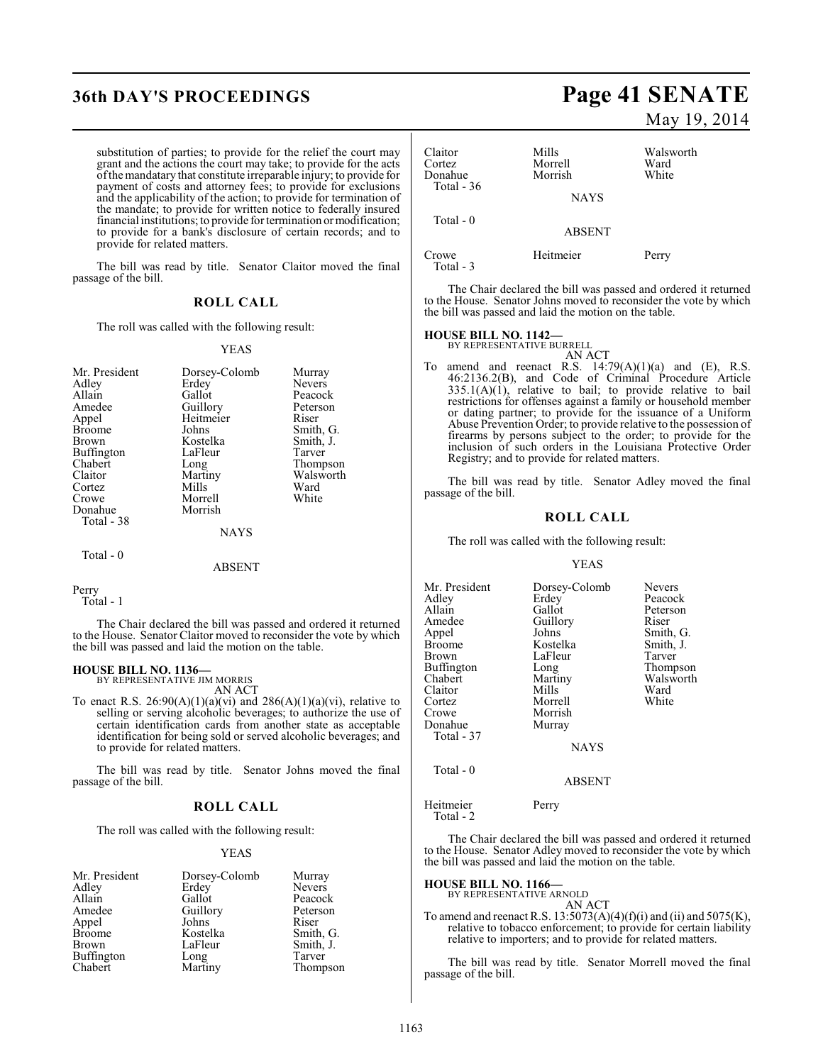## **36th DAY'S PROCEEDINGS Page 41 SENATE**

substitution of parties; to provide for the relief the court may grant and the actions the court may take; to provide for the acts ofthemandatary that constitute irreparable injury; to provide for payment of costs and attorney fees; to provide for exclusions and the applicability of the action; to provide for termination of the mandate; to provide for written notice to federally insured financial institutions; to provide for termination or modification; to provide for a bank's disclosure of certain records; and to provide for related matters.

The bill was read by title. Senator Claitor moved the final passage of the bill.

### **ROLL CALL**

The roll was called with the following result:

#### YEAS

| Mr. President | Dorsey-Colomb | Murray        |
|---------------|---------------|---------------|
| Adley         | Erdey         | <b>Nevers</b> |
| Allain        | Gallot        | Peacock       |
| Amedee        | Guillory      | Peterson      |
| Appel         | Heitmeier     | Riser         |
| <b>Broome</b> | Johns         | Smith, G.     |
| <b>Brown</b>  | Kostelka      | Smith, J.     |
| Buffington    | LaFleur       | Tarver        |
| Chabert       | Long          | Thompson      |
| Claitor       | Martiny       | Walsworth     |
| Cortez        | Mills         | Ward          |
| Crowe         | Morrell       | White         |
| Donahue       | Morrish       |               |
| Total - 38    |               |               |
|               | <b>NAYS</b>   |               |
| Total $-0$    |               |               |
|               | ABSENT        |               |

Perry

Total - 1

The Chair declared the bill was passed and ordered it returned to the House. Senator Claitor moved to reconsider the vote by which the bill was passed and laid the motion on the table.

#### **HOUSE BILL NO. 1136—**

BY REPRESENTATIVE JIM MORRIS AN ACT

To enact R.S.  $26:90(A)(1)(a)(vi)$  and  $286(A)(1)(a)(vi)$ , relative to selling or serving alcoholic beverages; to authorize the use of certain identification cards from another state as acceptable identification for being sold or served alcoholic beverages; and to provide for related matters.

The bill was read by title. Senator Johns moved the final passage of the bill.

### **ROLL CALL**

The roll was called with the following result:

#### YEAS

| Mr. President     | Dorsey-Colomb | Murray        |
|-------------------|---------------|---------------|
| Adley             | Erdey         | <b>Nevers</b> |
| Allain            | Gallot        | Peacock       |
| Amedee            | Guillory      | Peterson      |
| Appel             | Johns         | Riser         |
| <b>Broome</b>     | Kostelka      | Smith, G.     |
| <b>Brown</b>      | LaFleur       | Smith, J.     |
| <b>Buffington</b> | Long          | Tarver        |
| Chabert           | Martiny       | Thompson      |

# May 19, 2014

Claitor Mills Walsworth Morrell Ward<br>
Morrish White Donahue Total - 36 **NAYS**  Total - 0 ABSENT Crowe Heitmeier Perry Total - 3

The Chair declared the bill was passed and ordered it returned to the House. Senator Johns moved to reconsider the vote by which the bill was passed and laid the motion on the table.

### **HOUSE BILL NO. 1142—** BY REPRESENTATIVE BURRELL

AN ACT To amend and reenact R.S.  $14:79(A)(1)(a)$  and  $(E)$ , R.S. 46:2136.2(B), and Code of Criminal Procedure Article  $335.1(A)(1)$ , relative to bail; to provide relative to bail restrictions for offenses against a family or household member or dating partner; to provide for the issuance of a Uniform Abuse Prevention Order; to provide relative to the possession of firearms by persons subject to the order; to provide for the inclusion of such orders in the Louisiana Protective Order Registry; and to provide for related matters.

The bill was read by title. Senator Adley moved the final passage of the bill.

#### **ROLL CALL**

The roll was called with the following result:

#### YEAS

| Mr. President | Dorsey-Colomb | <b>Nevers</b> |
|---------------|---------------|---------------|
| Adlev         | Erdey         | Peacock       |
| Allain        | Gallot        | Peterson      |
| Amedee        | Guillory      | Riser         |
| Appel         | Johns         | Smith, G.     |
| Broome        | Kostelka      | Smith, J.     |
| Brown         | LaFleur       | Tarver        |
| Buffington    | Long          | Thompson      |
| Chabert       | Martiny       | Walsworth     |
| Claitor       | Mills         | Ward          |
| Cortez        | Morrell       | White         |
| Crowe         | Morrish       |               |
| Donahue       | Murray        |               |
| Total - 37    |               |               |
|               | <b>NAYS</b>   |               |
|               |               |               |

Total - 0

ABSENT

Heitmeier Perry Total - 2

The Chair declared the bill was passed and ordered it returned to the House. Senator Adley moved to reconsider the vote by which the bill was passed and laid the motion on the table.

### **HOUSE BILL NO. 1166—** BY REPRESENTATIVE ARNOLD

AN ACT

To amend and reenact R.S.  $13:5073(A)(4)(f)(i)$  and (ii) and  $5075(K)$ , relative to tobacco enforcement; to provide for certain liability relative to importers; and to provide for related matters.

The bill was read by title. Senator Morrell moved the final passage of the bill.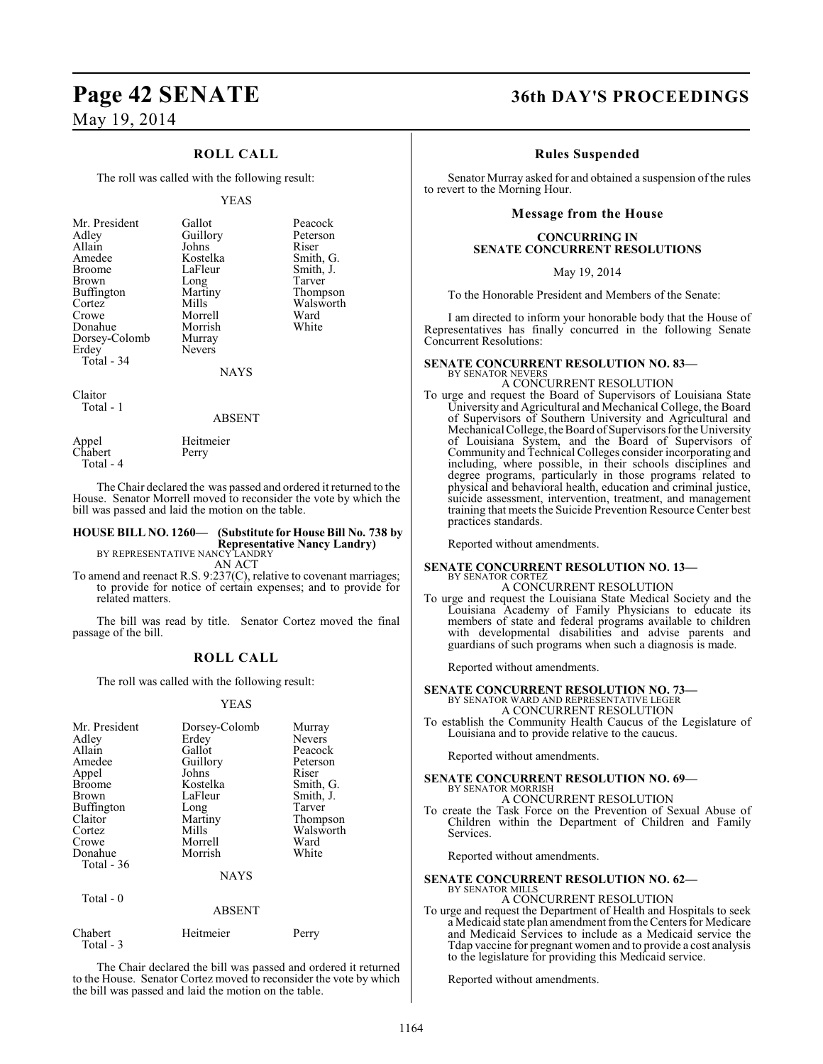### **ROLL CALL**

The roll was called with the following result:

#### YEAS

| Mr. President     | Gallot        | Peacock   |
|-------------------|---------------|-----------|
| Adley             | Guillory      | Peterson  |
| Allain            | Johns         | Riser     |
| Amedee            | Kostelka      | Smith, G. |
| <b>Broome</b>     | LaFleur       | Smith, J. |
| Brown             | Long          | Tarver    |
| <b>Buffington</b> | Martiny       | Thompson  |
| Cortez            | Mills         | Walsworth |
| Crowe             | Morrell       | Ward      |
| Donahue           | Morrish       | White     |
| Dorsey-Colomb     | Murray        |           |
| Erdey             | <b>Nevers</b> |           |
| Total - 34        |               |           |
|                   | NAYS          |           |

Claitor Total - 1

#### ABSENT

Appel Heitmeier<br>Chabert Perry Chabert Total - 4

The Chair declared the was passed and ordered it returned to the House. Senator Morrell moved to reconsider the vote by which the bill was passed and laid the motion on the table.

### **HOUSE BILL NO. 1260— (Substitute for House Bill No. 738 by Representative Nancy Landry)** BY REPRESENTATIVE NANCY LANDRY AN ACT

To amend and reenact R.S. 9:237(C), relative to covenant marriages; to provide for notice of certain expenses; and to provide for related matters.

The bill was read by title. Senator Cortez moved the final passage of the bill.

### **ROLL CALL**

The roll was called with the following result:

#### YEAS

| Mr. President<br>Adley<br>Allain<br>Amedee<br>Appel<br><b>Broome</b><br><b>Brown</b><br>Buffington<br>Claitor<br>Cortez<br>Crowe<br>Donahue | Dorsey-Colomb<br>Erdey<br>Gallot<br>Guillory<br>Johns<br>Kostelka<br>LaFleur<br>Long<br>Martiny<br>Mills<br>Morrell<br>Morrish | Murray<br><b>Nevers</b><br>Peacock<br>Peterson<br>Riser<br>Smith, G.<br>Smith, J.<br>Tarver<br>Thompson<br>Walsworth<br>Ward<br>White |
|---------------------------------------------------------------------------------------------------------------------------------------------|--------------------------------------------------------------------------------------------------------------------------------|---------------------------------------------------------------------------------------------------------------------------------------|
|                                                                                                                                             |                                                                                                                                |                                                                                                                                       |
| Total - 36                                                                                                                                  |                                                                                                                                |                                                                                                                                       |
|                                                                                                                                             | <b>NAYS</b>                                                                                                                    |                                                                                                                                       |

 $Total - 0$ 

| Perry |
|-------|
|       |

The Chair declared the bill was passed and ordered it returned to the House. Senator Cortez moved to reconsider the vote by which the bill was passed and laid the motion on the table.

**ABSENT** 

### **Page 42 SENATE 36th DAY'S PROCEEDINGS**

#### **Rules Suspended**

Senator Murray asked for and obtained a suspension of the rules to revert to the Morning Hour.

#### **Message from the House**

#### **CONCURRING IN SENATE CONCURRENT RESOLUTIONS**

May 19, 2014

To the Honorable President and Members of the Senate:

I am directed to inform your honorable body that the House of Representatives has finally concurred in the following Senate Concurrent Resolutions:

#### **SENATE CONCURRENT RESOLUTION NO. 83—** BY SENATOR NEVERS

A CONCURRENT RESOLUTION

To urge and request the Board of Supervisors of Louisiana State University and Agricultural and Mechanical College, the Board of Supervisors of Southern University and Agricultural and Mechanical College, the Board of Supervisors for the University of Louisiana System, and the Board of Supervisors of Community and Technical Colleges consider incorporating and including, where possible, in their schools disciplines and degree programs, particularly in those programs related to physical and behavioral health, education and criminal justice, suicide assessment, intervention, treatment, and management training that meets the Suicide Prevention Resource Center best practices standards.

Reported without amendments.

#### **SENATE CONCURRENT RESOLUTION NO. 13—** BY SENATOR CORTEZ

A CONCURRENT RESOLUTION

To urge and request the Louisiana State Medical Society and the Louisiana Academy of Family Physicians to educate its members of state and federal programs available to children with developmental disabilities and advise parents and guardians of such programs when such a diagnosis is made.

Reported without amendments.

**SENATE CONCURRENT RESOLUTION NO. 73—**<br>BY SENATOR WARD AND REPRESENTATIVE LEGER<br>A CONCURRENT RESOLUTION

To establish the Community Health Caucus of the Legislature of Louisiana and to provide relative to the caucus.

Reported without amendments.

#### **SENATE CONCURRENT RESOLUTION NO. 69—** BY SENATOR MORRISH

A CONCURRENT RESOLUTION

To create the Task Force on the Prevention of Sexual Abuse of Children within the Department of Children and Family Services.

Reported without amendments.

#### **SENATE CONCURRENT RESOLUTION NO. 62—** BY SENATOR MILLS

A CONCURRENT RESOLUTION

To urge and request the Department of Health and Hospitals to seek a Medicaid state plan amendment from the Centers for Medicare and Medicaid Services to include as a Medicaid service the Tdap vaccine for pregnant women and to provide a cost analysis to the legislature for providing this Medicaid service.

Reported without amendments.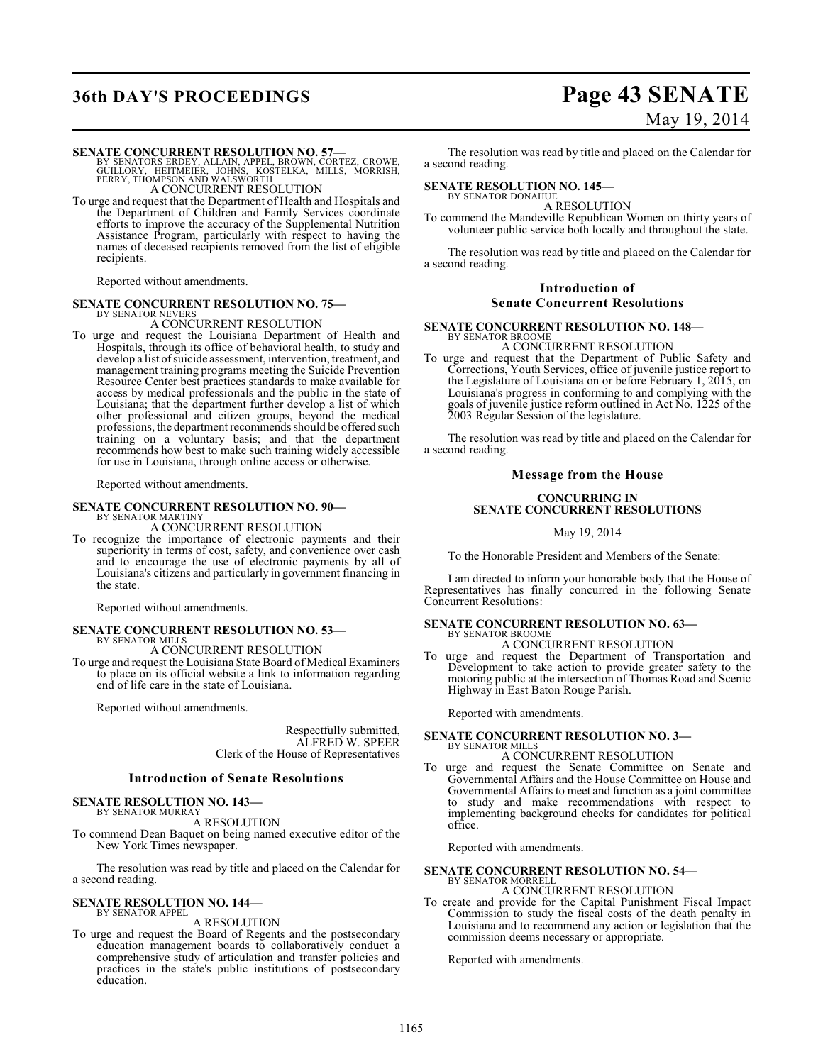## **36th DAY'S PROCEEDINGS Page 43 SENATE**

# May 19, 2014

**SENATE CONCURRENT RESOLUTION NO. 57—**<br>BY SENATORS ERDEY, ALLAIN, APPEL, BROWN, CORTEZ, CROWE,<br>GUILLORY, HEITMEIER, JOHNS, KOSTELKA, MILLS, MORRISH,<br>PERRY, THOMPSON AND WALSWORTH A CONCURRENT RESOLUTION

To urge and request that the Department of Health and Hospitals and the Department of Children and Family Services coordinate efforts to improve the accuracy of the Supplemental Nutrition Assistance Program, particularly with respect to having the names of deceased recipients removed from the list of eligible recipients.

Reported without amendments.

#### **SENATE CONCURRENT RESOLUTION NO. 75—** BY SENATOR NEVERS

A CONCURRENT RESOLUTION

To urge and request the Louisiana Department of Health and Hospitals, through its office of behavioral health, to study and develop a list of suicide assessment, intervention, treatment, and management training programs meeting the Suicide Prevention Resource Center best practices standards to make available for access by medical professionals and the public in the state of Louisiana; that the department further develop a list of which other professional and citizen groups, beyond the medical professions, the department recommends should be offered such training on a voluntary basis; and that the department recommends how best to make such training widely accessible for use in Louisiana, through online access or otherwise.

Reported without amendments.

#### **SENATE CONCURRENT RESOLUTION NO. 90—** BY SENATOR MARTINY

A CONCURRENT RESOLUTION

To recognize the importance of electronic payments and their superiority in terms of cost, safety, and convenience over cash and to encourage the use of electronic payments by all of Louisiana's citizens and particularly in government financing in the state.

Reported without amendments.

#### **SENATE CONCURRENT RESOLUTION NO. 53—** BY SENATOR MILLS

A CONCURRENT RESOLUTION

To urge and request the Louisiana State Board of Medical Examiners to place on its official website a link to information regarding end of life care in the state of Louisiana.

Reported without amendments.

Respectfully submitted, ALFRED W. SPEER Clerk of the House of Representatives

#### **Introduction of Senate Resolutions**

#### **SENATE RESOLUTION NO. 143—** BY SENATOR MURRAY

A RESOLUTION

To commend Dean Baquet on being named executive editor of the New York Times newspaper.

The resolution was read by title and placed on the Calendar for a second reading.

#### **SENATE RESOLUTION NO. 144—** BY SENATOR APPEL

A RESOLUTION

To urge and request the Board of Regents and the postsecondary education management boards to collaboratively conduct a comprehensive study of articulation and transfer policies and practices in the state's public institutions of postsecondary education.

The resolution was read by title and placed on the Calendar for a second reading.

#### **SENATE RESOLUTION NO. 145—**

BY SENATOR DONAHUE A RESOLUTION

To commend the Mandeville Republican Women on thirty years of volunteer public service both locally and throughout the state.

The resolution was read by title and placed on the Calendar for a second reading.

#### **Introduction of Senate Concurrent Resolutions**

#### **SENATE CONCURRENT RESOLUTION NO. 148—** BY SENATOR BROOME A CONCURRENT RESOLUTION

To urge and request that the Department of Public Safety and Corrections, Youth Services, office of juvenile justice report to the Legislature of Louisiana on or before February 1, 2015, on Louisiana's progress in conforming to and complying with the goals of juvenile justice reform outlined in Act No. 1225 of the 2003 Regular Session of the legislature.

The resolution was read by title and placed on the Calendar for a second reading.

#### **Message from the House**

#### **CONCURRING IN SENATE CONCURRENT RESOLUTIONS**

May 19, 2014

To the Honorable President and Members of the Senate:

I am directed to inform your honorable body that the House of Representatives has finally concurred in the following Senate Concurrent Resolutions:

### **SENATE CONCURRENT RESOLUTION NO. 63—** BY SENATOR BROOME

A CONCURRENT RESOLUTION

To urge and request the Department of Transportation and Development to take action to provide greater safety to the motoring public at the intersection of Thomas Road and Scenic Highway in East Baton Rouge Parish.

Reported with amendments.

#### **SENATE CONCURRENT RESOLUTION NO. 3—** BY SENATOR MILLS

#### A CONCURRENT RESOLUTION

To urge and request the Senate Committee on Senate and Governmental Affairs and the House Committee on House and Governmental Affairs to meet and function as a joint committee to study and make recommendations with respect to implementing background checks for candidates for political office.

Reported with amendments.

## **SENATE CONCURRENT RESOLUTION NO. 54—** BY SENATOR MORRELL

#### A CONCURRENT RESOLUTION

To create and provide for the Capital Punishment Fiscal Impact Commission to study the fiscal costs of the death penalty in Louisiana and to recommend any action or legislation that the commission deems necessary or appropriate.

Reported with amendments.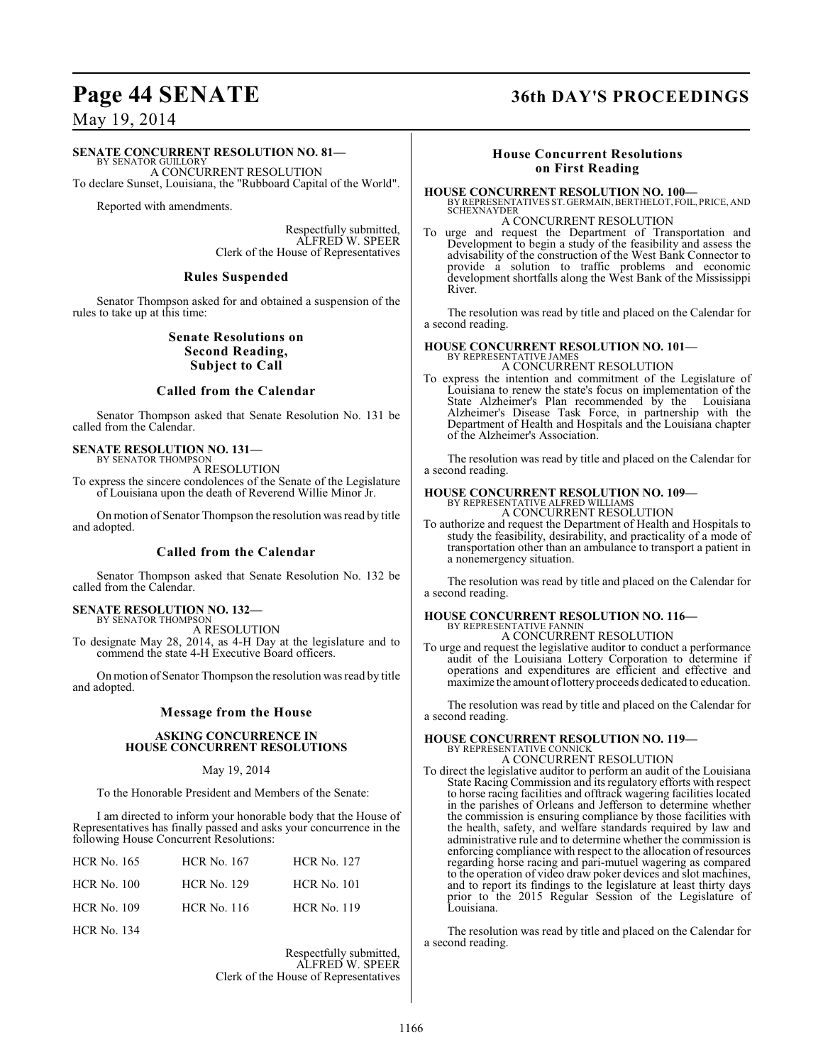## **Page 44 SENATE 36th DAY'S PROCEEDINGS**

### May 19, 2014

#### **SENATE CONCURRENT RESOLUTION NO. 81—**

BY SENATOR GUILLORY A CONCURRENT RESOLUTION To declare Sunset, Louisiana, the "Rubboard Capital of the World".

Reported with amendments.

Respectfully submitted, ALFRED W. SPEER Clerk of the House of Representatives

#### **Rules Suspended**

Senator Thompson asked for and obtained a suspension of the rules to take up at this time:

#### **Senate Resolutions on Second Reading, Subject to Call**

#### **Called from the Calendar**

Senator Thompson asked that Senate Resolution No. 131 be called from the Calendar.

#### **SENATE RESOLUTION NO. 131—** BY SENATOR THOMPSON

A RESOLUTION

To express the sincere condolences of the Senate of the Legislature of Louisiana upon the death of Reverend Willie Minor Jr.

On motion of Senator Thompson the resolution was read by title and adopted.

#### **Called from the Calendar**

Senator Thompson asked that Senate Resolution No. 132 be called from the Calendar.

#### **SENATE RESOLUTION NO. 132—** BY SENATOR THOMPSON

A RESOLUTION

To designate May 28, 2014, as 4-H Day at the legislature and to commend the state 4-H Executive Board officers.

On motion of Senator Thompson the resolution was read by title and adopted.

#### **Message from the House**

#### **ASKING CONCURRENCE IN HOUSE CONCURRENT RESOLUTIONS**

#### May 19, 2014

To the Honorable President and Members of the Senate:

I am directed to inform your honorable body that the House of Representatives has finally passed and asks your concurrence in the following House Concurrent Resolutions:

| <b>HCR</b> No. 165 | <b>HCR No. 167</b> | <b>HCR No. 127</b> |
|--------------------|--------------------|--------------------|
| <b>HCR No. 100</b> | <b>HCR No. 129</b> | <b>HCR No. 101</b> |
| <b>HCR No. 109</b> | <b>HCR</b> No. 116 | <b>HCR No. 119</b> |
| <b>HCR No. 134</b> |                    |                    |

Respectfully submitted, ALFRED W. SPEER Clerk of the House of Representatives

### **House Concurrent Resolutions on First Reading**

**HOUSE CONCURRENT RESOLUTION NO. 100—** BY REPRESENTATIVES ST. GERMAIN, BERTHELOT, FOIL, PRICE, AND SCHEXNAYDER A CONCURRENT RESOLUTION

To urge and request the Department of Transportation and Development to begin a study of the feasibility and assess the advisability of the construction of the West Bank Connector to provide a solution to traffic problems and economic development shortfalls along the West Bank of the Mississippi River.

The resolution was read by title and placed on the Calendar for a second reading.

#### **HOUSE CONCURRENT RESOLUTION NO. 101—**

BY REPRESENTATIVE JAMES A CONCURRENT RESOLUTION

To express the intention and commitment of the Legislature of Louisiana to renew the state's focus on implementation of the State Alzheimer's Plan recommended by the Louisiana Alzheimer's Disease Task Force, in partnership with the Department of Health and Hospitals and the Louisiana chapter of the Alzheimer's Association.

The resolution was read by title and placed on the Calendar for a second reading.

# **HOUSE CONCURRENT RESOLUTION NO. 109—** BY REPRESENTATIVE ALFRED WILLIAMS A CONCURRENT RESOLUTION

To authorize and request the Department of Health and Hospitals to study the feasibility, desirability, and practicality of a mode of transportation other than an ambulance to transport a patient in a nonemergency situation.

The resolution was read by title and placed on the Calendar for a second reading.

#### **HOUSE CONCURRENT RESOLUTION NO. 116—** BY REPRESENTATIVE FANNIN

A CONCURRENT RESOLUTION

To urge and request the legislative auditor to conduct a performance audit of the Louisiana Lottery Corporation to determine if operations and expenditures are efficient and effective and maximize the amount of lottery proceeds dedicated to education.

The resolution was read by title and placed on the Calendar for a second reading.

## **HOUSE CONCURRENT RESOLUTION NO. 119—** BY REPRESENTATIVE CONNICK

A CONCURRENT RESOLUTION

To direct the legislative auditor to perform an audit of the Louisiana State Racing Commission and its regulatory efforts with respect to horse racing facilities and offtrack wagering facilities located in the parishes of Orleans and Jefferson to determine whether the commission is ensuring compliance by those facilities with the health, safety, and welfare standards required by law and administrative rule and to determine whether the commission is enforcing compliance with respect to the allocation of resources regarding horse racing and pari-mutuel wagering as compared to the operation of video draw poker devices and slot machines, and to report its findings to the legislature at least thirty days prior to the 2015 Regular Session of the Legislature of Louisiana.

The resolution was read by title and placed on the Calendar for a second reading.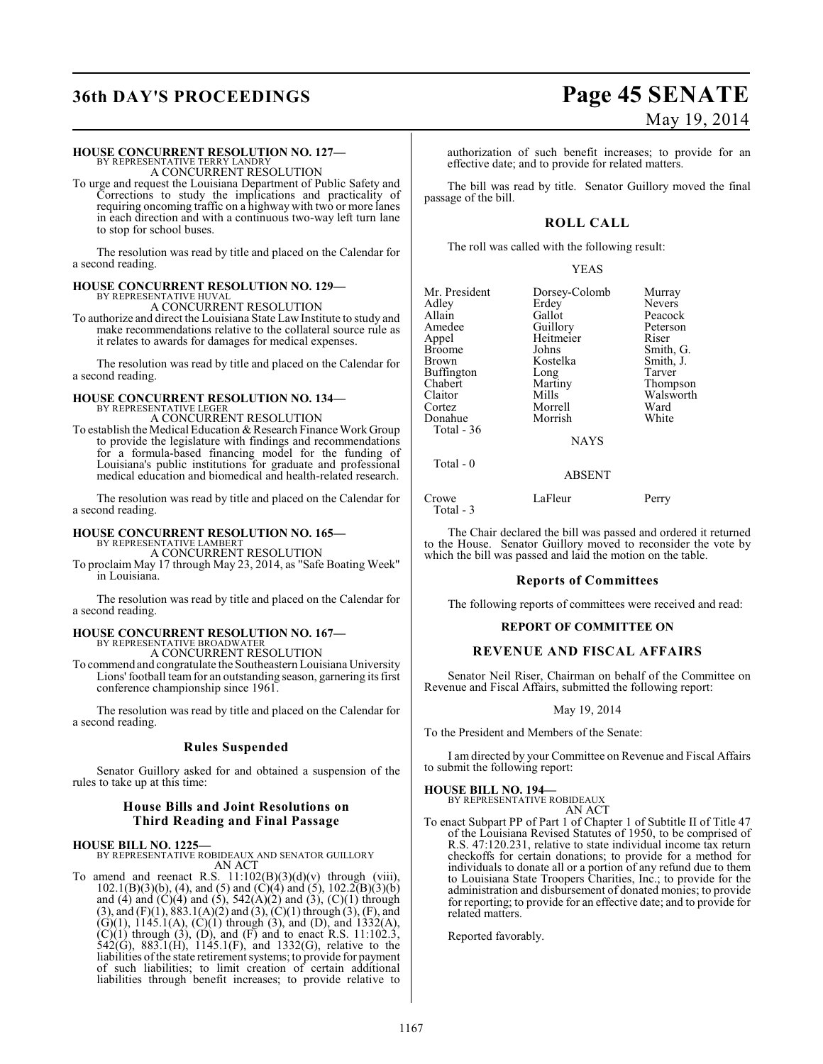## **36th DAY'S PROCEEDINGS Page 45 SENATE**

#### **HOUSE CONCURRENT RESOLUTION NO. 127—**

BY REPRESENTATIVE TERRY LANDRY A CONCURRENT RESOLUTION

To urge and request the Louisiana Department of Public Safety and Corrections to study the implications and practicality of requiring oncoming traffic on a highway with two or more lanes in each direction and with a continuous two-way left turn lane to stop for school buses.

The resolution was read by title and placed on the Calendar for a second reading.

### **HOUSE CONCURRENT RESOLUTION NO. 129—**

BY REPRESENTATIVE HUVAL A CONCURRENT RESOLUTION

To authorize and direct the Louisiana State LawInstitute to study and make recommendations relative to the collateral source rule as it relates to awards for damages for medical expenses.

The resolution was read by title and placed on the Calendar for a second reading.

## **HOUSE CONCURRENT RESOLUTION NO. 134—** BY REPRESENTATIVE LEGER

A CONCURRENT RESOLUTION

To establish the Medical Education & Research Finance Work Group to provide the legislature with findings and recommendations for a formula-based financing model for the funding of Louisiana's public institutions for graduate and professional medical education and biomedical and health-related research.

The resolution was read by title and placed on the Calendar for a second reading.

## **HOUSE CONCURRENT RESOLUTION NO. 165—** BY REPRESENTATIVE LAMBERT

A CONCURRENT RESOLUTION To proclaim May 17 through May 23, 2014, as "Safe Boating Week"

in Louisiana.

The resolution was read by title and placed on the Calendar for a second reading.

### **HOUSE CONCURRENT RESOLUTION NO. 167—** BY REPRESENTATIVE BROADWATER A CONCURRENT RESOLUTION

To commend and congratulate the Southeastern Louisiana University Lions' football team for an outstanding season, garnering its first conference championship since 1961.

The resolution was read by title and placed on the Calendar for a second reading.

#### **Rules Suspended**

Senator Guillory asked for and obtained a suspension of the rules to take up at this time:

### **House Bills and Joint Resolutions on Third Reading and Final Passage**

**HOUSE BILL NO. 1225—** BY REPRESENTATIVE ROBIDEAUX AND SENATOR GUILLORY AN ACT

To amend and reenact R.S.  $11:102(B)(3)(d)(v)$  through (viii),  $102.1(B)(3)(b)$ , (4), and (5) and (C)(4) and (5),  $102.2(B)(3)(b)$ and (4) and (C)(4) and (5),  $542(A)(2)$  and (3), (C)(1) through  $(3)$ , and  $(F)(1)$ ,  $883.1(A)(2)$  and  $(3)$ ,  $(C)(1)$  through  $(3)$ ,  $(F)$ , and  $(G)(1)$ , 1145.1(A),  $(C)(1)$  through (3), and (D), and 1332(A),  $(C)(1)$  through (3), (D), and (F) and to enact R.S. 11:102.3, 542(G), 883.1(H), 1145.1(F), and 1332(G), relative to the liabilities of the state retirement systems; to provide for payment of such liabilities; to limit creation of certain additional liabilities through benefit increases; to provide relative to

authorization of such benefit increases; to provide for an effective date; and to provide for related matters.

The bill was read by title. Senator Guillory moved the final passage of the bill.

### **ROLL CALL**

The roll was called with the following result:

#### YEAS

| Mr. President | Dorsey-Colomb | Murray        |
|---------------|---------------|---------------|
|               |               |               |
| Adlev         | Erdey         | <b>Nevers</b> |
| Allain        | Gallot        | Peacock       |
| Amedee        | Guillory      | Peterson      |
| Appel         | Heitmeier     | Riser         |
| Broome        | Johns         | Smith, G.     |
| Brown         | Kostelka      | Smith, J.     |
| Buffington    | Long          | Tarver        |
| Chabert       | Martiny       | Thompson      |
| Claitor       | Mills         | Walsworth     |
| Cortez        | Morrell       | Ward          |
| Donahue       | Morrish       | White         |
| Total - 36    |               |               |
|               | <b>NAYS</b>   |               |
|               |               |               |

ABSENT

### Crowe LaFleur Perry Total - 3

The Chair declared the bill was passed and ordered it returned to the House. Senator Guillory moved to reconsider the vote by which the bill was passed and laid the motion on the table.

#### **Reports of Committees**

The following reports of committees were received and read:

### **REPORT OF COMMITTEE ON**

#### **REVENUE AND FISCAL AFFAIRS**

Senator Neil Riser, Chairman on behalf of the Committee on Revenue and Fiscal Affairs, submitted the following report:

May 19, 2014

To the President and Members of the Senate:

I am directed by your Committee on Revenue and Fiscal Affairs to submit the following report:

#### **HOUSE BILL NO. 194—**

Total - 0

BY REPRESENTATIVE ROBIDEAUX AN ACT

To enact Subpart PP of Part 1 of Chapter 1 of Subtitle II of Title 47 of the Louisiana Revised Statutes of 1950, to be comprised of R.S. 47:120.231, relative to state individual income tax return checkoffs for certain donations; to provide for a method for individuals to donate all or a portion of any refund due to them to Louisiana State Troopers Charities, Inc.; to provide for the administration and disbursement of donated monies; to provide for reporting; to provide for an effective date; and to provide for related matters.

Reported favorably.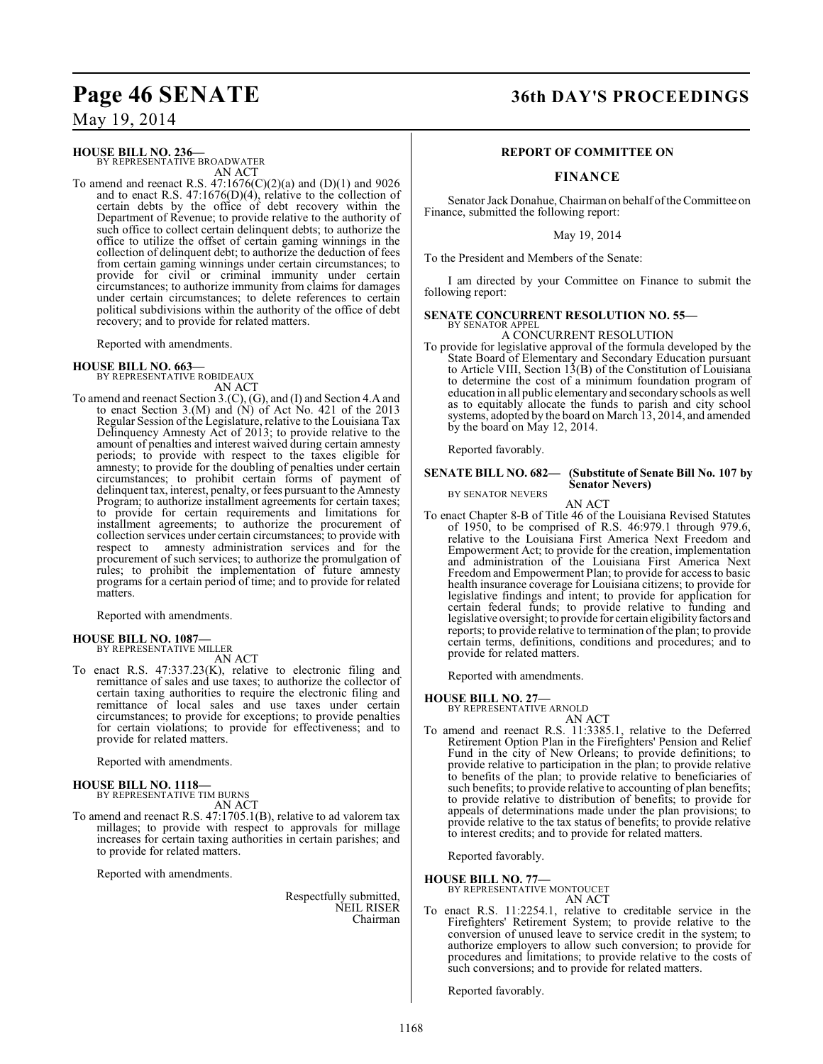### **HOUSE BILL NO. 236—**

BY REPRESENTATIVE BROADWATER AN ACT

To amend and reenact R.S. 47:1676(C)(2)(a) and (D)(1) and 9026 and to enact R.S. 47:1676(D)(4), relative to the collection of certain debts by the office of debt recovery within the Department of Revenue; to provide relative to the authority of such office to collect certain delinquent debts; to authorize the office to utilize the offset of certain gaming winnings in the collection of delinquent debt; to authorize the deduction of fees from certain gaming winnings under certain circumstances; to provide for civil or criminal immunity under certain circumstances; to authorize immunity from claims for damages under certain circumstances; to delete references to certain political subdivisions within the authority of the office of debt recovery; and to provide for related matters.

Reported with amendments.

## **HOUSE BILL NO. 663—** BY REPRESENTATIVE ROBIDEAUX

AN ACT

To amend and reenact Section 3.(C), (G), and (I) and Section 4.A and to enact Section 3.(M) and  $(N)$  of Act No. 421 of the 2013 Regular Session of the Legislature, relative to the Louisiana Tax Delinquency Amnesty Act of 2013; to provide relative to the amount of penalties and interest waived during certain amnesty periods; to provide with respect to the taxes eligible for amnesty; to provide for the doubling of penalties under certain circumstances; to prohibit certain forms of payment of delinquent tax, interest, penalty, or fees pursuant to the Amnesty Program; to authorize installment agreements for certain taxes; to provide for certain requirements and limitations for installment agreements; to authorize the procurement of collection services under certain circumstances; to provide with<br>respect to amnesty administration services and for the amnesty administration services and for the procurement of such services; to authorize the promulgation of rules; to prohibit the implementation of future amnesty programs for a certain period of time; and to provide for related matters.

Reported with amendments.

#### **HOUSE BILL NO. 1087—** BY REPRESENTATIVE MILLER

AN ACT

To enact R.S. 47:337.23(K), relative to electronic filing and remittance of sales and use taxes; to authorize the collector of certain taxing authorities to require the electronic filing and remittance of local sales and use taxes under certain circumstances; to provide for exceptions; to provide penalties for certain violations; to provide for effectiveness; and to provide for related matters.

Reported with amendments.

## **HOUSE BILL NO. 1118—** BY REPRESENTATIVE TIM BURNS

AN ACT

To amend and reenact R.S. 47:1705.1(B), relative to ad valorem tax millages; to provide with respect to approvals for millage increases for certain taxing authorities in certain parishes; and to provide for related matters.

Reported with amendments.

Respectfully submitted, NEIL RISER Chairman

## Page 46 SENATE 36th DAY'S PROCEEDINGS

#### **REPORT OF COMMITTEE ON**

### **FINANCE**

Senator Jack Donahue, Chairman on behalf of the Committee on Finance, submitted the following report:

May 19, 2014

To the President and Members of the Senate:

I am directed by your Committee on Finance to submit the following report:

#### **SENATE CONCURRENT RESOLUTION NO. 55—** BY SENATOR APPEL

A CONCURRENT RESOLUTION

To provide for legislative approval of the formula developed by the State Board of Elementary and Secondary Education pursuant to Article VIII, Section 13(B) of the Constitution of Louisiana to determine the cost of a minimum foundation program of education in all public elementary and secondary schools as well as to equitably allocate the funds to parish and city school systems, adopted by the board on March 13, 2014, and amended by the board on May 12, 2014.

Reported favorably.

#### **SENATE BILL NO. 682— (Substitute of Senate Bill No. 107 by Senator Nevers)** BY SENATOR NEVERS

AN ACT

To enact Chapter 8-B of Title 46 of the Louisiana Revised Statutes of 1950, to be comprised of R.S. 46:979.1 through 979.6, relative to the Louisiana First America Next Freedom and Empowerment Act; to provide for the creation, implementation and administration of the Louisiana First America Next Freedom and Empowerment Plan; to provide for access to basic health insurance coverage for Louisiana citizens; to provide for legislative findings and intent; to provide for application for certain federal funds; to provide relative to funding and legislative oversight; to provide for certain eligibility factors and reports; to provide relative to termination of the plan; to provide certain terms, definitions, conditions and procedures; and to provide for related matters.

Reported with amendments.

#### **HOUSE BILL NO. 27—**

BY REPRESENTATIVE ARNOLD AN ACT

To amend and reenact R.S. 11:3385.1, relative to the Deferred Retirement Option Plan in the Firefighters' Pension and Relief Fund in the city of New Orleans; to provide definitions; to provide relative to participation in the plan; to provide relative to benefits of the plan; to provide relative to beneficiaries of such benefits; to provide relative to accounting of plan benefits; to provide relative to distribution of benefits; to provide for appeals of determinations made under the plan provisions; to provide relative to the tax status of benefits; to provide relative to interest credits; and to provide for related matters.

Reported favorably.

**HOUSE BILL NO. 77—**

BY REPRESENTATIVE MONTOUCET AN ACT

To enact R.S. 11:2254.1, relative to creditable service in the Firefighters' Retirement System; to provide relative to the conversion of unused leave to service credit in the system; to authorize employers to allow such conversion; to provide for procedures and limitations; to provide relative to the costs of such conversions; and to provide for related matters.

Reported favorably.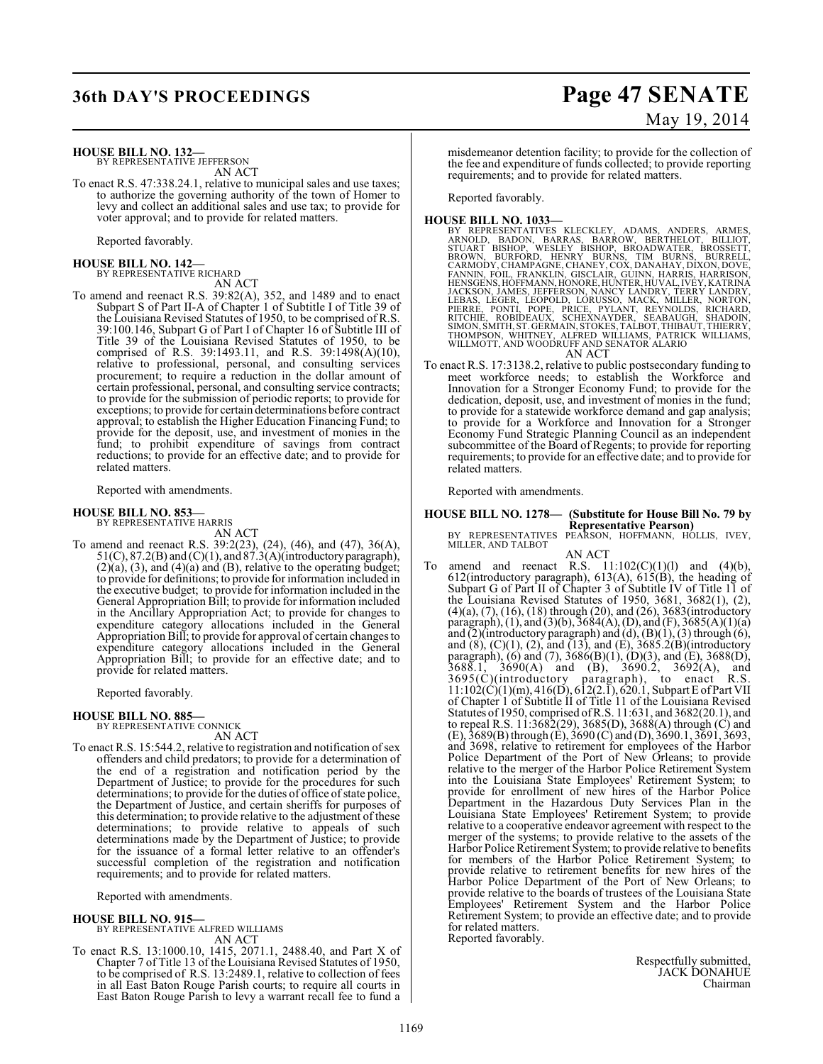### **HOUSE BILL NO. 132—**

BY REPRESENTATIVE JEFFERSON AN ACT

To enact R.S. 47:338.24.1, relative to municipal sales and use taxes; to authorize the governing authority of the town of Homer to levy and collect an additional sales and use tax; to provide for voter approval; and to provide for related matters.

Reported favorably.

## **HOUSE BILL NO. 142—** BY REPRESENTATIVE RICHARD

AN ACT

To amend and reenact R.S. 39:82(A), 352, and 1489 and to enact Subpart S of Part II-A of Chapter 1 of Subtitle I of Title 39 of the Louisiana Revised Statutes of 1950, to be comprised of R.S. 39:100.146, Subpart G of Part I of Chapter 16 of Subtitle III of Title 39 of the Louisiana Revised Statutes of 1950, to be comprised of R.S. 39:1493.11, and R.S. 39:1498(A)(10), relative to professional, personal, and consulting services procurement; to require a reduction in the dollar amount of certain professional, personal, and consulting service contracts; to provide for the submission of periodic reports; to provide for exceptions; to provide for certain determinations before contract approval; to establish the Higher Education Financing Fund; to provide for the deposit, use, and investment of monies in the fund; to prohibit expenditure of savings from contract reductions; to provide for an effective date; and to provide for related matters.

Reported with amendments.

#### **HOUSE BILL NO. 853—** BY REPRESENTATIVE HARRIS

AN ACT

To amend and reenact R.S. 39:2(23), (24), (46), and (47), 36(A),  $51(C)$ ,  $87.2(B)$  and  $(C)(1)$ , and  $87.3(A)$ (introductory paragraph),  $(2)$ (a), (3), and (4)(a) and (B), relative to the operating budget; to provide for definitions; to provide for information included in the executive budget; to provide for information included in the General Appropriation Bill; to provide for information included in the Ancillary Appropriation Act; to provide for changes to expenditure category allocations included in the General Appropriation Bill; to provide for approval of certain changes to expenditure category allocations included in the General Appropriation Bill; to provide for an effective date; and to provide for related matters.

Reported favorably.

#### **HOUSE BILL NO. 885—**

BY REPRESENTATIVE CONNICK AN ACT

To enact R.S. 15:544.2, relative to registration and notification of sex offenders and child predators; to provide for a determination of the end of a registration and notification period by the Department of Justice; to provide for the procedures for such determinations; to provide for the duties of office of state police, the Department of Justice, and certain sheriffs for purposes of this determination; to provide relative to the adjustment of these determinations; to provide relative to appeals of such determinations made by the Department of Justice; to provide for the issuance of a formal letter relative to an offender's successful completion of the registration and notification requirements; and to provide for related matters.

Reported with amendments.

#### **HOUSE BILL NO. 915—**

BY REPRESENTATIVE ALFRED WILLIAMS AN ACT

To enact R.S. 13:1000.10, 1415, 2071.1, 2488.40, and Part X of Chapter 7 of Title 13 of the Louisiana Revised Statutes of 1950, to be comprised of R.S. 13:2489.1, relative to collection of fees in all East Baton Rouge Parish courts; to require all courts in East Baton Rouge Parish to levy a warrant recall fee to fund a

## **36th DAY'S PROCEEDINGS Page 47 SENATE** May 19, 2014

misdemeanor detention facility; to provide for the collection of the fee and expenditure of funds collected; to provide reporting requirements; and to provide for related matters.

Reported favorably.

- HOUSE BILL NO. 1033—<br>
BY REPRESENTATIVES KLECKLEY, ADAMS, ANDERS, ARMES, BY REPRESENTATIVES KLECKLEY, ADAMS, TIM BULLIOT, STUART BISHOP, WESLEY BISHOP, BROADWATER, BROSSETT, BROWN, BURFORD, HENRY BURNNS, HERNELL, CARMODY,
- To enact R.S. 17:3138.2, relative to public postsecondary funding to meet workforce needs; to establish the Workforce and Innovation for a Stronger Economy Fund; to provide for the dedication, deposit, use, and investment of monies in the fund; to provide for a statewide workforce demand and gap analysis; to provide for a Workforce and Innovation for a Stronger Economy Fund Strategic Planning Council as an independent subcommittee of the Board of Regents; to provide for reporting requirements; to provide for an effective date; and to provide for related matters.

Reported with amendments.

## **HOUSE BILL NO. 1278— (Substitute for House Bill No. 79 by**

**Representative Pearson)** BY REPRESENTATIVES PEARSON, HOFFMANN, HOLLIS, IVEY, MILLER, AND TALBOT

AN ACT

To amend and reenact R.S.  $11:102(C)(1)(1)$  and  $(4)(b)$ , 612(introductory paragraph), 613(A), 615(B), the heading of Subpart G of Part II of Chapter 3 of Subtitle IV of Title 11 of the Louisiana Revised Statutes of 1950, 3681, 3682(1), (2), (4)(a), (7), (16), (18) through (20), and (26), 3683(introductory paragraph),  $(1)$ , and  $(3)(b)$ ,  $3684(A)$ ,  $(D)$ , and  $(F)$ ,  $3685(A)(1)(a)$ and  $(2)$ (introductory paragraph) and  $(d)$ ,  $(B)(1)$ ,  $(3)$  through  $(6)$ , and  $(8)$ ,  $(C)(1)$ ,  $(2)$ , and  $(13)$ , and  $(E)$ ,  $3685.2(E)$  (introductory paragraph), (6) and (7),  $3686(B)(1)$ , (D)(3), and (E),  $3688(D)$ , 3688.1, 3690(A) and (B), 3690.2, 3692(A), and 3695(C)(introductory paragraph), to enact R.S. 11:102(C)(1)(m), 416(D), 612(2.1), 620.1, Subpart E of Part VII of Chapter 1 of Subtitle II of Title 11 of the Louisiana Revised Statutes of 1950, comprised of R.S. 11:631, and 3682(20.1), and to repeal R.S. 11:3682(29), 3685(D), 3688(A) through (C) and (E), 3689(B) through (E), 3690 (C) and (D), 3690.1, 3691, 3693, and 3698, relative to retirement for employees of the Harbor Police Department of the Port of New Orleans; to provide relative to the merger of the Harbor Police Retirement System into the Louisiana State Employees' Retirement System; to provide for enrollment of new hires of the Harbor Police Department in the Hazardous Duty Services Plan in the Louisiana State Employees' Retirement System; to provide relative to a cooperative endeavor agreement with respect to the merger of the systems; to provide relative to the assets of the Harbor Police Retirement System; to provide relative to benefits for members of the Harbor Police Retirement System; to provide relative to retirement benefits for new hires of the Harbor Police Department of the Port of New Orleans; to provide relative to the boards of trustees of the Louisiana State Employees' Retirement System and the Harbor Police Retirement System; to provide an effective date; and to provide for related matters.

Reported favorably.

Respectfully submitted, JACK DONAHUE Chairman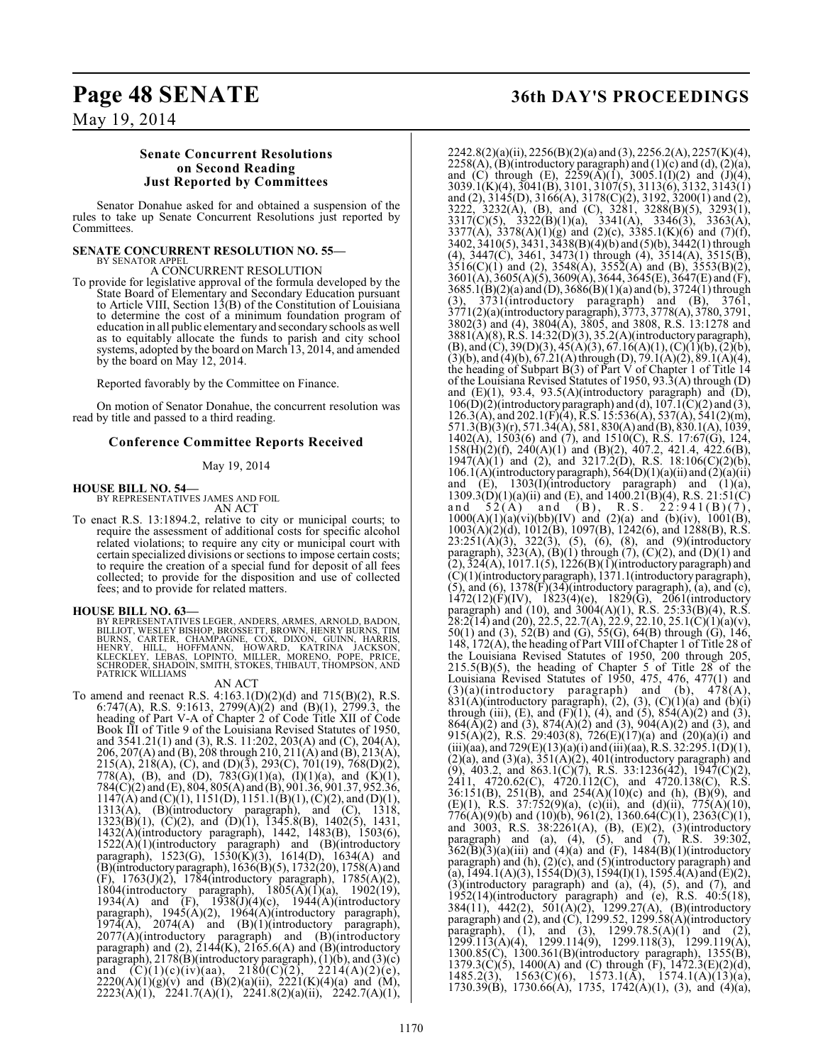## **Page 48 SENATE 36th DAY'S PROCEEDINGS**

### May 19, 2014

### **Senate Concurrent Resolutions on Second Reading Just Reported by Committees**

Senator Donahue asked for and obtained a suspension of the rules to take up Senate Concurrent Resolutions just reported by Committees.

#### **SENATE CONCURRENT RESOLUTION NO. 55—** BY SENATOR APPEL

A CONCURRENT RESOLUTION

To provide for legislative approval of the formula developed by the State Board of Elementary and Secondary Education pursuant to Article VIII, Section 13(B) of the Constitution of Louisiana to determine the cost of a minimum foundation program of education in all public elementary and secondary schools as well as to equitably allocate the funds to parish and city school systems, adopted by the board on March 13, 2014, and amended by the board on May 12, 2014.

Reported favorably by the Committee on Finance.

On motion of Senator Donahue, the concurrent resolution was read by title and passed to a third reading.

### **Conference Committee Reports Received**

May 19, 2014

**HOUSE BILL NO. 54—** BY REPRESENTATIVES JAMES AND FOIL

AN ACT

To enact R.S. 13:1894.2, relative to city or municipal courts; to require the assessment of additional costs for specific alcohol related violations; to require any city or municipal court with certain specialized divisions or sections to impose certain costs; to require the creation of a special fund for deposit of all fees collected; to provide for the disposition and use of collected fees; and to provide for related matters.

**HOUSE BILL NO. 63—**<br>BY REPRESENTATIVES LEGER, ANDERS, ARMES, ARNOLD, BADON, BLLIOT, WESLEY BISHOP, BROSSETT, BROWN, HENRY BURNS, TIM<br>BURNS, CARTER, CHAMPAGNE, COX, DIXON, GUINN, HARRIS,<br>HENRY, HILL, HOFFMANN, HOWARD, KATR

#### AN ACT

To amend and reenact R.S. 4:163.1(D)(2)(d) and 715(B)(2), R.S. 6:747(A), R.S. 9:1613, 2799(A)(2) and (B)(1), 2799.3, the heading of Part V-A of Chapter 2 of Code Title XII of Code Book III of Title 9 of the Louisiana Revised Statutes of 1950, and 3541.21(1) and (3), R.S. 11:202, 203(A) and (C), 204(A), 206, 207(A) and (B), 208 through 210, 211(A) and (B), 213(A), 215(A), 218(A), (C), and (D)(3), 293(C), 701(19), 768(D)(2), 778(A), (B), and (D), 783(G)(1)(a), (I)(1)(a), and (K)(1), 784(C)(2) and (E), 804, 805(A) and (B), 901.36, 901.37, 952.36,  $1147(A)$  and  $(C)(1)$ ,  $1151(D)$ ,  $1151.1(B)(1)$ ,  $(C)(2)$ , and  $(D)(1)$ , 1313(A), (B)(introductory paragraph), and (C), 1318, 1323(B)(1), (C)(2), and (D)(1), 1345.8(B), 1402(5), 1431, 1432(A)(introductory paragraph), 1442, 1483(B), 1503(6),  $1522(A)(1)(introducing paragraph)$  and  $(B)(introducing$ paragraph), 1523(G), 1530(K)(3), 1614(D), 1634(A) and (B)(introductory paragraph),  $1636(B)(5)$ ,  $1732(20)$ ,  $1758(A)$  and (F), 1763(J)(2), 1784(introductory paragraph), 1785(A)(2), 1804(introductory paragraph),  $1805(A)(1)(a)$ ,  $1902(19)$ , 1934(A) and  $(F)$ , 1938(J)(4)(c), 1944(A)(introductory paragraph), 1945(A)(2), 1964(A)(introductory paragraph),  $1974(A)$ ,  $2074(A)$  and  $(B)(1)(introduction$  paragraph), 2077(A)(introductory paragraph) and (B)(introductory paragraph) and  $(2)$ ,  $2144(K)$ ,  $2165.6(A)$  and  $(B)$ (introductory paragraph), 2178(B)(introductory paragraph), (1)(b), and (3)(c) and  $(C)(1)(c)(iv)(aa)$ ,  $2180(C)(2)$ ,  $2214(A)(2)(e)$ ,  $2220(A)(1)(g)(v)$  and  $(B)(2)(a)(ii)$ ,  $2221(K)(4)(a)$  and  $(M)$ , 2223(A)(1), 2241.7(A)(1), 2241.8(2)(a)(ii), 2242.7(A)(1),

2242.8(2)(a)(ii), 2256(B)(2)(a) and (3), 2256.2(A), 2257(K)(4),  $2258(A)$ , (B)(introductory paragraph) and (1)(c) and (d), (2)(a), and (C) through (E),  $2259(\overline{A})(1)$ ,  $3005.1(1)(2)$  and  $(1)(4)$ , 3039.1(K)(4), 3041(B), 3101, 3107(5), 3113(6), 3132, 3143(1) and (2),  $3\overline{145(D)}$ ,  $3\overline{166(A)}$ ,  $3\overline{178(C)(2)}$ ,  $319\overline{2}$ ,  $3\overline{200(1)}$  and (2), 3222, 3232(A), (B), and (C), 3281, 3288(B)(5), 3293(1), 3317(C)(5), 3322(B)(1)(a), 3341(A), 3346(3), 3363(A), 3377(A), 3378(A)(1)(g) and (2)(c), 3385.1(K)(6) and (7)(f), 3402, 3410(5), 3431, 3438(B)(4)(b) and (5)(b), 3442(1) through (4),  $3447(C)$ ,  $3461$ ,  $3473(1)$  through (4),  $3514(A)$ ,  $3515(B)$ ,  $3516(C)(1)$  and (2),  $3548(A)$ ,  $3552(A)$  and (B),  $3553(B)(2)$ , 3601(A), 3605(A)(5), 3609(A), 3644, 3645(E), 3647(E) and (F), 3685.1(B)(2)(a) and (D), 3686(B)(1)(a) and (b), 3724(1) through (3), 3731(introductory paragraph) and (B), 3761, 3771(2)(a)(introductory paragraph), 3773, 3778(A), 3780, 3791, 3802(3) and (4), 3804(A), 3805, and 3808, R.S. 13:1278 and 3881(A)(8), R.S. 14:32(D)(3), 35.2(A)(introductory paragraph),  $(B)$ , and  $(C)$ , 39 $(D)(3)$ , 45 $(A)(3)$ , 67.16 $(A)(1)$ ,  $(C)(1)(b)$ ,  $(2)(b)$ ,  $(3)(b)$ , and  $(4)(b)$ ,  $67.21(A)$  through  $(D)$ ,  $79.1(A)(2)$ ,  $89.1(A)(4)$ , the heading of Subpart B(3) of Part V of Chapter 1 of Title 14 of the Louisiana Revised Statutes of 1950, 93.3(A) through (D) and  $(E)(1)$ , 93.4, 93.5(A)(introductory paragraph) and  $(D)$ ,  $106(D)(2)$ (introductory paragraph) and (d),  $107.1(C)(2)$  and (3), 126.3(A), and 202.1(F)(4), R.S. 15:536(A), 537(A), 541(2)(m), 571.3(B)(3)(r), 571.34(A), 581, 830(A) and (B), 830.1(A), 1039, 1402(A), 1503(6) and (7), and 1510(C), R.S. 17:67(G), 124, 158(H)(2)(f), 240(A)(1) and (B)(2), 407.2, 421.4, 422.6(B),  $1947(\text{A})(1)$  and (2), and  $3217.2(\text{D})$ , R.S.  $18:106(\text{C})(2)(\text{b})$ ,  $106.1(A)$ (introductory paragraph),  $564(D)(1)(a)(ii)$  and  $(2)(a)(ii)$ and  $(E)$ , 1303(I)(introductory paragraph) and (1)(a),  $1309.3(D)(1)(a)(ii)$  and  $(E)$ , and  $1400.21(B)(4)$ , R.S.  $21:51(C)$ <br>and  $52(A)$  and  $(B)$ , R.S.  $22:941(B)(7)$ , and  $52(A)$  and  $(B)$ , R.S.  $22:941(B)(7)$ ,  $1000(A)(1)(a)(vi)(bb)(IV)$  and  $(2)(a)$  and  $(b)(iv)$ ,  $1001(B)$ ,  $1003(A)(2)(d)$ ,  $1012(B)$ ,  $1097(B)$ ,  $1242(6)$ , and  $1288(B)$ , R.S.  $23:251(A)(3)$ ,  $322(3)$ ,  $(5)$ ,  $(6)$ ,  $(8)$ , and  $(9)$ (introductory paragraph),  $323(A)$ ,  $(B)(1)$  through  $(7)$ ,  $(C)(2)$ , and  $(D)(1)$  and  $(2), 324(A), 1017.1(5), 1226(B)(1)$ (introductory paragraph) and (C)(1)(introductory paragraph), 1371.1(introductory paragraph),  $(5)$ , and  $(6)$ , 1378 $(F)(34)$ (introductory paragraph),  $(a)$ , and  $(c)$ ,  $1472(12)(F)(IV)$ ,  $1823(4)(e)$ ,  $1829(G)$ ,  $2061(introductor)$ paragraph) and (10), and 3004(A)(1), R.S. 25:33(B)(4), R.S.  $28:2(14)$  and (20), 22.5, 22.7(A), 22.9, 22.10, 25.1(C)(1)(a)(v), 50(1) and (3), 52(B) and (G), 55(G), 64(B) through (G), 146, 148, 172(A), the heading of Part VIII of Chapter 1 of Title 28 of the Louisiana Revised Statutes of 1950, 200 through 205,  $215.5(B)(5)$ , the heading of Chapter 5 of Title 28 of the Louisiana Revised Statutes of 1950, 475, 476, 477(1) and  $(3)(a)$ (introductory paragraph) and (b),  $478(A)$ ,  $831(A)$ (introductory paragraph), (2), (3), (C)(1)(a) and (b)(i) through (iii), (E), and (F) $(1)$ ,  $(4)$ , and  $(5)$ ,  $854(A)(2)$  and  $(3)$ ,  $864(\overline{A})(2)$  and (3),  $874(\overline{A})(2)$  and (3),  $904(\overline{A})(2)$  and (3), and 915(A)(2), R.S. 29:403(8), 726(E)(17)(a) and (20)(a)(i) and (iii)(aa), and 729(E)(13)(a)(i) and (iii)(aa), R.S. 32:295.1(D)(1),  $(2)(a)$ , and  $(3)(a)$ ,  $351(A)(2)$ ,  $401(introductor)$  paragraph) and (9), 403.2, and 863.1(C)(7), R.S. 33:1236(42), 1947(C)(2), 2411, 4720.62(C), 4720.112(C), and 4720.138(C), R.S. 36:151(B), 251(B), and 254(A)(10)(c) and (h), (B)(9), and (E)(1), R.S. 37:752(9)(a), (c)(ii), and (d)(ii), 775(A)(10),  $776(A)(9)(b)$  and  $(10)(b)$ ,  $961(2)$ ,  $1360.64(C)(1)$ ,  $2363(C)(1)$ , and 3003, R.S. 38:2261(A), (B), (E)(2), (3)(introductory paragraph) and (a), (4), (5), and (7), R.S. 39:302,  $362(\overline{B})(3)(a)(iii)$  and  $(4)(a)$  and  $(F)$ ,  $1484(\overline{B})(1)(introductory)$ paragraph) and (h), (2)(c), and (5)(introductory paragraph) and  $\tilde{A}(a)$ , 1494.1(A)(3), 1554(D)(3), 1594(I)(1), 1595.4(A) and (E)(2), (3)(introductory paragraph) and (a), (4), (5), and (7), and 1952(14)(introductory paragraph) and (e), R.S. 40:5(18), 384(11), 442(2), 501(A)(2), 1299.27(A), (B)(introductory paragraph) and (2), and (C), 1299.52, 1299.58(A)(introductory paragraph), (1), and (3),  $1299.78.5(A)(1)$  and (2), 1299.113(A)(4), 1299.114(9), 1299.118(3), 1299.119(A), 1300.85(C), 1300.361(B)(introductory paragraph), 1355(B), 1379.3(C)(5), 1400(A) and (C) through  $(F)$ , 1472.3(E)(2)(d), 1485.2(3), 1563(C)(6), 1573.1(A), 1574.1(A)(13)(a), 1730.39(B), 1730.66(A), 1735, 1742(A)(1), (3), and (4)(a),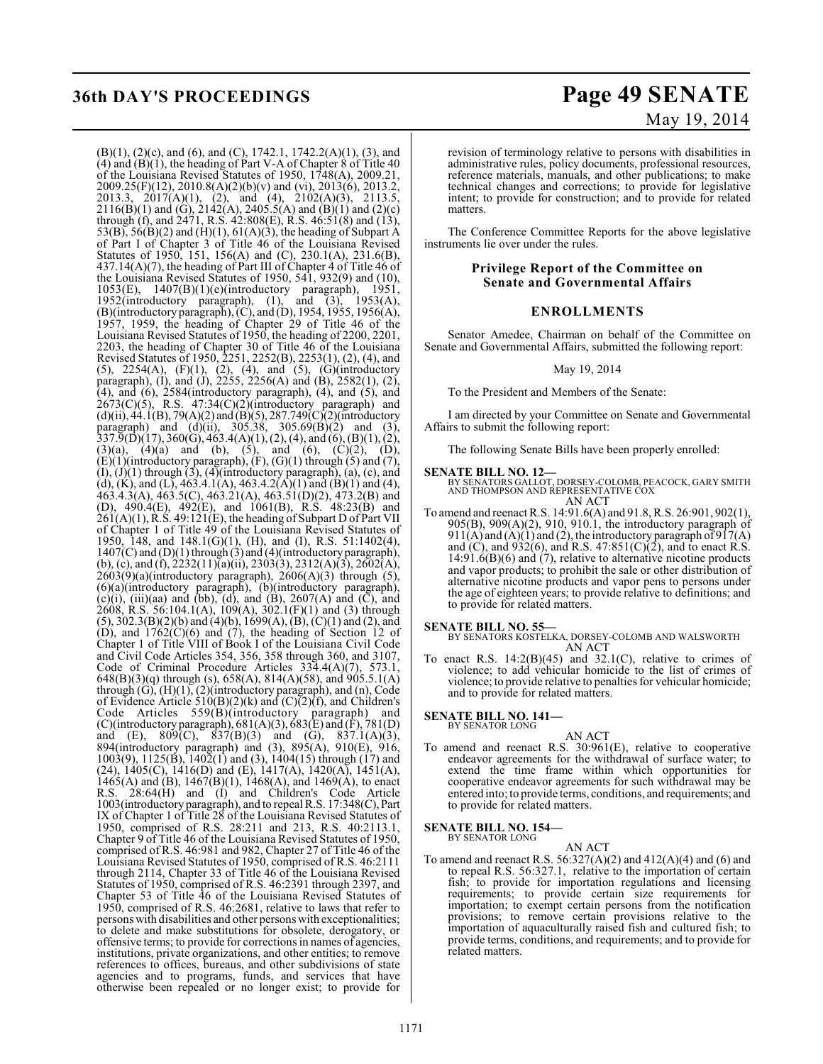## **36th DAY'S PROCEEDINGS Page 49 SENATE**

# May 19, 2014

(B)(1), (2)(c), and (6), and (C), 1742.1, 1742.2(A)(1), (3), and  $(4)$  and  $(B)(1)$ , the heading of Part V-A of Chapter 8 of Title 40 of the Louisiana Revised Statutes of 1950, 1748(A), 2009.21, 2009.25(F)(12), 2010.8(A)(2)(b)(v) and (vi), 2013(6), 2013.2, 2013.3, 2017(A)(1), (2), and (4), 2102(A)(3), 2113.5,  $2116(B)(1)$  and  $(G)$ ,  $2142(A)$ ,  $2405.5(A)$  and  $(B)(1)$  and  $(2)(c)$ through (f), and 2471, R.S. 42:808(E), R.S. 46:51(8) and (13), 53(B), 56(B)(2) and (H)(1), 61(A)(3), the heading of Subpart A of Part I of Chapter 3 of Title 46 of the Louisiana Revised Statutes of 1950, 151, 156(A) and (C), 230.1(A), 231.6(B), 437.14(A)(7), the heading of Part III of Chapter 4 of Title 46 of the Louisiana Revised Statutes of 1950, 541, 932(9) and (10), 1053(E), 1407(B)(1)(e)(introductory paragraph), 1951, 1952(introductory paragraph), (1), and (3), 1953(A), (B)(introductory paragraph), (C), and (D), 1954, 1955, 1956(A), 1957, 1959, the heading of Chapter 29 of Title 46 of the Louisiana Revised Statutes of 1950, the heading of 2200, 2201, 2203, the heading of Chapter 30 of Title 46 of the Louisiana Revised Statutes of 1950, 2251, 2252(B), 2253(1), (2), (4), and (5),  $2254(A)$ ,  $(F)(1)$ ,  $(2)$ ,  $(4)$ , and  $(5)$ ,  $(G)(introducing$ paragraph), (I), and (J), 2255, 2256(A) and (B), 2582(1), (2), (4), and (6), 2584(introductory paragraph), (4), and (5), and  $2673(C)(5)$ , R.S.  $47:34(C)(2)$ (introductory paragraph) and  $(d)(ii)$ , 44.1(B), 79(A)(2) and (B)(5), 287.749(C)(2)(introductory paragraph) and  $(d)(ii)$ , 305.38, 305.69 $(B)(2)$  and (3),  $337.\overline{9}$ (D)(17),  $360$ (G),  $463.4$ (A)(1), (2), (4), and (6), (B)(1), (2),  $(3)(a)$ ,  $(4)(a)$  and  $(b)$ ,  $(5)$ , and  $(6)$ ,  $(C)(2)$ ,  $(D)$ ,  $(E)(1)$ (introductory paragraph),  $(F)$ ,  $(G)(1)$  through  $(5)$  and  $(7)$ ,  $(I), (J)(1)$  through  $(3), (4)$ (introductory paragraph),  $(a), (c),$  and (d), (K), and (L), 463.4.1(A), 463.4.2(A)(1) and (B)(1) and (4), 463.4.3(A), 463.5(C), 463.21(A), 463.51(D)(2), 473.2(B) and (D), 490.4(E), 492(E), and 1061(B), R.S. 48:23(B) and  $261(A)(1)$ , R.S. 49:121(E), the heading of Subpart D of Part VII of Chapter 1 of Title 49 of the Louisiana Revised Statutes of 1950, 148, and 148.1(G)(1), (H), and (I), R.S. 51:1402(4), 1407(C) and (D)(1) through (3) and (4)(introductory paragraph), (b), (c), and (f),  $2232(11)$ (a)(ii),  $2303(3)$ ,  $2312(A)(3)$ ,  $2602(A)$ ,  $2603(9)(a)$ (introductory paragraph),  $2606(A)(3)$  through (5), (6)(a)(introductory paragraph), (b)(introductory paragraph), (c)(i), (iii)(aa) and (bb), (d), and (B), 2607(A) and (C), and 2608, R.S. 56:104.1(A), 109(A), 302.1(F)(1) and (3) through  $(5)$ , 302.3(B)(2)(b) and (4)(b), 1699(A), (B), (C)(1) and (2), and  $(D)$ , and  $1762(C)(6)$  and  $(7)$ , the heading of Section 12 of Chapter 1 of Title VIII of Book I of the Louisiana Civil Code and Civil Code Articles 354, 356, 358 through 360, and 3107, Code of Criminal Procedure Articles 334.4(A)(7), 573.1, 648(B)(3)(q) through (s), 658(A), 814(A)(58), and 905.5.1(A) through  $(G)$ ,  $(H)(1)$ ,  $(2)$ (introductory paragraph), and  $(n)$ , Code of Evidence Article 510(B)(2)(k) and (C)(2)(f), and Children's Code Articles 559(B)(introductory paragraph) and (C)(introductory paragraph),  $681(A)(3)$ ,  $683(E)$  and  $(F)$ ,  $781(D)$ and (E),  $809(C)$ ,  $837(B)(3)$  and (G),  $837.1(A)(3)$ , 894(introductory paragraph) and (3), 895(A), 910(E), 916, 1003(9), 1125(B), 1402(1) and (3), 1404(15) through (17) and (24),  $1405(C)$ ,  $1416(D)$  and (E),  $1417(A)$ ,  $1420(A)$ ,  $1451(A)$ , 1465(A) and (B),  $1467(B)(1)$ ,  $1468(A)$ , and  $1469(A)$ , to enact R.S. 28:64(H) and (I) and Children's Code Article 1003(introductory paragraph), and to repeal R.S. 17:348(C), Part IX of Chapter 1 of Title 28 of the Louisiana Revised Statutes of 1950, comprised of R.S. 28:211 and 213, R.S. 40:2113.1, Chapter 9 of Title 46 of the Louisiana Revised Statutes of 1950, comprised of R.S. 46:981 and 982, Chapter 27 of Title 46 of the Louisiana Revised Statutes of 1950, comprised of R.S. 46:2111 through 2114, Chapter 33 of Title 46 of the Louisiana Revised Statutes of 1950, comprised of R.S. 46:2391 through 2397, and Chapter 53 of Title 46 of the Louisiana Revised Statutes of 1950, comprised of R.S. 46:2681, relative to laws that refer to persons with disabilities and other persons with exceptionalities; to delete and make substitutions for obsolete, derogatory, or offensive terms; to provide for corrections in names of agencies, institutions, private organizations, and other entities; to remove references to offices, bureaus, and other subdivisions of state agencies and to programs, funds, and services that have otherwise been repealed or no longer exist; to provide for

revision of terminology relative to persons with disabilities in administrative rules, policy documents, professional resources, reference materials, manuals, and other publications; to make technical changes and corrections; to provide for legislative intent; to provide for construction; and to provide for related matters.

The Conference Committee Reports for the above legislative instruments lie over under the rules.

#### **Privilege Report of the Committee on Senate and Governmental Affairs**

### **ENROLLMENTS**

Senator Amedee, Chairman on behalf of the Committee on Senate and Governmental Affairs, submitted the following report:

#### May 19, 2014

To the President and Members of the Senate:

I am directed by your Committee on Senate and Governmental Affairs to submit the following report:

The following Senate Bills have been properly enrolled:

**SENATE BILL NO. 12—** BY SENATORS GALLOT, DORSEY-COLOMB, PEACOCK, GARY SMITH AND THOMPSON AND REPRESENTATIVE COX AN ACT

To amend and reenact R.S. 14:91.6(A) and 91.8, R.S. 26:901, 902(1), 905(B), 909(A)(2), 910, 910.1, the introductory paragraph of  $911(A)$  and  $(A)(1)$  and  $(2)$ , the introductory paragraph of  $917(A)$ and (C), and 932(6), and R.S.  $47:851(C)(2)$ , and to enact R.S. 14:91.6(B)(6) and (7), relative to alternative nicotine products and vapor products; to prohibit the sale or other distribution of alternative nicotine products and vapor pens to persons under the age of eighteen years; to provide relative to definitions; and to provide for related matters.

#### **SENATE BILL NO. 55—**

BY SENATORS KOSTELKA, DORSEY-COLOMB AND WALSWORTH AN ACT

To enact R.S.  $14:2(B)(45)$  and  $32.1(C)$ , relative to crimes of violence; to add vehicular homicide to the list of crimes of violence; to provide relative to penalties for vehicular homicide; and to provide for related matters.

**SENATE BILL NO. 141—** BY SENATOR LONG

AN ACT

To amend and reenact R.S. 30:961(E), relative to cooperative endeavor agreements for the withdrawal of surface water; to extend the time frame within which opportunities for cooperative endeavor agreements for such withdrawal may be entered into; to provide terms, conditions, and requirements; and to provide for related matters.

#### **SENATE BILL NO. 154—** BY SENATOR LONG

AN ACT

To amend and reenact R.S. 56:327(A)(2) and 412(A)(4) and (6) and to repeal R.S. 56:327.1, relative to the importation of certain fish; to provide for importation regulations and licensing requirements; to provide certain size requirements for importation; to exempt certain persons from the notification provisions; to remove certain provisions relative to the importation of aquaculturally raised fish and cultured fish; to provide terms, conditions, and requirements; and to provide for related matters.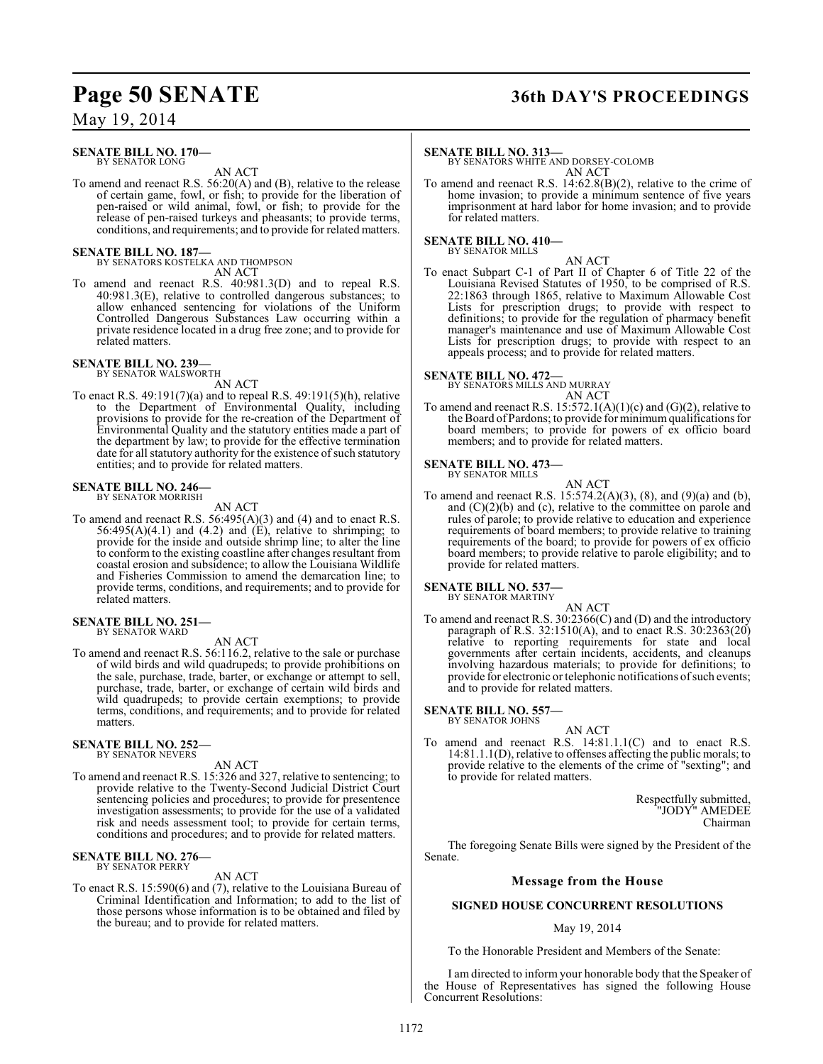## **Page 50 SENATE 36th DAY'S PROCEEDINGS**

May 19, 2014

#### **SENATE BILL NO. 170—** BY SENATOR LONG

AN ACT

To amend and reenact R.S. 56:20(A) and (B), relative to the release of certain game, fowl, or fish; to provide for the liberation of pen-raised or wild animal, fowl, or fish; to provide for the release of pen-raised turkeys and pheasants; to provide terms, conditions, and requirements; and to provide for related matters.

#### **SENATE BILL NO. 187—**

BY SENATORS KOSTELKA AND THOMPSON AN ACT

To amend and reenact R.S. 40:981.3(D) and to repeal R.S. 40:981.3(E), relative to controlled dangerous substances; to allow enhanced sentencing for violations of the Uniform Controlled Dangerous Substances Law occurring within a private residence located in a drug free zone; and to provide for related matters.

## **SENATE BILL NO. 239—** BY SENATOR WALSWORTH

AN ACT

To enact R.S. 49:191(7)(a) and to repeal R.S. 49:191(5)(h), relative to the Department of Environmental Quality, including provisions to provide for the re-creation of the Department of Environmental Quality and the statutory entities made a part of the department by law; to provide for the effective termination date for all statutory authority for the existence of such statutory entities; and to provide for related matters.

### **SENATE BILL NO. 246—** BY SENATOR MORRISH

AN ACT

To amend and reenact R.S. 56:495(A)(3) and (4) and to enact R.S.  $56:495(A)(4.1)$  and  $(4.2)$  and  $(E)$ , relative to shrimping; to provide for the inside and outside shrimp line; to alter the line to conform to the existing coastline after changes resultant from coastal erosion and subsidence; to allow the Louisiana Wildlife and Fisheries Commission to amend the demarcation line; to provide terms, conditions, and requirements; and to provide for related matters.

#### **SENATE BILL NO. 251—** BY SENATOR WARD

AN ACT

To amend and reenact R.S. 56:116.2, relative to the sale or purchase of wild birds and wild quadrupeds; to provide prohibitions on the sale, purchase, trade, barter, or exchange or attempt to sell, purchase, trade, barter, or exchange of certain wild birds and wild quadrupeds; to provide certain exemptions; to provide terms, conditions, and requirements; and to provide for related matters

#### **SENATE BILL NO. 252—** BY SENATOR NEVERS

AN ACT

To amend and reenact R.S. 15:326 and 327, relative to sentencing; to provide relative to the Twenty-Second Judicial District Court sentencing policies and procedures; to provide for presentence investigation assessments; to provide for the use of a validated risk and needs assessment tool; to provide for certain terms, conditions and procedures; and to provide for related matters.

## **SENATE BILL NO. 276—** BY SENATOR PERRY

AN ACT

To enact R.S. 15:590(6) and (7), relative to the Louisiana Bureau of Criminal Identification and Information; to add to the list of those persons whose information is to be obtained and filed by the bureau; and to provide for related matters.

#### **SENATE BILL NO. 313—**

BY SENATORS WHITE AND DORSEY-COLOMB AN ACT

To amend and reenact R.S. 14:62.8(B)(2), relative to the crime of home invasion; to provide a minimum sentence of five years imprisonment at hard labor for home invasion; and to provide for related matters.

#### **SENATE BILL NO. 410—**

BY SENATOR MILLS

AN ACT To enact Subpart C-1 of Part II of Chapter 6 of Title 22 of the Louisiana Revised Statutes of 1950, to be comprised of R.S. 22:1863 through 1865, relative to Maximum Allowable Cost Lists for prescription drugs; to provide with respect to definitions; to provide for the regulation of pharmacy benefit manager's maintenance and use of Maximum Allowable Cost Lists for prescription drugs; to provide with respect to an appeals process; and to provide for related matters.

**SENATE BILL NO. 472—** BY SENATORS MILLS AND MURRAY AN ACT

To amend and reenact R.S.  $15:572.1(A)(1)(c)$  and  $(G)(2)$ , relative to the Board of Pardons; to provide for minimum qualifications for board members; to provide for powers of ex officio board members; and to provide for related matters.

#### **SENATE BILL NO. 473—** BY SENATOR MILLS

AN ACT

To amend and reenact R.S. 15:574.2(A)(3), (8), and (9)(a) and (b), and  $(C)(2)(b)$  and  $(c)$ , relative to the committee on parole and rules of parole; to provide relative to education and experience requirements of board members; to provide relative to training requirements of the board; to provide for powers of ex officio board members; to provide relative to parole eligibility; and to provide for related matters.

#### **SENATE BILL NO. 537—** BY SENATOR MARTINY

AN ACT To amend and reenact R.S. 30:2366(C) and (D) and the introductory paragraph of R.S. 32:1510(A), and to enact R.S. 30:2363(20) relative to reporting requirements for state and local governments after certain incidents, accidents, and cleanups involving hazardous materials; to provide for definitions; to provide for electronic or telephonic notifications of such events; and to provide for related matters.

## **SENATE BILL NO. 557—**<br>BY SENATOR JOHNS

AN ACT

To amend and reenact R.S. 14:81.1.1(C) and to enact R.S. 14:81.1.1(D), relative to offenses affecting the public morals; to provide relative to the elements of the crime of "sexting"; and to provide for related matters.

> Respectfully submitted, "JODY" AMEDEE Chairman

The foregoing Senate Bills were signed by the President of the Senate.

#### **Message from the House**

#### **SIGNED HOUSE CONCURRENT RESOLUTIONS**

#### May 19, 2014

To the Honorable President and Members of the Senate:

I am directed to inform your honorable body that the Speaker of the House of Representatives has signed the following House Concurrent Resolutions: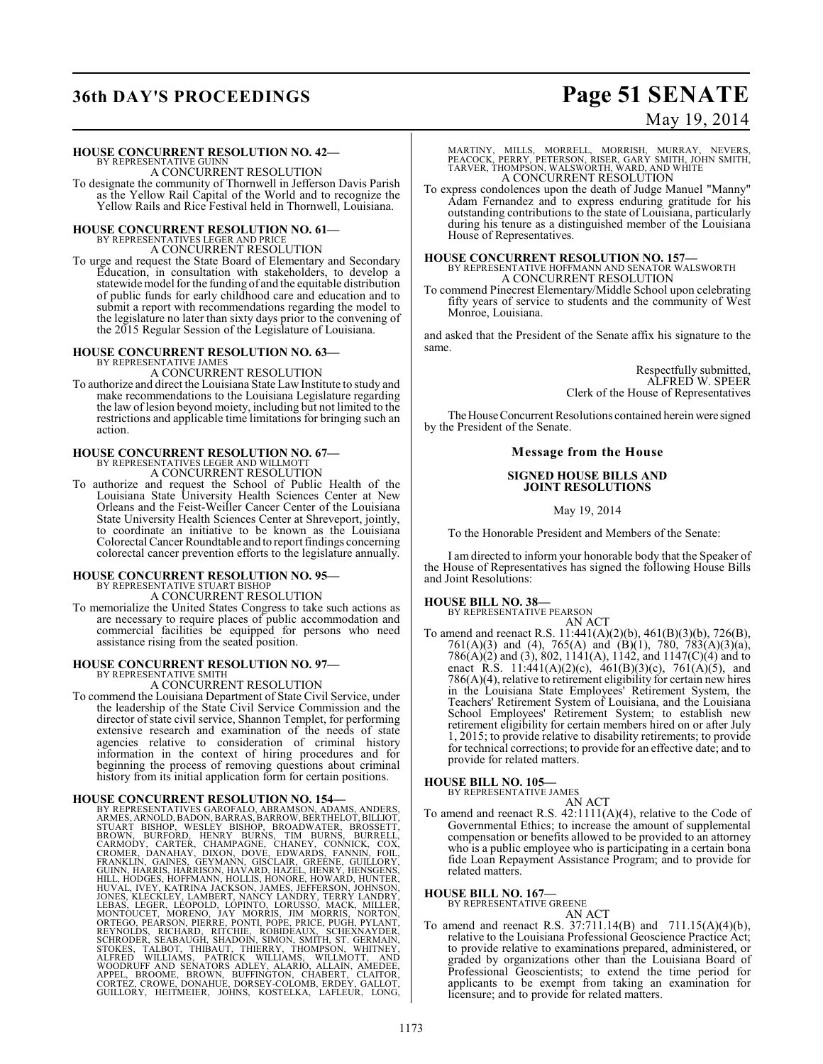## **36th DAY'S PROCEEDINGS Page 51 SENATE**

### May 19, 2014

#### **HOUSE CONCURRENT RESOLUTION NO. 42—**

BY REPRESENTATIVE GUINN A CONCURRENT RESOLUTION

To designate the community of Thornwell in Jefferson Davis Parish as the Yellow Rail Capital of the World and to recognize the Yellow Rails and Rice Festival held in Thornwell, Louisiana.

#### **HOUSE CONCURRENT RESOLUTION NO. 61—** BY REPRESENTATIVES LEGER AND PRICE

A CONCURRENT RESOLUTION

To urge and request the State Board of Elementary and Secondary Education, in consultation with stakeholders, to develop a statewide model for the funding of and the equitable distribution of public funds for early childhood care and education and to submit a report with recommendations regarding the model to the legislature no later than sixty days prior to the convening of the 2015 Regular Session of the Legislature of Louisiana.

#### **HOUSE CONCURRENT RESOLUTION NO. 63—** BY REPRESENTATIVE JAMES A CONCURRENT RESOLUTION

To authorize and direct the Louisiana State Law Institute to study and make recommendations to the Louisiana Legislature regarding the law of lesion beyond moiety, including but not limited to the restrictions and applicable time limitations for bringing such an action.

### **HOUSE CONCURRENT RESOLUTION NO. 67—** BY REPRESENTATIVES LEGER AND WILLMOTT A CONCURRENT RESOLUTION

To authorize and request the School of Public Health of the Louisiana State University Health Sciences Center at New Orleans and the Feist-Weiller Cancer Center of the Louisiana State University Health Sciences Center at Shreveport, jointly, to coordinate an initiative to be known as the Louisiana Colorectal Cancer Roundtable and to report findings concerning colorectal cancer prevention efforts to the legislature annually.

## **HOUSE CONCURRENT RESOLUTION NO. 95—** BY REPRESENTATIVE STUART BISHOP

A CONCURRENT RESOLUTION

To memorialize the United States Congress to take such actions as are necessary to require places of public accommodation and commercial facilities be equipped for persons who need assistance rising from the seated position.

## **HOUSE CONCURRENT RESOLUTION NO. 97—** BY REPRESENTATIVE SMITH

A CONCURRENT RESOLUTION

To commend the Louisiana Department of State Civil Service, under the leadership of the State Civil Service Commission and the director of state civil service, Shannon Templet, for performing extensive research and examination of the needs of state agencies relative to consideration of criminal history information in the context of hiring procedures and for beginning the process of removing questions about criminal history from its initial application form for certain positions.

HOUSE CONCURRENT RESOLUTION NO. 154-<br>BY REPRESENTATIVES GAROFALO, ABRAMSON, ADAMS, ANDERS,<br>RAMES, ARNOLD, BADON, BARRAS, BARROW, BERTHELOT, BILLIOT,<br>STUART BISHOP, WESLEY BISHOP, BROADWATER, BROSSETT,<br>BROWN, BURFORD, HENRY

MARTINY, MILLS, MORRELL, MORRISH, MURRAY, NEVERS,<br>PEACOCK,PERRY,PETERSON,RISER,GARY SMITH,JOHN SMITH,<br>TARVER,THOMPSON,WALSWORTH,WARD,ANDWHITE A CONCURRENT RESOLUTION

To express condolences upon the death of Judge Manuel "Manny" Adam Fernandez and to express enduring gratitude for his outstanding contributions to the state of Louisiana, particularly during his tenure as a distinguished member of the Louisiana House of Representatives.

#### **HOUSE CONCURRENT RESOLUTION NO. 157—**

BY REPRESENTATIVE HOFFMANN AND SENATOR WALSWORTH A CONCURRENT RESOLUTION

To commend Pinecrest Elementary/Middle School upon celebrating fifty years of service to students and the community of West Monroe, Louisiana.

and asked that the President of the Senate affix his signature to the same.

> Respectfully submitted, ALFRED W. SPEER Clerk of the House of Representatives

The House Concurrent Resolutions contained herein were signed by the President of the Senate.

#### **Message from the House**

#### **SIGNED HOUSE BILLS AND JOINT RESOLUTIONS**

May 19, 2014

To the Honorable President and Members of the Senate:

I am directed to inform your honorable body that the Speaker of the House of Representatives has signed the following House Bills and Joint Resolutions:

## **HOUSE BILL NO. 38—** BY REPRESENTATIVE PEARSON

AN ACT

To amend and reenact R.S. 11:441(A)(2)(b), 461(B)(3)(b), 726(B), 761(A)(3) and (4), 765(A) and (B)(1), 780, 783(A)(3)(a), 786(A)(2) and (3), 802, 1141(A), 1142, and 1147(C)(4) and to enact R.S. 11:441(A)(2)(c), 461(B)(3)(c), 761(A)(5), and 786(A)(4), relative to retirement eligibility for certain new hires in the Louisiana State Employees' Retirement System, the Teachers' Retirement System of Louisiana, and the Louisiana School Employees' Retirement System; to establish new retirement eligibility for certain members hired on or after July 1, 2015; to provide relative to disability retirements; to provide for technical corrections; to provide for an effective date; and to provide for related matters.

## **HOUSE BILL NO. 105—** BY REPRESENTATIVE JAMES

AN ACT

To amend and reenact R.S. 42:1111(A)(4), relative to the Code of Governmental Ethics; to increase the amount of supplemental compensation or benefits allowed to be provided to an attorney who is a public employee who is participating in a certain bona fide Loan Repayment Assistance Program; and to provide for related matters.

**HOUSE BILL NO. 167—**

BY REPRESENTATIVE GREENE

AN ACT

To amend and reenact R.S. 37:711.14(B) and 711.15(A)(4)(b), relative to the Louisiana Professional Geoscience Practice Act; to provide relative to examinations prepared, administered, or graded by organizations other than the Louisiana Board of Professional Geoscientists; to extend the time period for applicants to be exempt from taking an examination for licensure; and to provide for related matters.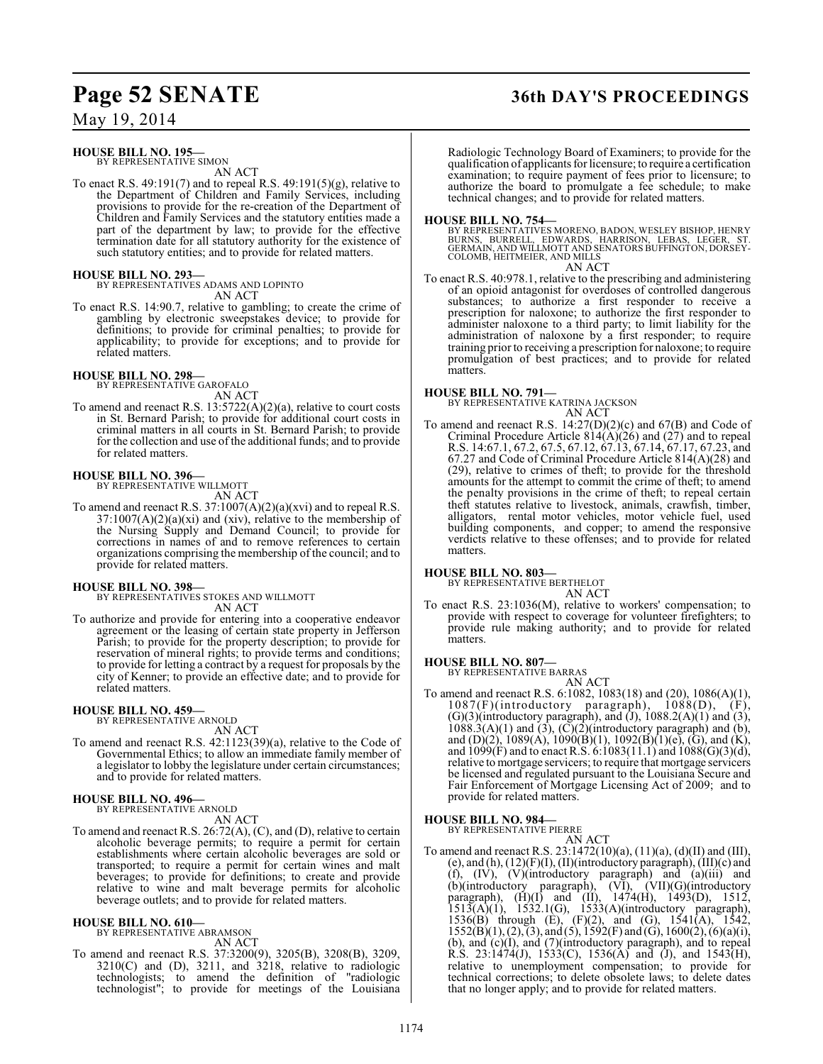### **HOUSE BILL NO. 195—**

BY REPRESENTATIVE SIMON AN ACT

To enact R.S. 49:191(7) and to repeal R.S. 49:191(5)(g), relative to the Department of Children and Family Services, including provisions to provide for the re-creation of the Department of Children and Family Services and the statutory entities made a part of the department by law; to provide for the effective termination date for all statutory authority for the existence of such statutory entities; and to provide for related matters.

#### **HOUSE BILL NO. 293—**

BY REPRESENTATIVES ADAMS AND LOPINTO AN ACT

To enact R.S. 14:90.7, relative to gambling; to create the crime of gambling by electronic sweepstakes device; to provide for definitions; to provide for criminal penalties; to provide for applicability; to provide for exceptions; and to provide for related matters.

#### **HOUSE BILL NO. 298—**

BY REPRESENTATIVE GAROFALO AN ACT

To amend and reenact R.S. 13:5722(A)(2)(a), relative to court costs in St. Bernard Parish; to provide for additional court costs in criminal matters in all courts in St. Bernard Parish; to provide for the collection and use of the additional funds; and to provide for related matters.

## **HOUSE BILL NO. 396—** BY REPRESENTATIVE WILLMOTT

AN ACT

To amend and reenact R.S. 37:1007(A)(2)(a)(xvi) and to repeal R.S.  $37:1007(A)(2)(a)(xi)$  and (xiv), relative to the membership of the Nursing Supply and Demand Council; to provide for corrections in names of and to remove references to certain organizations comprising the membership of the council; and to provide for related matters.

#### **HOUSE BILL NO. 398—**

BY REPRESENTATIVES STOKES AND WILLMOTT AN ACT

To authorize and provide for entering into a cooperative endeavor agreement or the leasing of certain state property in Jefferson Parish; to provide for the property description; to provide for reservation of mineral rights; to provide terms and conditions; to provide for letting a contract by a request for proposals by the city of Kenner; to provide an effective date; and to provide for related matters.

#### **HOUSE BILL NO. 459—**

BY REPRESENTATIVE ARNOLD

AN ACT

To amend and reenact R.S. 42:1123(39)(a), relative to the Code of Governmental Ethics; to allow an immediate family member of a legislator to lobby the legislature under certain circumstances; and to provide for related matters.

#### **HOUSE BILL NO. 496—**

BY REPRESENTATIVE ARNOLD AN ACT

To amend and reenact R.S. 26:72(A), (C), and (D), relative to certain alcoholic beverage permits; to require a permit for certain establishments where certain alcoholic beverages are sold or transported; to require a permit for certain wines and malt beverages; to provide for definitions; to create and provide relative to wine and malt beverage permits for alcoholic beverage outlets; and to provide for related matters.

#### **HOUSE BILL NO. 610—**

BY REPRESENTATIVE ABRAMSON AN ACT

To amend and reenact R.S. 37:3200(9), 3205(B), 3208(B), 3209, 3210(C) and (D), 3211, and 3218, relative to radiologic technologists; to amend the definition of "radiologic technologist"; to provide for meetings of the Louisiana

### **Page 52 SENATE 36th DAY'S PROCEEDINGS**

Radiologic Technology Board of Examiners; to provide for the qualification of applicants for licensure; to require a certification examination; to require payment of fees prior to licensure; to authorize the board to promulgate a fee schedule; to make technical changes; and to provide for related matters.

#### **HOUSE BILL NO. 754—**

BY REPRESENTATIVES MORENO, BADON, WESLEY BISHOP, HENRY<br>BURNS, BURRELL, EDWARDS, HARRISON, LEBAS, LEGER, ST.<br>GERMAIN, AND WILLMOTT AND SENATORS BUFFINGTON, DORSEY-<br>COLOMB, HEITMEIER, AND MILLS AN ACT

To enact R.S. 40:978.1, relative to the prescribing and administering of an opioid antagonist for overdoses of controlled dangerous substances; to authorize a first responder to receive a prescription for naloxone; to authorize the first responder to administer naloxone to a third party; to limit liability for the administration of naloxone by a first responder; to require training prior to receiving a prescription for naloxone; to require promulgation of best practices; and to provide for related matters.

#### **HOUSE BILL NO. 791—**

BY REPRESENTATIVE KATRINA JACKSON AN ACT

To amend and reenact R.S. 14:27(D)(2)(c) and 67(B) and Code of Criminal Procedure Article  $814(A)(26)$  and  $(27)$  and to repeal R.S. 14:67.1, 67.2, 67.5, 67.12, 67.13, 67.14, 67.17, 67.23, and 67.27 and Code of Criminal Procedure Article 814(A)(28) and (29), relative to crimes of theft; to provide for the threshold amounts for the attempt to commit the crime of theft; to amend the penalty provisions in the crime of theft; to repeal certain theft statutes relative to livestock, animals, crawfish, timber, alligators, rental motor vehicles, motor vehicle fuel, used building components, and copper; to amend the responsive verdicts relative to these offenses; and to provide for related matters.

#### **HOUSE BILL NO. 803—**

BY REPRESENTATIVE BERTHELOT AN ACT

To enact R.S. 23:1036(M), relative to workers' compensation; to provide with respect to coverage for volunteer firefighters; to provide rule making authority; and to provide for related matters.

#### **HOUSE BILL NO. 807—**

BY REPRESENTATIVE BARRAS AN ACT

To amend and reenact R.S. 6:1082, 1083(18) and (20), 1086(A)(1),  $1087(F)$ (introductory paragraph),  $1088(D)$ ,  $(F)$ ,  $(G)(3)$ (introductory paragraph), and  $(J)$ , 1088.2(A) $(1)$  and  $(3)$ ,  $1088.3(A)(1)$  and  $(3)$ ,  $(\overline{C})(2)$ (introductory paragraph) and  $(b)$ , and (D)(2), 1089(A), 1090(B)(1), 1092(B)(1)(e), (G), and (K), and 1099(F) and to enact R.S. 6:1083(11.1) and 1088(G)(3)(d), relative to mortgage servicers; to require that mortgage servicers be licensed and regulated pursuant to the Louisiana Secure and Fair Enforcement of Mortgage Licensing Act of 2009; and to provide for related matters.

#### **HOUSE BILL NO. 984—**

BY REPRESENTATIVE PIERRE AN ACT

To amend and reenact R.S. 23:1472(10)(a), (11)(a), (d)(II) and (III), (e), and (h),  $(12)(F)(I)$ ,  $(II)(introductory paragraph)$ ,  $(III)(c)$  and (f), (IV), (V)(introductory paragraph) and (a)(iii) and (b)(introductory paragraph), (VI), (VII)(G)(introductory paragraph), (H)(I) and (II), 1474(H), 1493(D), 1512,  $1513(A)(1)$ ,  $1532.1(G)$ ,  $1533(A)(introductory paragraph)$ , 1536(B) through (E), (F)(2), and (G), 1541(A), 1542,  $1552(B)(1), (2), (3),$  and  $(5), 1592(F)$  and  $(G), 1600(2), (6)(a)(i),$  $(b)$ , and  $(c)(I)$ , and  $(7)(introductory paragraph)$ , and to repeal R.S. 23:1474(J), 1533(C), 1536(A) and (J), and 1543(H), relative to unemployment compensation; to provide for technical corrections; to delete obsolete laws; to delete dates that no longer apply; and to provide for related matters.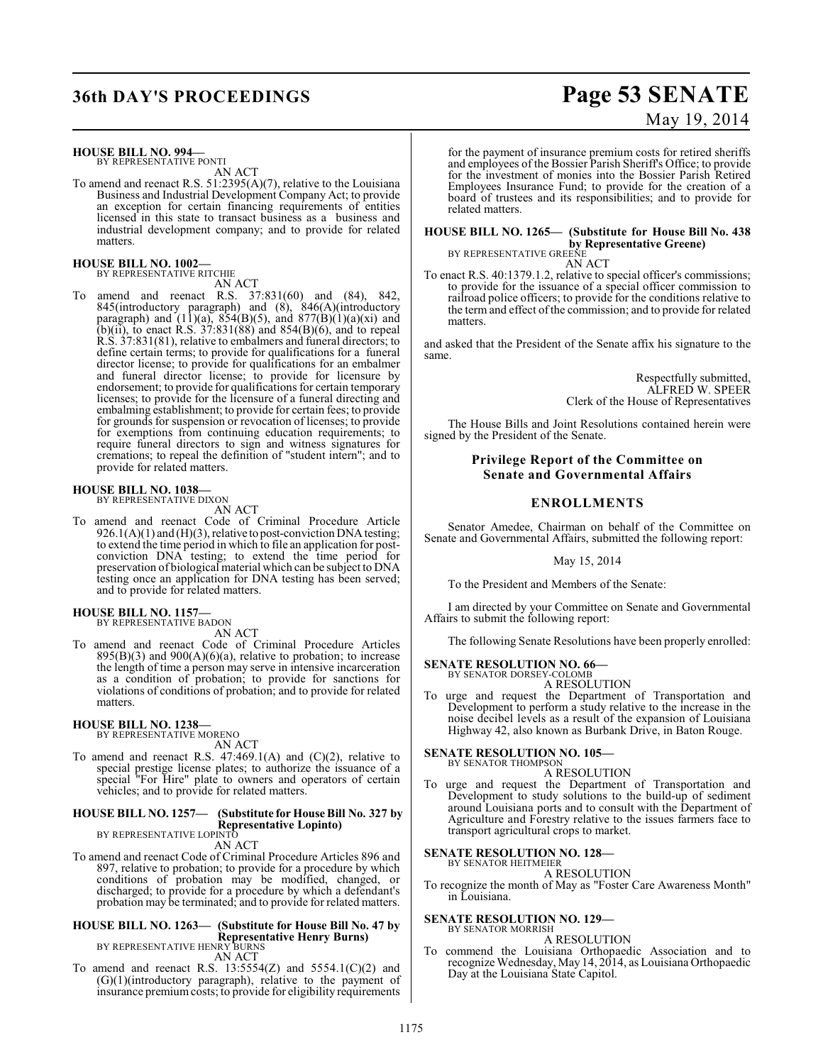## **36th DAY'S PROCEEDINGS Page 53 SENATE**

#### **HOUSE BILL NO. 994—**

BY REPRESENTATIVE PONTI AN ACT

To amend and reenact R.S. 51:2395(A)(7), relative to the Louisiana Business and Industrial Development Company Act; to provide an exception for certain financing requirements of entities licensed in this state to transact business as a business and industrial development company; and to provide for related matters.

## **HOUSE BILL NO. 1002—** BY REPRESENTATIVE RITCHIE

AN ACT

To amend and reenact R.S. 37:831(60) and (84), 842, 845(introductory paragraph) and (8), 846(A)(introductory paragraph) and  $(11)(a)$ ,  $854(B)(5)$ , and  $877(B)(1)(a)(xi)$  and (b)(ii), to enact R.S.  $37:831(88)$  and  $854(B)(6)$ , and to repeal R.S. 37:831(81), relative to embalmers and funeral directors; to define certain terms; to provide for qualifications for a funeral director license; to provide for qualifications for an embalmer and funeral director license; to provide for licensure by endorsement; to provide for qualifications for certain temporary licenses; to provide for the licensure of a funeral directing and embalming establishment; to provide for certain fees; to provide for grounds for suspension or revocation of licenses; to provide for exemptions from continuing education requirements; to require funeral directors to sign and witness signatures for cremations; to repeal the definition of "student intern"; and to provide for related matters.

#### **HOUSE BILL NO. 1038—** BY REPRESENTATIVE DIXON

AN ACT

To amend and reenact Code of Criminal Procedure Article  $926.1(A)(1)$  and  $(H)(3)$ , relative to post-conviction DNA testing; to extend the time period in which to file an application for postconviction DNA testing; to extend the time period for preservation of biological material which can be subject to DNA testing once an application for DNA testing has been served; and to provide for related matters.

#### **HOUSE BILL NO. 1157—**

BY REPRESENTATIVE BADON AN ACT

To amend and reenact Code of Criminal Procedure Articles  $895(B)(3)$  and  $900(A)(6)(a)$ , relative to probation; to increase the length of time a person may serve in intensive incarceration as a condition of probation; to provide for sanctions for violations of conditions of probation; and to provide for related matters.

## **HOUSE BILL NO. 1238—** BY REPRESENTATIVE MORENO

AN ACT

To amend and reenact R.S. 47:469.1(A) and (C)(2), relative to special prestige license plates; to authorize the issuance of a special "For Hire" plate to owners and operators of certain vehicles; and to provide for related matters.

### **HOUSE BILL NO. 1257— (Substitute for House Bill No. 327 by Representative Lopinto)** BY REPRESENTATIVE LOPINTO

AN ACT

To amend and reenact Code of Criminal Procedure Articles 896 and 897, relative to probation; to provide for a procedure by which conditions of probation may be modified, changed, or discharged; to provide for a procedure by which a defendant's probation may be terminated; and to provide for related matters.

### **HOUSE BILL NO. 1263— (Substitute for House Bill No. 47 by Representative Henry Burns)** BY REPRESENTATIVE HENRY BURNS

AN ACT

To amend and reenact R.S.  $13:5554(Z)$  and  $5554.1(C)(2)$  and (G)(1)(introductory paragraph), relative to the payment of insurance premium costs; to provide for eligibility requirements for the payment of insurance premium costs for retired sheriffs and employees of the Bossier Parish Sheriff's Office; to provide for the investment of monies into the Bossier Parish Retired Employees Insurance Fund; to provide for the creation of a board of trustees and its responsibilities; and to provide for related matters.

#### **HOUSE BILL NO. 1265— (Substitute for House Bill No. 438 by Representative Greene)**

BY REPRESENTATIVE GREENE

AN ACT

To enact R.S. 40:1379.1.2, relative to special officer's commissions; to provide for the issuance of a special officer commission to railroad police officers; to provide for the conditions relative to the term and effect ofthe commission; and to provide for related matters.

and asked that the President of the Senate affix his signature to the same.

> Respectfully submitted, ALFRED W. SPEER Clerk of the House of Representatives

The House Bills and Joint Resolutions contained herein were signed by the President of the Senate.

#### **Privilege Report of the Committee on Senate and Governmental Affairs**

### **ENROLLMENTS**

Senator Amedee, Chairman on behalf of the Committee on Senate and Governmental Affairs, submitted the following report:

May 15, 2014

To the President and Members of the Senate:

I am directed by your Committee on Senate and Governmental Affairs to submit the following report:

The following Senate Resolutions have been properly enrolled:

## **SENATE RESOLUTION NO. 66—**<br>BY SENATOR DORSEY-COLOMB

A RESOLUTION

To urge and request the Department of Transportation and Development to perform a study relative to the increase in the noise decibel levels as a result of the expansion of Louisiana Highway 42, also known as Burbank Drive, in Baton Rouge.

## **SENATE RESOLUTION NO. 105—** BY SENATOR THOMPSON

A RESOLUTION

To urge and request the Department of Transportation and Development to study solutions to the build-up of sediment around Louisiana ports and to consult with the Department of Agriculture and Forestry relative to the issues farmers face to transport agricultural crops to market.

#### **SENATE RESOLUTION NO. 128—**

BY SENATOR HEITMEIER A RESOLUTION

To recognize the month of May as "Foster Care Awareness Month" in Louisiana.

#### **SENATE RESOLUTION NO. 129—** BY SENATOR MORRISH

A RESOLUTION

To commend the Louisiana Orthopaedic Association and to recognize Wednesday, May 14, 2014, as Louisiana Orthopaedic Day at the Louisiana State Capitol.

# May 19, 2014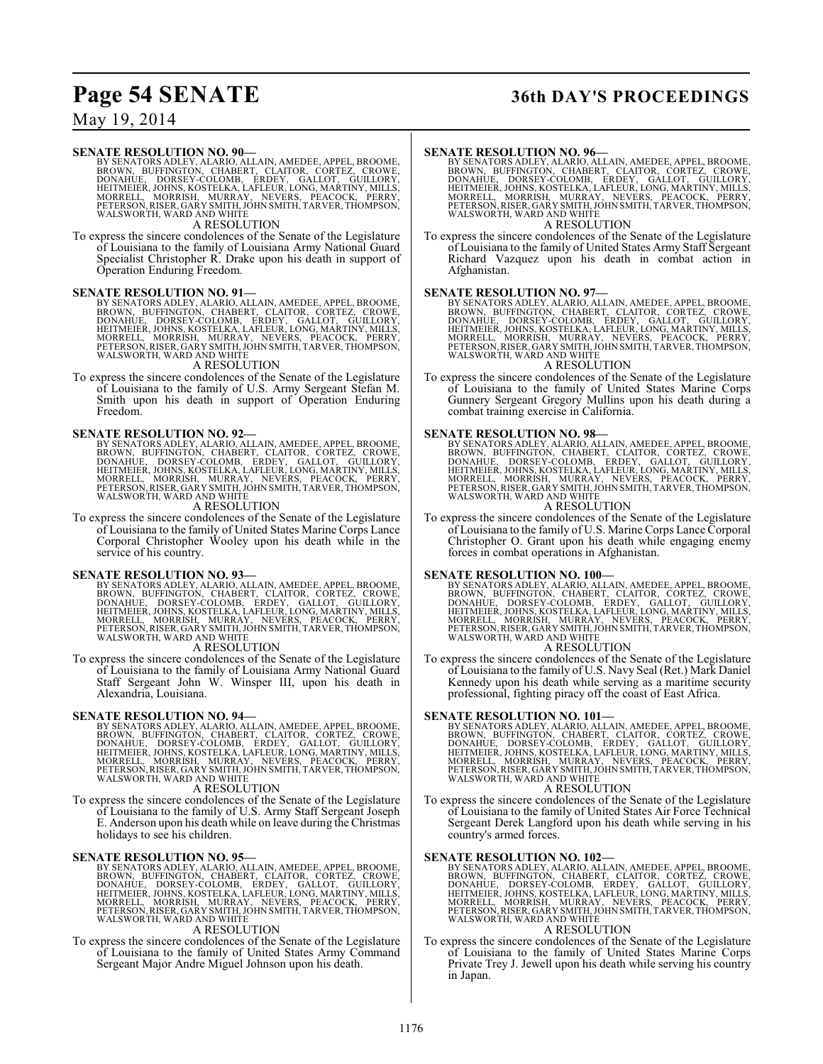## **Page 54 SENATE 36th DAY'S PROCEEDINGS**

### May 19, 2014

#### **SENATE RESOLUTION NO. 90—**

BY SENATORS ADLEY, ALARIO, ALLAIN, AMEDEE, APPEL, BROOME,<br>BROWN, BUFFINGTON, CHABERT, CLAITOR, CORTEZ, CROWE,<br>DONAHUE, DORSEY-COLOMB, ERDEY, GALLOT, GUILLORY,<br>HEITMEIER, JOHNS, KOSTELKA, LAFLEUR, LONG, MARTINY, MILLS,<br>MORR

#### A RESOLUTION

To express the sincere condolences of the Senate of the Legislature of Louisiana to the family of Louisiana Army National Guard Specialist Christopher R. Drake upon his death in support of Operation Enduring Freedom.

SENATE RESOLUTION NO. 91—<br>BY SENATORS ADLEY, ALARIO, ALLAIN, AMEDEE, APPEL, BROOME, BROWN, BUFFINGTON, CHABERT, CLAITOR, CORTEZ, CROWE,<br>DONAHUE, DORSEY-COLOMB, ERDEY, GALLOT, GUILLORY,<br>HEITMEIER, JOHNS, KOSTELKA, LAFLEUR,

#### A RESOLUTION

To express the sincere condolences of the Senate of the Legislature of Louisiana to the family of U.S. Army Sergeant Stefan M. Smith upon his death in support of Operation Enduring Freedom.

SENATE RESOLUTION NO. 92—<br>BY SENATORS ADLEY, ALARIO, ALLAIN, AMEDEE, APPEL, BROOME, BROWN, BUFFINGTON, CHABERT, CLAITOR, CORTEZ, CROWE,<br>DONAHUE, DORSEY-COLOMB, ERDEY, GALLOT, GUILLORY,<br>HEITMEIER, JOHNS, KOSTELKA, LAFLEUR, WALSWORTH, WARD AND WHITE

#### A RESOLUTION

To express the sincere condolences of the Senate of the Legislature of Louisiana to the family of United States Marine Corps Lance Corporal Christopher Wooley upon his death while in the service of his country.

SENATE RESOLUTION NO. 93—<br>BY SENATORS ADLEY, ALARIO, ALLAIN, AMEDEE, APPEL, BROOME, BROWN, BUFFINGTON, CHABERT, CLAITOR, CORTEZ, CROWE,<br>DONAHUE, DORSEY-COLOMB, ERDEY, GALLOT, GUILLORY,<br>HEITMEIER, JOHNS, KOSTELKA, LAFLEUR, WALSWORTH, WARD AND WHITE

#### A RESOLUTION

To express the sincere condolences of the Senate of the Legislature of Louisiana to the family of Louisiana Army National Guard Staff Sergeant John W. Winsper III, upon his death in Alexandria, Louisiana.

SENATE RESOLUTION NO. 94—<br>BY SENATORS ADLEY, ALARIO, ALLAIN, AMEDEE, APPEL, BROOME, BROWN, BUFFINGTON, CHABERT, CLAITOR, CORTEZ, CROWE,<br>DONAHUE, DORSEY-COLOMB, ERDEY, GALLOT, GUILLORY,<br>HEITMEIER, JOHNS, KOSTELKA, LAFLEUR, WALSWORTH, WARD AND WHITE

#### A RESOLUTION

To express the sincere condolences of the Senate of the Legislature of Louisiana to the family of U.S. Army Staff Sergeant Joseph E. Anderson upon his death while on leave during the Christmas holidays to see his children.

SENATE RESOLUTION NO. 95—<br>BY SENATORS ADLEY, ALARIO, ALLAIN, AMEDEE, APPEL, BROOME, BROWN, BUFFINGTON, CHABERT, CLAITOR, CORTEZ, CROWE,<br>DONAHUE, DORSEY-COLOMB, ERDEY, GALLOT, GUILLORY,<br>HEITMEIER, JOHNS, KOSTELKA, LAFLEUR,

#### A RESOLUTION

To express the sincere condolences of the Senate of the Legislature of Louisiana to the family of United States Army Command Sergeant Major Andre Miguel Johnson upon his death.

SENATE RESOLUTION NO. 96—<br>BY SENATORS ADLEY, ALARIO, ALLAIN, AMEDEE, APPEL, BROOME, BROWN, BUFFINGTON, CHABERT, CLAITOR, CORTEZ, CROWE,<br>DONAHUE, DORSEY-COLOMB, ERDEY, GALLOT, GUILLORY,<br>HEITMEIER, JOHNS, KOSTELKA, LAFLEUR,

### A RESOLUTION

To express the sincere condolences of the Senate of the Legislature of Louisiana to the family of United States Army Staff Sergeant Richard Vazquez upon his death in combat action in Afghanistan.

SENATE RESOLUTION NO. 97—<br>BY SENATORS ADLEY, ALARIO, ALLAIN, AMEDEE, APPEL, BROOME, BROWN, BUFFINGTON, CHABERT, CLAITOR, CORTEZ, CROWE,<br>DONAHUE, DORSEY-COLOMB, ERDEY, GALLOT, GUILLORY,<br>HEITMEIER, JOHNS, KOSTELKA, LAFLEUR,

#### A RESOLUTION

To express the sincere condolences of the Senate of the Legislature of Louisiana to the family of United States Marine Corps Gunnery Sergeant Gregory Mullins upon his death during a combat training exercise in California.

SENATE RESOLUTION NO. 98—<br>BY SENATORS ADLEY, ALARIO, ALLAIN, AMEDEE, APPEL, BROOME, BROWN, BUFFINGTON, CHABERT, CLAITOR, CORTEZ, CROWE,<br>DONAHUE, DORSEY-COLOMB, ERDEY, GALLOT, GUILLORY,<br>HEITMEIER, JOHNS, KOSTELKA, LAFLEUR, WALSWORTH, WARD AND WHITE

#### A RESOLUTION

To express the sincere condolences of the Senate of the Legislature of Louisiana to the family of U.S. Marine Corps Lance Corporal Christopher O. Grant upon his death while engaging enemy forces in combat operations in Afghanistan.

SENATE RESOLUTION NO. 100—<br>BY SENATORS ADLEY, ALARIO, ALLAIN, AMEDEE, APPEL, BROOME, BROWN, BUFFINGTON, CHABERT, CLAITOR, CORTEZ, CROWE,<br>DONAHUE, DORSEY-COLOMB, ERDEY, GALLOT, GUILLORY,<br>HEITMEIER, JOHNS, KOSTELKA, LAFLEUR, WALSWORTH, WARD AND WHITE

### A RESOLUTION

To express the sincere condolences of the Senate of the Legislature of Louisiana to the family of U.S. Navy Seal (Ret.) Mark Daniel Kennedy upon his death while serving as a maritime security professional, fighting piracy off the coast of East Africa.

SENATE RESOLUTION NO. 101—<br>BY SENATORS ADLEY, ALARIO, ALLAIN, AMEDEE, APPEL, BROOME, BROWN, BUFFINGTON, CHABERT, CLAITOR, CORTEZ, CROWE,<br>DONAHUE, DORSEY-COLOMB, ERDEY, GALLOT, GUILLORY,<br>HEITMEIER, JOHNS, KOSTELKA, LAFLEUR, WALSWORTH, WARD AND WHITE

#### A RESOLUTION

To express the sincere condolences of the Senate of the Legislature of Louisiana to the family of United States Air Force Technical Sergeant Derek Langford upon his death while serving in his country's armed forces.

SENATE RESOLUTION NO. 102—<br>BY SENATORS ADLEY, ALARIO, ALLAIN, AMEDEE, APPEL, BROOME, BROWN, BUFFINGTON, CHABERT, CLAITOR, CORTEZ, CROWE,<br>DONAHUE, DORSEY-COLOMB, ERDEY, GALLOT, GUILLORY,<br>HEITMEIER, JOHNS, KOSTELKA, LAFLEUR,

#### A RESOLUTION

To express the sincere condolences of the Senate of the Legislature of Louisiana to the family of United States Marine Corps Private Trey J. Jewell upon his death while serving his country in Japan.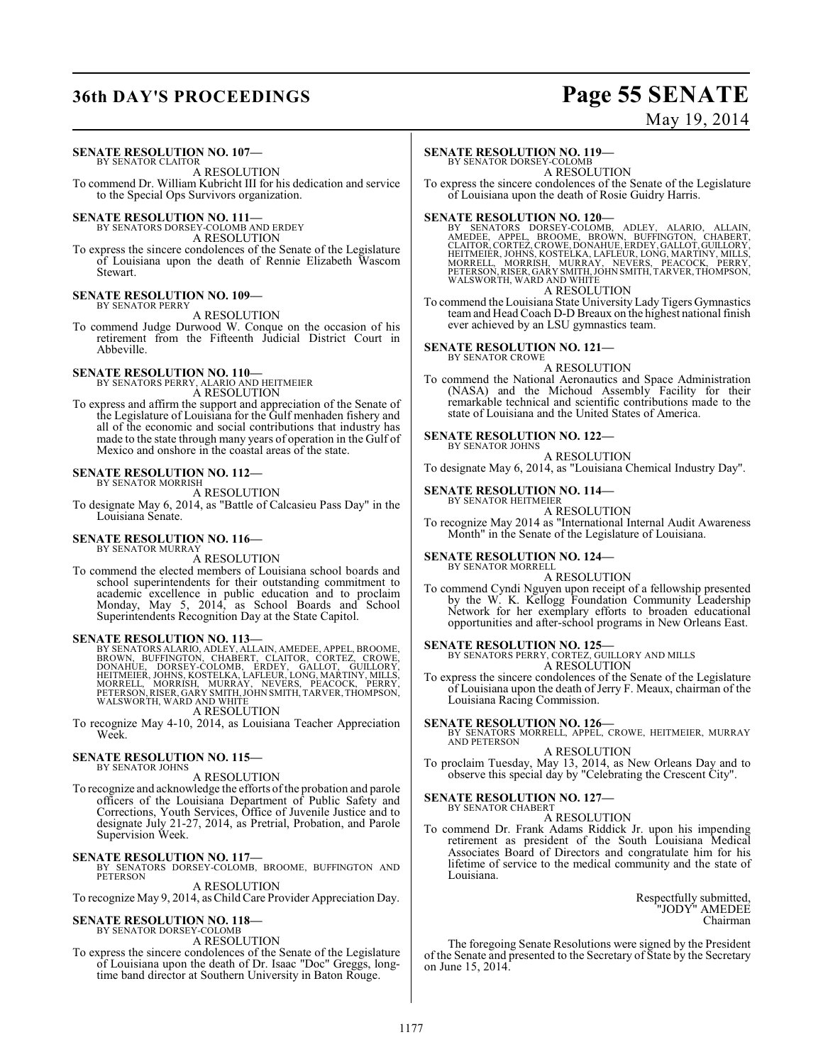## **36th DAY'S PROCEEDINGS Page 55 SENATE**

# May 19, 2014

#### **SENATE RESOLUTION NO. 107—** BY SENATOR CLAITOR

A RESOLUTION To commend Dr. William Kubricht III for his dedication and service

to the Special Ops Survivors organization.

**SENATE RESOLUTION NO. 111—** BY SENATORS DORSEY-COLOMB AND ERDEY

A RESOLUTION

To express the sincere condolences of the Senate of the Legislature of Louisiana upon the death of Rennie Elizabeth Wascom Stewart.

#### **SENATE RESOLUTION NO. 109—** BY SENATOR PERRY

A RESOLUTION

To commend Judge Durwood W. Conque on the occasion of his retirement from the Fifteenth Judicial District Court in Abbeville.

## **SENATE RESOLUTION NO. 110—** BY SENATORS PERRY, ALARIO AND HEITMEIER

A RESOLUTION

To express and affirm the support and appreciation of the Senate of the Legislature of Louisiana for the Gulf menhaden fishery and all of the economic and social contributions that industry has made to the state through many years of operation in the Gulf of Mexico and onshore in the coastal areas of the state.

#### **SENATE RESOLUTION NO. 112—** BY SENATOR MORRISH

A RESOLUTION

To designate May 6, 2014, as "Battle of Calcasieu Pass Day" in the Louisiana Senate.

#### **SENATE RESOLUTION NO. 116—**

BY SENATOR MURRAY A RESOLUTION

To commend the elected members of Louisiana school boards and school superintendents for their outstanding commitment to academic excellence in public education and to proclaim Monday, May 5, 2014, as School Boards and School Superintendents Recognition Day at the State Capitol.

**SENATE RESOLUTION NO. 113—**<br>BY SENATORS ALARIO, ADLEY, ALLAIN, AMEDEE, APPEL, BROOME, BROOM, UFFINGTON, CHABERT, CLAITOR, CORTEZ, CROWE,<br>DONAHUE, DORSEY-COLOMB, ERDEY, GALLOT, GUILLORY,<br>HEITMEIER, JOHNS, KOSTELKA, LAFLEUR

A RESOLUTION

To recognize May 4-10, 2014, as Louisiana Teacher Appreciation Week.

#### **SENATE RESOLUTION NO. 115—** BY SENATOR JOHNS

A RESOLUTION

To recognize and acknowledge the efforts of the probation and parole officers of the Louisiana Department of Public Safety and Corrections, Youth Services, Office of Juvenile Justice and to designate July 21-27, 2014, as Pretrial, Probation, and Parole Supervision Week.

**SENATE RESOLUTION NO. 117—**<br>BY SENATORS DORSEY-COLOMB, BROOME, BUFFINGTON AND<br>PETERSON A RESOLUTION

To recognize May 9, 2014, asChildCare Provider Appreciation Day.

### **SENATE RESOLUTION NO. 118—**

BY SENATOR DORSEY-COLOMB

A RESOLUTION

To express the sincere condolences of the Senate of the Legislature of Louisiana upon the death of Dr. Isaac "Doc" Greggs, longtime band director at Southern University in Baton Rouge.

#### **SENATE RESOLUTION NO. 119—**

BY SENATOR DORSEY-COLOMB

A RESOLUTION To express the sincere condolences of the Senate of the Legislature of Louisiana upon the death of Rosie Guidry Harris.

SENATE RESOLUTION NO. 120—<br>BY SENATORS DORSEY-COLOMB, ADLEY, ALARIO, ALLAIN,<br>AMEDEE, APPEL, BROOME, BROWN, BUFFINGTON, CHABERT,<br>CLAITOR,CORTEZ,CROWE,DONAHUE,ERDEY,GALLOT,GUILLORY,<br>HEITMEIER,JOHNS,KOSTELKA,LAFLEUR,LONG,MART A RESOLUTION

To commend the Louisiana State UniversityLady Tigers Gymnastics team and Head Coach D-D Breaux on the highest national finish ever achieved by an LSU gymnastics team.

#### **SENATE RESOLUTION NO. 121—** BY SENATOR CROWE

A RESOLUTION

To commend the National Aeronautics and Space Administration (NASA) and the Michoud Assembly Facility for their remarkable technical and scientific contributions made to the state of Louisiana and the United States of America.

#### **SENATE RESOLUTION NO. 122—** BY SENATOR JOHNS

A RESOLUTION

To designate May 6, 2014, as "Louisiana Chemical Industry Day".

#### **SENATE RESOLUTION NO. 114—** BY SENATOR HEITMEIER

A RESOLUTION

To recognize May 2014 as "International Internal Audit Awareness Month" in the Senate of the Legislature of Louisiana.

#### **SENATE RESOLUTION NO. 124—** BY SENATOR MORRELL

A RESOLUTION

To commend Cyndi Nguyen upon receipt of a fellowship presented by the W. K. Kellogg Foundation Community Leadership Network for her exemplary efforts to broaden educational opportunities and after-school programs in New Orleans East.

**SENATE RESOLUTION NO. 125—**<br>BY SENATORS PERRY, CORTEZ, GUILLORY AND MILLS A RESOLUTION

To express the sincere condolences of the Senate of the Legislature of Louisiana upon the death of Jerry F. Meaux, chairman of the Louisiana Racing Commission.

#### **SENATE RESOLUTION NO. 126—**

BY SENATORS MORRELL, APPEL, CROWE, HEITMEIER, MURRAY AND PETERSON A RESOLUTION

To proclaim Tuesday, May 13, 2014, as New Orleans Day and to observe this special day by "Celebrating the Crescent City".

### **SENATE RESOLUTION NO. 127—**

BY SENATOR CHABERT

A RESOLUTION To commend Dr. Frank Adams Riddick Jr. upon his impending retirement as president of the South Louisiana Medical Associates Board of Directors and congratulate him for his lifetime of service to the medical community and the state of Louisiana.

> Respectfully submitted, "JODY" AMEDEE Chairman

The foregoing Senate Resolutions were signed by the President of the Senate and presented to the Secretary of State by the Secretary on June 15, 2014.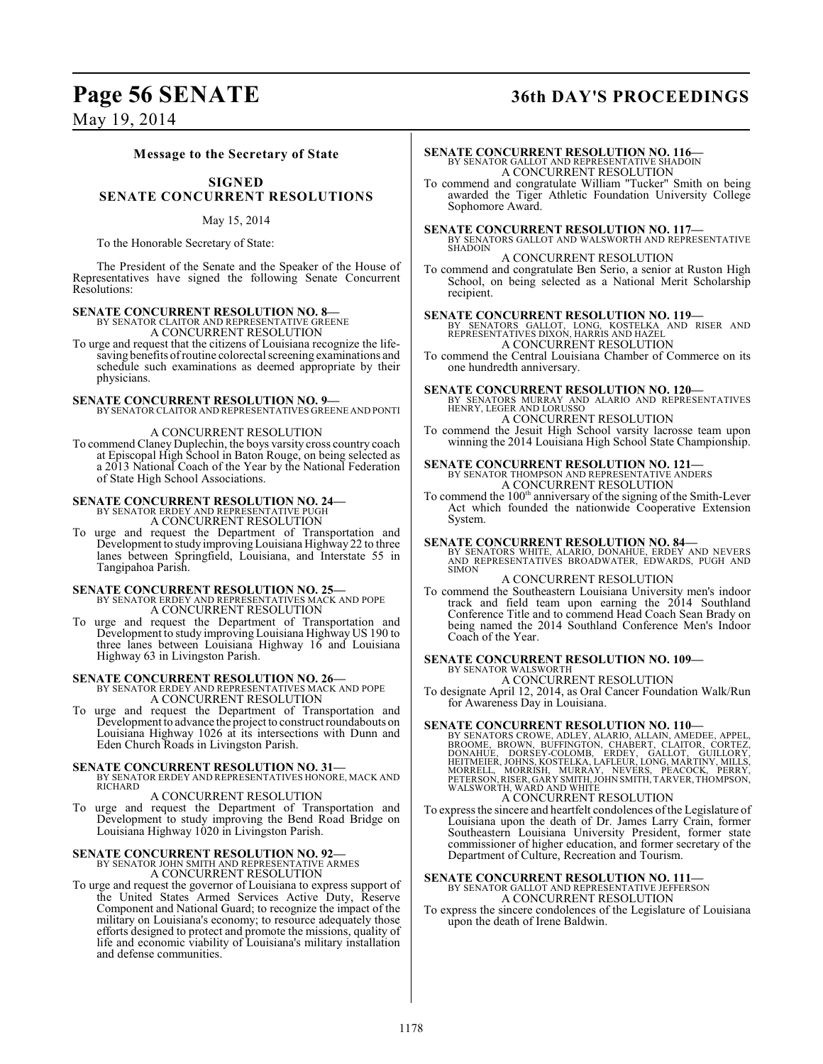### **Page 56 SENATE 36th DAY'S PROCEEDINGS**

May 19, 2014

#### **Message to the Secretary of State**

### **SIGNED SENATE CONCURRENT RESOLUTIONS**

#### May 15, 2014

To the Honorable Secretary of State:

The President of the Senate and the Speaker of the House of Representatives have signed the following Senate Concurrent Resolutions:

#### **SENATE CONCURRENT RESOLUTION NO. 8—** BY SENATOR CLAITOR AND REPRESENTATIVE GREENE

A CONCURRENT RESOLUTION

To urge and request that the citizens of Louisiana recognize the lifesaving benefits of routine colorectal screening examinations and schedule such examinations as deemed appropriate by their physicians.

**SENATE CONCURRENT RESOLUTION NO. 9—** BY SENATOR CLAITOR AND REPRESENTATIVES GREENE AND PONTI

#### A CONCURRENT RESOLUTION

To commend Claney Duplechin, the boys varsity cross country coach at Episcopal High School in Baton Rouge, on being selected as a 2013 National Coach of the Year by the National Federation of State High School Associations.

# **SENATE CONCURRENT RESOLUTION NO. 24—**<br>BY SENATOR ERDEY AND REPRESENTATIVE PUGH<br>A CONCURRENT RESOLUTION

To urge and request the Department of Transportation and Development to study improving Louisiana Highway 22 to three lanes between Springfield, Louisiana, and Interstate 55 in Tangipahoa Parish.

**SENATE CONCURRENT RESOLUTION NO. 25—**<br>BY SENATOR ERDEY AND REPRESENTATIVES MACK AND POPE A CONCURRENT RESOLUTION

To urge and request the Department of Transportation and Development to study improving Louisiana Highway US 190 to three lanes between Louisiana Highway 16 and Louisiana Highway 63 in Livingston Parish.

**SENATE CONCURRENT RESOLUTION NO. 26—**<br>BY SENATOR ERDEY AND REPRESENTATIVES MACK AND POPE **A CONCURRENT RESOLUTION** 

To urge and request the Department of Transportation and Development to advance the project to construct roundabouts on Louisiana Highway 1026 at its intersections with Dunn and Eden Church Roads in Livingston Parish.

### **SENATE CONCURRENT RESOLUTION NO. 31—** BY SENATOR ERDEY AND REPRESENTATIVES HONORE, MACK AND

RICHARD

A CONCURRENT RESOLUTION

To urge and request the Department of Transportation and Development to study improving the Bend Road Bridge on Louisiana Highway 1020 in Livingston Parish.

#### **SENATE CONCURRENT RESOLUTION NO. 92—**

BY SENATOR JOHN SMITH AND REPRESENTATIVE ARMES A CONCURRENT RESOLUTION

To urge and request the governor of Louisiana to express support of the United States Armed Services Active Duty, Reserve Component and National Guard; to recognize the impact of the military on Louisiana's economy; to resource adequately those efforts designed to protect and promote the missions, quality of life and economic viability of Louisiana's military installation and defense communities.

# **SENATE CONCURRENT RESOLUTION NO. 116—**<br>BY SENATOR GALLOT AND REPRESENTATIVE SHADOIN A CONCURRENT RESOLUTION

To commend and congratulate William "Tucker" Smith on being awarded the Tiger Athletic Foundation University College Sophomore Award.

**SENATE CONCURRENT RESOLUTION NO. 117—** BY SENATORS GALLOT AND WALSWORTH AND REPRESENTATIVE SHADOIN

A CONCURRENT RESOLUTION

To commend and congratulate Ben Serio, a senior at Ruston High School, on being selected as a National Merit Scholarship recipient.

**SENATE CONCURRENT RESOLUTION NO. 119—**<br>BY SENATORS GALLOT, LONG, KOSTELKA AND RISER AND<br>REPRESENTATIVES DIXON, HARRIS AND HAZEL A CONCURRENT RESOLUTION

To commend the Central Louisiana Chamber of Commerce on its one hundredth anniversary.

**SENATE CONCURRENT RESOLUTION NO. 120—**<br>BY SENATORS MURRAY AND ALARIO AND REPRESENTATIVES<br>HENRY, LEGER AND LORUSSO A CONCURRENT RESOLUTION

To commend the Jesuit High School varsity lacrosse team upon winning the 2014 Louisiana High School State Championship.

**SENATE CONCURRENT RESOLUTION NO. 121—**<br>BY SENATOR THOMPSON AND REPRESENTATIVE ANDERS A CONCURRENT RESOLUTION

To commend the 100<sup>th</sup> anniversary of the signing of the Smith-Lever Act which founded the nationwide Cooperative Extension System.

**SENATE CONCURRENT RESOLUTION NO. 84**<br>BY SENATORS WHITE, ALARIO, DONAHUE, ERDEY AND NEVERS<br>AND REPRESENTATIVES BROADWATER, EDWARDS, PUGH AND<br>SIMON

#### A CONCURRENT RESOLUTION

To commend the Southeastern Louisiana University men's indoor track and field team upon earning the 2014 Southland Conference Title and to commend Head Coach Sean Brady on being named the 2014 Southland Conference Men's Indoor Coach of the Year.

#### **SENATE CONCURRENT RESOLUTION NO. 109—** BY SENATOR WALSWORTH

A CONCURRENT RESOLUTION

To designate April 12, 2014, as Oral Cancer Foundation Walk/Run for Awareness Day in Louisiana.

**SENATE CONCURRENT RESOLUTION NO. 110—**<br>BY SENATORS CROWE, ADLEY, ALARIO, ALLAIN, AMEDEE, APPEL, BROME, BROWE, BOOKE, BOOKE, DORTEZ, DONAHUE, DORSEY-COLOMB, ERDEY, GLAITOR, CORTEZ,<br>DONAHUE, DORSEY-COLOMB, ERDEY, GALLOT, GU

### A CONCURRENT RESOLUTION

To express the sincere and heartfelt condolences of the Legislature of Louisiana upon the death of Dr. James Larry Crain, former Southeastern Louisiana University President, former state commissioner of higher education, and former secretary of the Department of Culture, Recreation and Tourism.

**SENATE CONCURRENT RESOLUTION NO. 111—**<br>BY SENATOR GALLOT AND REPRESENTATIVE JEFFERSON<br>A CONCURRENT RESOLUTION

To express the sincere condolences of the Legislature of Louisiana upon the death of Irene Baldwin.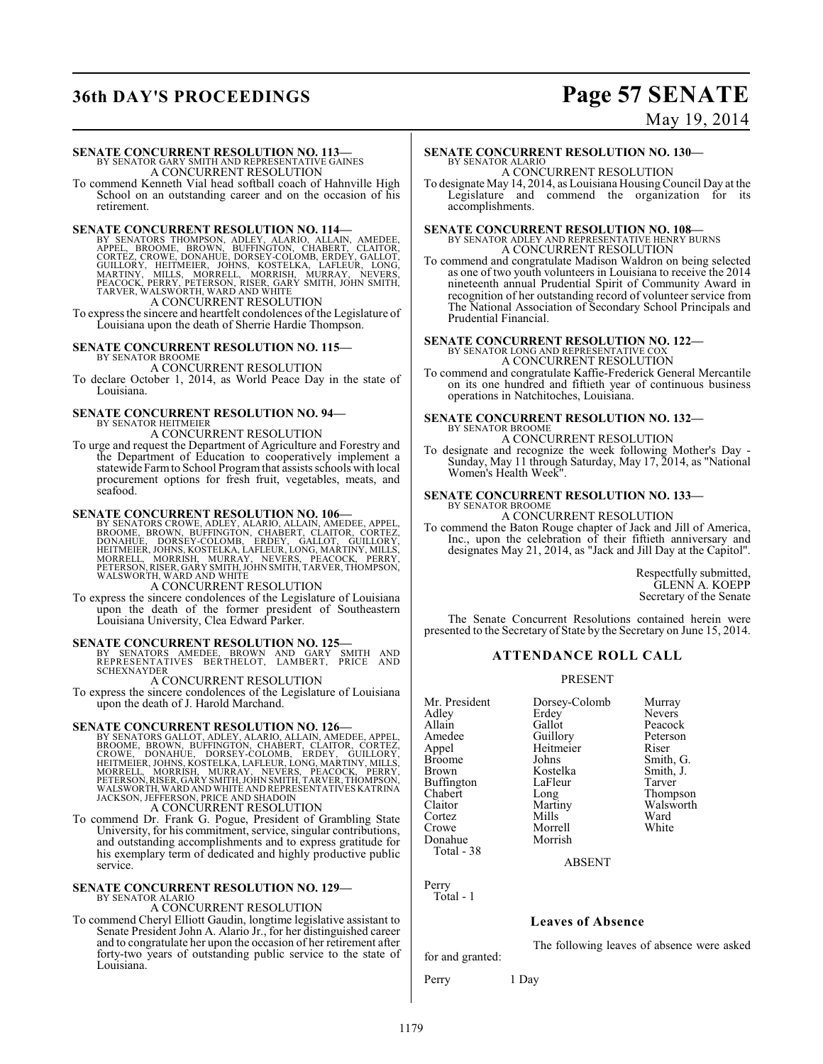## **36th DAY'S PROCEEDINGS Page 57 SENATE**

### May 19, 2014

### **SENATE CONCURRENT RESOLUTION NO. 113—** BY SENATOR GARY SMITH AND REPRESENTATIVE GAINES A CONCURRENT RESOLUTION

To commend Kenneth Vial head softball coach of Hahnville High School on an outstanding career and on the occasion of his retirement.

**SENATE CONCURRENT RESOLUTION NO. 114—**<br>BY SENATORS THOMPSON, ADLEY, ALARIO, ALLAIN, AMEDEE,<br>APPEL, BROOME, BROWN, BUFFINGTON, CHABERT, CLAITOR,<br>CORTEZ, CROWE, DONAHUE, DORSEY-COLOMB, ERDEY, GALLOT,<br>GUILLORY, HEITMEIER, JO

To express the sincere and heartfelt condolences of the Legislature of Louisiana upon the death of Sherrie Hardie Thompson.

#### **SENATE CONCURRENT RESOLUTION NO. 115—** BY SENATOR BROOME

A CONCURRENT RESOLUTION

To declare October 1, 2014, as World Peace Day in the state of Louisiana.

### **SENATE CONCURRENT RESOLUTION NO. 94—**

BY SENATOR HEITMEIER A CONCURRENT RESOLUTION

To urge and request the Department of Agriculture and Forestry and the Department of Education to cooperatively implement a statewide Farmto School Program that assists schools with local procurement options for fresh fruit, vegetables, meats, and seafood.

#### **SENATE CONCURRENT RESOLUTION NO. 106—**

BY SENATORS CROWE, ADLEY, ALARIO, ALLAIN, AMEDEE, APPEL,<br>BROOME, BROWN, BUFFINGTON, CHABERT, CLAITOR, CORTEZ,<br>DONAHUE, DORSEY-COLOMB, ERDEY, GALLOT, GUILLORY,<br>HEITMEIER, JOHNS, KOSTELKA, LAFLEUR, LONG, MARTINY, MILLS,<br>MORR

To express the sincere condolences of the Legislature of Louisiana upon the death of the former president of Southeastern Louisiana University, Clea Edward Parker.

**SENATE CONCURRENT RESOLUTION NO. 125—**<br>
BY SENATORS AMEDEE, BROWN AND GARY SMITH AND<br>
REPRESENTATIVES BERTHELOT, LAMBERT, PRICE AND<br>
SCHEXNAYDER

A CONCURRENT RESOLUTION

To express the sincere condolences of the Legislature of Louisiana upon the death of J. Harold Marchand.

**SENATE CONCURRENT RESOLUTION NO. 126—**<br>BY SENATORS GALLOT, ADLEY, ALARIO, ALLAIN, AMEDEE, APPEL,<br>BROOME, BROWN, BUFFINGTON, CHABERT, CLAITOR, CORTEZ,<br>CROWE, DONAHUE, DORSEY-COLOMB, ERDEY, GUILLORY,<br>HEITMEIER, JOHNS, KOSTE A CONCURRENT RESOLUTION

To commend Dr. Frank G. Pogue, President of Grambling State University, for his commitment, service, singular contributions, and outstanding accomplishments and to express gratitude for his exemplary term of dedicated and highly productive public service.

#### **SENATE CONCURRENT RESOLUTION NO. 129—** BY SENATOR ALARIC

A CONCURRENT RESOLUTION

To commend Cheryl Elliott Gaudin, longtime legislative assistant to Senate President John A. Alario Jr., for her distinguished career and to congratulate her upon the occasion of her retirement after forty-two years of outstanding public service to the state of Louisiana.

#### **SENATE CONCURRENT RESOLUTION NO. 130—** BY SENATOR ALARIO

A CONCURRENT RESOLUTION

To designate May 14, 2014, as Louisiana Housing Council Day at the Legislature and commend the organization for its accomplishments.

### **SENATE CONCURRENT RESOLUTION NO. 108—** BY SENATOR ADLEY AND REPRESENTATIVE HENRY BURNS A CONCURRENT RESOLUTION

To commend and congratulate Madison Waldron on being selected as one of two youth volunteers in Louisiana to receive the 2014 nineteenth annual Prudential Spirit of Community Award in recognition of her outstanding record of volunteer service from The National Association of Secondary School Principals and Prudential Financial.

### **SENATE CONCURRENT RESOLUTION NO. 122—** BY SENATOR LONG AND REPRESENTATIVE COX

A CONCURRENT RESOLUTION

To commend and congratulate Kaffie-Frederick General Mercantile on its one hundred and fiftieth year of continuous business operations in Natchitoches, Louisiana.

#### **SENATE CONCURRENT RESOLUTION NO. 132—** BY SENATOR BROOME

A CONCURRENT RESOLUTION

To designate and recognize the week following Mother's Day - Sunday, May 11 through Saturday, May 17, 2014, as "National Women's Health Week".

#### **SENATE CONCURRENT RESOLUTION NO. 133—** BY SENATOR BROOME

A CONCURRENT RESOLUTION

To commend the Baton Rouge chapter of Jack and Jill of America, Inc., upon the celebration of their fiftieth anniversary and designates May 21, 2014, as "Jack and Jill Day at the Capitol".

> Respectfully submitted, GLENN A. KOEPP Secretary of the Senate

The Senate Concurrent Resolutions contained herein were presented to the Secretary of State by the Secretary on June 15, 2014.

### **ATTENDANCE ROLL CALL**

#### PRESENT

| Mr. President     | Dorsey-Colomb | Murray    |
|-------------------|---------------|-----------|
| Adley             | Erdey         | Nevers    |
| Allain            | Gallot        | Peacock   |
| Amedee            | Guillory      | Peterson  |
| Appel             | Heitmeier     | Riser     |
| <b>Broome</b>     | Johns         | Smith, G. |
| <b>Brown</b>      | Kostelka      | Smith, J. |
| <b>Buffington</b> | LaFleur       | Tarver    |
| Chabert           | Long          | Thompson  |
| Claitor           | Martiny       | Walsworth |
| Cortez            | Mills         | Ward      |
| Crowe             | Morrell       | White     |
| Donahue           | Morrish       |           |
| Total - 38        |               |           |

ABSENT

Perry Total - 1

### **Leaves of Absence**

The following leaves of absence were asked

Perry 1 Day

for and granted: